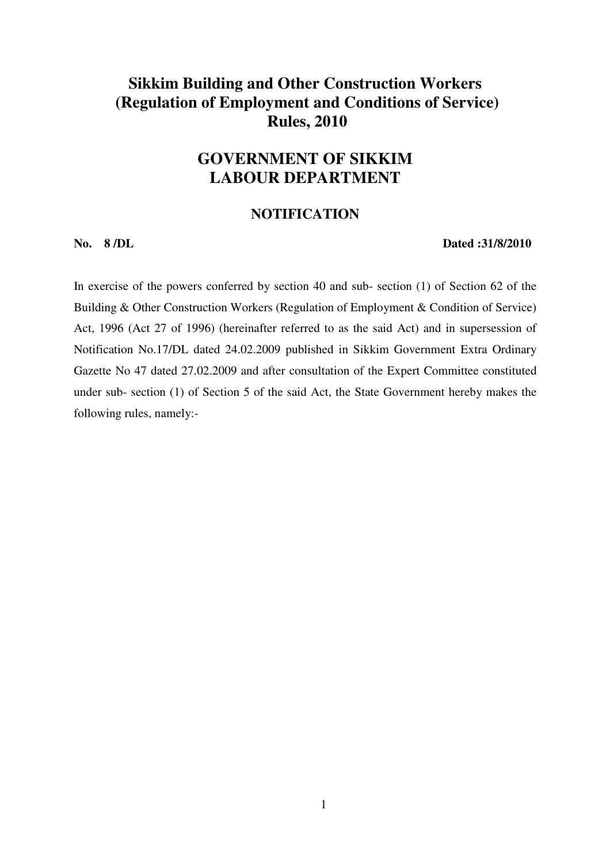# **Sikkim Building and Other Construction Workers (Regulation of Employment and Conditions of Service) Rules, 2010**

# **GOVERNMENT OF SIKKIM LABOUR DEPARTMENT**

# **NOTIFICATION**

#### **No. 8 /DL Dated :31/8/2010**

In exercise of the powers conferred by section 40 and sub- section (1) of Section 62 of the Building & Other Construction Workers (Regulation of Employment & Condition of Service) Act, 1996 (Act 27 of 1996) (hereinafter referred to as the said Act) and in supersession of Notification No.17/DL dated 24.02.2009 published in Sikkim Government Extra Ordinary Gazette No 47 dated 27.02.2009 and after consultation of the Expert Committee constituted under sub- section (1) of Section 5 of the said Act, the State Government hereby makes the following rules, namely:-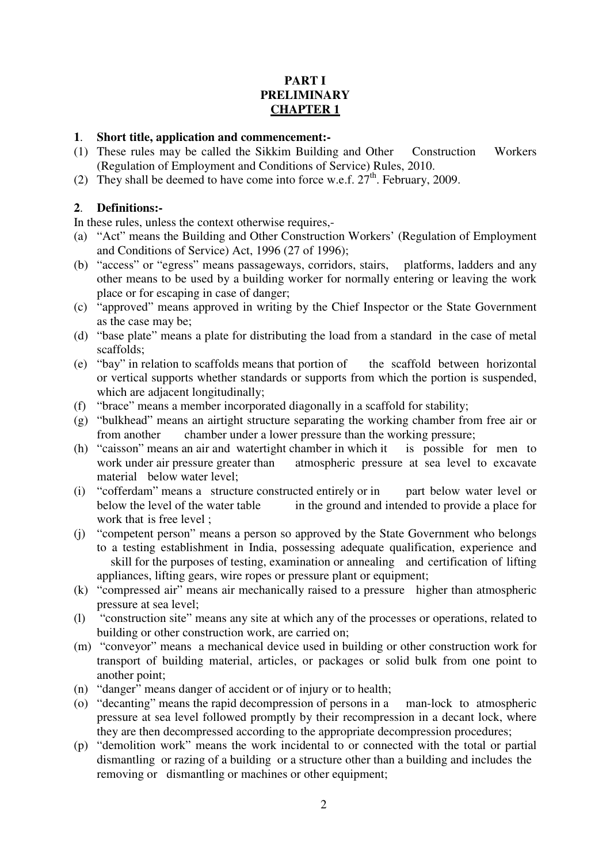# **PART I PRELIMINARY CHAPTER 1**

#### **1**. **Short title, application and commencement:-**

- (1) These rules may be called the Sikkim Building and Other Construction Workers (Regulation of Employment and Conditions of Service) Rules, 2010.
- (2) They shall be deemed to have come into force w.e.f.  $27<sup>th</sup>$ . February, 2009.

#### **2**. **Definitions:-**

In these rules, unless the context otherwise requires,-

- (a) "Act" means the Building and Other Construction Workers' (Regulation of Employment and Conditions of Service) Act, 1996 (27 of 1996);
- (b) "access" or "egress" means passageways, corridors, stairs, platforms, ladders and any other means to be used by a building worker for normally entering or leaving the work place or for escaping in case of danger;
- (c) "approved" means approved in writing by the Chief Inspector or the State Government as the case may be;
- (d) "base plate" means a plate for distributing the load from a standard in the case of metal scaffolds;
- (e) "bay" in relation to scaffolds means that portion of the scaffold between horizontal or vertical supports whether standards or supports from which the portion is suspended, which are adjacent longitudinally;
- (f) "brace" means a member incorporated diagonally in a scaffold for stability;
- (g) "bulkhead" means an airtight structure separating the working chamber from free air or from another chamber under a lower pressure than the working pressure;
- (h) "caisson" means an air and watertight chamber in which it is possible for men to work under air pressure greater than atmospheric pressure at sea level to excavate material below water level;
- (i) "cofferdam" means a structure constructed entirely or in part below water level or below the level of the water table in the ground and intended to provide a place for work that is free level ;
- (j) "competent person" means a person so approved by the State Government who belongs to a testing establishment in India, possessing adequate qualification, experience and skill for the purposes of testing, examination or annealing and certification of lifting appliances, lifting gears, wire ropes or pressure plant or equipment;
- (k) "compressed air" means air mechanically raised to a pressure higher than atmospheric pressure at sea level;
- (l) "construction site" means any site at which any of the processes or operations, related to building or other construction work, are carried on;
- (m) "conveyor" means a mechanical device used in building or other construction work for transport of building material, articles, or packages or solid bulk from one point to another point;
- (n) "danger" means danger of accident or of injury or to health;
- (o) "decanting" means the rapid decompression of persons in a man-lock to atmospheric pressure at sea level followed promptly by their recompression in a decant lock, where they are then decompressed according to the appropriate decompression procedures;
- (p) "demolition work" means the work incidental to or connected with the total or partial dismantling or razing of a building or a structure other than a building and includes the removing or dismantling or machines or other equipment: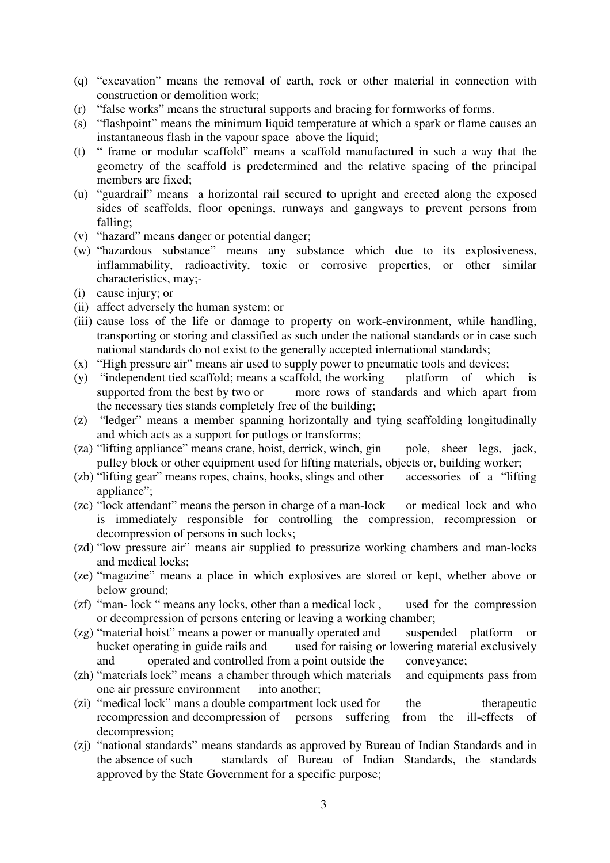- (q) "excavation" means the removal of earth, rock or other material in connection with construction or demolition work;
- (r) "false works" means the structural supports and bracing for formworks of forms.
- (s) "flashpoint" means the minimum liquid temperature at which a spark or flame causes an instantaneous flash in the vapour space above the liquid;
- (t) " frame or modular scaffold" means a scaffold manufactured in such a way that the geometry of the scaffold is predetermined and the relative spacing of the principal members are fixed;
- (u) "guardrail" means a horizontal rail secured to upright and erected along the exposed sides of scaffolds, floor openings, runways and gangways to prevent persons from falling;
- (v) "hazard" means danger or potential danger;
- (w) "hazardous substance" means any substance which due to its explosiveness, inflammability, radioactivity, toxic or corrosive properties, or other similar characteristics, may;-
- (i) cause injury; or
- (ii) affect adversely the human system; or
- (iii) cause loss of the life or damage to property on work-environment, while handling, transporting or storing and classified as such under the national standards or in case such national standards do not exist to the generally accepted international standards;
- (x) "High pressure air" means air used to supply power to pneumatic tools and devices;
- (y) "independent tied scaffold; means a scaffold, the working platform of which is supported from the best by two or more rows of standards and which apart from more rows of standards and which apart from the necessary ties stands completely free of the building;
- (z) "ledger" means a member spanning horizontally and tying scaffolding longitudinally and which acts as a support for putlogs or transforms;
- (za) "lifting appliance" means crane, hoist, derrick, winch, gin pole, sheer legs, jack, pulley block or other equipment used for lifting materials, objects or, building worker;<br>"lifting gear" means ropes, chains, hooks, slings and other accessories of a "lifting"
- $(zb)$  "lifting gear" means ropes, chains, hooks, slings and other appliance":
- (zc) "lock attendant" means the person in charge of a man-lock or medical lock and who is immediately responsible for controlling the compression, recompression or decompression of persons in such locks;
- (zd) "low pressure air" means air supplied to pressurize working chambers and man-locks and medical locks;
- (ze) "magazine" means a place in which explosives are stored or kept, whether above or below ground;
- (zf) "man- lock " means any locks, other than a medical lock , used for the compression or decompression of persons entering or leaving a working chamber;
- (zg) "material hoist" means a power or manually operated and suspended platform or bucket operating in guide rails and used for raising or lowering material exclusively used for raising or lowering material exclusively and operated and controlled from a point outside the conveyance;
- (zh) "materials lock" means a chamber through which materials and equipments pass from one air pressure environment into another;
- (zi) "medical lock" mans a double compartment lock used for the therapeutic recompression and decompression of persons suffering from the ill-effects of decompression;
- (zj) "national standards" means standards as approved by Bureau of Indian Standards and in the absence of such standards of Bureau of Indian Standards, the standards approved by the State Government for a specific purpose;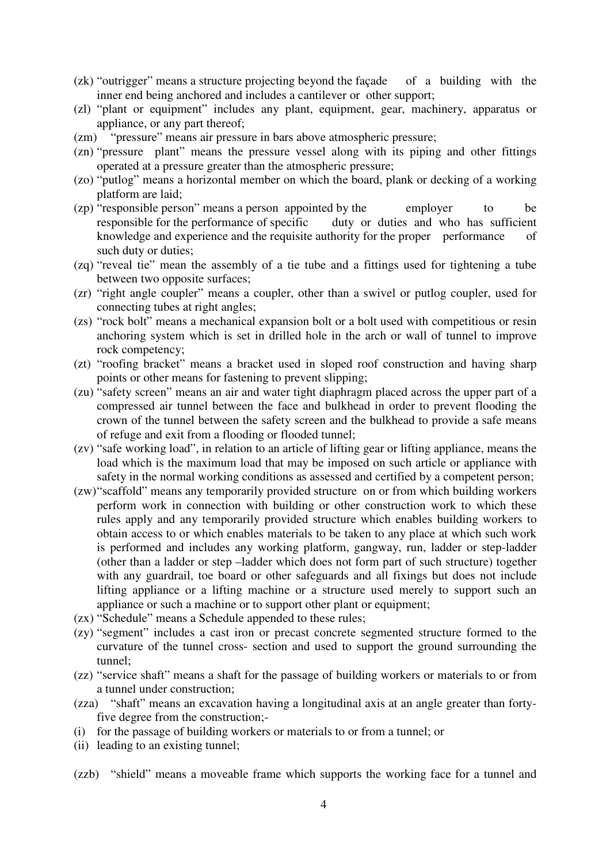- (zk) "outrigger" means a structure projecting beyond the façade of a building with the inner end being anchored and includes a cantilever or other support;
- (zl) "plant or equipment" includes any plant, equipment, gear, machinery, apparatus or appliance, or any part thereof;
- (zm) "pressure" means air pressure in bars above atmospheric pressure;
- (zn) "pressure plant" means the pressure vessel along with its piping and other fittings operated at a pressure greater than the atmospheric pressure;
- (zo) "putlog" means a horizontal member on which the board, plank or decking of a working platform are laid;
- (zp) "responsible person" means a person appointed by the employer to be responsible for the performance of specific duty or duties and who has sufficient knowledge and experience and the requisite authority for the proper performance of such duty or duties;
- (zq) "reveal tie" mean the assembly of a tie tube and a fittings used for tightening a tube between two opposite surfaces;
- (zr) "right angle coupler" means a coupler, other than a swivel or putlog coupler, used for connecting tubes at right angles;
- (zs) "rock bolt" means a mechanical expansion bolt or a bolt used with competitious or resin anchoring system which is set in drilled hole in the arch or wall of tunnel to improve rock competency;
- (zt) "roofing bracket" means a bracket used in sloped roof construction and having sharp points or other means for fastening to prevent slipping;
- (zu) "safety screen" means an air and water tight diaphragm placed across the upper part of a compressed air tunnel between the face and bulkhead in order to prevent flooding the crown of the tunnel between the safety screen and the bulkhead to provide a safe means of refuge and exit from a flooding or flooded tunnel;
- (zv) "safe working load", in relation to an article of lifting gear or lifting appliance, means the load which is the maximum load that may be imposed on such article or appliance with safety in the normal working conditions as assessed and certified by a competent person;
- (zw) "scaffold" means any temporarily provided structure on or from which building workers perform work in connection with building or other construction work to which these rules apply and any temporarily provided structure which enables building workers to obtain access to or which enables materials to be taken to any place at which such work is performed and includes any working platform, gangway, run, ladder or step-ladder (other than a ladder or step –ladder which does not form part of such structure) together with any guardrail, toe board or other safeguards and all fixings but does not include lifting appliance or a lifting machine or a structure used merely to support such an appliance or such a machine or to support other plant or equipment;
- (zx) "Schedule" means a Schedule appended to these rules;
- (zy) "segment" includes a cast iron or precast concrete segmented structure formed to the curvature of the tunnel cross- section and used to support the ground surrounding the tunnel;
- (zz) "service shaft" means a shaft for the passage of building workers or materials to or from a tunnel under construction;
- (zza) "shaft" means an excavation having a longitudinal axis at an angle greater than fortyfive degree from the construction;-
- (i) for the passage of building workers or materials to or from a tunnel; or
- (ii) leading to an existing tunnel;
- (zzb) "shield" means a moveable frame which supports the working face for a tunnel and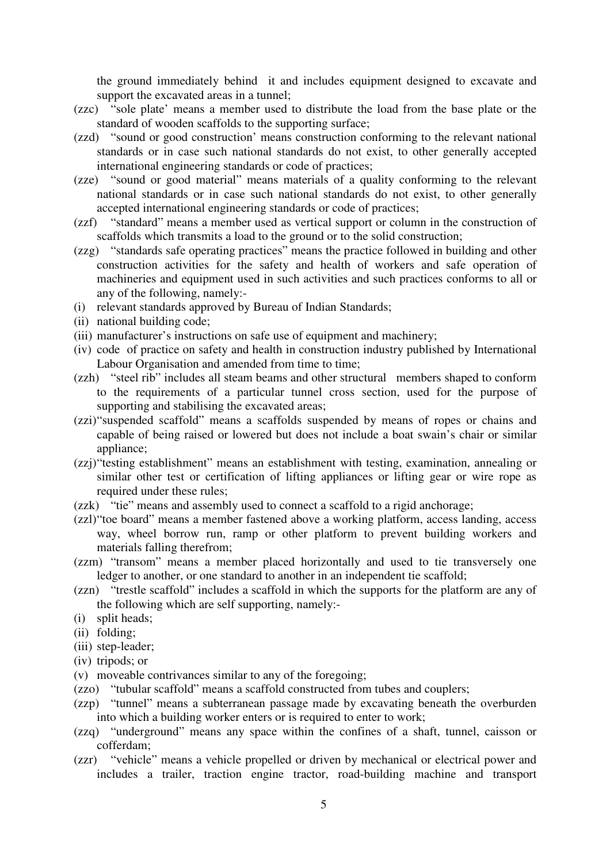the ground immediately behind it and includes equipment designed to excavate and support the excavated areas in a tunnel;

- (zzc) "sole plate' means a member used to distribute the load from the base plate or the standard of wooden scaffolds to the supporting surface;
- (zzd) "sound or good construction' means construction conforming to the relevant national standards or in case such national standards do not exist, to other generally accepted international engineering standards or code of practices;
- (zze) "sound or good material" means materials of a quality conforming to the relevant national standards or in case such national standards do not exist, to other generally accepted international engineering standards or code of practices;
- (zzf) "standard" means a member used as vertical support or column in the construction of scaffolds which transmits a load to the ground or to the solid construction;
- (zzg) "standards safe operating practices" means the practice followed in building and other construction activities for the safety and health of workers and safe operation of machineries and equipment used in such activities and such practices conforms to all or any of the following, namely:-
- (i) relevant standards approved by Bureau of Indian Standards;
- (ii) national building code;
- (iii) manufacturer's instructions on safe use of equipment and machinery;
- (iv) code of practice on safety and health in construction industry published by International Labour Organisation and amended from time to time;
- (zzh) "steel rib" includes all steam beams and other structural members shaped to conform to the requirements of a particular tunnel cross section, used for the purpose of supporting and stabilising the excavated areas;
- (zzi) "suspended scaffold" means a scaffolds suspended by means of ropes or chains and capable of being raised or lowered but does not include a boat swain's chair or similar appliance:
- (zzj) "testing establishment" means an establishment with testing, examination, annealing or similar other test or certification of lifting appliances or lifting gear or wire rope as required under these rules;
- (zzk) "tie" means and assembly used to connect a scaffold to a rigid anchorage;
- (zzl) "toe board" means a member fastened above a working platform, access landing, access way, wheel borrow run, ramp or other platform to prevent building workers and materials falling therefrom;
- (zzm) "transom" means a member placed horizontally and used to tie transversely one ledger to another, or one standard to another in an independent tie scaffold;
- (zzn) "trestle scaffold" includes a scaffold in which the supports for the platform are any of the following which are self supporting, namely:-
- (i) split heads;
- (ii) folding;
- (iii) step-leader;
- (iv) tripods; or
- (v) moveable contrivances similar to any of the foregoing;
- (zzo) "tubular scaffold" means a scaffold constructed from tubes and couplers;
- (zzp) "tunnel" means a subterranean passage made by excavating beneath the overburden into which a building worker enters or is required to enter to work;
- (zzq) "underground" means any space within the confines of a shaft, tunnel, caisson or cofferdam;
- (zzr) "vehicle" means a vehicle propelled or driven by mechanical or electrical power and includes a trailer, traction engine tractor, road-building machine and transport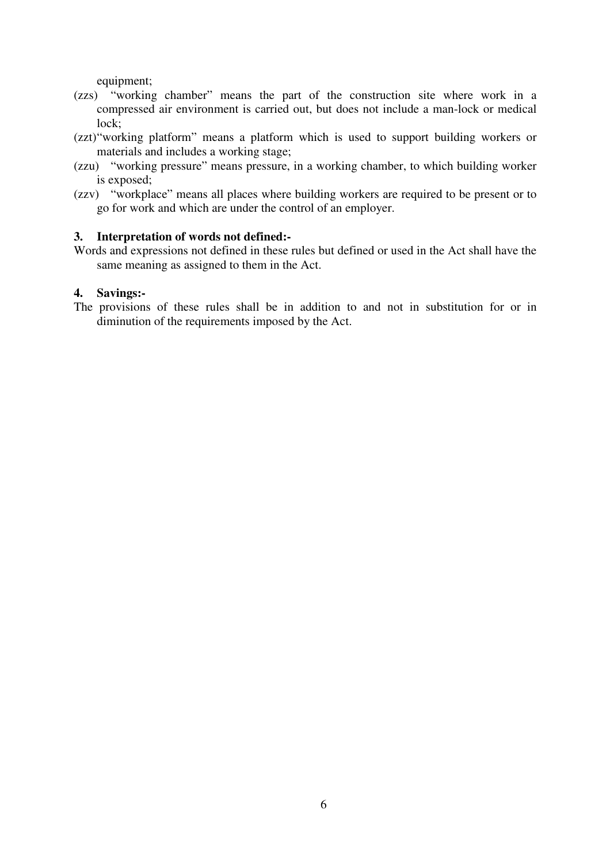equipment;

- (zzs) "working chamber" means the part of the construction site where work in a compressed air environment is carried out, but does not include a man-lock or medical lock;
- (zzt) "working platform" means a platform which is used to support building workers or materials and includes a working stage;
- (zzu) "working pressure" means pressure, in a working chamber, to which building worker is exposed;
- (zzv) "workplace" means all places where building workers are required to be present or to go for work and which are under the control of an employer.

#### **3. Interpretation of words not defined:-**

Words and expressions not defined in these rules but defined or used in the Act shall have the same meaning as assigned to them in the Act.

### **4. Savings:-**

The provisions of these rules shall be in addition to and not in substitution for or in diminution of the requirements imposed by the Act.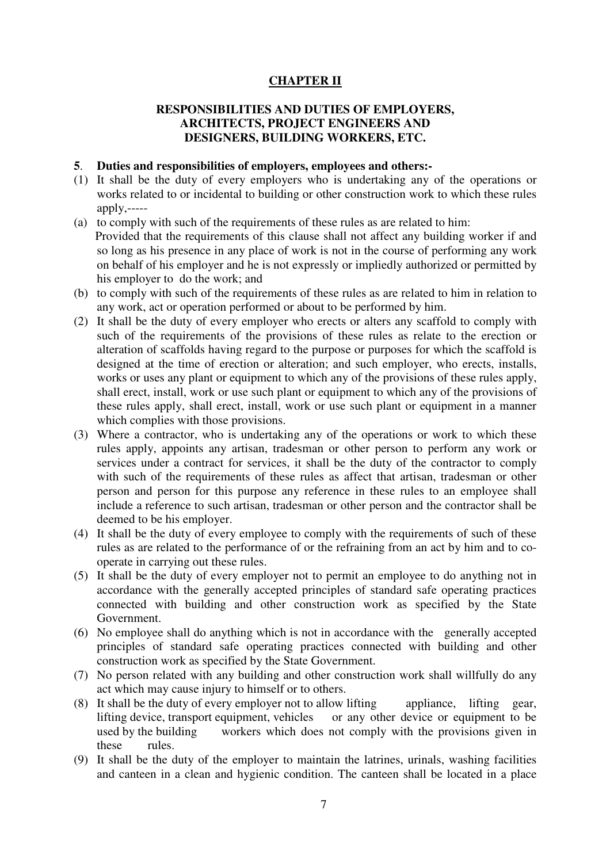# **CHAPTER II**

# **RESPONSIBILITIES AND DUTIES OF EMPLOYERS, ARCHITECTS, PROJECT ENGINEERS AND DESIGNERS, BUILDING WORKERS, ETC.**

#### **5**. **Duties and responsibilities of employers, employees and others:-**

- (1) It shall be the duty of every employers who is undertaking any of the operations or works related to or incidental to building or other construction work to which these rules  $apply, \text{-}$
- (a) to comply with such of the requirements of these rules as are related to him: Provided that the requirements of this clause shall not affect any building worker if and so long as his presence in any place of work is not in the course of performing any work on behalf of his employer and he is not expressly or impliedly authorized or permitted by his employer to do the work; and
- (b) to comply with such of the requirements of these rules as are related to him in relation to any work, act or operation performed or about to be performed by him.
- (2) It shall be the duty of every employer who erects or alters any scaffold to comply with such of the requirements of the provisions of these rules as relate to the erection or alteration of scaffolds having regard to the purpose or purposes for which the scaffold is designed at the time of erection or alteration; and such employer, who erects, installs, works or uses any plant or equipment to which any of the provisions of these rules apply, shall erect, install, work or use such plant or equipment to which any of the provisions of these rules apply, shall erect, install, work or use such plant or equipment in a manner which complies with those provisions.
- (3) Where a contractor, who is undertaking any of the operations or work to which these rules apply, appoints any artisan, tradesman or other person to perform any work or services under a contract for services, it shall be the duty of the contractor to comply with such of the requirements of these rules as affect that artisan, tradesman or other person and person for this purpose any reference in these rules to an employee shall include a reference to such artisan, tradesman or other person and the contractor shall be deemed to be his employer.
- (4) It shall be the duty of every employee to comply with the requirements of such of these rules as are related to the performance of or the refraining from an act by him and to cooperate in carrying out these rules.
- (5) It shall be the duty of every employer not to permit an employee to do anything not in accordance with the generally accepted principles of standard safe operating practices connected with building and other construction work as specified by the State Government.
- (6) No employee shall do anything which is not in accordance with the generally accepted principles of standard safe operating practices connected with building and other construction work as specified by the State Government.
- (7) No person related with any building and other construction work shall willfully do any act which may cause injury to himself or to others.
- (8) It shall be the duty of every employer not to allow lifting appliance, lifting gear, lifting device, transport equipment, vehicles or any other device or equipment to be used by the building workers which does not comply with the provisions given in these rules.
- (9) It shall be the duty of the employer to maintain the latrines, urinals, washing facilities and canteen in a clean and hygienic condition. The canteen shall be located in a place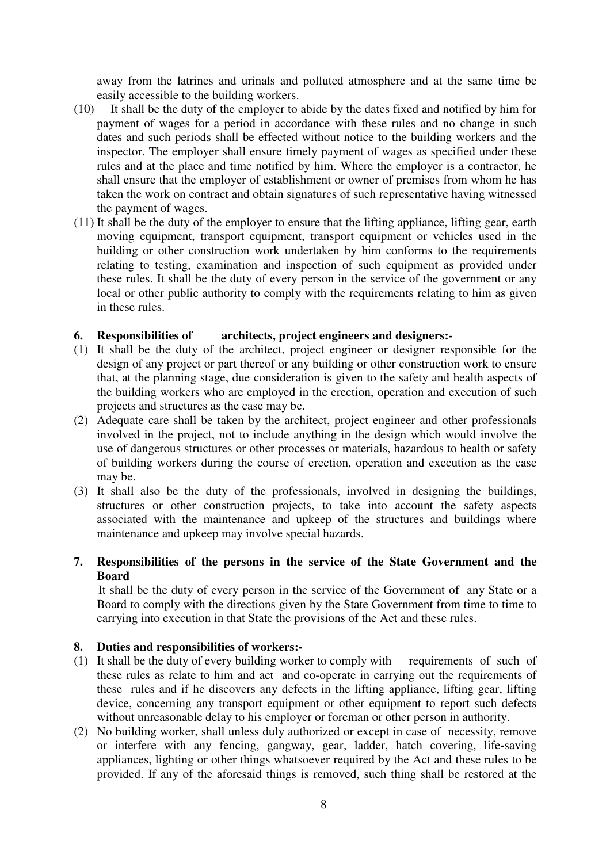away from the latrines and urinals and polluted atmosphere and at the same time be easily accessible to the building workers.

- (10) It shall be the duty of the employer to abide by the dates fixed and notified by him for payment of wages for a period in accordance with these rules and no change in such dates and such periods shall be effected without notice to the building workers and the inspector. The employer shall ensure timely payment of wages as specified under these rules and at the place and time notified by him. Where the employer is a contractor, he shall ensure that the employer of establishment or owner of premises from whom he has taken the work on contract and obtain signatures of such representative having witnessed the payment of wages.
- (11) It shall be the duty of the employer to ensure that the lifting appliance, lifting gear, earth moving equipment, transport equipment, transport equipment or vehicles used in the building or other construction work undertaken by him conforms to the requirements relating to testing, examination and inspection of such equipment as provided under these rules. It shall be the duty of every person in the service of the government or any local or other public authority to comply with the requirements relating to him as given in these rules.

# **6. Responsibilities of architects, project engineers and designers:-**

- (1) It shall be the duty of the architect, project engineer or designer responsible for the design of any project or part thereof or any building or other construction work to ensure that, at the planning stage, due consideration is given to the safety and health aspects of the building workers who are employed in the erection, operation and execution of such projects and structures as the case may be.
- (2) Adequate care shall be taken by the architect, project engineer and other professionals involved in the project, not to include anything in the design which would involve the use of dangerous structures or other processes or materials, hazardous to health or safety of building workers during the course of erection, operation and execution as the case may be.
- (3) It shall also be the duty of the professionals, involved in designing the buildings, structures or other construction projects, to take into account the safety aspects associated with the maintenance and upkeep of the structures and buildings where maintenance and upkeep may involve special hazards.

# **7. Responsibilities of the persons in the service of the State Government and the Board**

 It shall be the duty of every person in the service of the Government of any State or a Board to comply with the directions given by the State Government from time to time to carrying into execution in that State the provisions of the Act and these rules.

#### **8. Duties and responsibilities of workers:-**

- (1) It shall be the duty of every building worker to comply withrequirements of such of these rules as relate to him and act and co-operate in carrying out the requirements of these rules and if he discovers any defects in the lifting appliance, lifting gear, lifting device, concerning any transport equipment or other equipment to report such defects without unreasonable delay to his employer or foreman or other person in authority.
- (2) No building worker, shall unless duly authorized or except in case of necessity, remove or interfere with any fencing, gangway, gear, ladder, hatch covering, life**-**saving appliances, lighting or other things whatsoever required by the Act and these rules to be provided. If any of the aforesaid things is removed, such thing shall be restored at the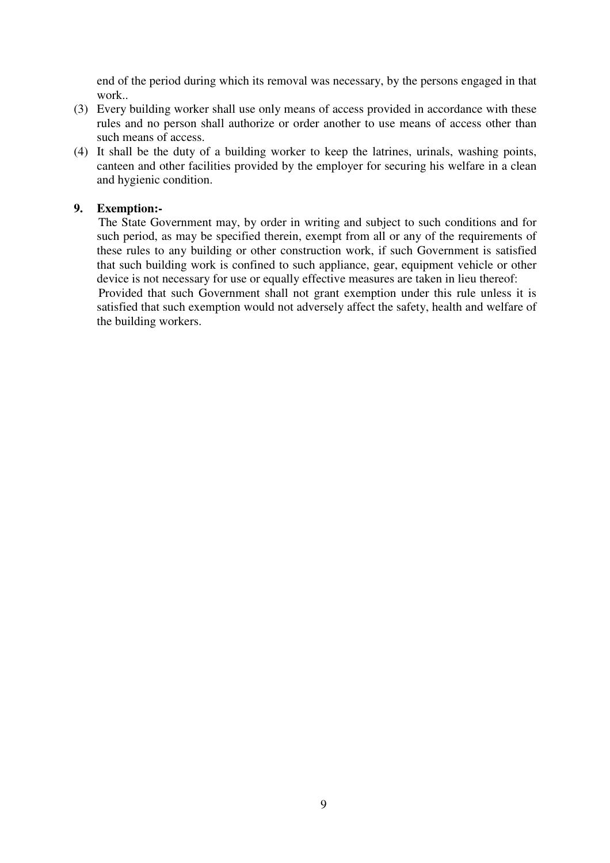end of the period during which its removal was necessary, by the persons engaged in that work..

- (3) Every building worker shall use only means of access provided in accordance with these rules and no person shall authorize or order another to use means of access other than such means of access.
- (4) It shall be the duty of a building worker to keep the latrines, urinals, washing points, canteen and other facilities provided by the employer for securing his welfare in a clean and hygienic condition.

# **9. Exemption:-**

 The State Government may, by order in writing and subject to such conditions and for such period, as may be specified therein, exempt from all or any of the requirements of these rules to any building or other construction work, if such Government is satisfied that such building work is confined to such appliance, gear, equipment vehicle or other device is not necessary for use or equally effective measures are taken in lieu thereof:

 Provided that such Government shall not grant exemption under this rule unless it is satisfied that such exemption would not adversely affect the safety, health and welfare of the building workers.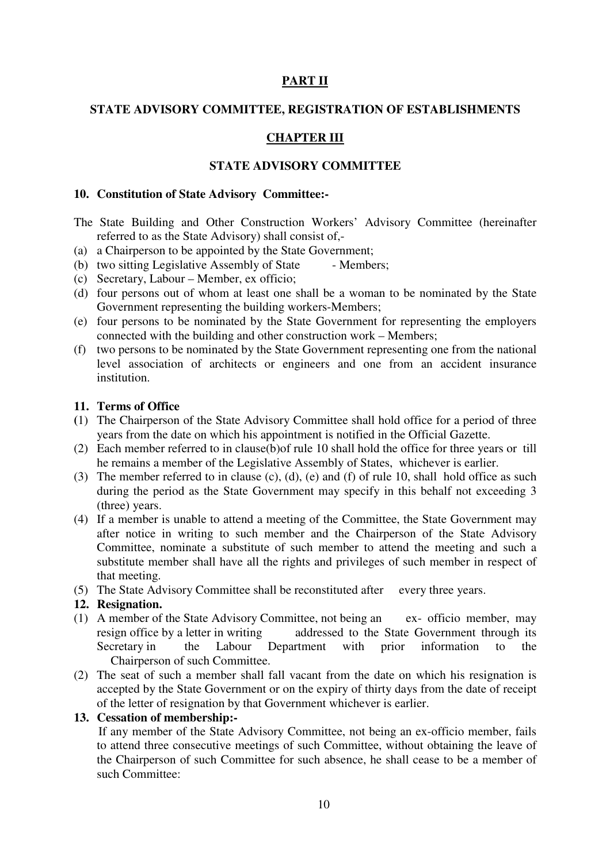# **PART II**

#### **STATE ADVISORY COMMITTEE, REGISTRATION OF ESTABLISHMENTS**

# **CHAPTER III**

#### **STATE ADVISORY COMMITTEE**

#### **10. Constitution of State Advisory Committee:-**

- The State Building and Other Construction Workers' Advisory Committee (hereinafter referred to as the State Advisory) shall consist of,-
- (a) a Chairperson to be appointed by the State Government;
- (b) two sitting Legislative Assembly of State Members;
- (c) Secretary, Labour Member, ex officio;
- (d) four persons out of whom at least one shall be a woman to be nominated by the State Government representing the building workers-Members;
- (e) four persons to be nominated by the State Government for representing the employers connected with the building and other construction work – Members;
- (f) two persons to be nominated by the State Government representing one from the national level association of architects or engineers and one from an accident insurance institution.

#### **11. Terms of Office**

- **(**1) The Chairperson of the State Advisory Committee shall hold office for a period of three years from the date on which his appointment is notified in the Official Gazette.
- (2) Each member referred to in clause(b)of rule 10 shall hold the office for three years or till he remains a member of the Legislative Assembly of States, whichever is earlier.
- (3) The member referred to in clause (c), (d), (e) and (f) of rule 10, shall hold office as such during the period as the State Government may specify in this behalf not exceeding 3 (three) years.
- (4) If a member is unable to attend a meeting of the Committee, the State Government may after notice in writing to such member and the Chairperson of the State Advisory Committee, nominate a substitute of such member to attend the meeting and such a substitute member shall have all the rights and privileges of such member in respect of that meeting.
- (5) The State Advisory Committee shall be reconstituted after every three years.

#### **12. Resignation.**

- (1) A member of the State Advisory Committee, not being an ex- officio member, may resign office by a letter in writing addressed to the State Government through its Secretary in the Labour Department with prior information to the Chairperson of such Committee.
- (2) The seat of such a member shall fall vacant from the date on which his resignation is accepted by the State Government or on the expiry of thirty days from the date of receipt of the letter of resignation by that Government whichever is earlier.

#### **13. Cessation of membership:-**

 If any member of the State Advisory Committee, not being an ex-officio member, fails to attend three consecutive meetings of such Committee, without obtaining the leave of the Chairperson of such Committee for such absence, he shall cease to be a member of such Committee: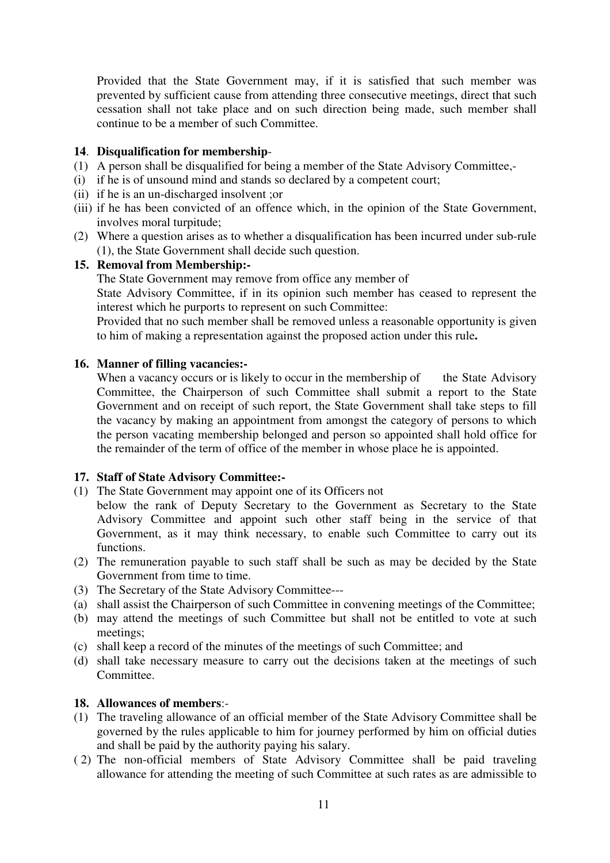Provided that the State Government may, if it is satisfied that such member was prevented by sufficient cause from attending three consecutive meetings, direct that such cessation shall not take place and on such direction being made, such member shall continue to be a member of such Committee.

# **14**. **Disqualification for membership**-

- (1) A person shall be disqualified for being a member of the State Advisory Committee,-
- (i) if he is of unsound mind and stands so declared by a competent court;
- (ii) if he is an un-discharged insolvent ;or
- (iii) if he has been convicted of an offence which, in the opinion of the State Government, involves moral turpitude;
- (2) Where a question arises as to whether a disqualification has been incurred under sub-rule (1), the State Government shall decide such question.

# **15. Removal from Membership:-**

The State Government may remove from office any member of

 State Advisory Committee, if in its opinion such member has ceased to represent the interest which he purports to represent on such Committee:

Provided that no such member shall be removed unless a reasonable opportunity is given to him of making a representation against the proposed action under this rule**.** 

# **16. Manner of filling vacancies:-**

When a vacancy occurs or is likely to occur in the membership of the State Advisory Committee, the Chairperson of such Committee shall submit a report to the State Government and on receipt of such report, the State Government shall take steps to fill the vacancy by making an appointment from amongst the category of persons to which the person vacating membership belonged and person so appointed shall hold office for the remainder of the term of office of the member in whose place he is appointed.

# **17. Staff of State Advisory Committee:-**

- (1) The State Government may appoint one of its Officers not
- below the rank of Deputy Secretary to the Government as Secretary to the State Advisory Committee and appoint such other staff being in the service of that Government, as it may think necessary, to enable such Committee to carry out its functions.
- (2) The remuneration payable to such staff shall be such as may be decided by the State Government from time to time.
- (3) The Secretary of the State Advisory Committee---
- (a) shall assist the Chairperson of such Committee in convening meetings of the Committee;
- (b) may attend the meetings of such Committee but shall not be entitled to vote at such meetings;
- (c) shall keep a record of the minutes of the meetings of such Committee; and
- (d) shall take necessary measure to carry out the decisions taken at the meetings of such Committee.

# **18. Allowances of members**:-

- (1)The traveling allowance of an official member of the State Advisory Committee shall be governed by the rules applicable to him for journey performed by him on official duties and shall be paid by the authority paying his salary.
- ( 2) The non-official members of State Advisory Committee shall be paid traveling allowance for attending the meeting of such Committee at such rates as are admissible to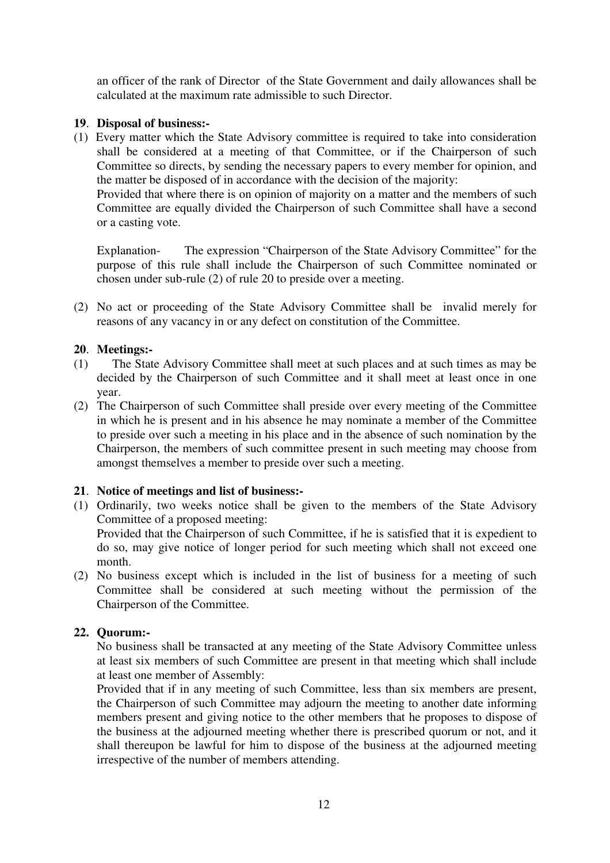an officer of the rank of Director of the State Government and daily allowances shall be calculated at the maximum rate admissible to such Director.

# **19**. **Disposal of business:-**

(1) Every matter which the State Advisory committee is required to take into consideration shall be considered at a meeting of that Committee, or if the Chairperson of such Committee so directs, by sending the necessary papers to every member for opinion, and the matter be disposed of in accordance with the decision of the majority:

Provided that where there is on opinion of majority on a matter and the members of such Committee are equally divided the Chairperson of such Committee shall have a second or a casting vote.

Explanation- The expression "Chairperson of the State Advisory Committee" for the purpose of this rule shall include the Chairperson of such Committee nominated or chosen under sub-rule (2) of rule 20 to preside over a meeting.

(2) No act or proceeding of the State Advisory Committee shall be invalid merely for reasons of any vacancy in or any defect on constitution of the Committee.

#### **20**. **Meetings:-**

- (1) The State Advisory Committee shall meet at such places and at such times as may be decided by the Chairperson of such Committee and it shall meet at least once in one year.
- (2) The Chairperson of such Committee shall preside over every meeting of the Committee in which he is present and in his absence he may nominate a member of the Committee to preside over such a meeting in his place and in the absence of such nomination by the Chairperson, the members of such committee present in such meeting may choose from amongst themselves a member to preside over such a meeting.

#### **21**. **Notice of meetings and list of business:-**

(1) Ordinarily, two weeks notice shall be given to the members of the State Advisory Committee of a proposed meeting:

Provided that the Chairperson of such Committee, if he is satisfied that it is expedient to do so, may give notice of longer period for such meeting which shall not exceed one month.

(2) No business except which is included in the list of business for a meeting of such Committee shall be considered at such meeting without the permission of the Chairperson of the Committee.

#### **22. Quorum:-**

No business shall be transacted at any meeting of the State Advisory Committee unless at least six members of such Committee are present in that meeting which shall include at least one member of Assembly:

Provided that if in any meeting of such Committee, less than six members are present, the Chairperson of such Committee may adjourn the meeting to another date informing members present and giving notice to the other members that he proposes to dispose of the business at the adjourned meeting whether there is prescribed quorum or not, and it shall thereupon be lawful for him to dispose of the business at the adjourned meeting irrespective of the number of members attending.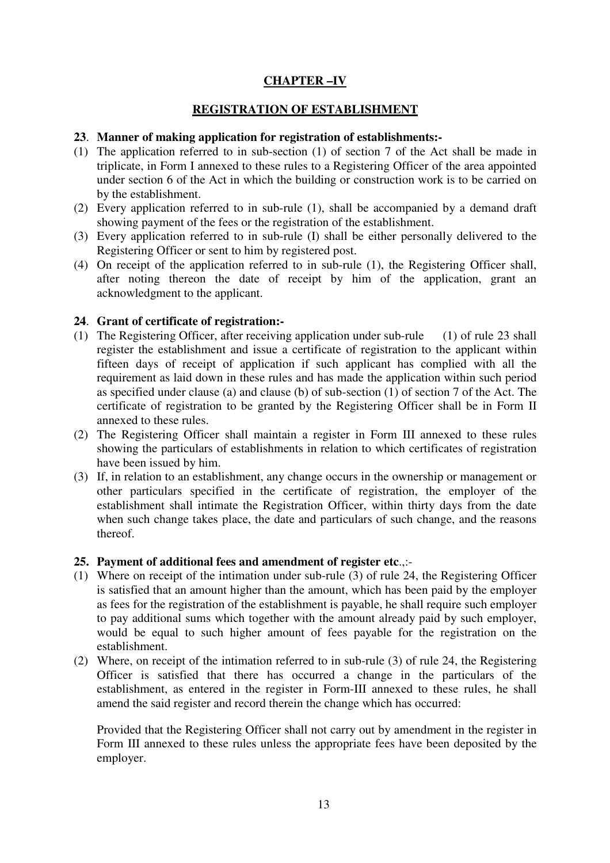# **CHAPTER –IV**

# **REGISTRATION OF ESTABLISHMENT**

#### **23**. **Manner of making application for registration of establishments:-**

- (1) The application referred to in sub-section (1) of section 7 of the Act shall be made in triplicate, in Form I annexed to these rules to a Registering Officer of the area appointed under section 6 of the Act in which the building or construction work is to be carried on by the establishment.
- (2) Every application referred to in sub-rule (1), shall be accompanied by a demand draft showing payment of the fees or the registration of the establishment.
- (3) Every application referred to in sub-rule (I) shall be either personally delivered to the Registering Officer or sent to him by registered post.
- (4) On receipt of the application referred to in sub-rule (1), the Registering Officer shall, after noting thereon the date of receipt by him of the application, grant an acknowledgment to the applicant.

# **24**. **Grant of certificate of registration:-**

- (1) The Registering Officer, after receiving application under sub-rule (1) of rule 23 shall register the establishment and issue a certificate of registration to the applicant within fifteen days of receipt of application if such applicant has complied with all the requirement as laid down in these rules and has made the application within such period as specified under clause (a) and clause (b) of sub-section (1) of section 7 of the Act. The certificate of registration to be granted by the Registering Officer shall be in Form II annexed to these rules.
- (2) The Registering Officer shall maintain a register in Form III annexed to these rules showing the particulars of establishments in relation to which certificates of registration have been issued by him.
- (3) If, in relation to an establishment, any change occurs in the ownership or management or other particulars specified in the certificate of registration, the employer of the establishment shall intimate the Registration Officer, within thirty days from the date when such change takes place, the date and particulars of such change, and the reasons thereof.

#### **25. Payment of additional fees and amendment of register etc**.,:-

- (1) Where on receipt of the intimation under sub-rule (3) of rule 24, the Registering Officer is satisfied that an amount higher than the amount, which has been paid by the employer as fees for the registration of the establishment is payable, he shall require such employer to pay additional sums which together with the amount already paid by such employer, would be equal to such higher amount of fees payable for the registration on the establishment.
- (2) Where, on receipt of the intimation referred to in sub-rule (3) of rule 24, the Registering Officer is satisfied that there has occurred a change in the particulars of the establishment, as entered in the register in Form-III annexed to these rules, he shall amend the said register and record therein the change which has occurred:

Provided that the Registering Officer shall not carry out by amendment in the register in Form III annexed to these rules unless the appropriate fees have been deposited by the employer.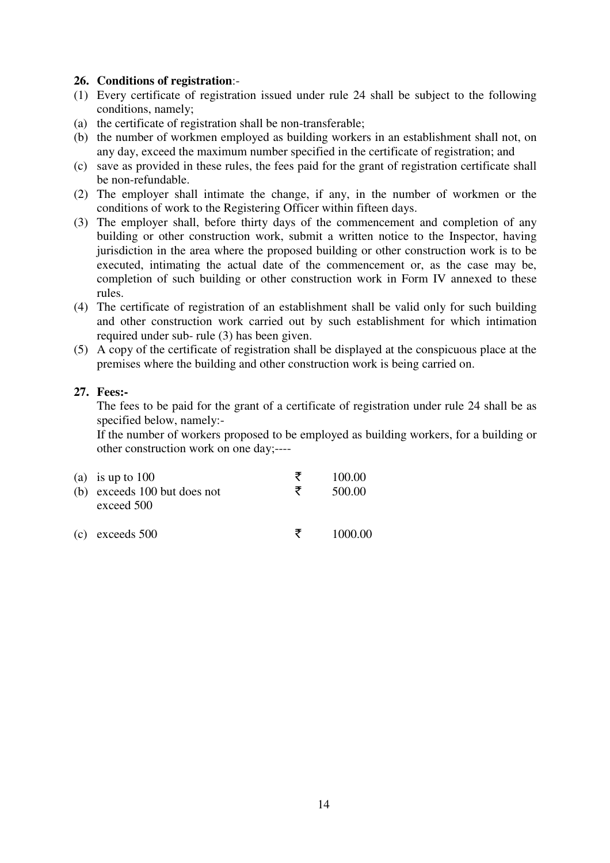#### **26. Conditions of registration**:-

- (1) Every certificate of registration issued under rule 24 shall be subject to the following conditions, namely;
- (a) the certificate of registration shall be non-transferable;
- (b) the number of workmen employed as building workers in an establishment shall not, on any day, exceed the maximum number specified in the certificate of registration; and
- (c) save as provided in these rules, the fees paid for the grant of registration certificate shall be non-refundable.
- (2) The employer shall intimate the change, if any, in the number of workmen or the conditions of work to the Registering Officer within fifteen days.
- (3) The employer shall, before thirty days of the commencement and completion of any building or other construction work, submit a written notice to the Inspector, having jurisdiction in the area where the proposed building or other construction work is to be executed, intimating the actual date of the commencement or, as the case may be, completion of such building or other construction work in Form IV annexed to these rules.
- (4) The certificate of registration of an establishment shall be valid only for such building and other construction work carried out by such establishment for which intimation required under sub- rule (3) has been given.
- (5) A copy of the certificate of registration shall be displayed at the conspicuous place at the premises where the building and other construction work is being carried on.

#### **27. Fees:-**

 The fees to be paid for the grant of a certificate of registration under rule 24 shall be as specified below, namely:-

If the number of workers proposed to be employed as building workers, for a building or other construction work on one day;----

| (a) is up to $100$<br>(b) exceeds 100 but does not<br>exceed 500 | ₹<br>₹ | 100.00<br>500.00 |
|------------------------------------------------------------------|--------|------------------|
| $(c)$ exceeds 500                                                | ₹      | 1000.00          |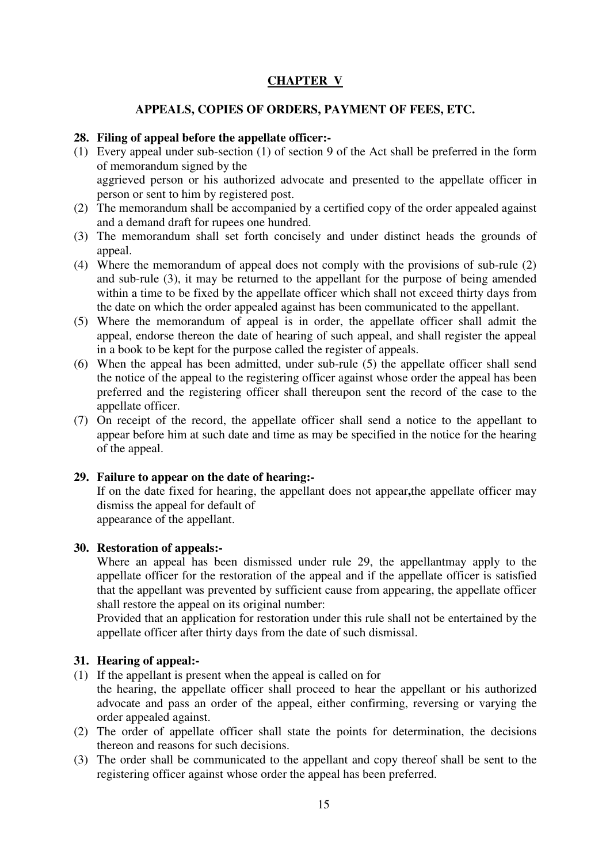# **CHAPTER V**

# **APPEALS, COPIES OF ORDERS, PAYMENT OF FEES, ETC.**

#### **28. Filing of appeal before the appellate officer:-**

- (1) Every appeal under sub-section (1) of section 9 of the Act shall be preferred in the form of memorandum signed by the aggrieved person or his authorized advocate and presented to the appellate officer in person or sent to him by registered post.
- (2) The memorandum shall be accompanied by a certified copy of the order appealed against and a demand draft for rupees one hundred.
- (3) The memorandum shall set forth concisely and under distinct heads the grounds of appeal.
- (4) Where the memorandum of appeal does not comply with the provisions of sub-rule (2) and sub-rule (3), it may be returned to the appellant for the purpose of being amended within a time to be fixed by the appellate officer which shall not exceed thirty days from the date on which the order appealed against has been communicated to the appellant.
- (5) Where the memorandum of appeal is in order, the appellate officer shall admit the appeal, endorse thereon the date of hearing of such appeal, and shall register the appeal in a book to be kept for the purpose called the register of appeals.
- (6) When the appeal has been admitted, under sub-rule (5) the appellate officer shall send the notice of the appeal to the registering officer against whose order the appeal has been preferred and the registering officer shall thereupon sent the record of the case to the appellate officer.
- (7) On receipt of the record, the appellate officer shall send a notice to the appellant to appear before him at such date and time as may be specified in the notice for the hearing of the appeal.

#### **29. Failure to appear on the date of hearing:-**

If on the date fixed for hearing, the appellant does not appear**,**the appellate officer may dismiss the appeal for default of

appearance of the appellant.

#### **30. Restoration of appeals:-**

Where an appeal has been dismissed under rule 29, the appellantmay apply to the appellate officer for the restoration of the appeal and if the appellate officer is satisfied that the appellant was prevented by sufficient cause from appearing, the appellate officer shall restore the appeal on its original number:

Provided that an application for restoration under this rule shall not be entertained by the appellate officer after thirty days from the date of such dismissal.

# **31. Hearing of appeal:-**

(1) If the appellant is present when the appeal is called on for

 the hearing, the appellate officer shall proceed to hear the appellant or his authorized advocate and pass an order of the appeal, either confirming, reversing or varying the order appealed against.

- (2) The order of appellate officer shall state the points for determination, the decisions thereon and reasons for such decisions.
- (3) The order shall be communicated to the appellant and copy thereof shall be sent to the registering officer against whose order the appeal has been preferred.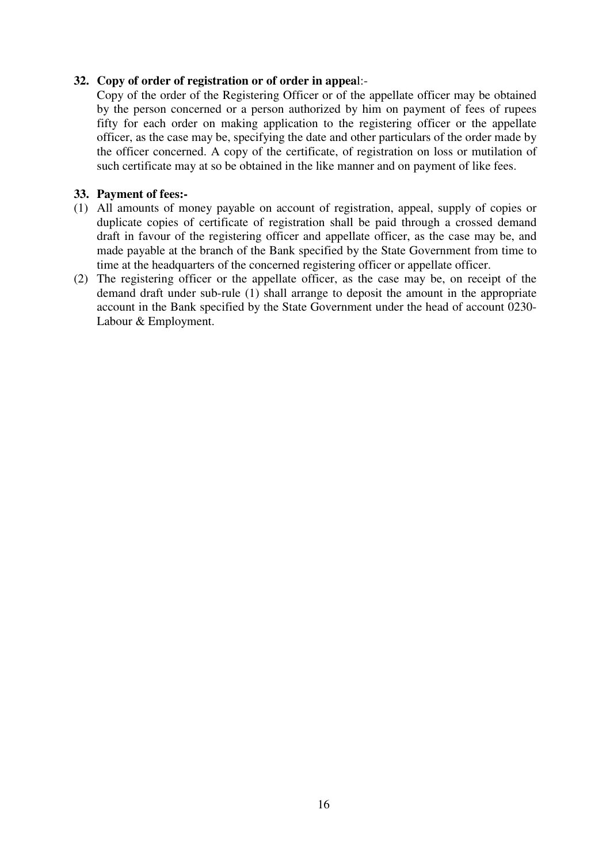# **32. Copy of order of registration or of order in appea**l:-

Copy of the order of the Registering Officer or of the appellate officer may be obtained by the person concerned or a person authorized by him on payment of fees of rupees fifty for each order on making application to the registering officer or the appellate officer, as the case may be, specifying the date and other particulars of the order made by the officer concerned. A copy of the certificate, of registration on loss or mutilation of such certificate may at so be obtained in the like manner and on payment of like fees.

# **33. Payment of fees:-**

- (1) All amounts of money payable on account of registration, appeal, supply of copies or duplicate copies of certificate of registration shall be paid through a crossed demand draft in favour of the registering officer and appellate officer, as the case may be, and made payable at the branch of the Bank specified by the State Government from time to time at the headquarters of the concerned registering officer or appellate officer.
- (2) The registering officer or the appellate officer, as the case may be, on receipt of the demand draft under sub-rule (1) shall arrange to deposit the amount in the appropriate account in the Bank specified by the State Government under the head of account 0230- Labour & Employment.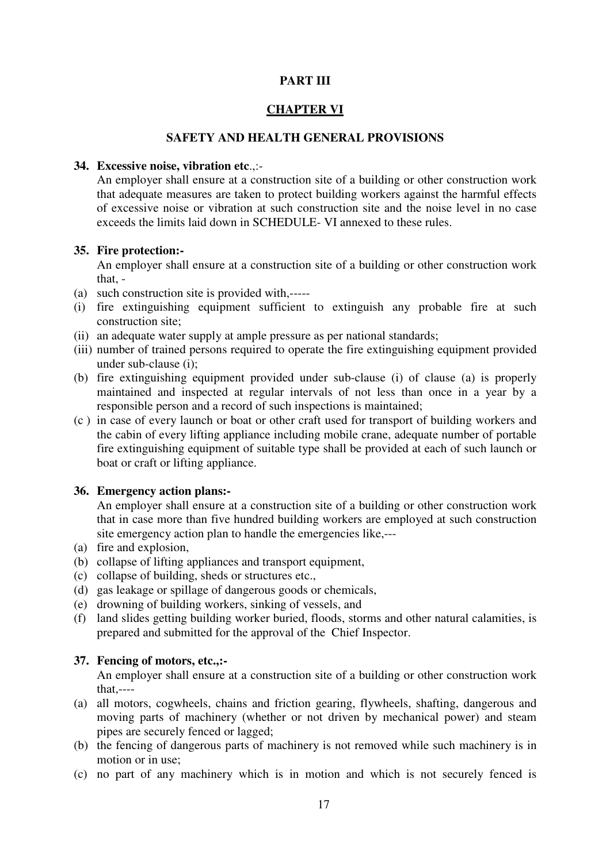# **PART III**

#### **CHAPTER VI**

#### **SAFETY AND HEALTH GENERAL PROVISIONS**

#### **34. Excessive noise, vibration etc**.,:-

An employer shall ensure at a construction site of a building or other construction work that adequate measures are taken to protect building workers against the harmful effects of excessive noise or vibration at such construction site and the noise level in no case exceeds the limits laid down in SCHEDULE- VI annexed to these rules.

#### **35. Fire protection:-**

An employer shall ensure at a construction site of a building or other construction work that, -

- (a) such construction site is provided with,-----
- (i) fire extinguishing equipment sufficient to extinguish any probable fire at such construction site;
- (ii) an adequate water supply at ample pressure as per national standards;
- (iii) number of trained persons required to operate the fire extinguishing equipment provided under sub-clause (i);
- (b) fire extinguishing equipment provided under sub-clause (i) of clause (a) is properly maintained and inspected at regular intervals of not less than once in a year by a responsible person and a record of such inspections is maintained;
- (c ) in case of every launch or boat or other craft used for transport of building workers and the cabin of every lifting appliance including mobile crane, adequate number of portable fire extinguishing equipment of suitable type shall be provided at each of such launch or boat or craft or lifting appliance.

### **36. Emergency action plans:-**

An employer shall ensure at a construction site of a building or other construction work that in case more than five hundred building workers are employed at such construction site emergency action plan to handle the emergencies like,---

- (a) fire and explosion,
- (b) collapse of lifting appliances and transport equipment,
- (c) collapse of building, sheds or structures etc.,
- (d) gas leakage or spillage of dangerous goods or chemicals,
- (e) drowning of building workers, sinking of vessels, and
- (f) land slides getting building worker buried, floods, storms and other natural calamities, is prepared and submitted for the approval of the Chief Inspector.

#### **37. Fencing of motors, etc.,:-**

An employer shall ensure at a construction site of a building or other construction work that,----

- (a) all motors, cogwheels, chains and friction gearing, flywheels, shafting, dangerous and moving parts of machinery (whether or not driven by mechanical power) and steam pipes are securely fenced or lagged;
- (b) the fencing of dangerous parts of machinery is not removed while such machinery is in motion or in use;
- (c) no part of any machinery which is in motion and which is not securely fenced is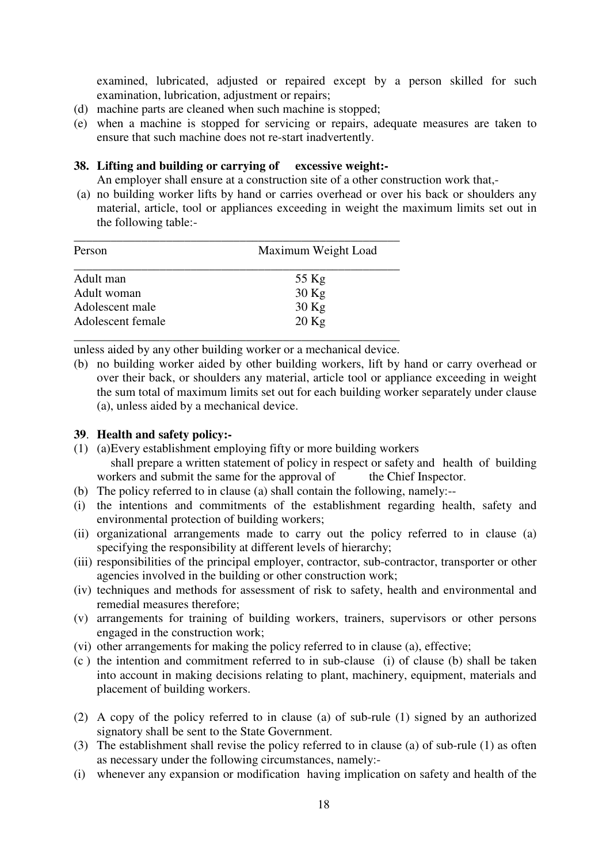examined, lubricated, adjusted or repaired except by a person skilled for such examination, lubrication, adjustment or repairs;

- (d) machine parts are cleaned when such machine is stopped;
- (e) when a machine is stopped for servicing or repairs, adequate measures are taken to ensure that such machine does not re-start inadvertently.

#### **38. Lifting and building or carrying of excessive weight:-**

An employer shall ensure at a construction site of a other construction work that,-

 (a) no building worker lifts by hand or carries overhead or over his back or shoulders any material, article, tool or appliances exceeding in weight the maximum limits set out in the following table:-

| Person            | Maximum Weight Load |  |
|-------------------|---------------------|--|
| Adult man         | 55 Kg               |  |
| Adult woman       | $30$ Kg             |  |
| Adolescent male   | $30$ Kg             |  |
| Adolescent female | $20$ Kg             |  |

unless aided by any other building worker or a mechanical device.

(b) no building worker aided by other building workers, lift by hand or carry overhead or over their back, or shoulders any material, article tool or appliance exceeding in weight the sum total of maximum limits set out for each building worker separately under clause (a), unless aided by a mechanical device.

#### **39**. **Health and safety policy:-**

- (1) (a) Every establishment employing fifty or more building workers shall prepare a written statement of policy in respect or safety and health of building orkers and submit the same for the approval of the Chief Inspector. workers and submit the same for the approval of
- (b) The policy referred to in clause (a) shall contain the following, namely:--
- (i) the intentions and commitments of the establishment regarding health, safety and environmental protection of building workers;
- (ii) organizational arrangements made to carry out the policy referred to in clause (a) specifying the responsibility at different levels of hierarchy;
- (iii) responsibilities of the principal employer, contractor, sub-contractor, transporter or other agencies involved in the building or other construction work;
- (iv) techniques and methods for assessment of risk to safety, health and environmental and remedial measures therefore;
- (v) arrangements for training of building workers, trainers, supervisors or other persons engaged in the construction work;
- (vi) other arrangements for making the policy referred to in clause (a), effective;
- (c ) the intention and commitment referred to in sub-clause (i) of clause (b) shall be taken into account in making decisions relating to plant, machinery, equipment, materials and placement of building workers.
- (2) A copy of the policy referred to in clause (a) of sub-rule (1) signed by an authorized signatory shall be sent to the State Government.
- (3) The establishment shall revise the policy referred to in clause (a) of sub-rule (1) as often as necessary under the following circumstances, namely:-
- (i) whenever any expansion or modification having implication on safety and health of the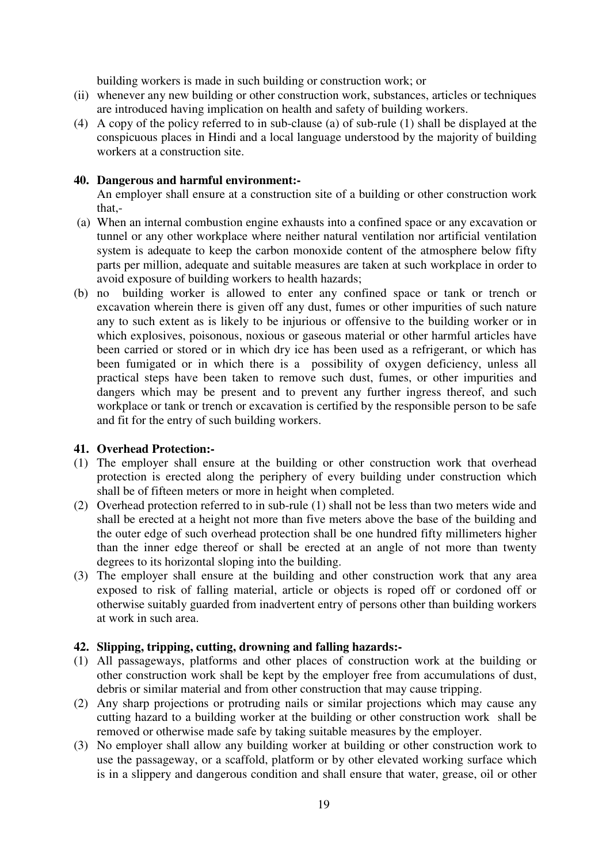building workers is made in such building or construction work; or

- (ii) whenever any new building or other construction work, substances, articles or techniques are introduced having implication on health and safety of building workers.
- (4) A copy of the policy referred to in sub-clause (a) of sub-rule (1) shall be displayed at the conspicuous places in Hindi and a local language understood by the majority of building workers at a construction site.

# **40. Dangerous and harmful environment:-**

An employer shall ensure at a construction site of a building or other construction work that,-

- (a) When an internal combustion engine exhausts into a confined space or any excavation or tunnel or any other workplace where neither natural ventilation nor artificial ventilation system is adequate to keep the carbon monoxide content of the atmosphere below fifty parts per million, adequate and suitable measures are taken at such workplace in order to avoid exposure of building workers to health hazards;
- (b) no building worker is allowed to enter any confined space or tank or trench or excavation wherein there is given off any dust, fumes or other impurities of such nature any to such extent as is likely to be injurious or offensive to the building worker or in which explosives, poisonous, noxious or gaseous material or other harmful articles have been carried or stored or in which dry ice has been used as a refrigerant, or which has been fumigated or in which there is a possibility of oxygen deficiency, unless all practical steps have been taken to remove such dust, fumes, or other impurities and dangers which may be present and to prevent any further ingress thereof, and such workplace or tank or trench or excavation is certified by the responsible person to be safe and fit for the entry of such building workers.

# **41. Overhead Protection:-**

- (1) The employer shall ensure at the building or other construction work that overhead protection is erected along the periphery of every building under construction which shall be of fifteen meters or more in height when completed.
- (2) Overhead protection referred to in sub-rule (1) shall not be less than two meters wide and shall be erected at a height not more than five meters above the base of the building and the outer edge of such overhead protection shall be one hundred fifty millimeters higher than the inner edge thereof or shall be erected at an angle of not more than twenty degrees to its horizontal sloping into the building.
- (3) The employer shall ensure at the building and other construction work that any area exposed to risk of falling material, article or objects is roped off or cordoned off or otherwise suitably guarded from inadvertent entry of persons other than building workers at work in such area.

# **42. Slipping, tripping, cutting, drowning and falling hazards:-**

- (1) All passageways, platforms and other places of construction work at the building or other construction work shall be kept by the employer free from accumulations of dust, debris or similar material and from other construction that may cause tripping.
- (2) Any sharp projections or protruding nails or similar projections which may cause any cutting hazard to a building worker at the building or other construction work shall be removed or otherwise made safe by taking suitable measures by the employer.
- (3) No employer shall allow any building worker at building or other construction work to use the passageway, or a scaffold, platform or by other elevated working surface which is in a slippery and dangerous condition and shall ensure that water, grease, oil or other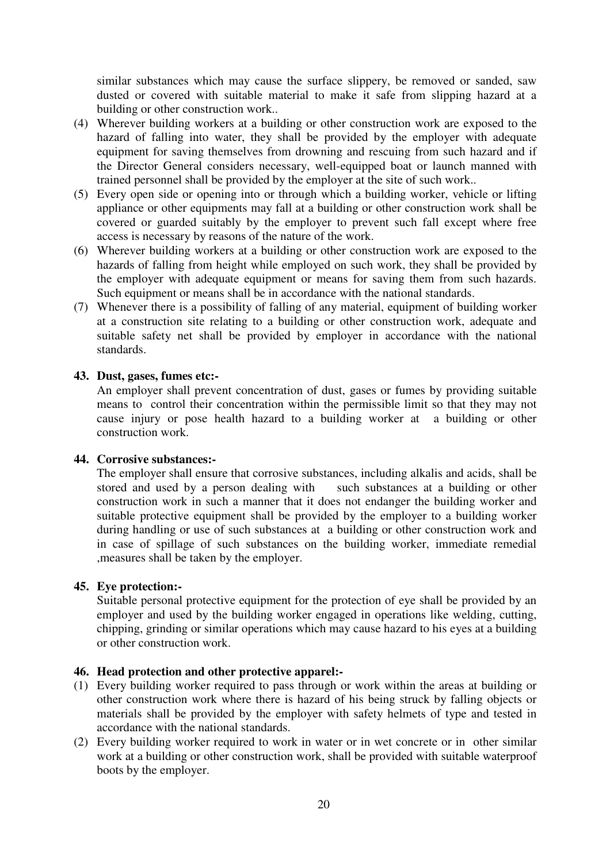similar substances which may cause the surface slippery, be removed or sanded, saw dusted or covered with suitable material to make it safe from slipping hazard at a building or other construction work..

- (4) Wherever building workers at a building or other construction work are exposed to the hazard of falling into water, they shall be provided by the employer with adequate equipment for saving themselves from drowning and rescuing from such hazard and if the Director General considers necessary, well-equipped boat or launch manned with trained personnel shall be provided by the employer at the site of such work..
- (5) Every open side or opening into or through which a building worker, vehicle or lifting appliance or other equipments may fall at a building or other construction work shall be covered or guarded suitably by the employer to prevent such fall except where free access is necessary by reasons of the nature of the work.
- (6) Wherever building workers at a building or other construction work are exposed to the hazards of falling from height while employed on such work, they shall be provided by the employer with adequate equipment or means for saving them from such hazards. Such equipment or means shall be in accordance with the national standards.
- (7) Whenever there is a possibility of falling of any material, equipment of building worker at a construction site relating to a building or other construction work, adequate and suitable safety net shall be provided by employer in accordance with the national standards.

## **43. Dust, gases, fumes etc:-**

An employer shall prevent concentration of dust, gases or fumes by providing suitable means to control their concentration within the permissible limit so that they may not cause injury or pose health hazard to a building worker at a building or other construction work.

#### **44. Corrosive substances:-**

The employer shall ensure that corrosive substances, including alkalis and acids, shall be stored and used by a person dealing with such substances at a building or other construction work in such a manner that it does not endanger the building worker and suitable protective equipment shall be provided by the employer to a building worker during handling or use of such substances at a building or other construction work and in case of spillage of such substances on the building worker, immediate remedial ,measures shall be taken by the employer.

#### **45. Eye protection:-**

Suitable personal protective equipment for the protection of eye shall be provided by an employer and used by the building worker engaged in operations like welding, cutting, chipping, grinding or similar operations which may cause hazard to his eyes at a building or other construction work.

#### **46. Head protection and other protective apparel:-**

- (1) Every building worker required to pass through or work within the areas at building or other construction work where there is hazard of his being struck by falling objects or materials shall be provided by the employer with safety helmets of type and tested in accordance with the national standards.
- (2) Every building worker required to work in water or in wet concrete or in other similar work at a building or other construction work, shall be provided with suitable waterproof boots by the employer.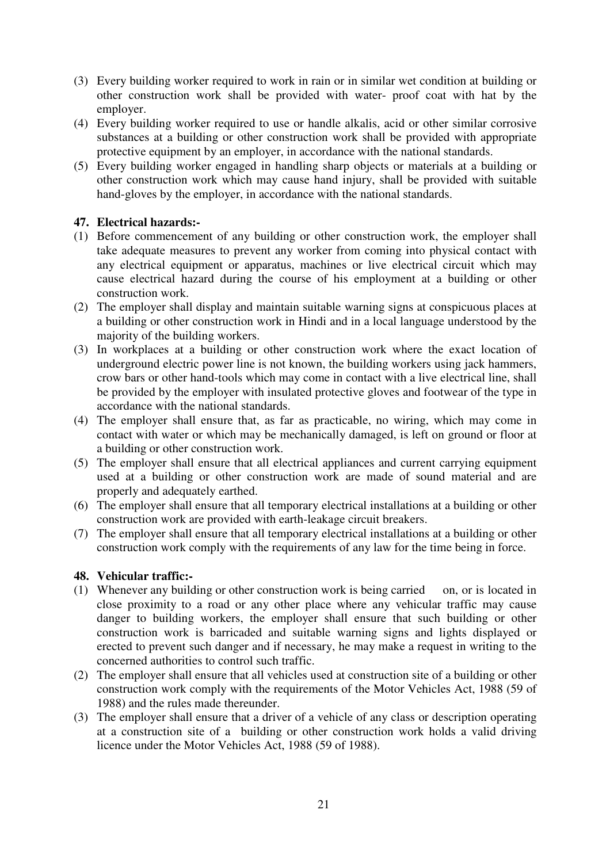- (3) Every building worker required to work in rain or in similar wet condition at building or other construction work shall be provided with water- proof coat with hat by the employer.
- (4) Every building worker required to use or handle alkalis, acid or other similar corrosive substances at a building or other construction work shall be provided with appropriate protective equipment by an employer, in accordance with the national standards.
- (5) Every building worker engaged in handling sharp objects or materials at a building or other construction work which may cause hand injury, shall be provided with suitable hand-gloves by the employer, in accordance with the national standards.

# **47. Electrical hazards:-**

- (1) Before commencement of any building or other construction work, the employer shall take adequate measures to prevent any worker from coming into physical contact with any electrical equipment or apparatus, machines or live electrical circuit which may cause electrical hazard during the course of his employment at a building or other construction work.
- (2) The employer shall display and maintain suitable warning signs at conspicuous places at a building or other construction work in Hindi and in a local language understood by the majority of the building workers.
- (3) In workplaces at a building or other construction work where the exact location of underground electric power line is not known, the building workers using jack hammers, crow bars or other hand-tools which may come in contact with a live electrical line, shall be provided by the employer with insulated protective gloves and footwear of the type in accordance with the national standards.
- (4) The employer shall ensure that, as far as practicable, no wiring, which may come in contact with water or which may be mechanically damaged, is left on ground or floor at a building or other construction work.
- (5) The employer shall ensure that all electrical appliances and current carrying equipment used at a building or other construction work are made of sound material and are properly and adequately earthed.
- (6) The employer shall ensure that all temporary electrical installations at a building or other construction work are provided with earth-leakage circuit breakers.
- (7) The employer shall ensure that all temporary electrical installations at a building or other construction work comply with the requirements of any law for the time being in force.

#### **48. Vehicular traffic:-**

- (1) Whenever any building or other construction work is being carried on, or is located in close proximity to a road or any other place where any vehicular traffic may cause danger to building workers, the employer shall ensure that such building or other construction work is barricaded and suitable warning signs and lights displayed or erected to prevent such danger and if necessary, he may make a request in writing to the concerned authorities to control such traffic.
- (2) The employer shall ensure that all vehicles used at construction site of a building or other construction work comply with the requirements of the Motor Vehicles Act, 1988 (59 of 1988) and the rules made thereunder.
- (3) The employer shall ensure that a driver of a vehicle of any class or description operating at a construction site of a building or other construction work holds a valid driving licence under the Motor Vehicles Act, 1988 (59 of 1988).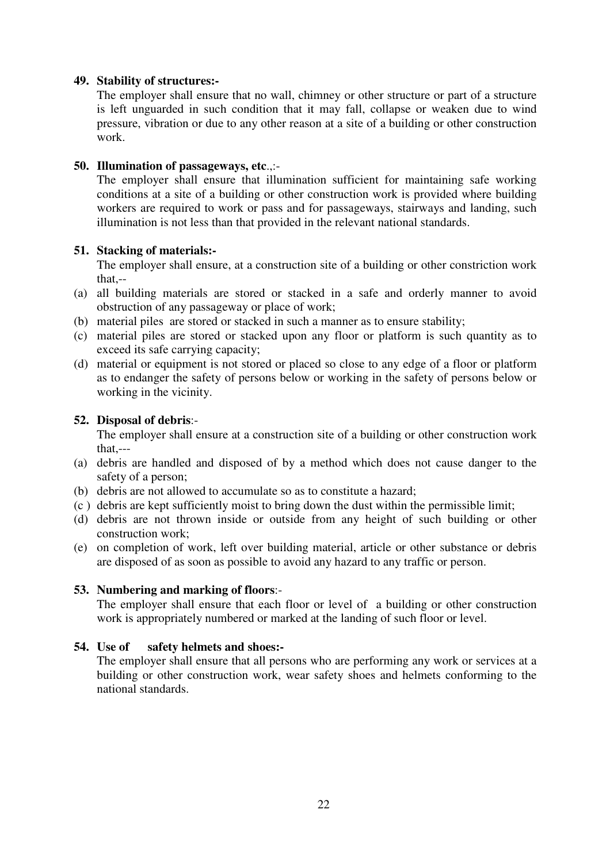### **49. Stability of structures:-**

The employer shall ensure that no wall, chimney or other structure or part of a structure is left unguarded in such condition that it may fall, collapse or weaken due to wind pressure, vibration or due to any other reason at a site of a building or other construction work.

# **50. Illumination of passageways, etc**.,:-

The employer shall ensure that illumination sufficient for maintaining safe working conditions at a site of a building or other construction work is provided where building workers are required to work or pass and for passageways, stairways and landing, such illumination is not less than that provided in the relevant national standards.

# **51. Stacking of materials:-**

The employer shall ensure, at a construction site of a building or other constriction work that,--

- (a) all building materials are stored or stacked in a safe and orderly manner to avoid obstruction of any passageway or place of work;
- (b) material piles are stored or stacked in such a manner as to ensure stability;
- (c) material piles are stored or stacked upon any floor or platform is such quantity as to exceed its safe carrying capacity;
- (d) material or equipment is not stored or placed so close to any edge of a floor or platform as to endanger the safety of persons below or working in the safety of persons below or working in the vicinity.

# **52. Disposal of debris**:-

The employer shall ensure at a construction site of a building or other construction work that,---

- (a) debris are handled and disposed of by a method which does not cause danger to the safety of a person;
- (b) debris are not allowed to accumulate so as to constitute a hazard;
- (c ) debris are kept sufficiently moist to bring down the dust within the permissible limit;
- (d) debris are not thrown inside or outside from any height of such building or other construction work;
- (e) on completion of work, left over building material, article or other substance or debris are disposed of as soon as possible to avoid any hazard to any traffic or person.

# **53. Numbering and marking of floors**:-

The employer shall ensure that each floor or level of a building or other construction work is appropriately numbered or marked at the landing of such floor or level.

#### **54. Use of safety helmets and shoes:-**

The employer shall ensure that all persons who are performing any work or services at a building or other construction work, wear safety shoes and helmets conforming to the national standards.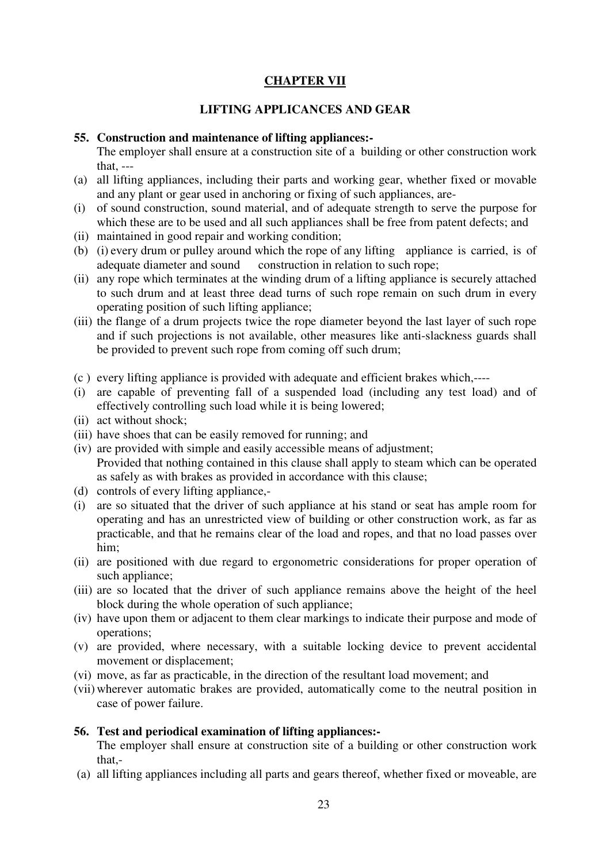# **CHAPTER VII**

# **LIFTING APPLICANCES AND GEAR**

#### **55. Construction and maintenance of lifting appliances:-**

The employer shall ensure at a construction site of a building or other construction work that, ---

- (a) all lifting appliances, including their parts and working gear, whether fixed or movable and any plant or gear used in anchoring or fixing of such appliances, are-
- (i) of sound construction, sound material, and of adequate strength to serve the purpose for which these are to be used and all such appliances shall be free from patent defects; and
- (ii) maintained in good repair and working condition;
- (b) (i) every drum or pulley around which the rope of any lifting appliance is carried, is of adequate diameter and sound construction in relation to such rope;
- (ii) any rope which terminates at the winding drum of a lifting appliance is securely attached to such drum and at least three dead turns of such rope remain on such drum in every operating position of such lifting appliance;
- (iii) the flange of a drum projects twice the rope diameter beyond the last layer of such rope and if such projections is not available, other measures like anti-slackness guards shall be provided to prevent such rope from coming off such drum;
- (c ) every lifting appliance is provided with adequate and efficient brakes which,----
- (i) are capable of preventing fall of a suspended load (including any test load) and of effectively controlling such load while it is being lowered;
- (ii) act without shock;
- (iii) have shoes that can be easily removed for running; and
- (iv) are provided with simple and easily accessible means of adjustment; Provided that nothing contained in this clause shall apply to steam which can be operated as safely as with brakes as provided in accordance with this clause;
- (d) controls of every lifting appliance,-
- (i) are so situated that the driver of such appliance at his stand or seat has ample room for operating and has an unrestricted view of building or other construction work, as far as practicable, and that he remains clear of the load and ropes, and that no load passes over him;
- (ii) are positioned with due regard to ergonometric considerations for proper operation of such appliance;
- (iii) are so located that the driver of such appliance remains above the height of the heel block during the whole operation of such appliance:
- (iv) have upon them or adjacent to them clear markings to indicate their purpose and mode of operations;
- (v) are provided, where necessary, with a suitable locking device to prevent accidental movement or displacement;
- (vi) move, as far as practicable, in the direction of the resultant load movement; and
- (vii) wherever automatic brakes are provided, automatically come to the neutral position in case of power failure.

#### **56. Test and periodical examination of lifting appliances:-**

The employer shall ensure at construction site of a building or other construction work that,-

(a) all lifting appliances including all parts and gears thereof, whether fixed or moveable, are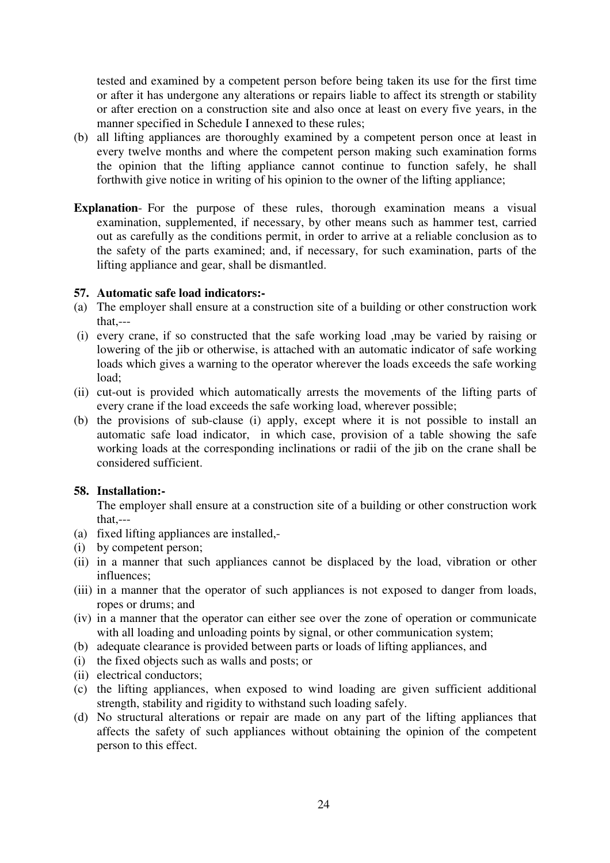tested and examined by a competent person before being taken its use for the first time or after it has undergone any alterations or repairs liable to affect its strength or stability or after erection on a construction site and also once at least on every five years, in the manner specified in Schedule I annexed to these rules;

- (b) all lifting appliances are thoroughly examined by a competent person once at least in every twelve months and where the competent person making such examination forms the opinion that the lifting appliance cannot continue to function safely, he shall forthwith give notice in writing of his opinion to the owner of the lifting appliance;
- **Explanation** For the purpose of these rules, thorough examination means a visual examination, supplemented, if necessary, by other means such as hammer test, carried out as carefully as the conditions permit, in order to arrive at a reliable conclusion as to the safety of the parts examined; and, if necessary, for such examination, parts of the lifting appliance and gear, shall be dismantled.

#### **57. Automatic safe load indicators:-**

- (a) The employer shall ensure at a construction site of a building or other construction work that,---
- (i) every crane, if so constructed that the safe working load ,may be varied by raising or lowering of the jib or otherwise, is attached with an automatic indicator of safe working loads which gives a warning to the operator wherever the loads exceeds the safe working load;
- (ii) cut-out is provided which automatically arrests the movements of the lifting parts of every crane if the load exceeds the safe working load, wherever possible;
- (b) the provisions of sub-clause (i) apply, except where it is not possible to install an automatic safe load indicator, in which case, provision of a table showing the safe working loads at the corresponding inclinations or radii of the jib on the crane shall be considered sufficient.

#### **58. Installation:-**

The employer shall ensure at a construction site of a building or other construction work that,---

- (a) fixed lifting appliances are installed,-
- (i) by competent person;
- (ii) in a manner that such appliances cannot be displaced by the load, vibration or other influences;
- (iii) in a manner that the operator of such appliances is not exposed to danger from loads, ropes or drums; and
- (iv) in a manner that the operator can either see over the zone of operation or communicate with all loading and unloading points by signal, or other communication system;
- (b) adequate clearance is provided between parts or loads of lifting appliances, and
- (i) the fixed objects such as walls and posts; or
- (ii) electrical conductors;
- (c) the lifting appliances, when exposed to wind loading are given sufficient additional strength, stability and rigidity to withstand such loading safely.
- (d) No structural alterations or repair are made on any part of the lifting appliances that affects the safety of such appliances without obtaining the opinion of the competent person to this effect.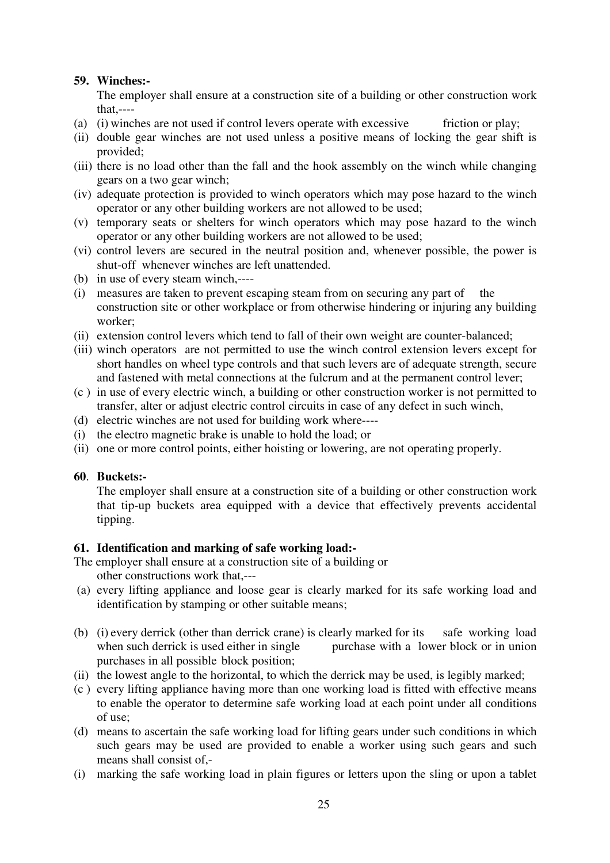# **59. Winches:-**

The employer shall ensure at a construction site of a building or other construction work that,----

- (a) (i) winches are not used if control levers operate with excessive friction or play;
- (ii) double gear winches are not used unless a positive means of locking the gear shift is provided;
- (iii) there is no load other than the fall and the hook assembly on the winch while changing gears on a two gear winch;
- (iv) adequate protection is provided to winch operators which may pose hazard to the winch operator or any other building workers are not allowed to be used;
- (v) temporary seats or shelters for winch operators which may pose hazard to the winch operator or any other building workers are not allowed to be used;
- (vi) control levers are secured in the neutral position and, whenever possible, the power is shut-off whenever winches are left unattended.
- (b) in use of every steam winch,----
- (i) measures are taken to prevent escaping steam from on securing any part of the construction site or other workplace or from otherwise hindering or injuring any building worker;
- (ii) extension control levers which tend to fall of their own weight are counter-balanced;
- (iii) winch operators are not permitted to use the winch control extension levers except for short handles on wheel type controls and that such levers are of adequate strength, secure and fastened with metal connections at the fulcrum and at the permanent control lever;
- (c ) in use of every electric winch, a building or other construction worker is not permitted to transfer, alter or adjust electric control circuits in case of any defect in such winch,
- (d) electric winches are not used for building work where----
- (i) the electro magnetic brake is unable to hold the load; or
- (ii) one or more control points, either hoisting or lowering, are not operating properly.

# **60**. **Buckets:-**

The employer shall ensure at a construction site of a building or other construction work that tip-up buckets area equipped with a device that effectively prevents accidental tipping.

# **61. Identification and marking of safe working load:-**

The employer shall ensure at a construction site of a building or

other constructions work that,---

- (a) every lifting appliance and loose gear is clearly marked for its safe working load and identification by stamping or other suitable means;
- (b) (i) every derrick (other than derrick crane) is clearly marked for its safe working load when such derrick is used either in single purchase with a lower block or in union purchases in all possible block position;
- (ii) the lowest angle to the horizontal, to which the derrick may be used, is legibly marked;
- (c ) every lifting appliance having more than one working load is fitted with effective means to enable the operator to determine safe working load at each point under all conditions of use;
- (d) means to ascertain the safe working load for lifting gears under such conditions in which such gears may be used are provided to enable a worker using such gears and such means shall consist of,-
- (i) marking the safe working load in plain figures or letters upon the sling or upon a tablet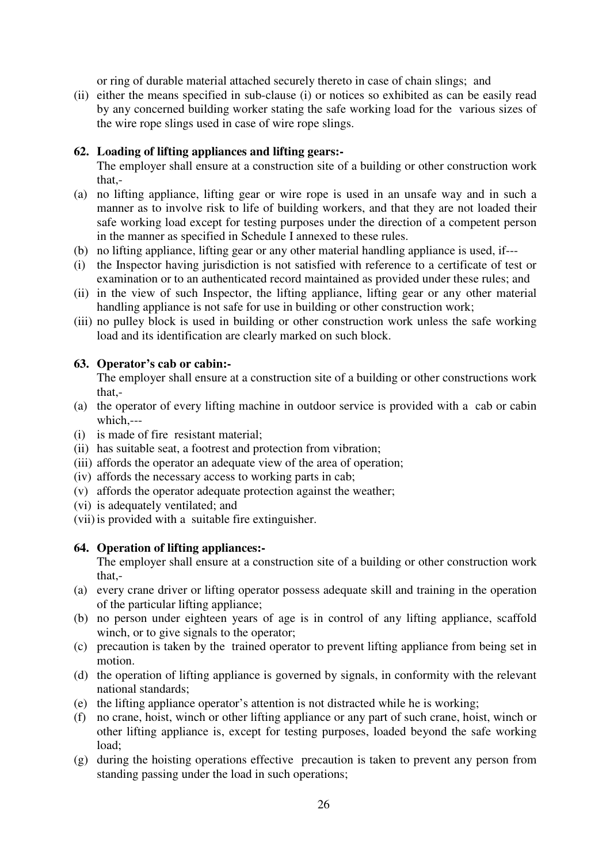or ring of durable material attached securely thereto in case of chain slings; and

(ii) either the means specified in sub-clause (i) or notices so exhibited as can be easily read by any concerned building worker stating the safe working load for the various sizes of the wire rope slings used in case of wire rope slings.

# **62. Loading of lifting appliances and lifting gears:-**

The employer shall ensure at a construction site of a building or other construction work that-

- (a) no lifting appliance, lifting gear or wire rope is used in an unsafe way and in such a manner as to involve risk to life of building workers, and that they are not loaded their safe working load except for testing purposes under the direction of a competent person in the manner as specified in Schedule I annexed to these rules.
- (b) no lifting appliance, lifting gear or any other material handling appliance is used, if---
- (i) the Inspector having jurisdiction is not satisfied with reference to a certificate of test or examination or to an authenticated record maintained as provided under these rules; and
- (ii) in the view of such Inspector, the lifting appliance, lifting gear or any other material handling appliance is not safe for use in building or other construction work;
- (iii) no pulley block is used in building or other construction work unless the safe working load and its identification are clearly marked on such block.

# **63. Operator's cab or cabin:-**

The employer shall ensure at a construction site of a building or other constructions work that,-

- (a) the operator of every lifting machine in outdoor service is provided with a cab or cabin which,---
- (i) is made of fire resistant material;
- (ii) has suitable seat, a footrest and protection from vibration;
- (iii) affords the operator an adequate view of the area of operation;
- (iv) affords the necessary access to working parts in cab;
- (v) affords the operator adequate protection against the weather;
- (vi) is adequately ventilated; and
- (vii) is provided with a suitable fire extinguisher.

# **64. Operation of lifting appliances:-**

The employer shall ensure at a construction site of a building or other construction work that,-

- (a) every crane driver or lifting operator possess adequate skill and training in the operation of the particular lifting appliance;
- (b) no person under eighteen years of age is in control of any lifting appliance, scaffold winch, or to give signals to the operator;
- (c) precaution is taken by the trained operator to prevent lifting appliance from being set in motion.
- (d) the operation of lifting appliance is governed by signals, in conformity with the relevant national standards;
- (e) the lifting appliance operator's attention is not distracted while he is working;
- (f) no crane, hoist, winch or other lifting appliance or any part of such crane, hoist, winch or other lifting appliance is, except for testing purposes, loaded beyond the safe working load;
- (g) during the hoisting operations effective precaution is taken to prevent any person from standing passing under the load in such operations;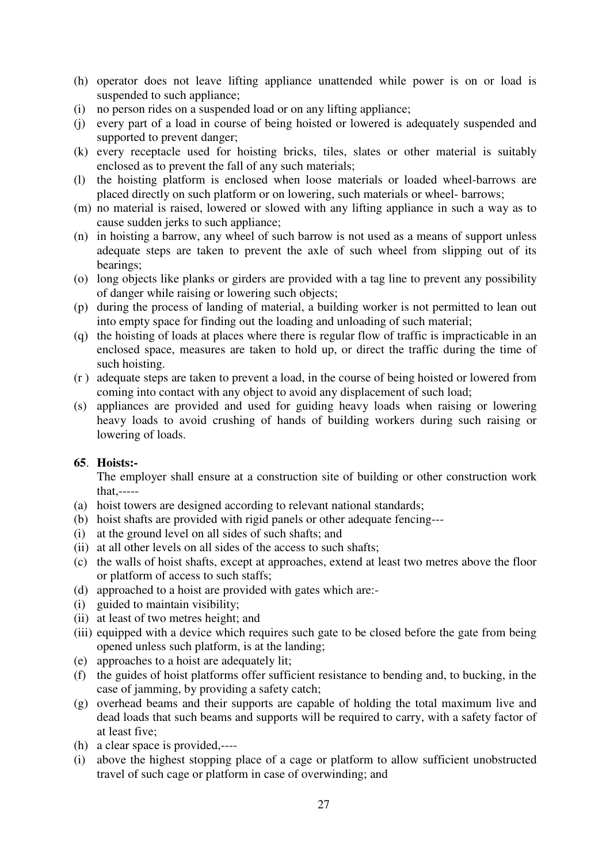- (h) operator does not leave lifting appliance unattended while power is on or load is suspended to such appliance;
- (i) no person rides on a suspended load or on any lifting appliance;
- (j) every part of a load in course of being hoisted or lowered is adequately suspended and supported to prevent danger;
- (k) every receptacle used for hoisting bricks, tiles, slates or other material is suitably enclosed as to prevent the fall of any such materials;
- (l) the hoisting platform is enclosed when loose materials or loaded wheel-barrows are placed directly on such platform or on lowering, such materials or wheel- barrows;
- (m) no material is raised, lowered or slowed with any lifting appliance in such a way as to cause sudden jerks to such appliance;
- (n) in hoisting a barrow, any wheel of such barrow is not used as a means of support unless adequate steps are taken to prevent the axle of such wheel from slipping out of its bearings;
- (o) long objects like planks or girders are provided with a tag line to prevent any possibility of danger while raising or lowering such objects;
- (p) during the process of landing of material, a building worker is not permitted to lean out into empty space for finding out the loading and unloading of such material;
- (q) the hoisting of loads at places where there is regular flow of traffic is impracticable in an enclosed space, measures are taken to hold up, or direct the traffic during the time of such hoisting.
- (r ) adequate steps are taken to prevent a load, in the course of being hoisted or lowered from coming into contact with any object to avoid any displacement of such load;
- (s) appliances are provided and used for guiding heavy loads when raising or lowering heavy loads to avoid crushing of hands of building workers during such raising or lowering of loads.

#### **65**. **Hoists:-**

The employer shall ensure at a construction site of building or other construction work that,-----

- (a) hoist towers are designed according to relevant national standards;
- (b) hoist shafts are provided with rigid panels or other adequate fencing---
- (i) at the ground level on all sides of such shafts; and
- (ii) at all other levels on all sides of the access to such shafts;
- (c) the walls of hoist shafts, except at approaches, extend at least two metres above the floor or platform of access to such staffs;
- (d) approached to a hoist are provided with gates which are:-
- (i) guided to maintain visibility;
- (ii) at least of two metres height; and
- (iii) equipped with a device which requires such gate to be closed before the gate from being opened unless such platform, is at the landing;
- (e) approaches to a hoist are adequately lit;
- (f) the guides of hoist platforms offer sufficient resistance to bending and, to bucking, in the case of jamming, by providing a safety catch;
- (g) overhead beams and their supports are capable of holding the total maximum live and dead loads that such beams and supports will be required to carry, with a safety factor of at least five;
- (h) a clear space is provided,----
- (i) above the highest stopping place of a cage or platform to allow sufficient unobstructed travel of such cage or platform in case of overwinding; and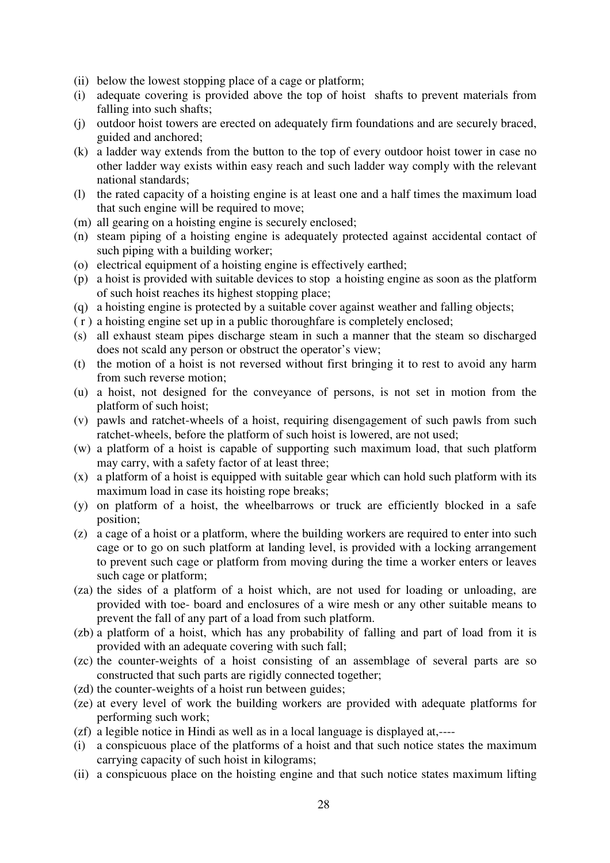- (ii) below the lowest stopping place of a cage or platform;
- (i) adequate covering is provided above the top of hoist shafts to prevent materials from falling into such shafts;
- (j) outdoor hoist towers are erected on adequately firm foundations and are securely braced, guided and anchored;
- (k) a ladder way extends from the button to the top of every outdoor hoist tower in case no other ladder way exists within easy reach and such ladder way comply with the relevant national standards;
- (l) the rated capacity of a hoisting engine is at least one and a half times the maximum load that such engine will be required to move;
- (m) all gearing on a hoisting engine is securely enclosed;
- (n) steam piping of a hoisting engine is adequately protected against accidental contact of such piping with a building worker;
- (o) electrical equipment of a hoisting engine is effectively earthed;
- (p) a hoist is provided with suitable devices to stop a hoisting engine as soon as the platform of such hoist reaches its highest stopping place;
- (q) a hoisting engine is protected by a suitable cover against weather and falling objects;
- ( r ) a hoisting engine set up in a public thoroughfare is completely enclosed;
- (s) all exhaust steam pipes discharge steam in such a manner that the steam so discharged does not scald any person or obstruct the operator's view;
- (t) the motion of a hoist is not reversed without first bringing it to rest to avoid any harm from such reverse motion;
- (u) a hoist, not designed for the conveyance of persons, is not set in motion from the platform of such hoist;
- (v) pawls and ratchet-wheels of a hoist, requiring disengagement of such pawls from such ratchet-wheels, before the platform of such hoist is lowered, are not used;
- (w) a platform of a hoist is capable of supporting such maximum load, that such platform may carry, with a safety factor of at least three;
- (x) a platform of a hoist is equipped with suitable gear which can hold such platform with its maximum load in case its hoisting rope breaks;
- (y) on platform of a hoist, the wheelbarrows or truck are efficiently blocked in a safe position;
- (z) a cage of a hoist or a platform, where the building workers are required to enter into such cage or to go on such platform at landing level, is provided with a locking arrangement to prevent such cage or platform from moving during the time a worker enters or leaves such cage or platform;
- (za) the sides of a platform of a hoist which, are not used for loading or unloading, are provided with toe- board and enclosures of a wire mesh or any other suitable means to prevent the fall of any part of a load from such platform.
- (zb) a platform of a hoist, which has any probability of falling and part of load from it is provided with an adequate covering with such fall;
- (zc) the counter-weights of a hoist consisting of an assemblage of several parts are so constructed that such parts are rigidly connected together;
- (zd) the counter-weights of a hoist run between guides;
- (ze) at every level of work the building workers are provided with adequate platforms for performing such work;
- (zf) a legible notice in Hindi as well as in a local language is displayed at,----
- (i) a conspicuous place of the platforms of a hoist and that such notice states the maximum carrying capacity of such hoist in kilograms;
- (ii) a conspicuous place on the hoisting engine and that such notice states maximum lifting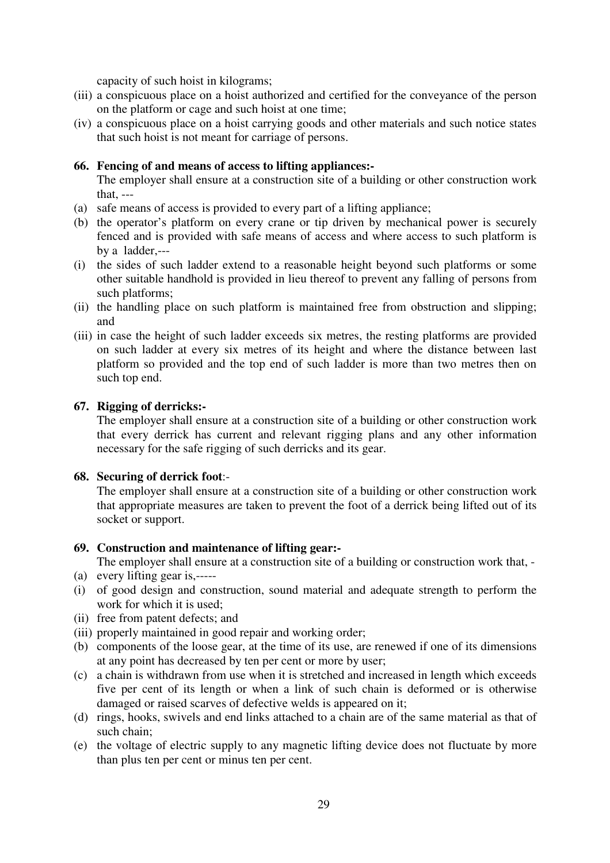capacity of such hoist in kilograms;

- (iii) a conspicuous place on a hoist authorized and certified for the conveyance of the person on the platform or cage and such hoist at one time;
- (iv) a conspicuous place on a hoist carrying goods and other materials and such notice states that such hoist is not meant for carriage of persons.

# **66. Fencing of and means of access to lifting appliances:-**

The employer shall ensure at a construction site of a building or other construction work that, ---

- (a) safe means of access is provided to every part of a lifting appliance;
- (b) the operator's platform on every crane or tip driven by mechanical power is securely fenced and is provided with safe means of access and where access to such platform is by a ladder,---
- (i) the sides of such ladder extend to a reasonable height beyond such platforms or some other suitable handhold is provided in lieu thereof to prevent any falling of persons from such platforms;
- (ii) the handling place on such platform is maintained free from obstruction and slipping; and
- (iii) in case the height of such ladder exceeds six metres, the resting platforms are provided on such ladder at every six metres of its height and where the distance between last platform so provided and the top end of such ladder is more than two metres then on such top end.

# **67. Rigging of derricks:-**

The employer shall ensure at a construction site of a building or other construction work that every derrick has current and relevant rigging plans and any other information necessary for the safe rigging of such derricks and its gear.

#### **68. Securing of derrick foot**:-

The employer shall ensure at a construction site of a building or other construction work that appropriate measures are taken to prevent the foot of a derrick being lifted out of its socket or support.

#### **69. Construction and maintenance of lifting gear:-**

The employer shall ensure at a construction site of a building or construction work that, -

- (a) every lifting gear is,-----
- (i) of good design and construction, sound material and adequate strength to perform the work for which it is used;
- (ii) free from patent defects; and
- (iii) properly maintained in good repair and working order;
- (b) components of the loose gear, at the time of its use, are renewed if one of its dimensions at any point has decreased by ten per cent or more by user;
- (c) a chain is withdrawn from use when it is stretched and increased in length which exceeds five per cent of its length or when a link of such chain is deformed or is otherwise damaged or raised scarves of defective welds is appeared on it;
- (d) rings, hooks, swivels and end links attached to a chain are of the same material as that of such chain;
- (e) the voltage of electric supply to any magnetic lifting device does not fluctuate by more than plus ten per cent or minus ten per cent.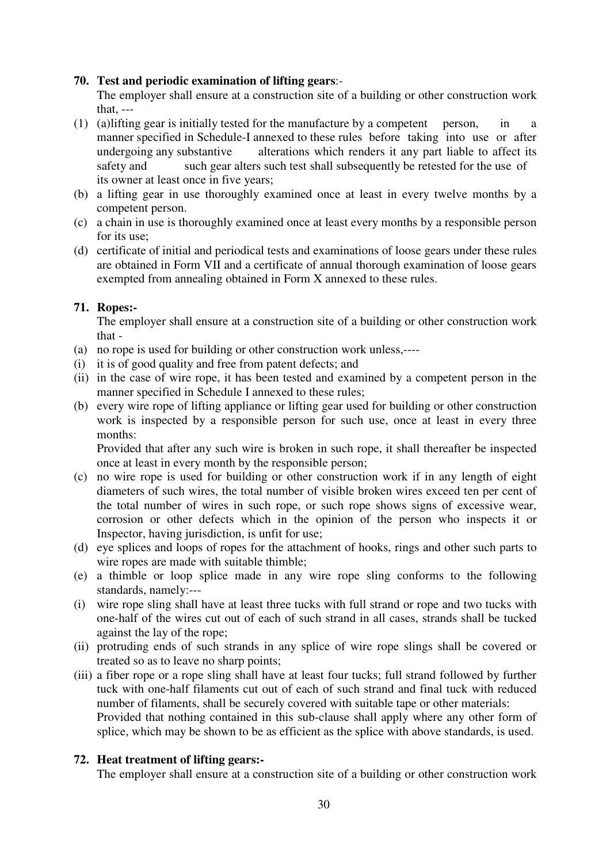# **70. Test and periodic examination of lifting gears**:-

The employer shall ensure at a construction site of a building or other construction work that, ---

- (1) (a) lifting gear is initially tested for the manufacture by a competent person, in a manner specified in Schedule-I annexed to these rules before taking into use or after undergoing any substantive alterations which renders it any part liable to affect its safety and such gear alters such test shall subsequently be retested for the use of its owner at least once in five years;
- (b) a lifting gear in use thoroughly examined once at least in every twelve months by a competent person.
- (c) a chain in use is thoroughly examined once at least every months by a responsible person for its use;
- (d) certificate of initial and periodical tests and examinations of loose gears under these rules are obtained in Form VII and a certificate of annual thorough examination of loose gears exempted from annealing obtained in Form X annexed to these rules.

# **71. Ropes:-**

The employer shall ensure at a construction site of a building or other construction work that -

- (a) no rope is used for building or other construction work unless,----
- (i) it is of good quality and free from patent defects; and
- (ii) in the case of wire rope, it has been tested and examined by a competent person in the manner specified in Schedule I annexed to these rules;
- (b) every wire rope of lifting appliance or lifting gear used for building or other construction work is inspected by a responsible person for such use, once at least in every three months:

Provided that after any such wire is broken in such rope, it shall thereafter be inspected once at least in every month by the responsible person;

- (c) no wire rope is used for building or other construction work if in any length of eight diameters of such wires, the total number of visible broken wires exceed ten per cent of the total number of wires in such rope, or such rope shows signs of excessive wear, corrosion or other defects which in the opinion of the person who inspects it or Inspector, having jurisdiction, is unfit for use;
- (d) eye splices and loops of ropes for the attachment of hooks, rings and other such parts to wire ropes are made with suitable thimble;
- (e) a thimble or loop splice made in any wire rope sling conforms to the following standards, namely:---
- (i) wire rope sling shall have at least three tucks with full strand or rope and two tucks with one-half of the wires cut out of each of such strand in all cases, strands shall be tucked against the lay of the rope;
- (ii) protruding ends of such strands in any splice of wire rope slings shall be covered or treated so as to leave no sharp points;
- (iii) a fiber rope or a rope sling shall have at least four tucks; full strand followed by further tuck with one-half filaments cut out of each of such strand and final tuck with reduced number of filaments, shall be securely covered with suitable tape or other materials: Provided that nothing contained in this sub-clause shall apply where any other form of splice, which may be shown to be as efficient as the splice with above standards, is used.

# **72. Heat treatment of lifting gears:-**

The employer shall ensure at a construction site of a building or other construction work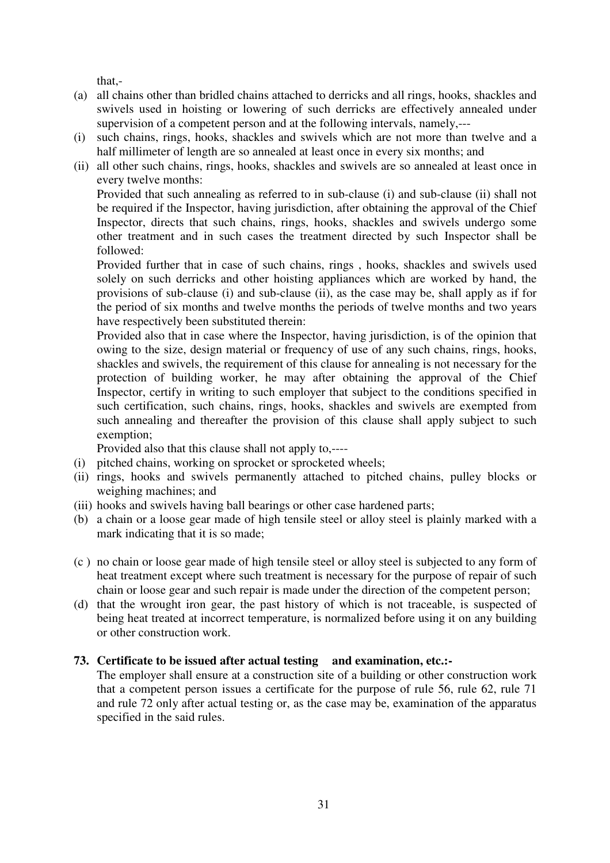that,-

- (a) all chains other than bridled chains attached to derricks and all rings, hooks, shackles and swivels used in hoisting or lowering of such derricks are effectively annealed under supervision of a competent person and at the following intervals, namely,---
- (i) such chains, rings, hooks, shackles and swivels which are not more than twelve and a half millimeter of length are so annealed at least once in every six months; and
- (ii) all other such chains, rings, hooks, shackles and swivels are so annealed at least once in every twelve months:

Provided that such annealing as referred to in sub-clause (i) and sub-clause (ii) shall not be required if the Inspector, having jurisdiction, after obtaining the approval of the Chief Inspector, directs that such chains, rings, hooks, shackles and swivels undergo some other treatment and in such cases the treatment directed by such Inspector shall be followed:

Provided further that in case of such chains, rings , hooks, shackles and swivels used solely on such derricks and other hoisting appliances which are worked by hand, the provisions of sub-clause (i) and sub-clause (ii), as the case may be, shall apply as if for the period of six months and twelve months the periods of twelve months and two years have respectively been substituted therein:

Provided also that in case where the Inspector, having jurisdiction, is of the opinion that owing to the size, design material or frequency of use of any such chains, rings, hooks, shackles and swivels, the requirement of this clause for annealing is not necessary for the protection of building worker, he may after obtaining the approval of the Chief Inspector, certify in writing to such employer that subject to the conditions specified in such certification, such chains, rings, hooks, shackles and swivels are exempted from such annealing and thereafter the provision of this clause shall apply subject to such exemption;

Provided also that this clause shall not apply to,----

- (i) pitched chains, working on sprocket or sprocketed wheels;
- (ii) rings, hooks and swivels permanently attached to pitched chains, pulley blocks or weighing machines; and
- (iii) hooks and swivels having ball bearings or other case hardened parts;
- (b) a chain or a loose gear made of high tensile steel or alloy steel is plainly marked with a mark indicating that it is so made;
- (c ) no chain or loose gear made of high tensile steel or alloy steel is subjected to any form of heat treatment except where such treatment is necessary for the purpose of repair of such chain or loose gear and such repair is made under the direction of the competent person;
- (d) that the wrought iron gear, the past history of which is not traceable, is suspected of being heat treated at incorrect temperature, is normalized before using it on any building or other construction work.

# **73. Certificate to be issued after actual testing and examination, etc.:-**

The employer shall ensure at a construction site of a building or other construction work that a competent person issues a certificate for the purpose of rule 56, rule 62, rule 71 and rule 72 only after actual testing or, as the case may be, examination of the apparatus specified in the said rules.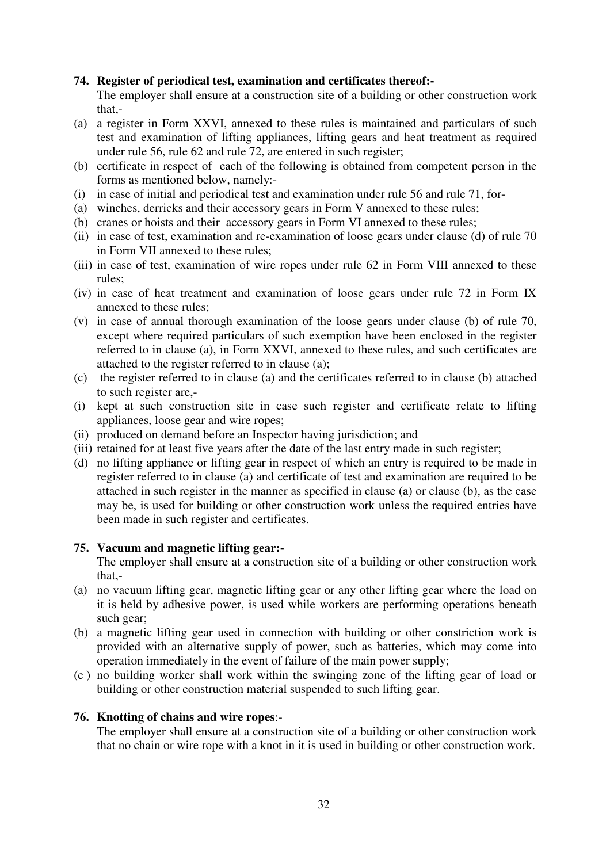# **74. Register of periodical test, examination and certificates thereof:-**

The employer shall ensure at a construction site of a building or other construction work that,-

- (a) a register in Form XXVI, annexed to these rules is maintained and particulars of such test and examination of lifting appliances, lifting gears and heat treatment as required under rule 56, rule 62 and rule 72, are entered in such register;
- (b) certificate in respect of each of the following is obtained from competent person in the forms as mentioned below, namely:-
- (i) in case of initial and periodical test and examination under rule 56 and rule 71, for-
- (a) winches, derricks and their accessory gears in Form V annexed to these rules;
- (b) cranes or hoists and their accessory gears in Form VI annexed to these rules;
- (ii) in case of test, examination and re-examination of loose gears under clause (d) of rule 70 in Form VII annexed to these rules;
- (iii) in case of test, examination of wire ropes under rule 62 in Form VIII annexed to these rules;
- (iv) in case of heat treatment and examination of loose gears under rule 72 in Form IX annexed to these rules;
- (v) in case of annual thorough examination of the loose gears under clause (b) of rule 70, except where required particulars of such exemption have been enclosed in the register referred to in clause (a), in Form XXVI, annexed to these rules, and such certificates are attached to the register referred to in clause (a);
- (c) the register referred to in clause (a) and the certificates referred to in clause (b) attached to such register are,-
- (i) kept at such construction site in case such register and certificate relate to lifting appliances, loose gear and wire ropes;
- (ii) produced on demand before an Inspector having jurisdiction; and
- (iii) retained for at least five years after the date of the last entry made in such register;
- (d) no lifting appliance or lifting gear in respect of which an entry is required to be made in register referred to in clause (a) and certificate of test and examination are required to be attached in such register in the manner as specified in clause (a) or clause (b), as the case may be, is used for building or other construction work unless the required entries have been made in such register and certificates.

#### **75. Vacuum and magnetic lifting gear:-**

The employer shall ensure at a construction site of a building or other construction work that,-

- (a) no vacuum lifting gear, magnetic lifting gear or any other lifting gear where the load on it is held by adhesive power, is used while workers are performing operations beneath such gear;
- (b) a magnetic lifting gear used in connection with building or other constriction work is provided with an alternative supply of power, such as batteries, which may come into operation immediately in the event of failure of the main power supply;
- (c ) no building worker shall work within the swinging zone of the lifting gear of load or building or other construction material suspended to such lifting gear.

#### **76. Knotting of chains and wire ropes**:-

The employer shall ensure at a construction site of a building or other construction work that no chain or wire rope with a knot in it is used in building or other construction work.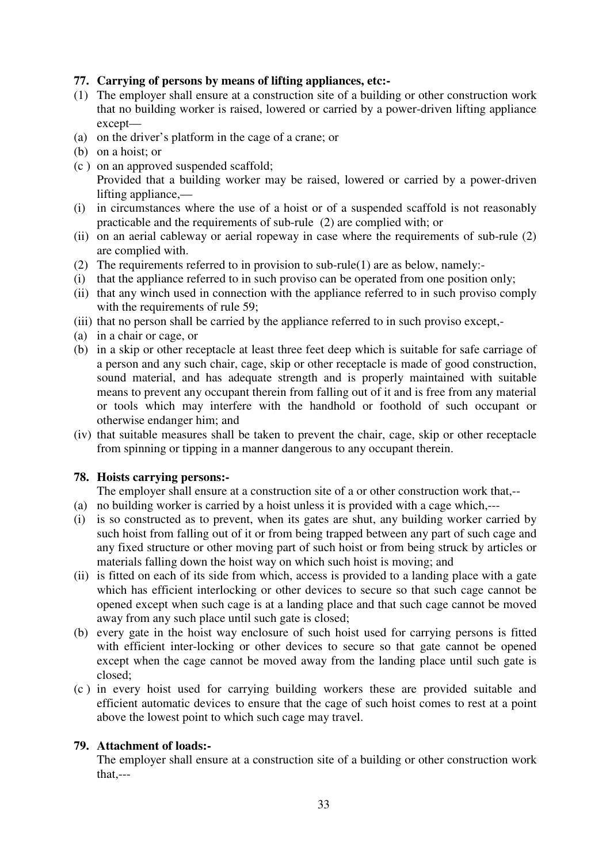# **77. Carrying of persons by means of lifting appliances, etc:-**

- (1) The employer shall ensure at a construction site of a building or other construction work that no building worker is raised, lowered or carried by a power-driven lifting appliance except—
- (a) on the driver's platform in the cage of a crane; or
- (b) on a hoist; or
- (c ) on an approved suspended scaffold; Provided that a building worker may be raised, lowered or carried by a power-driven lifting appliance,—
- (i) in circumstances where the use of a hoist or of a suspended scaffold is not reasonably practicable and the requirements of sub-rule (2) are complied with; or
- (ii) on an aerial cableway or aerial ropeway in case where the requirements of sub-rule (2) are complied with.
- (2) The requirements referred to in provision to sub-rule(1) are as below, namely:-
- (i) that the appliance referred to in such proviso can be operated from one position only;
- (ii) that any winch used in connection with the appliance referred to in such proviso comply with the requirements of rule 59;
- (iii) that no person shall be carried by the appliance referred to in such proviso except,-
- (a) in a chair or cage, or
- (b) in a skip or other receptacle at least three feet deep which is suitable for safe carriage of a person and any such chair, cage, skip or other receptacle is made of good construction, sound material, and has adequate strength and is properly maintained with suitable means to prevent any occupant therein from falling out of it and is free from any material or tools which may interfere with the handhold or foothold of such occupant or otherwise endanger him; and
- (iv) that suitable measures shall be taken to prevent the chair, cage, skip or other receptacle from spinning or tipping in a manner dangerous to any occupant therein.

#### **78. Hoists carrying persons:-**

The employer shall ensure at a construction site of a or other construction work that,--

- (a) no building worker is carried by a hoist unless it is provided with a cage which,---
- (i) is so constructed as to prevent, when its gates are shut, any building worker carried by such hoist from falling out of it or from being trapped between any part of such cage and any fixed structure or other moving part of such hoist or from being struck by articles or materials falling down the hoist way on which such hoist is moving; and
- (ii) is fitted on each of its side from which, access is provided to a landing place with a gate which has efficient interlocking or other devices to secure so that such cage cannot be opened except when such cage is at a landing place and that such cage cannot be moved away from any such place until such gate is closed;
- (b) every gate in the hoist way enclosure of such hoist used for carrying persons is fitted with efficient inter-locking or other devices to secure so that gate cannot be opened except when the cage cannot be moved away from the landing place until such gate is closed;
- (c ) in every hoist used for carrying building workers these are provided suitable and efficient automatic devices to ensure that the cage of such hoist comes to rest at a point above the lowest point to which such cage may travel.

#### **79. Attachment of loads:-**

The employer shall ensure at a construction site of a building or other construction work that,---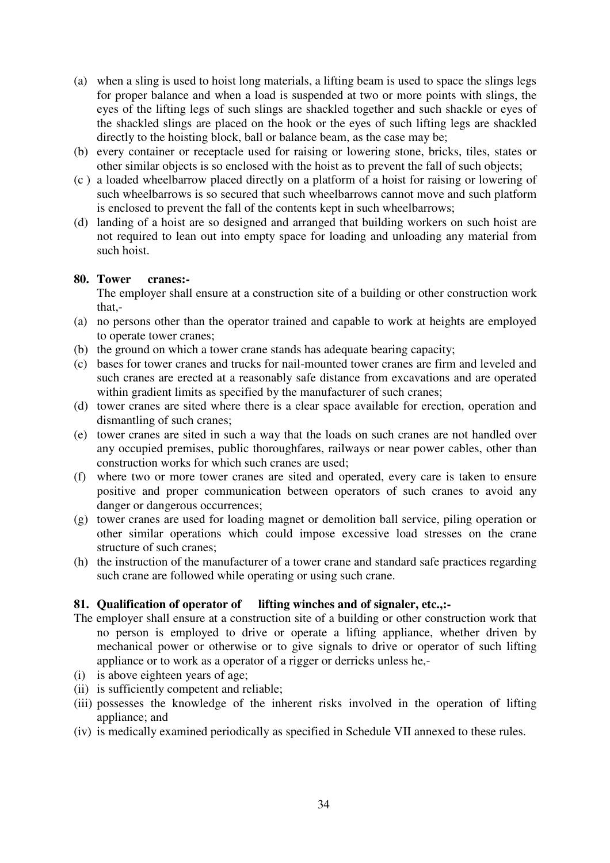- (a) when a sling is used to hoist long materials, a lifting beam is used to space the slings legs for proper balance and when a load is suspended at two or more points with slings, the eyes of the lifting legs of such slings are shackled together and such shackle or eyes of the shackled slings are placed on the hook or the eyes of such lifting legs are shackled directly to the hoisting block, ball or balance beam, as the case may be;
- (b) every container or receptacle used for raising or lowering stone, bricks, tiles, states or other similar objects is so enclosed with the hoist as to prevent the fall of such objects;
- (c ) a loaded wheelbarrow placed directly on a platform of a hoist for raising or lowering of such wheelbarrows is so secured that such wheelbarrows cannot move and such platform is enclosed to prevent the fall of the contents kept in such wheelbarrows;
- (d) landing of a hoist are so designed and arranged that building workers on such hoist are not required to lean out into empty space for loading and unloading any material from such hoist.

#### **80. Tower cranes:-**

The employer shall ensure at a construction site of a building or other construction work that,-

- (a) no persons other than the operator trained and capable to work at heights are employed to operate tower cranes;
- (b) the ground on which a tower crane stands has adequate bearing capacity;
- (c) bases for tower cranes and trucks for nail-mounted tower cranes are firm and leveled and such cranes are erected at a reasonably safe distance from excavations and are operated within gradient limits as specified by the manufacturer of such cranes;
- (d) tower cranes are sited where there is a clear space available for erection, operation and dismantling of such cranes;
- (e) tower cranes are sited in such a way that the loads on such cranes are not handled over any occupied premises, public thoroughfares, railways or near power cables, other than construction works for which such cranes are used;
- (f) where two or more tower cranes are sited and operated, every care is taken to ensure positive and proper communication between operators of such cranes to avoid any danger or dangerous occurrences;
- (g) tower cranes are used for loading magnet or demolition ball service, piling operation or other similar operations which could impose excessive load stresses on the crane structure of such cranes;
- (h) the instruction of the manufacturer of a tower crane and standard safe practices regarding such crane are followed while operating or using such crane.

# **81. Qualification of operator of lifting winches and of signaler, etc.,:-**

- The employer shall ensure at a construction site of a building or other construction work that no person is employed to drive or operate a lifting appliance, whether driven by mechanical power or otherwise or to give signals to drive or operator of such lifting appliance or to work as a operator of a rigger or derricks unless he,-
- (i) is above eighteen years of age;
- (ii) is sufficiently competent and reliable;
- (iii) possesses the knowledge of the inherent risks involved in the operation of lifting appliance; and
- (iv) is medically examined periodically as specified in Schedule VII annexed to these rules.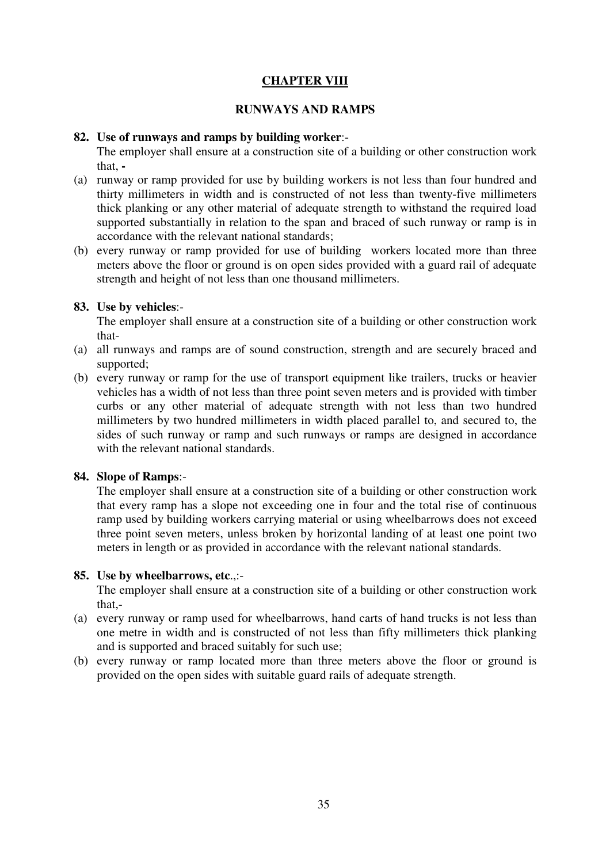# **CHAPTER VIII**

#### **RUNWAYS AND RAMPS**

#### **82. Use of runways and ramps by building worker**:-

The employer shall ensure at a construction site of a building or other construction work that, **-** 

- (a) runway or ramp provided for use by building workers is not less than four hundred and thirty millimeters in width and is constructed of not less than twenty-five millimeters thick planking or any other material of adequate strength to withstand the required load supported substantially in relation to the span and braced of such runway or ramp is in accordance with the relevant national standards;
- (b) every runway or ramp provided for use of building workers located more than three meters above the floor or ground is on open sides provided with a guard rail of adequate strength and height of not less than one thousand millimeters.

#### **83. Use by vehicles**:-

The employer shall ensure at a construction site of a building or other construction work that-

- (a) all runways and ramps are of sound construction, strength and are securely braced and supported;
- (b) every runway or ramp for the use of transport equipment like trailers, trucks or heavier vehicles has a width of not less than three point seven meters and is provided with timber curbs or any other material of adequate strength with not less than two hundred millimeters by two hundred millimeters in width placed parallel to, and secured to, the sides of such runway or ramp and such runways or ramps are designed in accordance with the relevant national standards.

#### **84. Slope of Ramps**:-

The employer shall ensure at a construction site of a building or other construction work that every ramp has a slope not exceeding one in four and the total rise of continuous ramp used by building workers carrying material or using wheelbarrows does not exceed three point seven meters, unless broken by horizontal landing of at least one point two meters in length or as provided in accordance with the relevant national standards.

#### **85. Use by wheelbarrows, etc**.,:-

The employer shall ensure at a construction site of a building or other construction work that,-

- (a) every runway or ramp used for wheelbarrows, hand carts of hand trucks is not less than one metre in width and is constructed of not less than fifty millimeters thick planking and is supported and braced suitably for such use;
- (b) every runway or ramp located more than three meters above the floor or ground is provided on the open sides with suitable guard rails of adequate strength.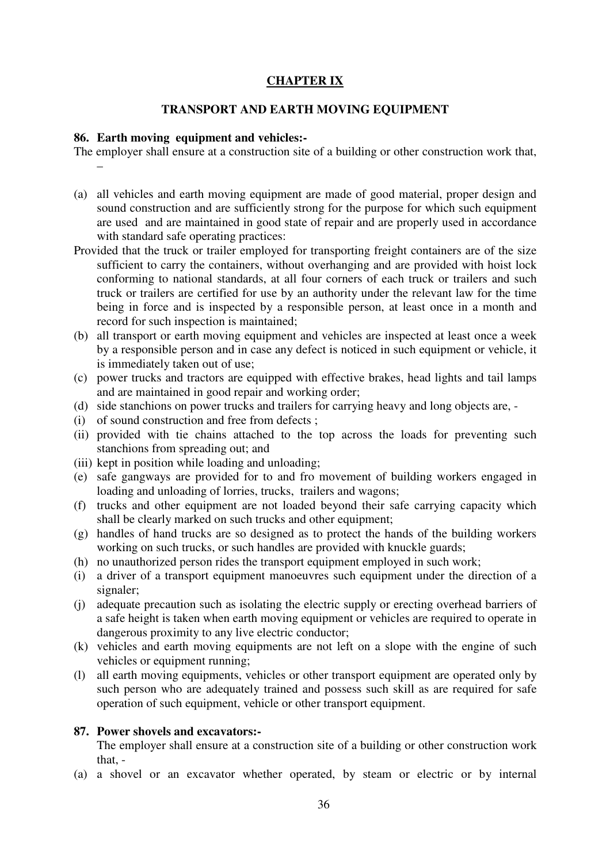# **CHAPTER IX**

#### **TRANSPORT AND EARTH MOVING EQUIPMENT**

#### **86. Earth moving equipment and vehicles:-**

The employer shall ensure at a construction site of a building or other construction work that, –

- (a) all vehicles and earth moving equipment are made of good material, proper design and sound construction and are sufficiently strong for the purpose for which such equipment are used and are maintained in good state of repair and are properly used in accordance with standard safe operating practices:
- Provided that the truck or trailer employed for transporting freight containers are of the size sufficient to carry the containers, without overhanging and are provided with hoist lock conforming to national standards, at all four corners of each truck or trailers and such truck or trailers are certified for use by an authority under the relevant law for the time being in force and is inspected by a responsible person, at least once in a month and record for such inspection is maintained;
- (b) all transport or earth moving equipment and vehicles are inspected at least once a week by a responsible person and in case any defect is noticed in such equipment or vehicle, it is immediately taken out of use;
- (c) power trucks and tractors are equipped with effective brakes, head lights and tail lamps and are maintained in good repair and working order;
- (d) side stanchions on power trucks and trailers for carrying heavy and long objects are, -
- (i) of sound construction and free from defects ;
- (ii) provided with tie chains attached to the top across the loads for preventing such stanchions from spreading out; and
- (iii) kept in position while loading and unloading;
- (e) safe gangways are provided for to and fro movement of building workers engaged in loading and unloading of lorries, trucks, trailers and wagons;
- (f) trucks and other equipment are not loaded beyond their safe carrying capacity which shall be clearly marked on such trucks and other equipment;
- (g) handles of hand trucks are so designed as to protect the hands of the building workers working on such trucks, or such handles are provided with knuckle guards;
- (h) no unauthorized person rides the transport equipment employed in such work;
- (i) a driver of a transport equipment manoeuvres such equipment under the direction of a signaler;
- (j) adequate precaution such as isolating the electric supply or erecting overhead barriers of a safe height is taken when earth moving equipment or vehicles are required to operate in dangerous proximity to any live electric conductor;
- (k) vehicles and earth moving equipments are not left on a slope with the engine of such vehicles or equipment running;
- (l) all earth moving equipments, vehicles or other transport equipment are operated only by such person who are adequately trained and possess such skill as are required for safe operation of such equipment, vehicle or other transport equipment.

#### **87. Power shovels and excavators:-**

The employer shall ensure at a construction site of a building or other construction work that, -

(a) a shovel or an excavator whether operated, by steam or electric or by internal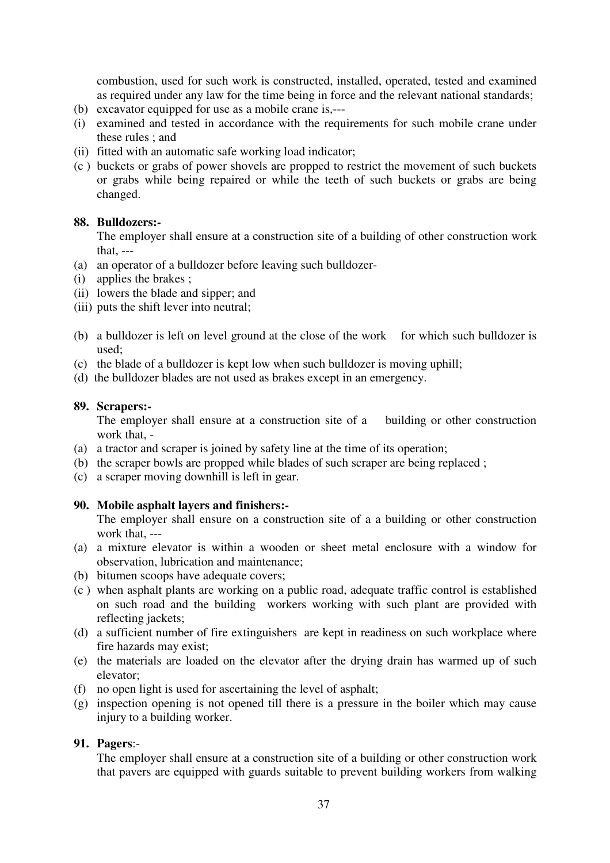combustion, used for such work is constructed, installed, operated, tested and examined as required under any law for the time being in force and the relevant national standards;

- (b) excavator equipped for use as a mobile crane is,---
- (i) examined and tested in accordance with the requirements for such mobile crane under these rules ; and
- (ii) fitted with an automatic safe working load indicator;
- (c ) buckets or grabs of power shovels are propped to restrict the movement of such buckets or grabs while being repaired or while the teeth of such buckets or grabs are being changed.

### **88. Bulldozers:-**

The employer shall ensure at a construction site of a building of other construction work that, ---

- (a) an operator of a bulldozer before leaving such bulldozer-
- (i) applies the brakes ;
- (ii) lowers the blade and sipper; and
- (iii) puts the shift lever into neutral;
- (b) a bulldozer is left on level ground at the close of the work for which such bulldozer is used;
- (c) the blade of a bulldozer is kept low when such bulldozer is moving uphill;
- (d) the bulldozer blades are not used as brakes except in an emergency.

### **89. Scrapers:-**

The employer shall ensure at a construction site of a building or other construction work that, -

- (a) a tractor and scraper is joined by safety line at the time of its operation;
- (b) the scraper bowls are propped while blades of such scraper are being replaced ;
- (c) a scraper moving downhill is left in gear.

# **90. Mobile asphalt layers and finishers:-**

The employer shall ensure on a construction site of a a building or other construction work that, ---

- (a) a mixture elevator is within a wooden or sheet metal enclosure with a window for observation, lubrication and maintenance;
- (b) bitumen scoops have adequate covers;
- (c ) when asphalt plants are working on a public road, adequate traffic control is established on such road and the building workers working with such plant are provided with reflecting jackets;
- (d) a sufficient number of fire extinguishers are kept in readiness on such workplace where fire hazards may exist;
- (e) the materials are loaded on the elevator after the drying drain has warmed up of such elevator;
- (f) no open light is used for ascertaining the level of asphalt;
- (g) inspection opening is not opened till there is a pressure in the boiler which may cause injury to a building worker.

# **91. Pagers**:-

The employer shall ensure at a construction site of a building or other construction work that pavers are equipped with guards suitable to prevent building workers from walking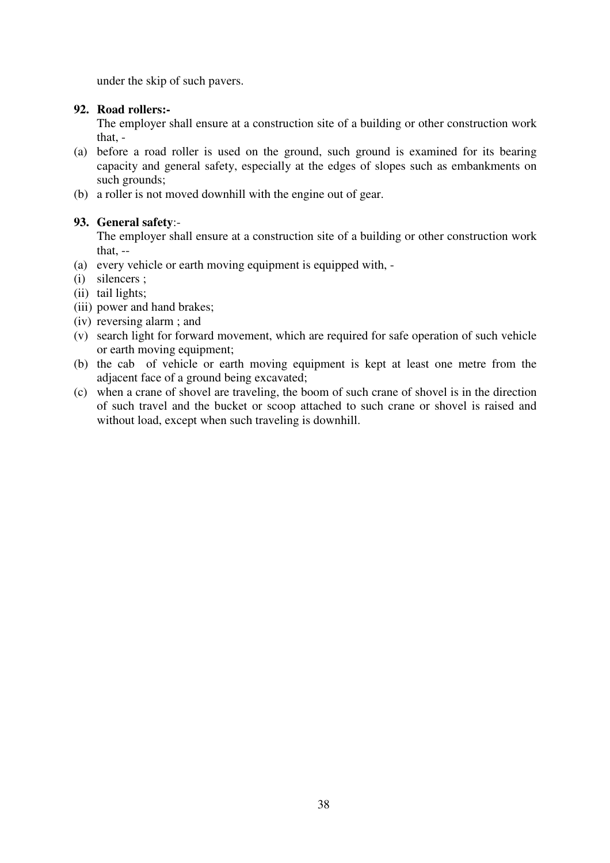under the skip of such pavers.

# **92. Road rollers:-**

The employer shall ensure at a construction site of a building or other construction work that, -

- (a) before a road roller is used on the ground, such ground is examined for its bearing capacity and general safety, especially at the edges of slopes such as embankments on such grounds;
- (b) a roller is not moved downhill with the engine out of gear.

# **93. General safety**:-

The employer shall ensure at a construction site of a building or other construction work that, --

- (a) every vehicle or earth moving equipment is equipped with, -
- (i) silencers ;
- (ii) tail lights;
- (iii) power and hand brakes;
- (iv) reversing alarm ; and
- (v) search light for forward movement, which are required for safe operation of such vehicle or earth moving equipment;
- (b) the cab of vehicle or earth moving equipment is kept at least one metre from the adjacent face of a ground being excavated;
- (c) when a crane of shovel are traveling, the boom of such crane of shovel is in the direction of such travel and the bucket or scoop attached to such crane or shovel is raised and without load, except when such traveling is downhill.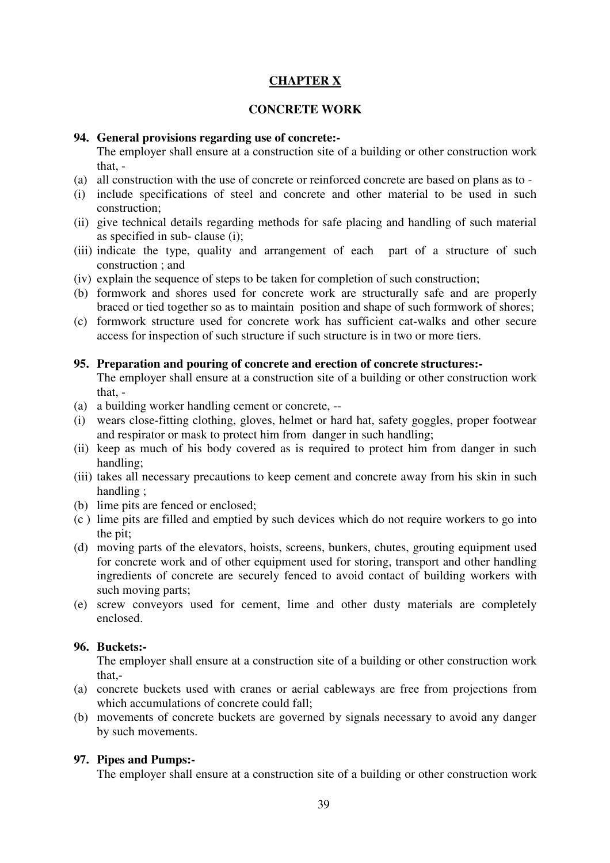# **CHAPTER X**

### **CONCRETE WORK**

### **94. General provisions regarding use of concrete:-**

The employer shall ensure at a construction site of a building or other construction work that, -

- (a) all construction with the use of concrete or reinforced concrete are based on plans as to -
- (i) include specifications of steel and concrete and other material to be used in such construction;
- (ii) give technical details regarding methods for safe placing and handling of such material as specified in sub- clause (i);
- (iii) indicate the type, quality and arrangement of each part of a structure of such construction ; and
- (iv) explain the sequence of steps to be taken for completion of such construction;
- (b) formwork and shores used for concrete work are structurally safe and are properly braced or tied together so as to maintain position and shape of such formwork of shores;
- (c) formwork structure used for concrete work has sufficient cat-walks and other secure access for inspection of such structure if such structure is in two or more tiers.

### **95. Preparation and pouring of concrete and erection of concrete structures:-**

The employer shall ensure at a construction site of a building or other construction work that -

- (a) a building worker handling cement or concrete, --
- (i) wears close-fitting clothing, gloves, helmet or hard hat, safety goggles, proper footwear and respirator or mask to protect him from danger in such handling;
- (ii) keep as much of his body covered as is required to protect him from danger in such handling;
- (iii) takes all necessary precautions to keep cement and concrete away from his skin in such handling ;
- (b) lime pits are fenced or enclosed;
- (c ) lime pits are filled and emptied by such devices which do not require workers to go into the pit;
- (d) moving parts of the elevators, hoists, screens, bunkers, chutes, grouting equipment used for concrete work and of other equipment used for storing, transport and other handling ingredients of concrete are securely fenced to avoid contact of building workers with such moving parts;
- (e) screw conveyors used for cement, lime and other dusty materials are completely enclosed.

### **96. Buckets:-**

The employer shall ensure at a construction site of a building or other construction work that,-

- (a) concrete buckets used with cranes or aerial cableways are free from projections from which accumulations of concrete could fall:
- (b) movements of concrete buckets are governed by signals necessary to avoid any danger by such movements.

# **97. Pipes and Pumps:-**

The employer shall ensure at a construction site of a building or other construction work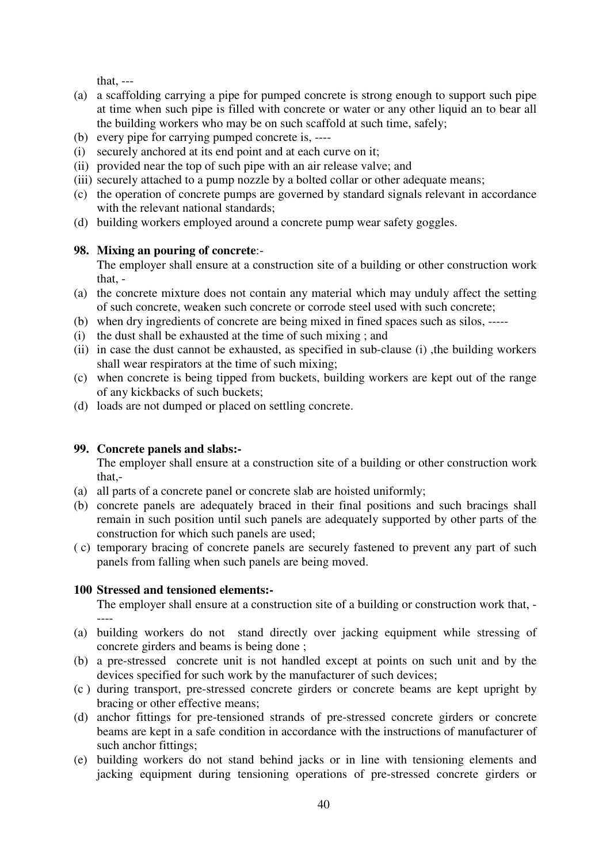that, ---

- (a) a scaffolding carrying a pipe for pumped concrete is strong enough to support such pipe at time when such pipe is filled with concrete or water or any other liquid an to bear all the building workers who may be on such scaffold at such time, safely;
- (b) every pipe for carrying pumped concrete is, ----
- (i) securely anchored at its end point and at each curve on it;
- (ii) provided near the top of such pipe with an air release valve; and
- (iii) securely attached to a pump nozzle by a bolted collar or other adequate means;
- (c) the operation of concrete pumps are governed by standard signals relevant in accordance with the relevant national standards;
- (d) building workers employed around a concrete pump wear safety goggles.

# **98. Mixing an pouring of concrete**:-

The employer shall ensure at a construction site of a building or other construction work that, -

- (a) the concrete mixture does not contain any material which may unduly affect the setting of such concrete, weaken such concrete or corrode steel used with such concrete;
- (b) when dry ingredients of concrete are being mixed in fined spaces such as silos, -----
- (i) the dust shall be exhausted at the time of such mixing ; and
- (ii) in case the dust cannot be exhausted, as specified in sub-clause (i) ,the building workers shall wear respirators at the time of such mixing;
- (c) when concrete is being tipped from buckets, building workers are kept out of the range of any kickbacks of such buckets;
- (d) loads are not dumped or placed on settling concrete.

# **99. Concrete panels and slabs:-**

The employer shall ensure at a construction site of a building or other construction work that,-

- (a) all parts of a concrete panel or concrete slab are hoisted uniformly;
- (b) concrete panels are adequately braced in their final positions and such bracings shall remain in such position until such panels are adequately supported by other parts of the construction for which such panels are used;
- ( c) temporary bracing of concrete panels are securely fastened to prevent any part of such panels from falling when such panels are being moved.

# **100 Stressed and tensioned elements:-**

The employer shall ensure at a construction site of a building or construction work that, - ----

- (a) building workers do not stand directly over jacking equipment while stressing of concrete girders and beams is being done ;
- (b) a pre-stressed concrete unit is not handled except at points on such unit and by the devices specified for such work by the manufacturer of such devices;
- (c ) during transport, pre-stressed concrete girders or concrete beams are kept upright by bracing or other effective means;
- (d) anchor fittings for pre-tensioned strands of pre-stressed concrete girders or concrete beams are kept in a safe condition in accordance with the instructions of manufacturer of such anchor fittings;
- (e) building workers do not stand behind jacks or in line with tensioning elements and jacking equipment during tensioning operations of pre-stressed concrete girders or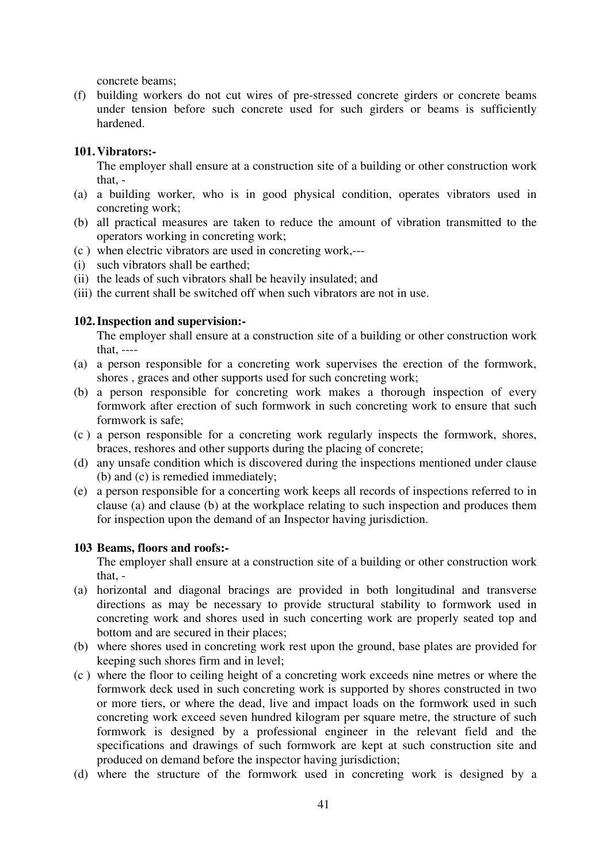concrete beams;

(f) building workers do not cut wires of pre-stressed concrete girders or concrete beams under tension before such concrete used for such girders or beams is sufficiently hardened.

## **101. Vibrators:-**

The employer shall ensure at a construction site of a building or other construction work that, -

- (a) a building worker, who is in good physical condition, operates vibrators used in concreting work;
- (b) all practical measures are taken to reduce the amount of vibration transmitted to the operators working in concreting work;
- (c ) when electric vibrators are used in concreting work,---
- (i) such vibrators shall be earthed;
- (ii) the leads of such vibrators shall be heavily insulated; and
- (iii) the current shall be switched off when such vibrators are not in use.

### **102. Inspection and supervision:-**

The employer shall ensure at a construction site of a building or other construction work that, ----

- (a) a person responsible for a concreting work supervises the erection of the formwork, shores , graces and other supports used for such concreting work;
- (b) a person responsible for concreting work makes a thorough inspection of every formwork after erection of such formwork in such concreting work to ensure that such formwork is safe;
- (c ) a person responsible for a concreting work regularly inspects the formwork, shores, braces, reshores and other supports during the placing of concrete;
- (d) any unsafe condition which is discovered during the inspections mentioned under clause (b) and (c) is remedied immediately;
- (e) a person responsible for a concerting work keeps all records of inspections referred to in clause (a) and clause (b) at the workplace relating to such inspection and produces them for inspection upon the demand of an Inspector having jurisdiction.

# **103 Beams, floors and roofs:-**

The employer shall ensure at a construction site of a building or other construction work that, -

- (a) horizontal and diagonal bracings are provided in both longitudinal and transverse directions as may be necessary to provide structural stability to formwork used in concreting work and shores used in such concerting work are properly seated top and bottom and are secured in their places;
- (b) where shores used in concreting work rest upon the ground, base plates are provided for keeping such shores firm and in level;
- (c ) where the floor to ceiling height of a concreting work exceeds nine metres or where the formwork deck used in such concreting work is supported by shores constructed in two or more tiers, or where the dead, live and impact loads on the formwork used in such concreting work exceed seven hundred kilogram per square metre, the structure of such formwork is designed by a professional engineer in the relevant field and the specifications and drawings of such formwork are kept at such construction site and produced on demand before the inspector having jurisdiction;
- (d) where the structure of the formwork used in concreting work is designed by a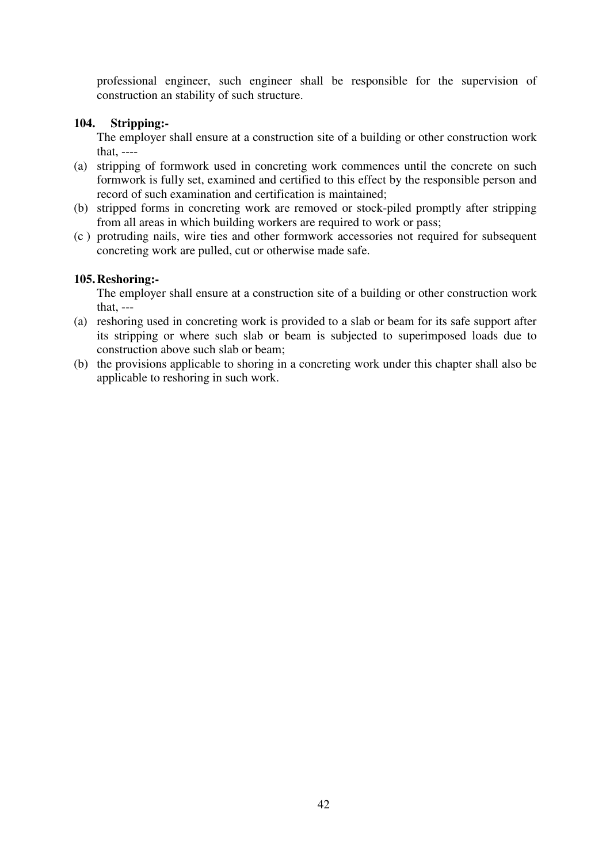professional engineer, such engineer shall be responsible for the supervision of construction an stability of such structure.

## **104. Stripping:-**

The employer shall ensure at a construction site of a building or other construction work that, ----

- (a) stripping of formwork used in concreting work commences until the concrete on such formwork is fully set, examined and certified to this effect by the responsible person and record of such examination and certification is maintained;
- (b) stripped forms in concreting work are removed or stock-piled promptly after stripping from all areas in which building workers are required to work or pass;
- (c ) protruding nails, wire ties and other formwork accessories not required for subsequent concreting work are pulled, cut or otherwise made safe.

### **105. Reshoring:-**

The employer shall ensure at a construction site of a building or other construction work that, ---

- (a) reshoring used in concreting work is provided to a slab or beam for its safe support after its stripping or where such slab or beam is subjected to superimposed loads due to construction above such slab or beam;
- (b) the provisions applicable to shoring in a concreting work under this chapter shall also be applicable to reshoring in such work.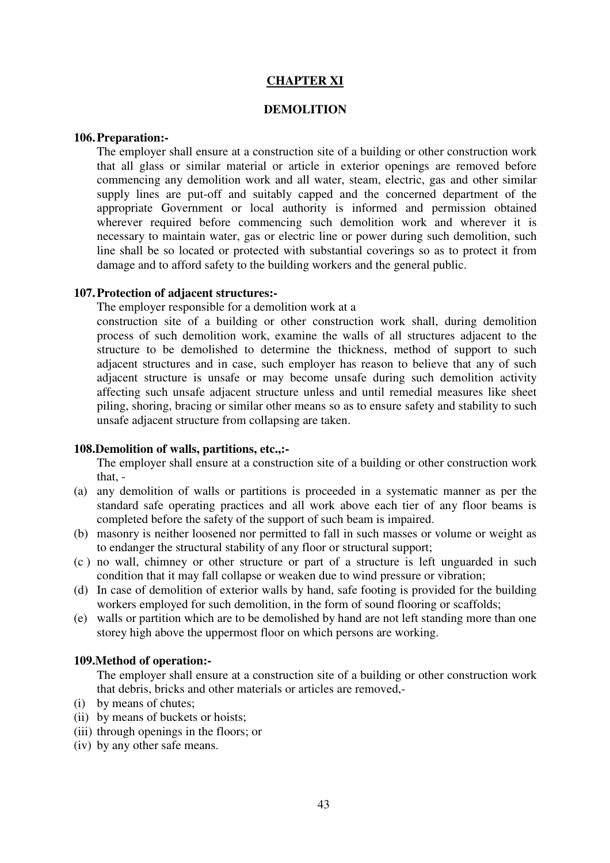#### **CHAPTER XI**

#### **DEMOLITION**

#### **106. Preparation:-**

The employer shall ensure at a construction site of a building or other construction work that all glass or similar material or article in exterior openings are removed before commencing any demolition work and all water, steam, electric, gas and other similar supply lines are put-off and suitably capped and the concerned department of the appropriate Government or local authority is informed and permission obtained wherever required before commencing such demolition work and wherever it is necessary to maintain water, gas or electric line or power during such demolition, such line shall be so located or protected with substantial coverings so as to protect it from damage and to afford safety to the building workers and the general public.

#### **107. Protection of adjacent structures:-**

The employer responsible for a demolition work at a

 construction site of a building or other construction work shall, during demolition process of such demolition work, examine the walls of all structures adjacent to the structure to be demolished to determine the thickness, method of support to such adjacent structures and in case, such employer has reason to believe that any of such adjacent structure is unsafe or may become unsafe during such demolition activity affecting such unsafe adjacent structure unless and until remedial measures like sheet piling, shoring, bracing or similar other means so as to ensure safety and stability to such unsafe adjacent structure from collapsing are taken.

#### **108.Demolition of walls, partitions, etc.,:-**

The employer shall ensure at a construction site of a building or other construction work that, -

- (a) any demolition of walls or partitions is proceeded in a systematic manner as per the standard safe operating practices and all work above each tier of any floor beams is completed before the safety of the support of such beam is impaired.
- (b) masonry is neither loosened nor permitted to fall in such masses or volume or weight as to endanger the structural stability of any floor or structural support;
- (c ) no wall, chimney or other structure or part of a structure is left unguarded in such condition that it may fall collapse or weaken due to wind pressure or vibration;
- (d) In case of demolition of exterior walls by hand, safe footing is provided for the building workers employed for such demolition, in the form of sound flooring or scaffolds;
- (e) walls or partition which are to be demolished by hand are not left standing more than one storey high above the uppermost floor on which persons are working.

#### **109.Method of operation:-**

The employer shall ensure at a construction site of a building or other construction work that debris, bricks and other materials or articles are removed,-

- (i) by means of chutes;
- (ii) by means of buckets or hoists;
- (iii) through openings in the floors; or
- (iv) by any other safe means.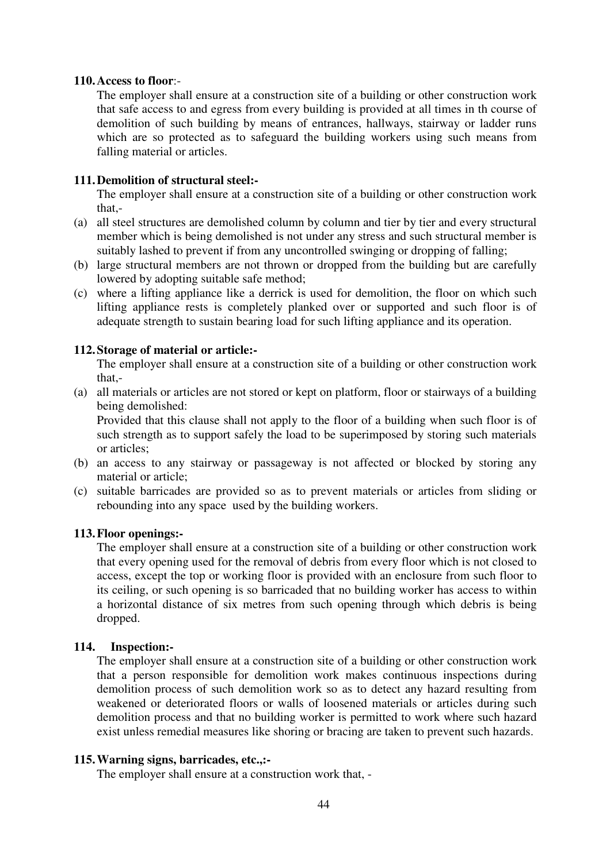#### **110. Access to floor**:-

The employer shall ensure at a construction site of a building or other construction work that safe access to and egress from every building is provided at all times in th course of demolition of such building by means of entrances, hallways, stairway or ladder runs which are so protected as to safeguard the building workers using such means from falling material or articles.

### **111. Demolition of structural steel:-**

The employer shall ensure at a construction site of a building or other construction work that,-

- (a) all steel structures are demolished column by column and tier by tier and every structural member which is being demolished is not under any stress and such structural member is suitably lashed to prevent if from any uncontrolled swinging or dropping of falling;
- (b) large structural members are not thrown or dropped from the building but are carefully lowered by adopting suitable safe method;
- (c) where a lifting appliance like a derrick is used for demolition, the floor on which such lifting appliance rests is completely planked over or supported and such floor is of adequate strength to sustain bearing load for such lifting appliance and its operation.

### **112. Storage of material or article:-**

The employer shall ensure at a construction site of a building or other construction work that,-

(a) all materials or articles are not stored or kept on platform, floor or stairways of a building being demolished:

Provided that this clause shall not apply to the floor of a building when such floor is of such strength as to support safely the load to be superimposed by storing such materials or articles;

- (b) an access to any stairway or passageway is not affected or blocked by storing any material or article;
- (c) suitable barricades are provided so as to prevent materials or articles from sliding or rebounding into any space used by the building workers.

### **113. Floor openings:-**

The employer shall ensure at a construction site of a building or other construction work that every opening used for the removal of debris from every floor which is not closed to access, except the top or working floor is provided with an enclosure from such floor to its ceiling, or such opening is so barricaded that no building worker has access to within a horizontal distance of six metres from such opening through which debris is being dropped.

### **114. Inspection:-**

The employer shall ensure at a construction site of a building or other construction work that a person responsible for demolition work makes continuous inspections during demolition process of such demolition work so as to detect any hazard resulting from weakened or deteriorated floors or walls of loosened materials or articles during such demolition process and that no building worker is permitted to work where such hazard exist unless remedial measures like shoring or bracing are taken to prevent such hazards.

### **115. Warning signs, barricades, etc.,:-**

The employer shall ensure at a construction work that, -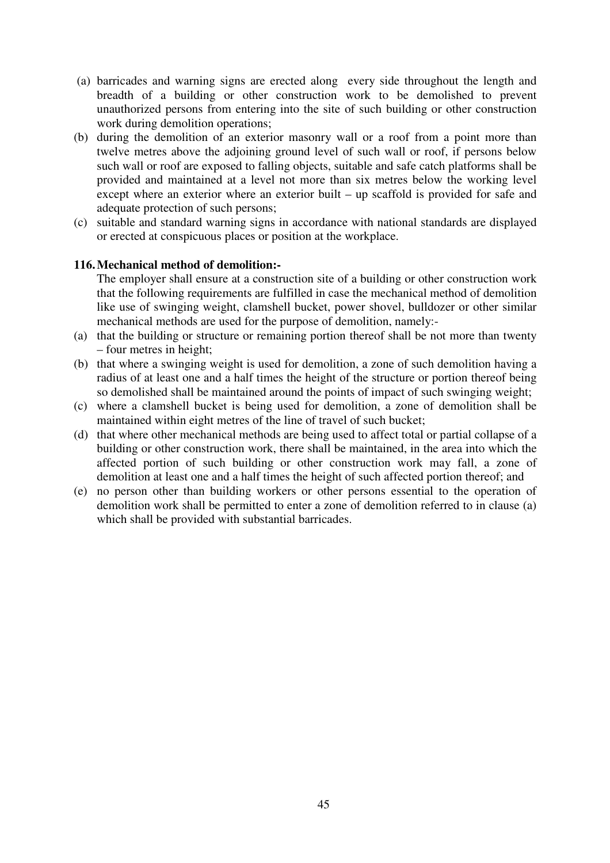- (a) barricades and warning signs are erected along every side throughout the length and breadth of a building or other construction work to be demolished to prevent unauthorized persons from entering into the site of such building or other construction work during demolition operations;
- (b) during the demolition of an exterior masonry wall or a roof from a point more than twelve metres above the adjoining ground level of such wall or roof, if persons below such wall or roof are exposed to falling objects, suitable and safe catch platforms shall be provided and maintained at a level not more than six metres below the working level except where an exterior where an exterior built – up scaffold is provided for safe and adequate protection of such persons;
- (c) suitable and standard warning signs in accordance with national standards are displayed or erected at conspicuous places or position at the workplace.

### **116. Mechanical method of demolition:-**

The employer shall ensure at a construction site of a building or other construction work that the following requirements are fulfilled in case the mechanical method of demolition like use of swinging weight, clamshell bucket, power shovel, bulldozer or other similar mechanical methods are used for the purpose of demolition, namely:-

- (a) that the building or structure or remaining portion thereof shall be not more than twenty – four metres in height;
- (b) that where a swinging weight is used for demolition, a zone of such demolition having a radius of at least one and a half times the height of the structure or portion thereof being so demolished shall be maintained around the points of impact of such swinging weight;
- (c) where a clamshell bucket is being used for demolition, a zone of demolition shall be maintained within eight metres of the line of travel of such bucket;
- (d) that where other mechanical methods are being used to affect total or partial collapse of a building or other construction work, there shall be maintained, in the area into which the affected portion of such building or other construction work may fall, a zone of demolition at least one and a half times the height of such affected portion thereof; and
- (e) no person other than building workers or other persons essential to the operation of demolition work shall be permitted to enter a zone of demolition referred to in clause (a) which shall be provided with substantial barricades.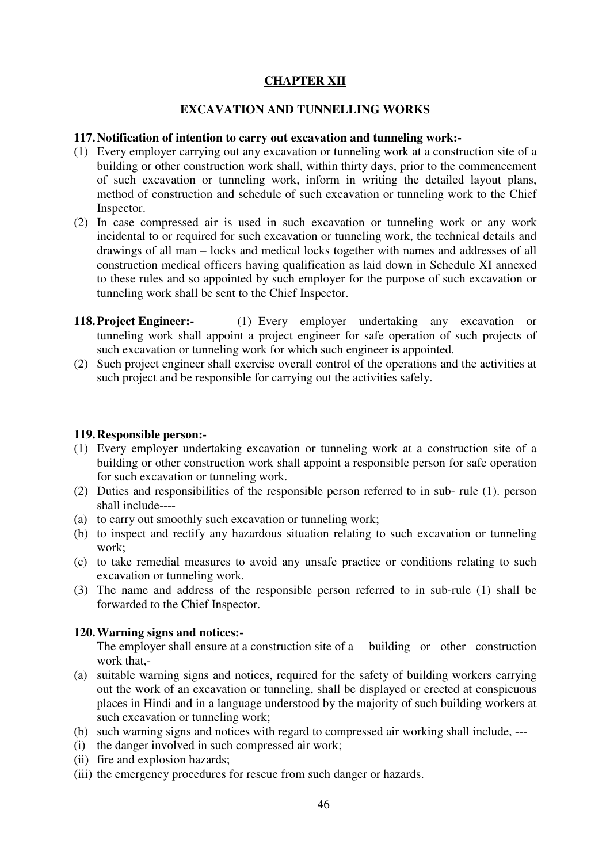# **CHAPTER XII**

### **EXCAVATION AND TUNNELLING WORKS**

#### **117. Notification of intention to carry out excavation and tunneling work:-**

- (1) Every employer carrying out any excavation or tunneling work at a construction site of a building or other construction work shall, within thirty days, prior to the commencement of such excavation or tunneling work, inform in writing the detailed layout plans, method of construction and schedule of such excavation or tunneling work to the Chief Inspector.
- (2) In case compressed air is used in such excavation or tunneling work or any work incidental to or required for such excavation or tunneling work, the technical details and drawings of all man – locks and medical locks together with names and addresses of all construction medical officers having qualification as laid down in Schedule XI annexed to these rules and so appointed by such employer for the purpose of such excavation or tunneling work shall be sent to the Chief Inspector.
- **118. Project Engineer:-** (1) Every employer undertaking any excavation or tunneling work shall appoint a project engineer for safe operation of such projects of such excavation or tunneling work for which such engineer is appointed.
- (2) Such project engineer shall exercise overall control of the operations and the activities at such project and be responsible for carrying out the activities safely.

#### **119. Responsible person:-**

- (1) Every employer undertaking excavation or tunneling work at a construction site of a building or other construction work shall appoint a responsible person for safe operation for such excavation or tunneling work.
- (2) Duties and responsibilities of the responsible person referred to in sub- rule (1). person shall include----
- (a) to carry out smoothly such excavation or tunneling work;
- (b) to inspect and rectify any hazardous situation relating to such excavation or tunneling work;
- (c) to take remedial measures to avoid any unsafe practice or conditions relating to such excavation or tunneling work.
- (3) The name and address of the responsible person referred to in sub-rule (1) shall be forwarded to the Chief Inspector.

### **120. Warning signs and notices:-**

The employer shall ensure at a construction site of a building or other construction work that,-

- (a) suitable warning signs and notices, required for the safety of building workers carrying out the work of an excavation or tunneling, shall be displayed or erected at conspicuous places in Hindi and in a language understood by the majority of such building workers at such excavation or tunneling work;
- (b) such warning signs and notices with regard to compressed air working shall include, ---
- (i) the danger involved in such compressed air work;
- (ii) fire and explosion hazards;
- (iii) the emergency procedures for rescue from such danger or hazards.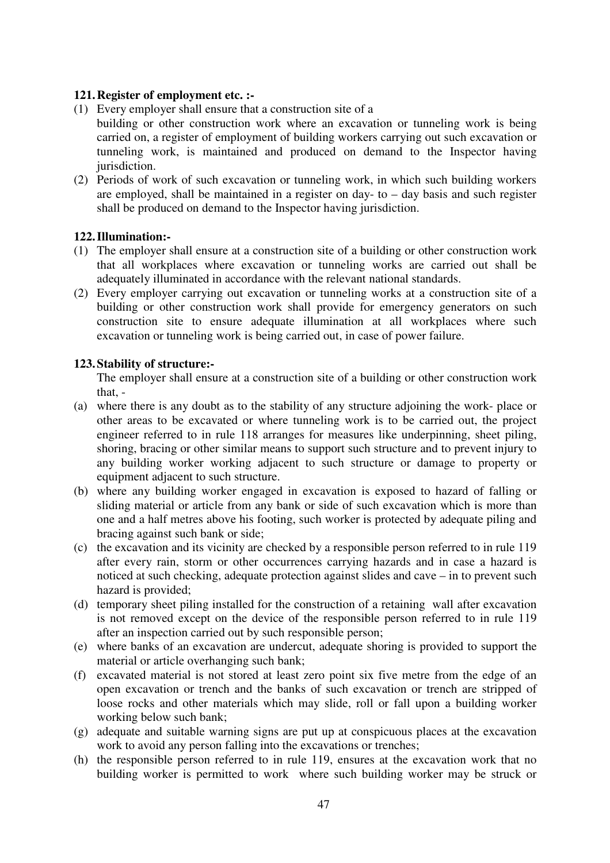### **121. Register of employment etc. :-**

- (1) Every employer shall ensure that a construction site of a
- building or other construction work where an excavation or tunneling work is being carried on, a register of employment of building workers carrying out such excavation or tunneling work, is maintained and produced on demand to the Inspector having jurisdiction.
- (2) Periods of work of such excavation or tunneling work, in which such building workers are employed, shall be maintained in a register on day- to – day basis and such register shall be produced on demand to the Inspector having jurisdiction.

### **122. Illumination:-**

- (1) The employer shall ensure at a construction site of a building or other construction work that all workplaces where excavation or tunneling works are carried out shall be adequately illuminated in accordance with the relevant national standards.
- (2) Every employer carrying out excavation or tunneling works at a construction site of a building or other construction work shall provide for emergency generators on such construction site to ensure adequate illumination at all workplaces where such excavation or tunneling work is being carried out, in case of power failure.

### **123. Stability of structure:-**

The employer shall ensure at a construction site of a building or other construction work that, -

- (a) where there is any doubt as to the stability of any structure adjoining the work- place or other areas to be excavated or where tunneling work is to be carried out, the project engineer referred to in rule 118 arranges for measures like underpinning, sheet piling, shoring, bracing or other similar means to support such structure and to prevent injury to any building worker working adjacent to such structure or damage to property or equipment adjacent to such structure.
- (b) where any building worker engaged in excavation is exposed to hazard of falling or sliding material or article from any bank or side of such excavation which is more than one and a half metres above his footing, such worker is protected by adequate piling and bracing against such bank or side;
- (c) the excavation and its vicinity are checked by a responsible person referred to in rule 119 after every rain, storm or other occurrences carrying hazards and in case a hazard is noticed at such checking, adequate protection against slides and cave – in to prevent such hazard is provided;
- (d) temporary sheet piling installed for the construction of a retaining wall after excavation is not removed except on the device of the responsible person referred to in rule 119 after an inspection carried out by such responsible person;
- (e) where banks of an excavation are undercut, adequate shoring is provided to support the material or article overhanging such bank;
- (f) excavated material is not stored at least zero point six five metre from the edge of an open excavation or trench and the banks of such excavation or trench are stripped of loose rocks and other materials which may slide, roll or fall upon a building worker working below such bank;
- (g) adequate and suitable warning signs are put up at conspicuous places at the excavation work to avoid any person falling into the excavations or trenches;
- (h) the responsible person referred to in rule 119, ensures at the excavation work that no building worker is permitted to work where such building worker may be struck or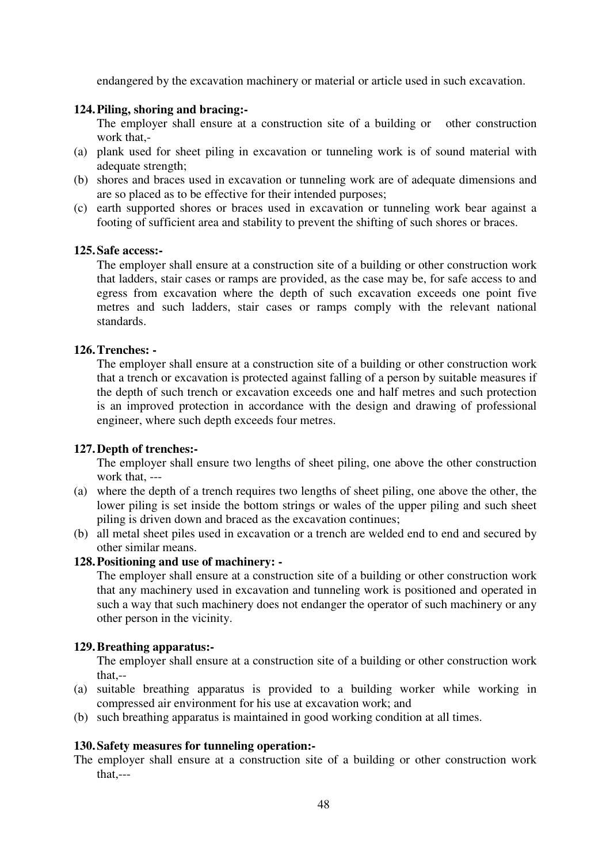endangered by the excavation machinery or material or article used in such excavation.

### **124. Piling, shoring and bracing:-**

The employer shall ensure at a construction site of a building or other construction work that,-

- (a) plank used for sheet piling in excavation or tunneling work is of sound material with adequate strength;
- (b) shores and braces used in excavation or tunneling work are of adequate dimensions and are so placed as to be effective for their intended purposes;
- (c) earth supported shores or braces used in excavation or tunneling work bear against a footing of sufficient area and stability to prevent the shifting of such shores or braces.

### **125. Safe access:-**

The employer shall ensure at a construction site of a building or other construction work that ladders, stair cases or ramps are provided, as the case may be, for safe access to and egress from excavation where the depth of such excavation exceeds one point five metres and such ladders, stair cases or ramps comply with the relevant national standards.

### **126. Trenches: -**

The employer shall ensure at a construction site of a building or other construction work that a trench or excavation is protected against falling of a person by suitable measures if the depth of such trench or excavation exceeds one and half metres and such protection is an improved protection in accordance with the design and drawing of professional engineer, where such depth exceeds four metres.

### **127. Depth of trenches:-**

The employer shall ensure two lengths of sheet piling, one above the other construction work that, ---

- (a) where the depth of a trench requires two lengths of sheet piling, one above the other, the lower piling is set inside the bottom strings or wales of the upper piling and such sheet piling is driven down and braced as the excavation continues;
- (b) all metal sheet piles used in excavation or a trench are welded end to end and secured by other similar means.

## **128. Positioning and use of machinery: -**

The employer shall ensure at a construction site of a building or other construction work that any machinery used in excavation and tunneling work is positioned and operated in such a way that such machinery does not endanger the operator of such machinery or any other person in the vicinity.

### **129. Breathing apparatus:-**

The employer shall ensure at a construction site of a building or other construction work that,--

- (a) suitable breathing apparatus is provided to a building worker while working in compressed air environment for his use at excavation work; and
- (b) such breathing apparatus is maintained in good working condition at all times.

### **130. Safety measures for tunneling operation:-**

The employer shall ensure at a construction site of a building or other construction work that,---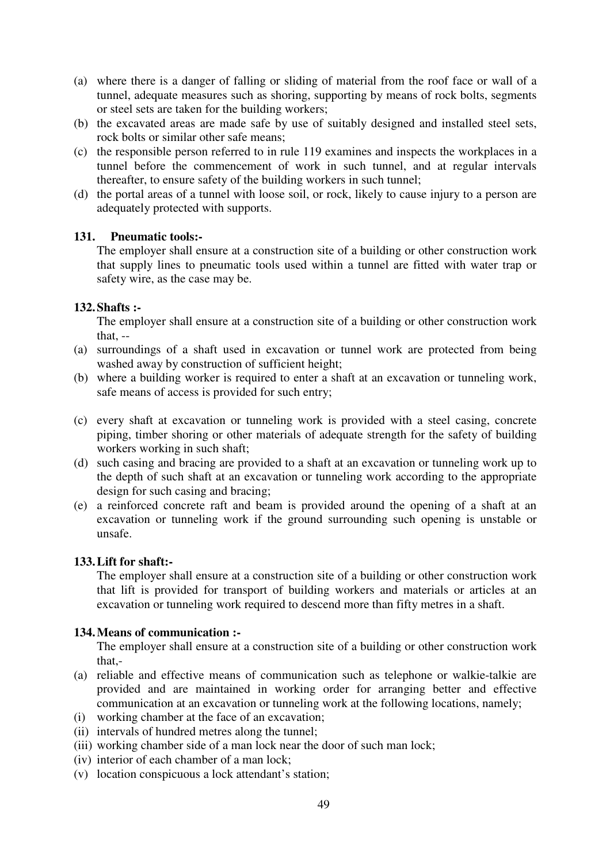- (a) where there is a danger of falling or sliding of material from the roof face or wall of a tunnel, adequate measures such as shoring, supporting by means of rock bolts, segments or steel sets are taken for the building workers;
- (b) the excavated areas are made safe by use of suitably designed and installed steel sets, rock bolts or similar other safe means;
- (c) the responsible person referred to in rule 119 examines and inspects the workplaces in a tunnel before the commencement of work in such tunnel, and at regular intervals thereafter, to ensure safety of the building workers in such tunnel;
- (d) the portal areas of a tunnel with loose soil, or rock, likely to cause injury to a person are adequately protected with supports.

### **131. Pneumatic tools:-**

The employer shall ensure at a construction site of a building or other construction work that supply lines to pneumatic tools used within a tunnel are fitted with water trap or safety wire, as the case may be.

### **132. Shafts :-**

The employer shall ensure at a construction site of a building or other construction work that, --

- (a) surroundings of a shaft used in excavation or tunnel work are protected from being washed away by construction of sufficient height;
- (b) where a building worker is required to enter a shaft at an excavation or tunneling work, safe means of access is provided for such entry;
- (c) every shaft at excavation or tunneling work is provided with a steel casing, concrete piping, timber shoring or other materials of adequate strength for the safety of building workers working in such shaft;
- (d) such casing and bracing are provided to a shaft at an excavation or tunneling work up to the depth of such shaft at an excavation or tunneling work according to the appropriate design for such casing and bracing;
- (e) a reinforced concrete raft and beam is provided around the opening of a shaft at an excavation or tunneling work if the ground surrounding such opening is unstable or unsafe.

### **133. Lift for shaft:-**

The employer shall ensure at a construction site of a building or other construction work that lift is provided for transport of building workers and materials or articles at an excavation or tunneling work required to descend more than fifty metres in a shaft.

### **134. Means of communication :-**

The employer shall ensure at a construction site of a building or other construction work that,-

- (a) reliable and effective means of communication such as telephone or walkie-talkie are provided and are maintained in working order for arranging better and effective communication at an excavation or tunneling work at the following locations, namely;
- (i) working chamber at the face of an excavation;
- (ii) intervals of hundred metres along the tunnel;
- (iii) working chamber side of a man lock near the door of such man lock;
- (iv) interior of each chamber of a man lock;
- (v) location conspicuous a lock attendant's station;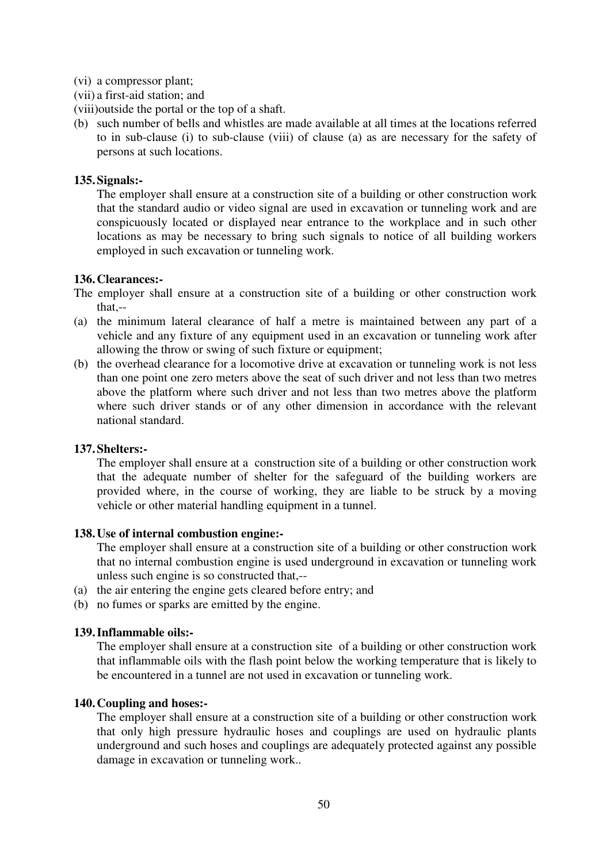- (vi) a compressor plant;
- (vii) a first-aid station; and
- (viii)outside the portal or the top of a shaft.
- (b) such number of bells and whistles are made available at all times at the locations referred to in sub-clause (i) to sub-clause (viii) of clause (a) as are necessary for the safety of persons at such locations.

### **135. Signals:-**

The employer shall ensure at a construction site of a building or other construction work that the standard audio or video signal are used in excavation or tunneling work and are conspicuously located or displayed near entrance to the workplace and in such other locations as may be necessary to bring such signals to notice of all building workers employed in such excavation or tunneling work.

### **136. Clearances:-**

The employer shall ensure at a construction site of a building or other construction work that,--

- (a) the minimum lateral clearance of half a metre is maintained between any part of a vehicle and any fixture of any equipment used in an excavation or tunneling work after allowing the throw or swing of such fixture or equipment;
- (b) the overhead clearance for a locomotive drive at excavation or tunneling work is not less than one point one zero meters above the seat of such driver and not less than two metres above the platform where such driver and not less than two metres above the platform where such driver stands or of any other dimension in accordance with the relevant national standard.

### **137. Shelters:-**

The employer shall ensure at a construction site of a building or other construction work that the adequate number of shelter for the safeguard of the building workers are provided where, in the course of working, they are liable to be struck by a moving vehicle or other material handling equipment in a tunnel.

### **138. Use of internal combustion engine:-**

The employer shall ensure at a construction site of a building or other construction work that no internal combustion engine is used underground in excavation or tunneling work unless such engine is so constructed that,--

- (a) the air entering the engine gets cleared before entry; and
- (b) no fumes or sparks are emitted by the engine.

### **139. Inflammable oils:-**

The employer shall ensure at a construction site of a building or other construction work that inflammable oils with the flash point below the working temperature that is likely to be encountered in a tunnel are not used in excavation or tunneling work.

### **140. Coupling and hoses:-**

The employer shall ensure at a construction site of a building or other construction work that only high pressure hydraulic hoses and couplings are used on hydraulic plants underground and such hoses and couplings are adequately protected against any possible damage in excavation or tunneling work..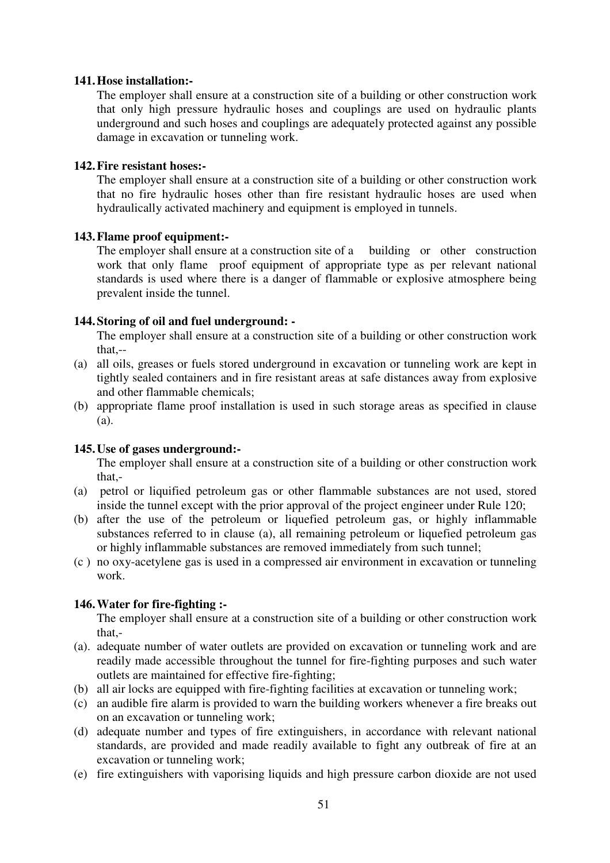#### **141. Hose installation:-**

The employer shall ensure at a construction site of a building or other construction work that only high pressure hydraulic hoses and couplings are used on hydraulic plants underground and such hoses and couplings are adequately protected against any possible damage in excavation or tunneling work.

### **142. Fire resistant hoses:-**

The employer shall ensure at a construction site of a building or other construction work that no fire hydraulic hoses other than fire resistant hydraulic hoses are used when hydraulically activated machinery and equipment is employed in tunnels.

#### **143. Flame proof equipment:-**

The employer shall ensure at a construction site of a building or other construction work that only flame proof equipment of appropriate type as per relevant national standards is used where there is a danger of flammable or explosive atmosphere being prevalent inside the tunnel.

### **144. Storing of oil and fuel underground: -**

The employer shall ensure at a construction site of a building or other construction work that,--

- (a) all oils, greases or fuels stored underground in excavation or tunneling work are kept in tightly sealed containers and in fire resistant areas at safe distances away from explosive and other flammable chemicals;
- (b) appropriate flame proof installation is used in such storage areas as specified in clause (a).

#### **145. Use of gases underground:-**

The employer shall ensure at a construction site of a building or other construction work that,-

- (a) petrol or liquified petroleum gas or other flammable substances are not used, stored inside the tunnel except with the prior approval of the project engineer under Rule 120;
- (b) after the use of the petroleum or liquefied petroleum gas, or highly inflammable substances referred to in clause (a), all remaining petroleum or liquefied petroleum gas or highly inflammable substances are removed immediately from such tunnel;
- (c ) no oxy-acetylene gas is used in a compressed air environment in excavation or tunneling work.

#### **146. Water for fire-fighting :-**

The employer shall ensure at a construction site of a building or other construction work that,-

- (a). adequate number of water outlets are provided on excavation or tunneling work and are readily made accessible throughout the tunnel for fire-fighting purposes and such water outlets are maintained for effective fire-fighting;
- (b) all air locks are equipped with fire-fighting facilities at excavation or tunneling work;
- (c) an audible fire alarm is provided to warn the building workers whenever a fire breaks out on an excavation or tunneling work;
- (d) adequate number and types of fire extinguishers, in accordance with relevant national standards, are provided and made readily available to fight any outbreak of fire at an excavation or tunneling work;
- (e) fire extinguishers with vaporising liquids and high pressure carbon dioxide are not used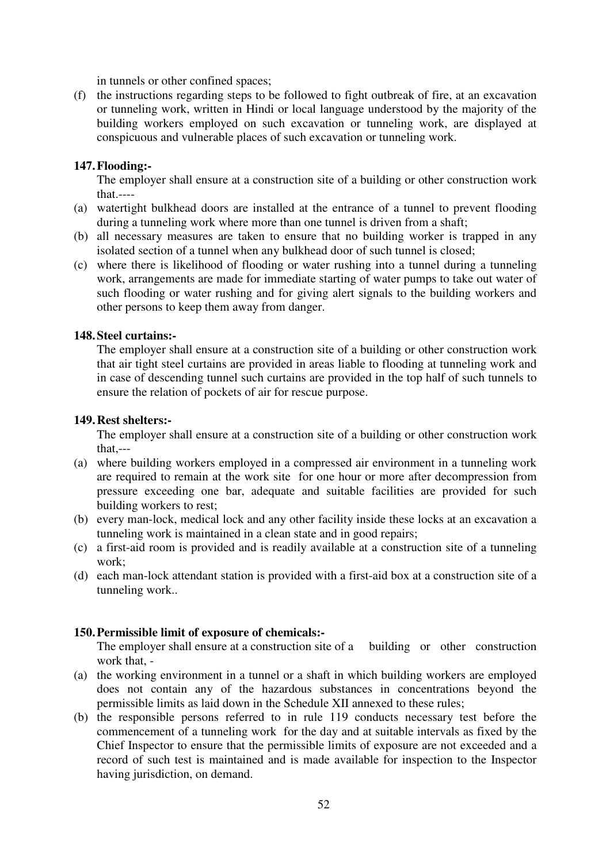in tunnels or other confined spaces;

(f) the instructions regarding steps to be followed to fight outbreak of fire, at an excavation or tunneling work, written in Hindi or local language understood by the majority of the building workers employed on such excavation or tunneling work, are displayed at conspicuous and vulnerable places of such excavation or tunneling work.

### **147. Flooding:-**

The employer shall ensure at a construction site of a building or other construction work that.----

- (a) watertight bulkhead doors are installed at the entrance of a tunnel to prevent flooding during a tunneling work where more than one tunnel is driven from a shaft;
- (b) all necessary measures are taken to ensure that no building worker is trapped in any isolated section of a tunnel when any bulkhead door of such tunnel is closed;
- (c) where there is likelihood of flooding or water rushing into a tunnel during a tunneling work, arrangements are made for immediate starting of water pumps to take out water of such flooding or water rushing and for giving alert signals to the building workers and other persons to keep them away from danger.

### **148. Steel curtains:-**

The employer shall ensure at a construction site of a building or other construction work that air tight steel curtains are provided in areas liable to flooding at tunneling work and in case of descending tunnel such curtains are provided in the top half of such tunnels to ensure the relation of pockets of air for rescue purpose.

### **149. Rest shelters:-**

The employer shall ensure at a construction site of a building or other construction work that,---

- (a) where building workers employed in a compressed air environment in a tunneling work are required to remain at the work site for one hour or more after decompression from pressure exceeding one bar, adequate and suitable facilities are provided for such building workers to rest;
- (b) every man-lock, medical lock and any other facility inside these locks at an excavation a tunneling work is maintained in a clean state and in good repairs;
- (c) a first-aid room is provided and is readily available at a construction site of a tunneling work;
- (d) each man-lock attendant station is provided with a first-aid box at a construction site of a tunneling work..

### **150. Permissible limit of exposure of chemicals:-**

The employer shall ensure at a construction site of a building or other construction work that, -

- (a) the working environment in a tunnel or a shaft in which building workers are employed does not contain any of the hazardous substances in concentrations beyond the permissible limits as laid down in the Schedule XII annexed to these rules;
- (b) the responsible persons referred to in rule 119 conducts necessary test before the commencement of a tunneling work for the day and at suitable intervals as fixed by the Chief Inspector to ensure that the permissible limits of exposure are not exceeded and a record of such test is maintained and is made available for inspection to the Inspector having jurisdiction, on demand.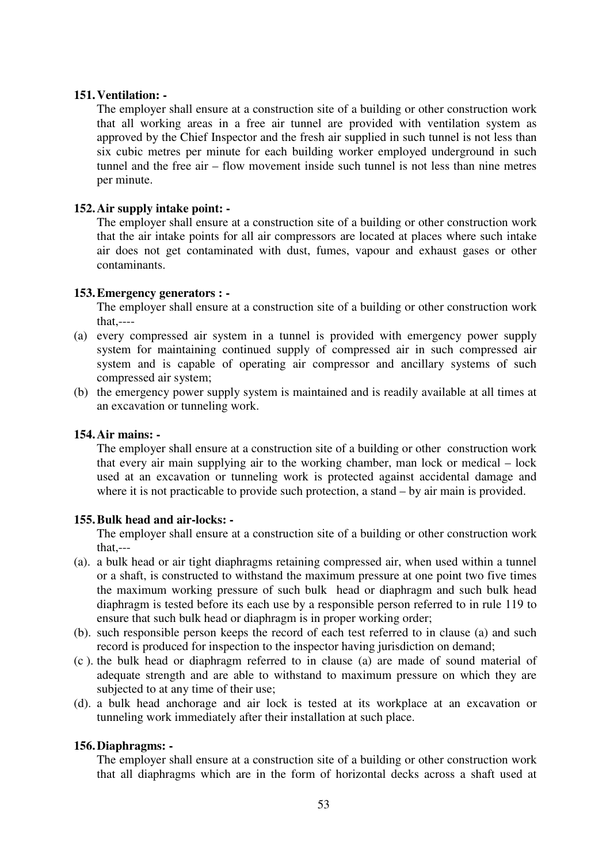#### **151. Ventilation: -**

The employer shall ensure at a construction site of a building or other construction work that all working areas in a free air tunnel are provided with ventilation system as approved by the Chief Inspector and the fresh air supplied in such tunnel is not less than six cubic metres per minute for each building worker employed underground in such tunnel and the free air – flow movement inside such tunnel is not less than nine metres per minute.

#### **152. Air supply intake point: -**

The employer shall ensure at a construction site of a building or other construction work that the air intake points for all air compressors are located at places where such intake air does not get contaminated with dust, fumes, vapour and exhaust gases or other contaminants.

#### **153. Emergency generators : -**

The employer shall ensure at a construction site of a building or other construction work that,----

- (a) every compressed air system in a tunnel is provided with emergency power supply system for maintaining continued supply of compressed air in such compressed air system and is capable of operating air compressor and ancillary systems of such compressed air system;
- (b) the emergency power supply system is maintained and is readily available at all times at an excavation or tunneling work.

#### **154. Air mains: -**

The employer shall ensure at a construction site of a building or other construction work that every air main supplying air to the working chamber, man lock or medical – lock used at an excavation or tunneling work is protected against accidental damage and where it is not practicable to provide such protection, a stand – by air main is provided.

#### **155. Bulk head and air-locks: -**

The employer shall ensure at a construction site of a building or other construction work that,---

- (a). a bulk head or air tight diaphragms retaining compressed air, when used within a tunnel or a shaft, is constructed to withstand the maximum pressure at one point two five times the maximum working pressure of such bulk head or diaphragm and such bulk head diaphragm is tested before its each use by a responsible person referred to in rule 119 to ensure that such bulk head or diaphragm is in proper working order;
- (b). such responsible person keeps the record of each test referred to in clause (a) and such record is produced for inspection to the inspector having jurisdiction on demand;
- (c ). the bulk head or diaphragm referred to in clause (a) are made of sound material of adequate strength and are able to withstand to maximum pressure on which they are subjected to at any time of their use;
- (d). a bulk head anchorage and air lock is tested at its workplace at an excavation or tunneling work immediately after their installation at such place.

#### **156. Diaphragms: -**

The employer shall ensure at a construction site of a building or other construction work that all diaphragms which are in the form of horizontal decks across a shaft used at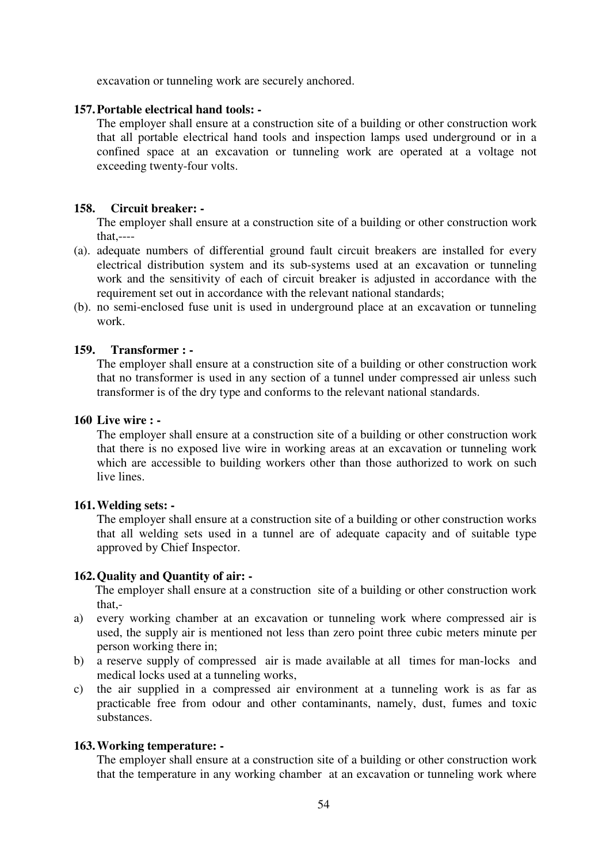excavation or tunneling work are securely anchored.

#### **157. Portable electrical hand tools: -**

The employer shall ensure at a construction site of a building or other construction work that all portable electrical hand tools and inspection lamps used underground or in a confined space at an excavation or tunneling work are operated at a voltage not exceeding twenty-four volts.

#### **158. Circuit breaker: -**

The employer shall ensure at a construction site of a building or other construction work that,----

- (a). adequate numbers of differential ground fault circuit breakers are installed for every electrical distribution system and its sub-systems used at an excavation or tunneling work and the sensitivity of each of circuit breaker is adjusted in accordance with the requirement set out in accordance with the relevant national standards;
- (b). no semi-enclosed fuse unit is used in underground place at an excavation or tunneling work.

### **159. Transformer : -**

The employer shall ensure at a construction site of a building or other construction work that no transformer is used in any section of a tunnel under compressed air unless such transformer is of the dry type and conforms to the relevant national standards.

### **160 Live wire : -**

The employer shall ensure at a construction site of a building or other construction work that there is no exposed live wire in working areas at an excavation or tunneling work which are accessible to building workers other than those authorized to work on such live lines.

#### **161. Welding sets: -**

The employer shall ensure at a construction site of a building or other construction works that all welding sets used in a tunnel are of adequate capacity and of suitable type approved by Chief Inspector.

#### **162. Quality and Quantity of air: -**

 The employer shall ensure at a construction site of a building or other construction work that,-

- a) every working chamber at an excavation or tunneling work where compressed air is used, the supply air is mentioned not less than zero point three cubic meters minute per person working there in;
- b) a reserve supply of compressed air is made available at all times for man-locks and medical locks used at a tunneling works,
- c) the air supplied in a compressed air environment at a tunneling work is as far as practicable free from odour and other contaminants, namely, dust, fumes and toxic substances.

#### **163. Working temperature: -**

The employer shall ensure at a construction site of a building or other construction work that the temperature in any working chamber at an excavation or tunneling work where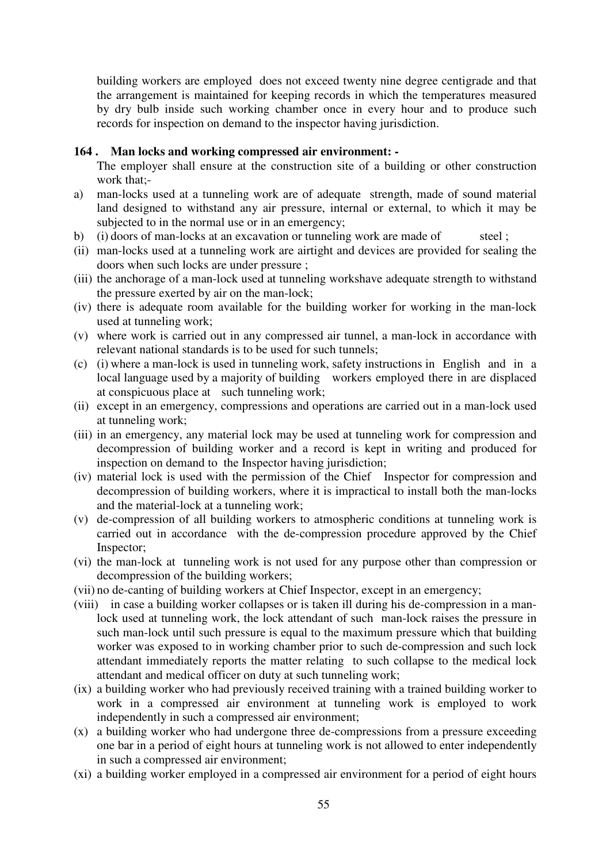building workers are employed does not exceed twenty nine degree centigrade and that the arrangement is maintained for keeping records in which the temperatures measured by dry bulb inside such working chamber once in every hour and to produce such records for inspection on demand to the inspector having jurisdiction.

#### **164 . Man locks and working compressed air environment: -**

The employer shall ensure at the construction site of a building or other construction work that;-

- a) man-locks used at a tunneling work are of adequate strength, made of sound material land designed to withstand any air pressure, internal or external, to which it may be subjected to in the normal use or in an emergency;
- b) (i) doors of man-locks at an excavation or tunneling work are made of steel;
- (ii) man-locks used at a tunneling work are airtight and devices are provided for sealing the doors when such locks are under pressure ;
- (iii) the anchorage of a man-lock used at tunneling workshave adequate strength to withstand the pressure exerted by air on the man-lock;
- (iv) there is adequate room available for the building worker for working in the man-lock used at tunneling work;
- (v) where work is carried out in any compressed air tunnel, a man-lock in accordance with relevant national standards is to be used for such tunnels;
- (c) (i) where a man-lock is used in tunneling work, safety instructions in English and in a local language used by a majority of building workers employed there in are displaced at conspicuous place at such tunneling work;
- (ii) except in an emergency, compressions and operations are carried out in a man-lock used at tunneling work;
- (iii) in an emergency, any material lock may be used at tunneling work for compression and decompression of building worker and a record is kept in writing and produced for inspection on demand to the Inspector having jurisdiction;
- (iv) material lock is used with the permission of the Chief Inspector for compression and decompression of building workers, where it is impractical to install both the man-locks and the material-lock at a tunneling work;
- (v) de-compression of all building workers to atmospheric conditions at tunneling work is carried out in accordance with the de-compression procedure approved by the Chief Inspector;
- (vi) the man-lock at tunneling work is not used for any purpose other than compression or decompression of the building workers;
- (vii) no de-canting of building workers at Chief Inspector, except in an emergency;
- (viii) in case a building worker collapses or is taken ill during his de-compression in a manlock used at tunneling work, the lock attendant of such man-lock raises the pressure in such man-lock until such pressure is equal to the maximum pressure which that building worker was exposed to in working chamber prior to such de-compression and such lock attendant immediately reports the matter relating to such collapse to the medical lock attendant and medical officer on duty at such tunneling work;
- (ix) a building worker who had previously received training with a trained building worker to work in a compressed air environment at tunneling work is employed to work independently in such a compressed air environment;
- (x) a building worker who had undergone three de-compressions from a pressure exceeding one bar in a period of eight hours at tunneling work is not allowed to enter independently in such a compressed air environment;
- (xi) a building worker employed in a compressed air environment for a period of eight hours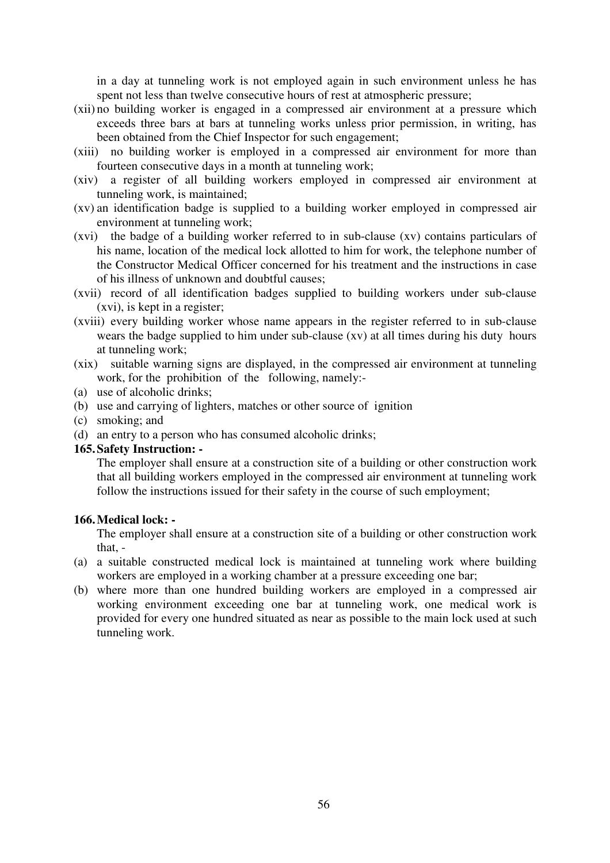in a day at tunneling work is not employed again in such environment unless he has spent not less than twelve consecutive hours of rest at atmospheric pressure;

- (xii) no building worker is engaged in a compressed air environment at a pressure which exceeds three bars at bars at tunneling works unless prior permission, in writing, has been obtained from the Chief Inspector for such engagement;
- (xiii) no building worker is employed in a compressed air environment for more than fourteen consecutive days in a month at tunneling work;
- (xiv) a register of all building workers employed in compressed air environment at tunneling work, is maintained;
- (xv) an identification badge is supplied to a building worker employed in compressed air environment at tunneling work;
- (xvi) the badge of a building worker referred to in sub-clause (xv) contains particulars of his name, location of the medical lock allotted to him for work, the telephone number of the Constructor Medical Officer concerned for his treatment and the instructions in case of his illness of unknown and doubtful causes;
- (xvii) record of all identification badges supplied to building workers under sub-clause (xvi), is kept in a register;
- (xviii) every building worker whose name appears in the register referred to in sub-clause wears the badge supplied to him under sub-clause (xv) at all times during his duty hours at tunneling work;
- (xix) suitable warning signs are displayed, in the compressed air environment at tunneling work, for the prohibition of the following, namely:-
- (a) use of alcoholic drinks;
- (b) use and carrying of lighters, matches or other source of ignition
- (c) smoking; and
- (d) an entry to a person who has consumed alcoholic drinks;

## **165. Safety Instruction: -**

The employer shall ensure at a construction site of a building or other construction work that all building workers employed in the compressed air environment at tunneling work follow the instructions issued for their safety in the course of such employment;

#### **166. Medical lock: -**

The employer shall ensure at a construction site of a building or other construction work that, -

- (a) a suitable constructed medical lock is maintained at tunneling work where building workers are employed in a working chamber at a pressure exceeding one bar;
- (b) where more than one hundred building workers are employed in a compressed air working environment exceeding one bar at tunneling work, one medical work is provided for every one hundred situated as near as possible to the main lock used at such tunneling work.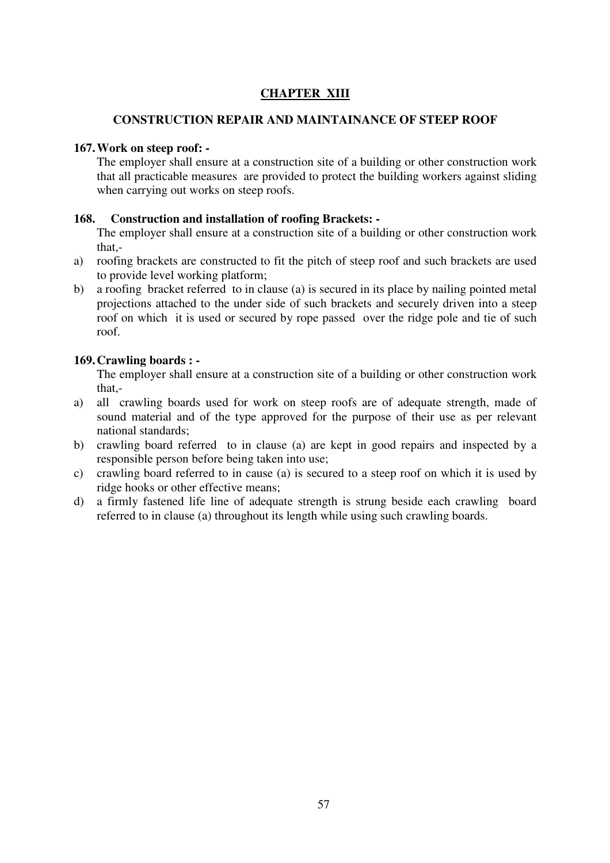# **CHAPTER XIII**

### **CONSTRUCTION REPAIR AND MAINTAINANCE OF STEEP ROOF**

### **167. Work on steep roof: -**

The employer shall ensure at a construction site of a building or other construction work that all practicable measures are provided to protect the building workers against sliding when carrying out works on steep roofs.

### **168. Construction and installation of roofing Brackets: -**

The employer shall ensure at a construction site of a building or other construction work that,-

- a) roofing brackets are constructed to fit the pitch of steep roof and such brackets are used to provide level working platform;
- b) a roofing bracket referred to in clause (a) is secured in its place by nailing pointed metal projections attached to the under side of such brackets and securely driven into a steep roof on which it is used or secured by rope passed over the ridge pole and tie of such roof.

### **169. Crawling boards : -**

The employer shall ensure at a construction site of a building or other construction work that,-

- a) all crawling boards used for work on steep roofs are of adequate strength, made of sound material and of the type approved for the purpose of their use as per relevant national standards;
- b) crawling board referred to in clause (a) are kept in good repairs and inspected by a responsible person before being taken into use;
- c) crawling board referred to in cause (a) is secured to a steep roof on which it is used by ridge hooks or other effective means;
- d) a firmly fastened life line of adequate strength is strung beside each crawling board referred to in clause (a) throughout its length while using such crawling boards.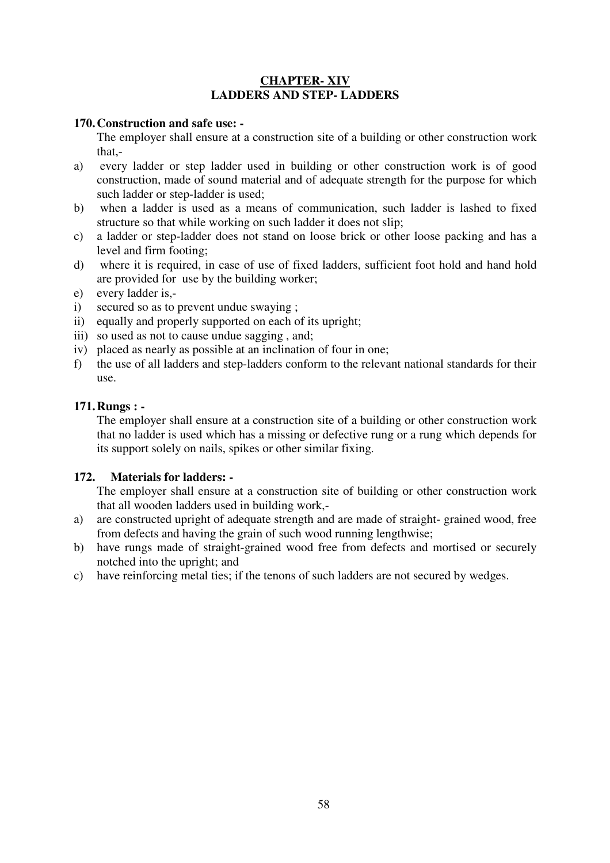## **CHAPTER- XIV LADDERS AND STEP- LADDERS**

### **170. Construction and safe use: -**

The employer shall ensure at a construction site of a building or other construction work that,-

- a) every ladder or step ladder used in building or other construction work is of good construction, made of sound material and of adequate strength for the purpose for which such ladder or step-ladder is used;
- b) when a ladder is used as a means of communication, such ladder is lashed to fixed structure so that while working on such ladder it does not slip;
- c) a ladder or step-ladder does not stand on loose brick or other loose packing and has a level and firm footing;
- d) where it is required, in case of use of fixed ladders, sufficient foot hold and hand hold are provided for use by the building worker;
- e) every ladder is,-
- i) secured so as to prevent undue swaying ;
- ii) equally and properly supported on each of its upright;
- iii) so used as not to cause undue sagging, and;
- iv) placed as nearly as possible at an inclination of four in one;
- f) the use of all ladders and step-ladders conform to the relevant national standards for their use.

### **171. Rungs : -**

The employer shall ensure at a construction site of a building or other construction work that no ladder is used which has a missing or defective rung or a rung which depends for its support solely on nails, spikes or other similar fixing.

### **172. Materials for ladders: -**

The employer shall ensure at a construction site of building or other construction work that all wooden ladders used in building work,-

- a) are constructed upright of adequate strength and are made of straight- grained wood, free from defects and having the grain of such wood running lengthwise;
- b) have rungs made of straight-grained wood free from defects and mortised or securely notched into the upright; and
- c) have reinforcing metal ties; if the tenons of such ladders are not secured by wedges.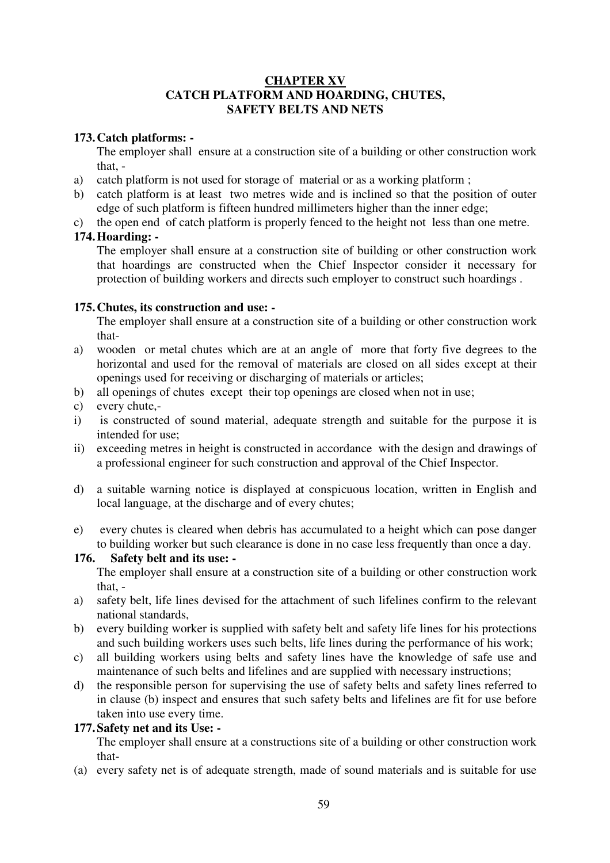### **CHAPTER XV CATCH PLATFORM AND HOARDING, CHUTES, SAFETY BELTS AND NETS**

## **173. Catch platforms: -**

The employer shall ensure at a construction site of a building or other construction work that, -

- a) catch platform is not used for storage of material or as a working platform ;
- b) catch platform is at least two metres wide and is inclined so that the position of outer edge of such platform is fifteen hundred millimeters higher than the inner edge;
- c) the open end of catch platform is properly fenced to the height not less than one metre.

### **174. Hoarding: -**

The employer shall ensure at a construction site of building or other construction work that hoardings are constructed when the Chief Inspector consider it necessary for protection of building workers and directs such employer to construct such hoardings .

### **175. Chutes, its construction and use: -**

The employer shall ensure at a construction site of a building or other construction work that-

- a) wooden or metal chutes which are at an angle of more that forty five degrees to the horizontal and used for the removal of materials are closed on all sides except at their openings used for receiving or discharging of materials or articles;
- b) all openings of chutes except their top openings are closed when not in use;
- c) every chute,-
- i) is constructed of sound material, adequate strength and suitable for the purpose it is intended for use;
- ii) exceeding metres in height is constructed in accordance with the design and drawings of a professional engineer for such construction and approval of the Chief Inspector.
- d) a suitable warning notice is displayed at conspicuous location, written in English and local language, at the discharge and of every chutes;
- e) every chutes is cleared when debris has accumulated to a height which can pose danger to building worker but such clearance is done in no case less frequently than once a day.

# **176. Safety belt and its use: -**

The employer shall ensure at a construction site of a building or other construction work that, -

- a) safety belt, life lines devised for the attachment of such lifelines confirm to the relevant national standards,
- b) every building worker is supplied with safety belt and safety life lines for his protections and such building workers uses such belts, life lines during the performance of his work;
- c) all building workers using belts and safety lines have the knowledge of safe use and maintenance of such belts and lifelines and are supplied with necessary instructions;
- d) the responsible person for supervising the use of safety belts and safety lines referred to in clause (b) inspect and ensures that such safety belts and lifelines are fit for use before taken into use every time.

# **177. Safety net and its Use: -**

The employer shall ensure at a constructions site of a building or other construction work that-

(a) every safety net is of adequate strength, made of sound materials and is suitable for use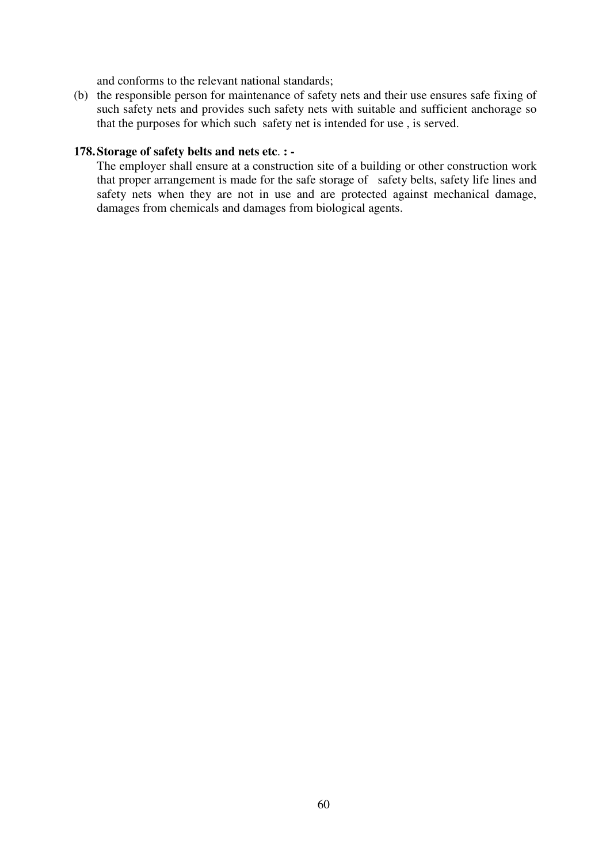and conforms to the relevant national standards;

(b) the responsible person for maintenance of safety nets and their use ensures safe fixing of such safety nets and provides such safety nets with suitable and sufficient anchorage so that the purposes for which such safety net is intended for use , is served.

#### **178. Storage of safety belts and nets etc**. **: -**

The employer shall ensure at a construction site of a building or other construction work that proper arrangement is made for the safe storage of safety belts, safety life lines and safety nets when they are not in use and are protected against mechanical damage, damages from chemicals and damages from biological agents.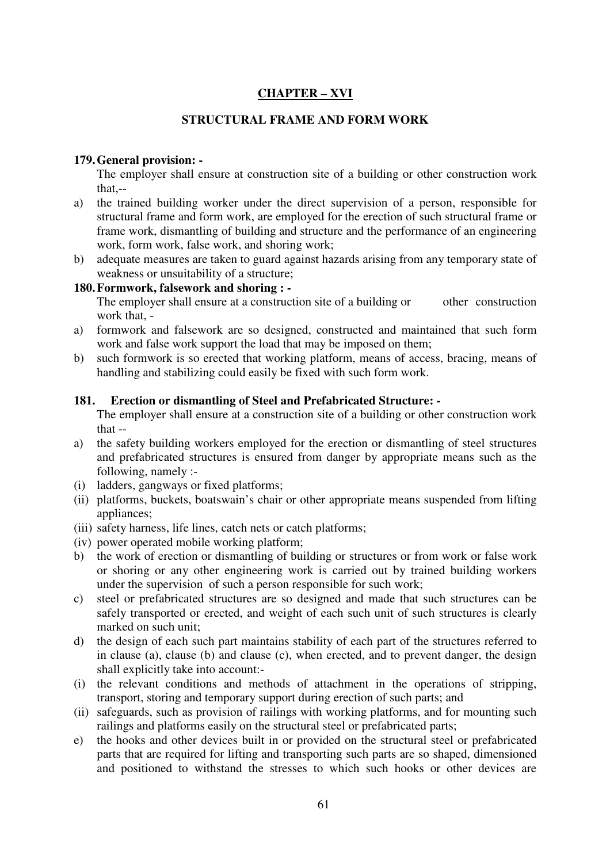# **CHAPTER – XVI**

# **STRUCTURAL FRAME AND FORM WORK**

### **179. General provision: -**

The employer shall ensure at construction site of a building or other construction work that-

- a) the trained building worker under the direct supervision of a person, responsible for structural frame and form work, are employed for the erection of such structural frame or frame work, dismantling of building and structure and the performance of an engineering work, form work, false work, and shoring work;
- b) adequate measures are taken to guard against hazards arising from any temporary state of weakness or unsuitability of a structure;

### **180. Formwork, falsework and shoring : -**

The employer shall ensure at a construction site of a building or other construction work that, -

- a) formwork and falsework are so designed, constructed and maintained that such form work and false work support the load that may be imposed on them;
- b) such formwork is so erected that working platform, means of access, bracing, means of handling and stabilizing could easily be fixed with such form work.

### **181. Erection or dismantling of Steel and Prefabricated Structure: -**

The employer shall ensure at a construction site of a building or other construction work that --

- a) the safety building workers employed for the erection or dismantling of steel structures and prefabricated structures is ensured from danger by appropriate means such as the following, namely :-
- (i) ladders, gangways or fixed platforms;
- (ii) platforms, buckets, boatswain's chair or other appropriate means suspended from lifting appliances;
- (iii) safety harness, life lines, catch nets or catch platforms;
- (iv) power operated mobile working platform;
- b) the work of erection or dismantling of building or structures or from work or false work or shoring or any other engineering work is carried out by trained building workers under the supervision of such a person responsible for such work;
- c) steel or prefabricated structures are so designed and made that such structures can be safely transported or erected, and weight of each such unit of such structures is clearly marked on such unit;
- d) the design of each such part maintains stability of each part of the structures referred to in clause (a), clause (b) and clause (c), when erected, and to prevent danger, the design shall explicitly take into account:-
- (i) the relevant conditions and methods of attachment in the operations of stripping, transport, storing and temporary support during erection of such parts; and
- (ii) safeguards, such as provision of railings with working platforms, and for mounting such railings and platforms easily on the structural steel or prefabricated parts;
- e) the hooks and other devices built in or provided on the structural steel or prefabricated parts that are required for lifting and transporting such parts are so shaped, dimensioned and positioned to withstand the stresses to which such hooks or other devices are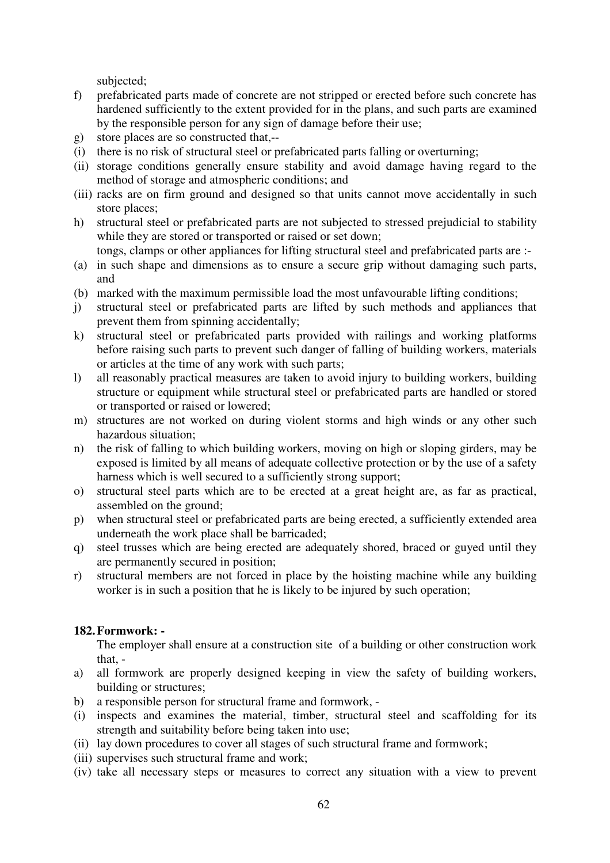subjected;

- f) prefabricated parts made of concrete are not stripped or erected before such concrete has hardened sufficiently to the extent provided for in the plans, and such parts are examined by the responsible person for any sign of damage before their use;
- g) store places are so constructed that,--
- (i) there is no risk of structural steel or prefabricated parts falling or overturning;
- (ii) storage conditions generally ensure stability and avoid damage having regard to the method of storage and atmospheric conditions; and
- (iii) racks are on firm ground and designed so that units cannot move accidentally in such store places;
- h) structural steel or prefabricated parts are not subjected to stressed prejudicial to stability while they are stored or transported or raised or set down;
	- tongs, clamps or other appliances for lifting structural steel and prefabricated parts are :-
- (a) in such shape and dimensions as to ensure a secure grip without damaging such parts, and
- (b) marked with the maximum permissible load the most unfavourable lifting conditions;
- j) structural steel or prefabricated parts are lifted by such methods and appliances that prevent them from spinning accidentally;
- k) structural steel or prefabricated parts provided with railings and working platforms before raising such parts to prevent such danger of falling of building workers, materials or articles at the time of any work with such parts;
- l) all reasonably practical measures are taken to avoid injury to building workers, building structure or equipment while structural steel or prefabricated parts are handled or stored or transported or raised or lowered;
- m) structures are not worked on during violent storms and high winds or any other such hazardous situation;
- n) the risk of falling to which building workers, moving on high or sloping girders, may be exposed is limited by all means of adequate collective protection or by the use of a safety harness which is well secured to a sufficiently strong support;
- o) structural steel parts which are to be erected at a great height are, as far as practical, assembled on the ground;
- p) when structural steel or prefabricated parts are being erected, a sufficiently extended area underneath the work place shall be barricaded;
- q) steel trusses which are being erected are adequately shored, braced or guyed until they are permanently secured in position;
- r) structural members are not forced in place by the hoisting machine while any building worker is in such a position that he is likely to be injured by such operation;

# **182. Formwork: -**

The employer shall ensure at a construction site of a building or other construction work that, -

- a) all formwork are properly designed keeping in view the safety of building workers, building or structures;
- b) a responsible person for structural frame and formwork, -
- (i) inspects and examines the material, timber, structural steel and scaffolding for its strength and suitability before being taken into use;
- (ii) lay down procedures to cover all stages of such structural frame and formwork;
- (iii) supervises such structural frame and work;
- (iv) take all necessary steps or measures to correct any situation with a view to prevent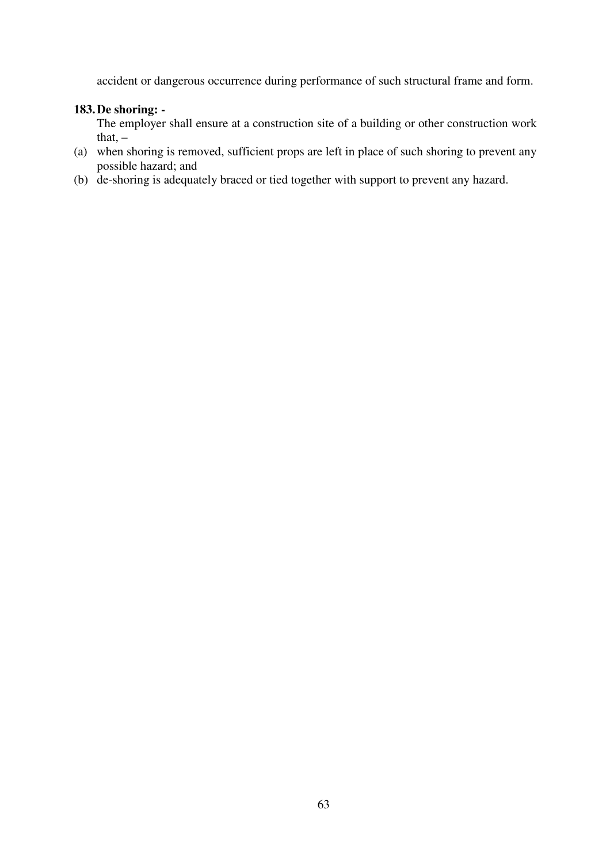accident or dangerous occurrence during performance of such structural frame and form.

## **183. De shoring: -**

The employer shall ensure at a construction site of a building or other construction work that,  $-$ 

- (a) when shoring is removed, sufficient props are left in place of such shoring to prevent any possible hazard; and
- (b) de-shoring is adequately braced or tied together with support to prevent any hazard.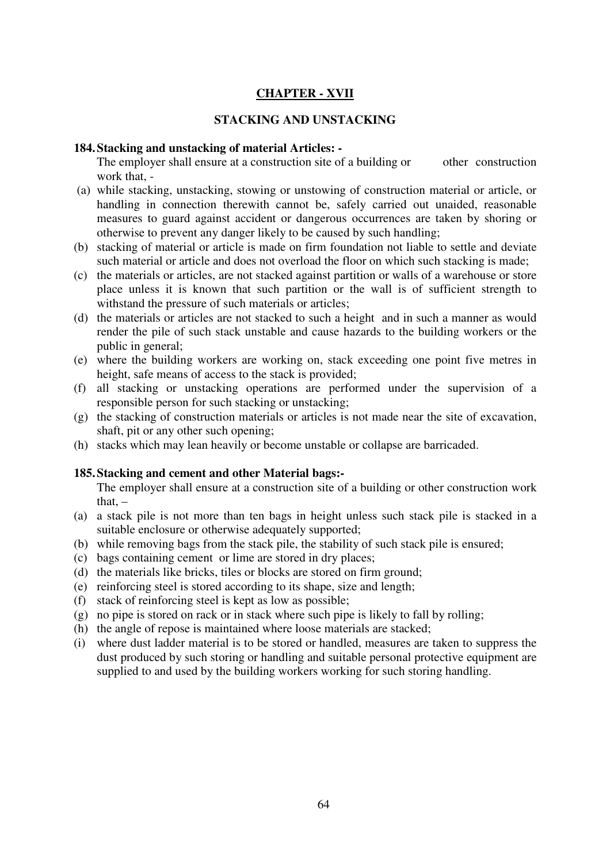# **CHAPTER - XVII**

### **STACKING AND UNSTACKING**

#### **184. Stacking and unstacking of material Articles: -**

The employer shall ensure at a construction site of a building or other construction work that, -

- (a) while stacking, unstacking, stowing or unstowing of construction material or article, or handling in connection therewith cannot be, safely carried out unaided, reasonable measures to guard against accident or dangerous occurrences are taken by shoring or otherwise to prevent any danger likely to be caused by such handling;
- (b) stacking of material or article is made on firm foundation not liable to settle and deviate such material or article and does not overload the floor on which such stacking is made;
- (c) the materials or articles, are not stacked against partition or walls of a warehouse or store place unless it is known that such partition or the wall is of sufficient strength to withstand the pressure of such materials or articles;
- (d) the materials or articles are not stacked to such a height and in such a manner as would render the pile of such stack unstable and cause hazards to the building workers or the public in general;
- (e) where the building workers are working on, stack exceeding one point five metres in height, safe means of access to the stack is provided;
- (f) all stacking or unstacking operations are performed under the supervision of a responsible person for such stacking or unstacking;
- (g) the stacking of construction materials or articles is not made near the site of excavation, shaft, pit or any other such opening;
- (h) stacks which may lean heavily or become unstable or collapse are barricaded.

### **185. Stacking and cement and other Material bags:-**

The employer shall ensure at a construction site of a building or other construction work that. $-$ 

- (a) a stack pile is not more than ten bags in height unless such stack pile is stacked in a suitable enclosure or otherwise adequately supported;
- (b) while removing bags from the stack pile, the stability of such stack pile is ensured;
- (c) bags containing cement or lime are stored in dry places;
- (d) the materials like bricks, tiles or blocks are stored on firm ground;
- (e) reinforcing steel is stored according to its shape, size and length;
- (f) stack of reinforcing steel is kept as low as possible;
- (g) no pipe is stored on rack or in stack where such pipe is likely to fall by rolling;
- (h) the angle of repose is maintained where loose materials are stacked;
- (i) where dust ladder material is to be stored or handled, measures are taken to suppress the dust produced by such storing or handling and suitable personal protective equipment are supplied to and used by the building workers working for such storing handling.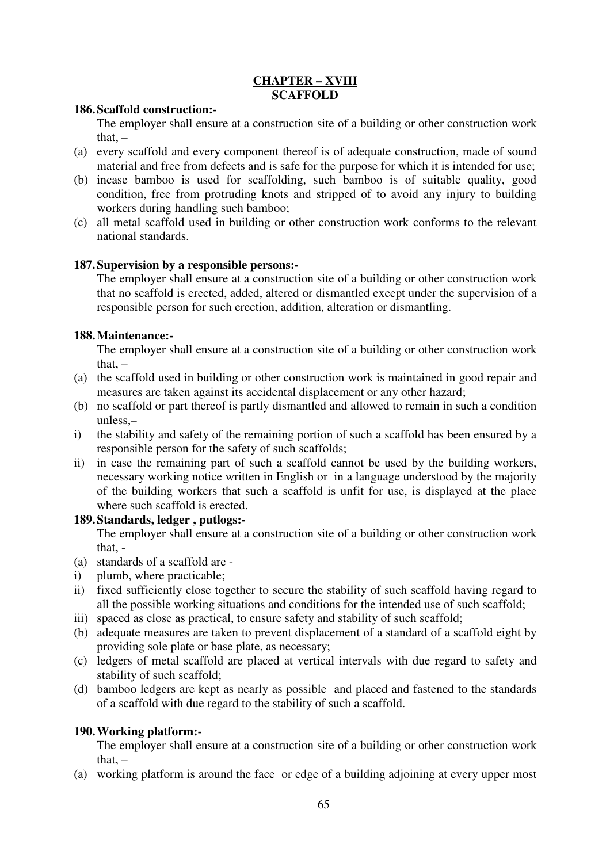## **CHAPTER – XVIII SCAFFOLD**

### **186. Scaffold construction:-**

The employer shall ensure at a construction site of a building or other construction work that. $-$ 

- (a) every scaffold and every component thereof is of adequate construction, made of sound material and free from defects and is safe for the purpose for which it is intended for use;
- (b) incase bamboo is used for scaffolding, such bamboo is of suitable quality, good condition, free from protruding knots and stripped of to avoid any injury to building workers during handling such bamboo;
- (c) all metal scaffold used in building or other construction work conforms to the relevant national standards.

# **187. Supervision by a responsible persons:-**

The employer shall ensure at a construction site of a building or other construction work that no scaffold is erected, added, altered or dismantled except under the supervision of a responsible person for such erection, addition, alteration or dismantling.

### **188. Maintenance:-**

The employer shall ensure at a construction site of a building or other construction work that,  $-$ 

- (a) the scaffold used in building or other construction work is maintained in good repair and measures are taken against its accidental displacement or any other hazard;
- (b) no scaffold or part thereof is partly dismantled and allowed to remain in such a condition unless,–
- i) the stability and safety of the remaining portion of such a scaffold has been ensured by a responsible person for the safety of such scaffolds;
- ii) in case the remaining part of such a scaffold cannot be used by the building workers, necessary working notice written in English or in a language understood by the majority of the building workers that such a scaffold is unfit for use, is displayed at the place where such scaffold is erected.

# **189. Standards, ledger , putlogs:-**

The employer shall ensure at a construction site of a building or other construction work that, -

- (a) standards of a scaffold are -
- i) plumb, where practicable;
- ii) fixed sufficiently close together to secure the stability of such scaffold having regard to all the possible working situations and conditions for the intended use of such scaffold;
- iii) spaced as close as practical, to ensure safety and stability of such scaffold;
- (b) adequate measures are taken to prevent displacement of a standard of a scaffold eight by providing sole plate or base plate, as necessary;
- (c) ledgers of metal scaffold are placed at vertical intervals with due regard to safety and stability of such scaffold;
- (d) bamboo ledgers are kept as nearly as possible and placed and fastened to the standards of a scaffold with due regard to the stability of such a scaffold.

### **190. Working platform:-**

The employer shall ensure at a construction site of a building or other construction work that, –

(a) working platform is around the face or edge of a building adjoining at every upper most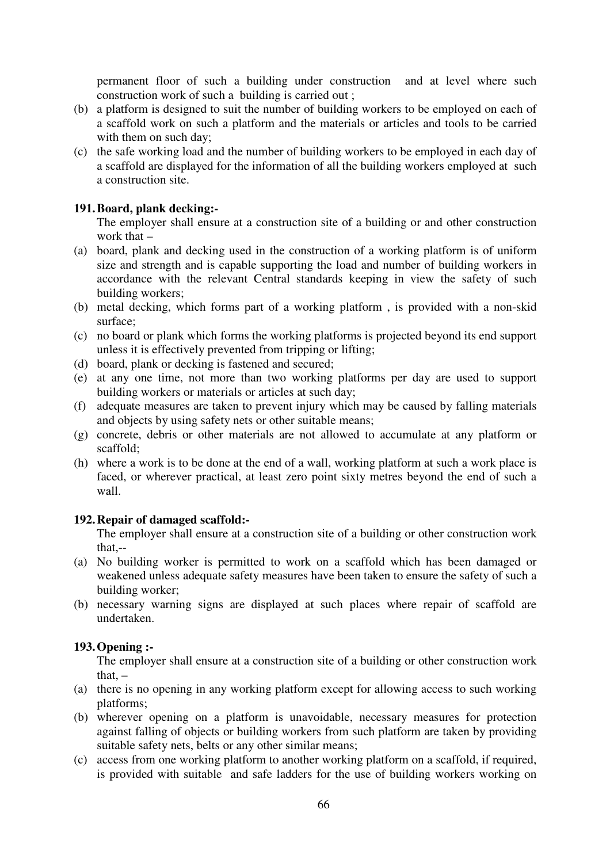permanent floor of such a building under construction and at level where such construction work of such a building is carried out ;

- (b) a platform is designed to suit the number of building workers to be employed on each of a scaffold work on such a platform and the materials or articles and tools to be carried with them on such day;
- (c) the safe working load and the number of building workers to be employed in each day of a scaffold are displayed for the information of all the building workers employed at such a construction site.

## **191.Board, plank decking:-**

The employer shall ensure at a construction site of a building or and other construction work that –

- (a) board, plank and decking used in the construction of a working platform is of uniform size and strength and is capable supporting the load and number of building workers in accordance with the relevant Central standards keeping in view the safety of such building workers;
- (b) metal decking, which forms part of a working platform , is provided with a non-skid surface;
- (c) no board or plank which forms the working platforms is projected beyond its end support unless it is effectively prevented from tripping or lifting;
- (d) board, plank or decking is fastened and secured;
- (e) at any one time, not more than two working platforms per day are used to support building workers or materials or articles at such day;
- (f) adequate measures are taken to prevent injury which may be caused by falling materials and objects by using safety nets or other suitable means;
- (g) concrete, debris or other materials are not allowed to accumulate at any platform or scaffold;
- (h) where a work is to be done at the end of a wall, working platform at such a work place is faced, or wherever practical, at least zero point sixty metres beyond the end of such a wall.

### **192. Repair of damaged scaffold:-**

The employer shall ensure at a construction site of a building or other construction work that,--

- (a) No building worker is permitted to work on a scaffold which has been damaged or weakened unless adequate safety measures have been taken to ensure the safety of such a building worker;
- (b) necessary warning signs are displayed at such places where repair of scaffold are undertaken.

# **193. Opening :-**

The employer shall ensure at a construction site of a building or other construction work that. $-$ 

- (a) there is no opening in any working platform except for allowing access to such working platforms;
- (b) wherever opening on a platform is unavoidable, necessary measures for protection against falling of objects or building workers from such platform are taken by providing suitable safety nets, belts or any other similar means;
- (c) access from one working platform to another working platform on a scaffold, if required, is provided with suitable and safe ladders for the use of building workers working on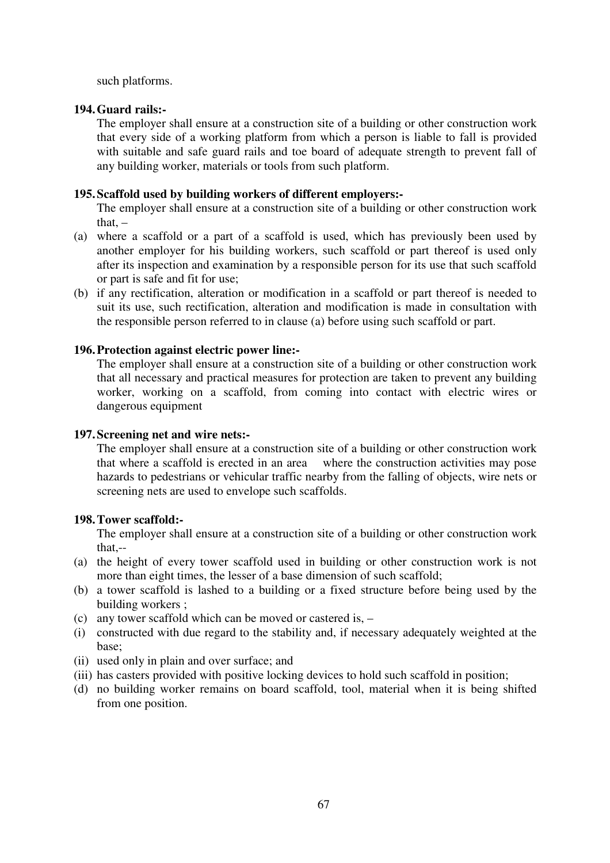such platforms.

### **194. Guard rails:-**

The employer shall ensure at a construction site of a building or other construction work that every side of a working platform from which a person is liable to fall is provided with suitable and safe guard rails and toe board of adequate strength to prevent fall of any building worker, materials or tools from such platform.

#### **195. Scaffold used by building workers of different employers:-**

The employer shall ensure at a construction site of a building or other construction work that. $-$ 

- (a) where a scaffold or a part of a scaffold is used, which has previously been used by another employer for his building workers, such scaffold or part thereof is used only after its inspection and examination by a responsible person for its use that such scaffold or part is safe and fit for use;
- (b) if any rectification, alteration or modification in a scaffold or part thereof is needed to suit its use, such rectification, alteration and modification is made in consultation with the responsible person referred to in clause (a) before using such scaffold or part.

### **196. Protection against electric power line:-**

The employer shall ensure at a construction site of a building or other construction work that all necessary and practical measures for protection are taken to prevent any building worker, working on a scaffold, from coming into contact with electric wires or dangerous equipment

### **197. Screening net and wire nets:-**

The employer shall ensure at a construction site of a building or other construction work that where a scaffold is erected in an area where the construction activities may pose hazards to pedestrians or vehicular traffic nearby from the falling of objects, wire nets or screening nets are used to envelope such scaffolds.

### **198. Tower scaffold:-**

The employer shall ensure at a construction site of a building or other construction work that,--

- (a) the height of every tower scaffold used in building or other construction work is not more than eight times, the lesser of a base dimension of such scaffold;
- (b) a tower scaffold is lashed to a building or a fixed structure before being used by the building workers ;
- (c) any tower scaffold which can be moved or castered is, –
- (i) constructed with due regard to the stability and, if necessary adequately weighted at the base;
- (ii) used only in plain and over surface; and
- (iii) has casters provided with positive locking devices to hold such scaffold in position;
- (d) no building worker remains on board scaffold, tool, material when it is being shifted from one position.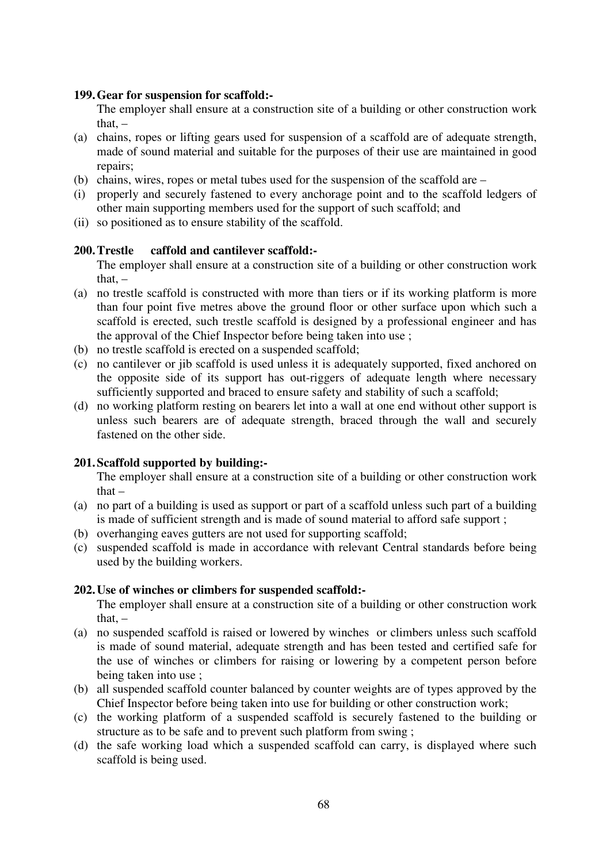#### **199. Gear for suspension for scaffold:-**

The employer shall ensure at a construction site of a building or other construction work that. $-$ 

- (a) chains, ropes or lifting gears used for suspension of a scaffold are of adequate strength, made of sound material and suitable for the purposes of their use are maintained in good repairs;
- (b) chains, wires, ropes or metal tubes used for the suspension of the scaffold are –
- (i) properly and securely fastened to every anchorage point and to the scaffold ledgers of other main supporting members used for the support of such scaffold; and
- (ii) so positioned as to ensure stability of the scaffold.

### **200. Trestle caffold and cantilever scaffold:-**

The employer shall ensure at a construction site of a building or other construction work that. $-$ 

- (a) no trestle scaffold is constructed with more than tiers or if its working platform is more than four point five metres above the ground floor or other surface upon which such a scaffold is erected, such trestle scaffold is designed by a professional engineer and has the approval of the Chief Inspector before being taken into use ;
- (b) no trestle scaffold is erected on a suspended scaffold;
- (c) no cantilever or jib scaffold is used unless it is adequately supported, fixed anchored on the opposite side of its support has out-riggers of adequate length where necessary sufficiently supported and braced to ensure safety and stability of such a scaffold;
- (d) no working platform resting on bearers let into a wall at one end without other support is unless such bearers are of adequate strength, braced through the wall and securely fastened on the other side.

### **201. Scaffold supported by building:-**

The employer shall ensure at a construction site of a building or other construction work that –

- (a) no part of a building is used as support or part of a scaffold unless such part of a building is made of sufficient strength and is made of sound material to afford safe support ;
- (b) overhanging eaves gutters are not used for supporting scaffold;
- (c) suspended scaffold is made in accordance with relevant Central standards before being used by the building workers.

#### **202.Use of winches or climbers for suspended scaffold:-**

The employer shall ensure at a construction site of a building or other construction work that. $-$ 

- (a) no suspended scaffold is raised or lowered by winches or climbers unless such scaffold is made of sound material, adequate strength and has been tested and certified safe for the use of winches or climbers for raising or lowering by a competent person before being taken into use ;
- (b) all suspended scaffold counter balanced by counter weights are of types approved by the Chief Inspector before being taken into use for building or other construction work;
- (c) the working platform of a suspended scaffold is securely fastened to the building or structure as to be safe and to prevent such platform from swing ;
- (d) the safe working load which a suspended scaffold can carry, is displayed where such scaffold is being used.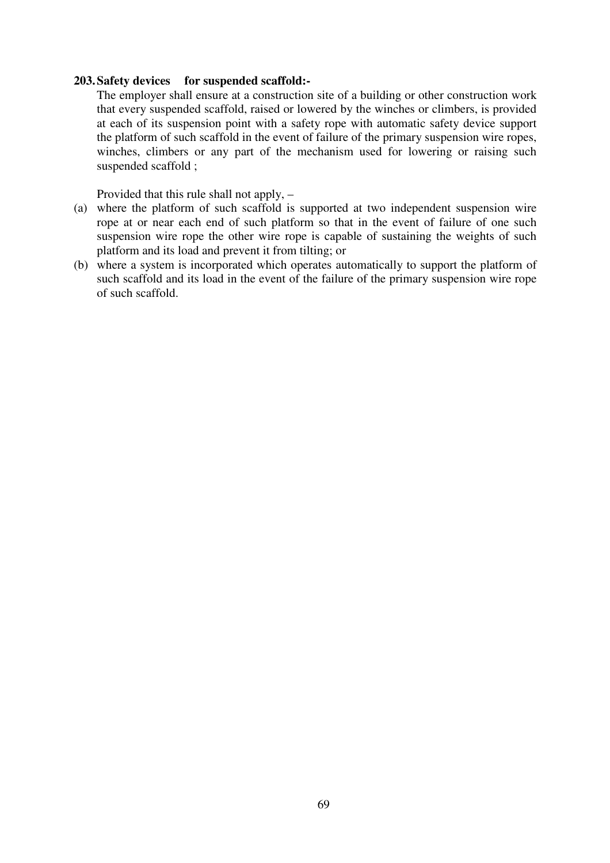#### **203. Safety devices for suspended scaffold:-**

The employer shall ensure at a construction site of a building or other construction work that every suspended scaffold, raised or lowered by the winches or climbers, is provided at each of its suspension point with a safety rope with automatic safety device support the platform of such scaffold in the event of failure of the primary suspension wire ropes, winches, climbers or any part of the mechanism used for lowering or raising such suspended scaffold ;

Provided that this rule shall not apply, –

- (a) where the platform of such scaffold is supported at two independent suspension wire rope at or near each end of such platform so that in the event of failure of one such suspension wire rope the other wire rope is capable of sustaining the weights of such platform and its load and prevent it from tilting; or
- (b) where a system is incorporated which operates automatically to support the platform of such scaffold and its load in the event of the failure of the primary suspension wire rope of such scaffold.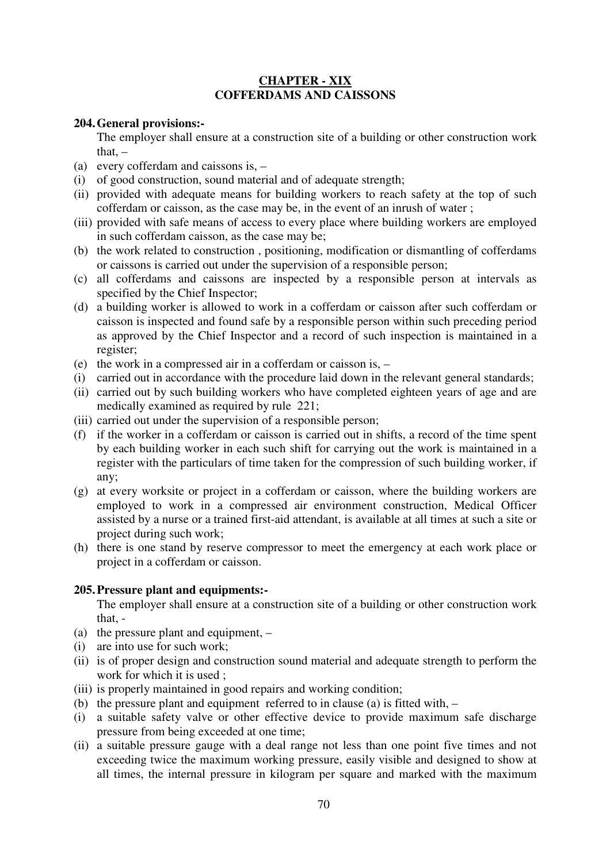# **CHAPTER - XIX COFFERDAMS AND CAISSONS**

### **204. General provisions:-**

The employer shall ensure at a construction site of a building or other construction work that. $-$ 

- (a) every cofferdam and caissons is, –
- (i) of good construction, sound material and of adequate strength;
- (ii) provided with adequate means for building workers to reach safety at the top of such cofferdam or caisson, as the case may be, in the event of an inrush of water ;
- (iii) provided with safe means of access to every place where building workers are employed in such cofferdam caisson, as the case may be;
- (b) the work related to construction , positioning, modification or dismantling of cofferdams or caissons is carried out under the supervision of a responsible person;
- (c) all cofferdams and caissons are inspected by a responsible person at intervals as specified by the Chief Inspector;
- (d) a building worker is allowed to work in a cofferdam or caisson after such cofferdam or caisson is inspected and found safe by a responsible person within such preceding period as approved by the Chief Inspector and a record of such inspection is maintained in a register;
- (e) the work in a compressed air in a cofferdam or caisson is, –
- (i) carried out in accordance with the procedure laid down in the relevant general standards;
- (ii) carried out by such building workers who have completed eighteen years of age and are medically examined as required by rule 221;
- (iii) carried out under the supervision of a responsible person;
- (f) if the worker in a cofferdam or caisson is carried out in shifts, a record of the time spent by each building worker in each such shift for carrying out the work is maintained in a register with the particulars of time taken for the compression of such building worker, if any;
- (g) at every worksite or project in a cofferdam or caisson, where the building workers are employed to work in a compressed air environment construction, Medical Officer assisted by a nurse or a trained first-aid attendant, is available at all times at such a site or project during such work;
- (h) there is one stand by reserve compressor to meet the emergency at each work place or project in a cofferdam or caisson.

# **205.Pressure plant and equipments:-**

The employer shall ensure at a construction site of a building or other construction work that, -

- (a) the pressure plant and equipment, –
- (i) are into use for such work;
- (ii) is of proper design and construction sound material and adequate strength to perform the work for which it is used ;
- (iii) is properly maintained in good repairs and working condition;
- (b) the pressure plant and equipment referred to in clause (a) is fitted with, –
- (i) a suitable safety valve or other effective device to provide maximum safe discharge pressure from being exceeded at one time;
- (ii) a suitable pressure gauge with a deal range not less than one point five times and not exceeding twice the maximum working pressure, easily visible and designed to show at all times, the internal pressure in kilogram per square and marked with the maximum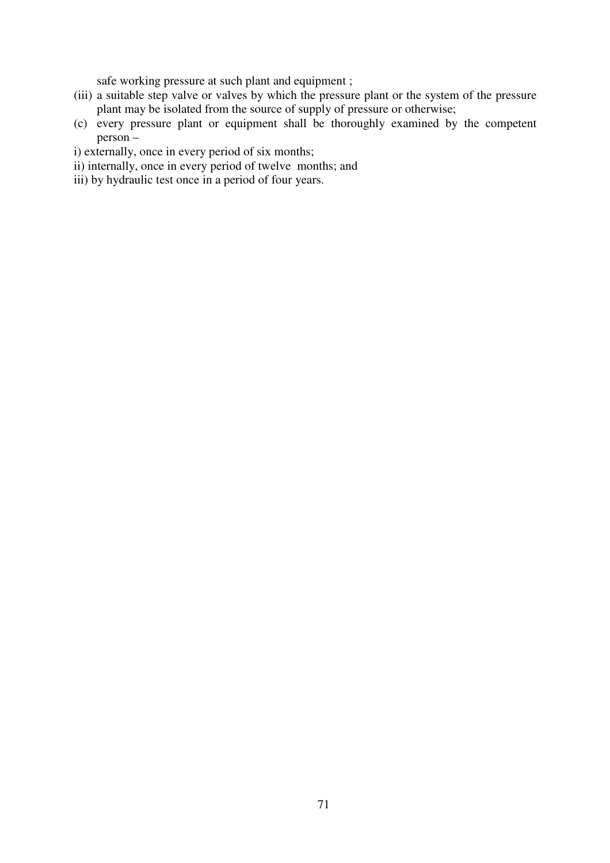safe working pressure at such plant and equipment ;

- (iii) a suitable step valve or valves by which the pressure plant or the system of the pressure plant may be isolated from the source of supply of pressure or otherwise;
- (c) every pressure plant or equipment shall be thoroughly examined by the competent person –
- i) externally, once in every period of six months;
- ii) internally, once in every period of twelve months; and
- iii) by hydraulic test once in a period of four years.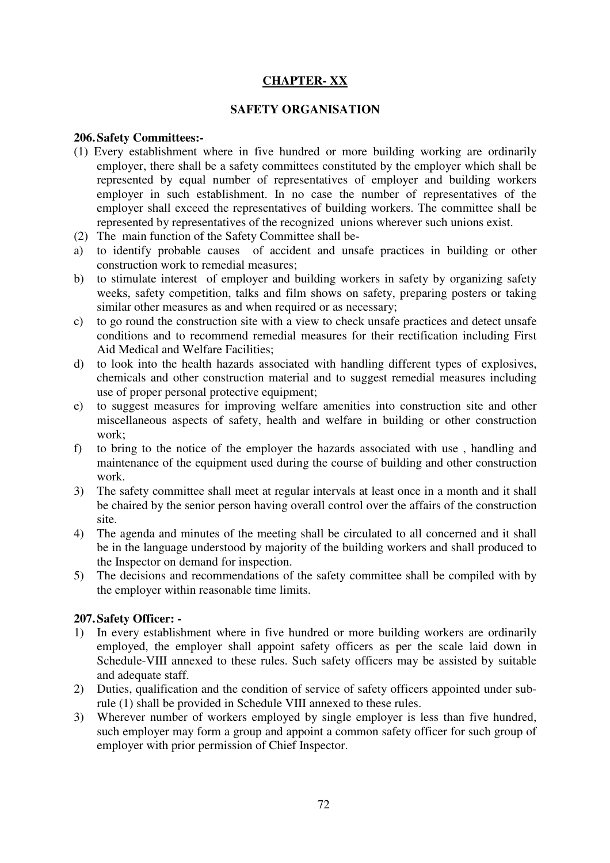# **CHAPTER- XX**

### **SAFETY ORGANISATION**

### **206. Safety Committees:-**

- (1) Every establishment where in five hundred or more building working are ordinarily employer, there shall be a safety committees constituted by the employer which shall be represented by equal number of representatives of employer and building workers employer in such establishment. In no case the number of representatives of the employer shall exceed the representatives of building workers. The committee shall be represented by representatives of the recognized unions wherever such unions exist.
- (2) The main function of the Safety Committee shall be-
- a) to identify probable causes of accident and unsafe practices in building or other construction work to remedial measures;
- b) to stimulate interest of employer and building workers in safety by organizing safety weeks, safety competition, talks and film shows on safety, preparing posters or taking similar other measures as and when required or as necessary;
- c) to go round the construction site with a view to check unsafe practices and detect unsafe conditions and to recommend remedial measures for their rectification including First Aid Medical and Welfare Facilities;
- d) to look into the health hazards associated with handling different types of explosives, chemicals and other construction material and to suggest remedial measures including use of proper personal protective equipment;
- e) to suggest measures for improving welfare amenities into construction site and other miscellaneous aspects of safety, health and welfare in building or other construction work;
- f) to bring to the notice of the employer the hazards associated with use , handling and maintenance of the equipment used during the course of building and other construction work.
- 3) The safety committee shall meet at regular intervals at least once in a month and it shall be chaired by the senior person having overall control over the affairs of the construction site.
- 4) The agenda and minutes of the meeting shall be circulated to all concerned and it shall be in the language understood by majority of the building workers and shall produced to the Inspector on demand for inspection.
- 5) The decisions and recommendations of the safety committee shall be compiled with by the employer within reasonable time limits.

# **207. Safety Officer: -**

- 1) In every establishment where in five hundred or more building workers are ordinarily employed, the employer shall appoint safety officers as per the scale laid down in Schedule-VIII annexed to these rules. Such safety officers may be assisted by suitable and adequate staff.
- 2) Duties, qualification and the condition of service of safety officers appointed under subrule (1) shall be provided in Schedule VIII annexed to these rules.
- 3) Wherever number of workers employed by single employer is less than five hundred, such employer may form a group and appoint a common safety officer for such group of employer with prior permission of Chief Inspector.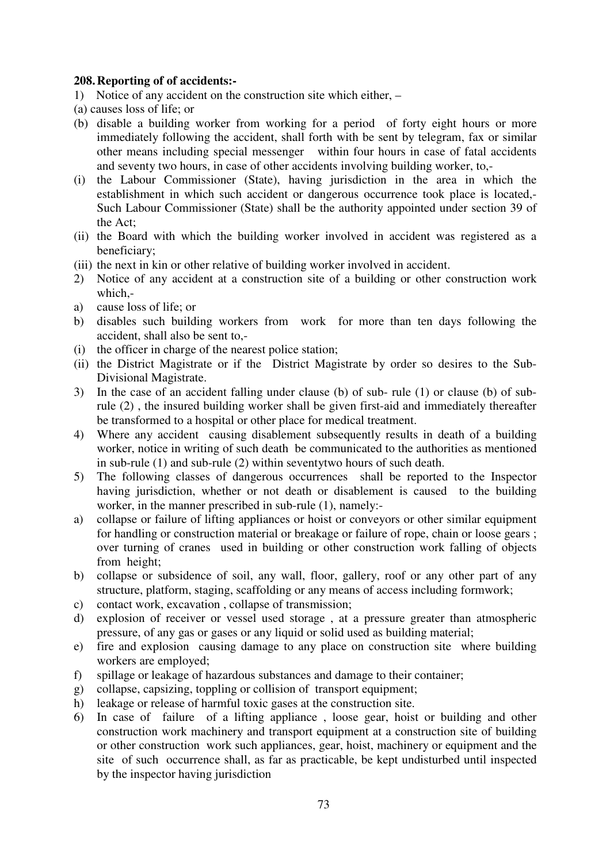### **208. Reporting of of accidents:-**

- 1) Notice of any accident on the construction site which either, –
- (a) causes loss of life; or
- (b) disable a building worker from working for a period of forty eight hours or more immediately following the accident, shall forth with be sent by telegram, fax or similar other means including special messenger within four hours in case of fatal accidents and seventy two hours, in case of other accidents involving building worker, to,-
- (i) the Labour Commissioner (State), having jurisdiction in the area in which the establishment in which such accident or dangerous occurrence took place is located,- Such Labour Commissioner (State) shall be the authority appointed under section 39 of the Act;
- (ii) the Board with which the building worker involved in accident was registered as a beneficiary;
- (iii) the next in kin or other relative of building worker involved in accident.
- 2) Notice of any accident at a construction site of a building or other construction work which,-
- a) cause loss of life; or
- b) disables such building workers from work for more than ten days following the accident, shall also be sent to,-
- (i) the officer in charge of the nearest police station;
- (ii) the District Magistrate or if the District Magistrate by order so desires to the Sub-Divisional Magistrate.
- 3) In the case of an accident falling under clause (b) of sub- rule (1) or clause (b) of subrule (2) , the insured building worker shall be given first-aid and immediately thereafter be transformed to a hospital or other place for medical treatment.
- 4) Where any accident causing disablement subsequently results in death of a building worker, notice in writing of such death be communicated to the authorities as mentioned in sub-rule (1) and sub-rule (2) within seventytwo hours of such death.
- 5) The following classes of dangerous occurrences shall be reported to the Inspector having jurisdiction, whether or not death or disablement is caused to the building worker, in the manner prescribed in sub-rule (1), namely:-
- a) collapse or failure of lifting appliances or hoist or conveyors or other similar equipment for handling or construction material or breakage or failure of rope, chain or loose gears ; over turning of cranes used in building or other construction work falling of objects from height;
- b) collapse or subsidence of soil, any wall, floor, gallery, roof or any other part of any structure, platform, staging, scaffolding or any means of access including formwork;
- c) contact work, excavation , collapse of transmission;
- d) explosion of receiver or vessel used storage , at a pressure greater than atmospheric pressure, of any gas or gases or any liquid or solid used as building material;
- e) fire and explosion causing damage to any place on construction site where building workers are employed;
- f) spillage or leakage of hazardous substances and damage to their container;
- g) collapse, capsizing, toppling or collision of transport equipment;
- h) leakage or release of harmful toxic gases at the construction site.
- 6) In case of failure of a lifting appliance , loose gear, hoist or building and other construction work machinery and transport equipment at a construction site of building or other construction work such appliances, gear, hoist, machinery or equipment and the site of such occurrence shall, as far as practicable, be kept undisturbed until inspected by the inspector having jurisdiction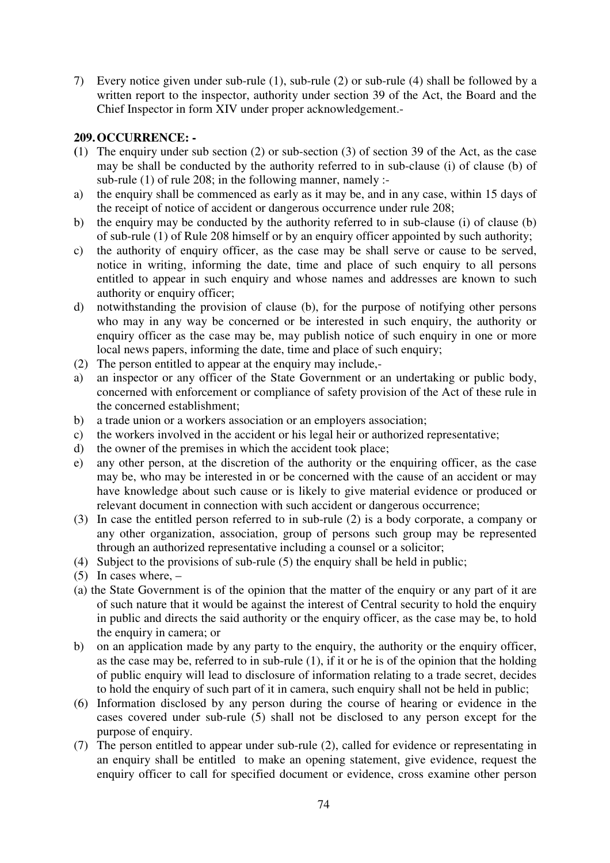7) Every notice given under sub-rule (1), sub-rule (2) or sub-rule (4) shall be followed by a written report to the inspector, authority under section 39 of the Act, the Board and the Chief Inspector in form XIV under proper acknowledgement.-

# **209. OCCURRENCE: -**

- **(**1) The enquiry under sub section (2) or sub-section (3) of section 39 of the Act, as the case may be shall be conducted by the authority referred to in sub-clause (i) of clause (b) of sub-rule (1) of rule 208; in the following manner, namely :-
- a) the enquiry shall be commenced as early as it may be, and in any case, within 15 days of the receipt of notice of accident or dangerous occurrence under rule 208;
- b) the enquiry may be conducted by the authority referred to in sub-clause (i) of clause (b) of sub-rule (1) of Rule 208 himself or by an enquiry officer appointed by such authority;
- c) the authority of enquiry officer, as the case may be shall serve or cause to be served, notice in writing, informing the date, time and place of such enquiry to all persons entitled to appear in such enquiry and whose names and addresses are known to such authority or enquiry officer;
- d) notwithstanding the provision of clause (b), for the purpose of notifying other persons who may in any way be concerned or be interested in such enquiry, the authority or enquiry officer as the case may be, may publish notice of such enquiry in one or more local news papers, informing the date, time and place of such enquiry;
- (2) The person entitled to appear at the enquiry may include,-
- a) an inspector or any officer of the State Government or an undertaking or public body, concerned with enforcement or compliance of safety provision of the Act of these rule in the concerned establishment;
- b) a trade union or a workers association or an employers association;
- c) the workers involved in the accident or his legal heir or authorized representative;
- d) the owner of the premises in which the accident took place;
- e) any other person, at the discretion of the authority or the enquiring officer, as the case may be, who may be interested in or be concerned with the cause of an accident or may have knowledge about such cause or is likely to give material evidence or produced or relevant document in connection with such accident or dangerous occurrence;
- (3) In case the entitled person referred to in sub-rule (2) is a body corporate, a company or any other organization, association, group of persons such group may be represented through an authorized representative including a counsel or a solicitor;
- (4) Subject to the provisions of sub-rule (5) the enquiry shall be held in public;
- $(5)$  In cases where,  $-$
- (a) the State Government is of the opinion that the matter of the enquiry or any part of it are of such nature that it would be against the interest of Central security to hold the enquiry in public and directs the said authority or the enquiry officer, as the case may be, to hold the enquiry in camera; or
- b) on an application made by any party to the enquiry, the authority or the enquiry officer, as the case may be, referred to in sub-rule (1), if it or he is of the opinion that the holding of public enquiry will lead to disclosure of information relating to a trade secret, decides to hold the enquiry of such part of it in camera, such enquiry shall not be held in public;
- (6) Information disclosed by any person during the course of hearing or evidence in the cases covered under sub-rule (5) shall not be disclosed to any person except for the purpose of enquiry.
- (7) The person entitled to appear under sub-rule (2), called for evidence or representating in an enquiry shall be entitled to make an opening statement, give evidence, request the enquiry officer to call for specified document or evidence, cross examine other person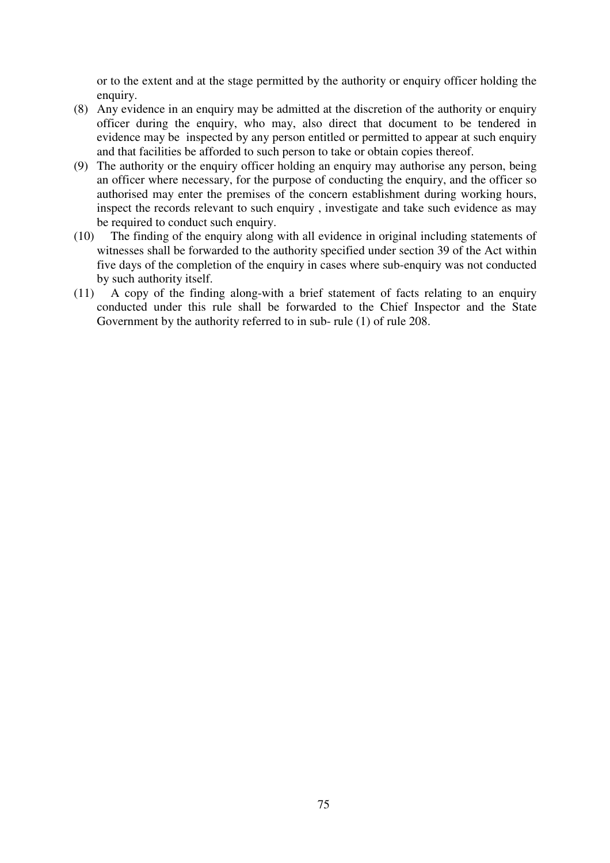or to the extent and at the stage permitted by the authority or enquiry officer holding the enquiry.

- (8) Any evidence in an enquiry may be admitted at the discretion of the authority or enquiry officer during the enquiry, who may, also direct that document to be tendered in evidence may be inspected by any person entitled or permitted to appear at such enquiry and that facilities be afforded to such person to take or obtain copies thereof.
- (9) The authority or the enquiry officer holding an enquiry may authorise any person, being an officer where necessary, for the purpose of conducting the enquiry, and the officer so authorised may enter the premises of the concern establishment during working hours, inspect the records relevant to such enquiry , investigate and take such evidence as may be required to conduct such enquiry.
- (10) The finding of the enquiry along with all evidence in original including statements of witnesses shall be forwarded to the authority specified under section 39 of the Act within five days of the completion of the enquiry in cases where sub-enquiry was not conducted by such authority itself.
- (11) A copy of the finding along-with a brief statement of facts relating to an enquiry conducted under this rule shall be forwarded to the Chief Inspector and the State Government by the authority referred to in sub- rule (1) of rule 208.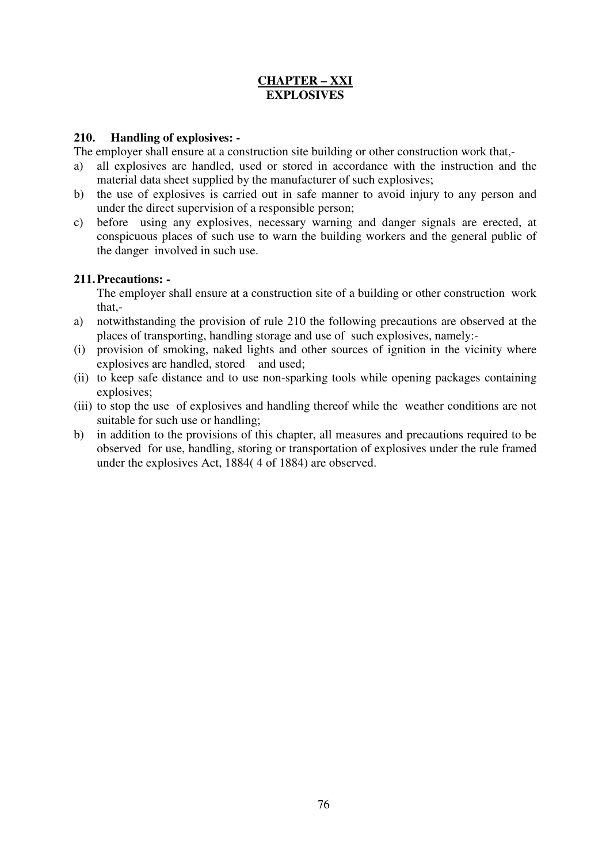# **CHAPTER – XXI EXPLOSIVES**

## **210. Handling of explosives: -**

The employer shall ensure at a construction site building or other construction work that,-

- a) all explosives are handled, used or stored in accordance with the instruction and the material data sheet supplied by the manufacturer of such explosives;
- b) the use of explosives is carried out in safe manner to avoid injury to any person and under the direct supervision of a responsible person;
- c) before using any explosives, necessary warning and danger signals are erected, at conspicuous places of such use to warn the building workers and the general public of the danger involved in such use.

## **211. Precautions: -**

The employer shall ensure at a construction site of a building or other construction work that,-

- a) notwithstanding the provision of rule 210 the following precautions are observed at the places of transporting, handling storage and use of such explosives, namely:-
- (i) provision of smoking, naked lights and other sources of ignition in the vicinity where explosives are handled, stored and used;
- (ii) to keep safe distance and to use non-sparking tools while opening packages containing explosives;
- (iii) to stop the use of explosives and handling thereof while the weather conditions are not suitable for such use or handling;
- b) in addition to the provisions of this chapter, all measures and precautions required to be observed for use, handling, storing or transportation of explosives under the rule framed under the explosives Act, 1884( 4 of 1884) are observed.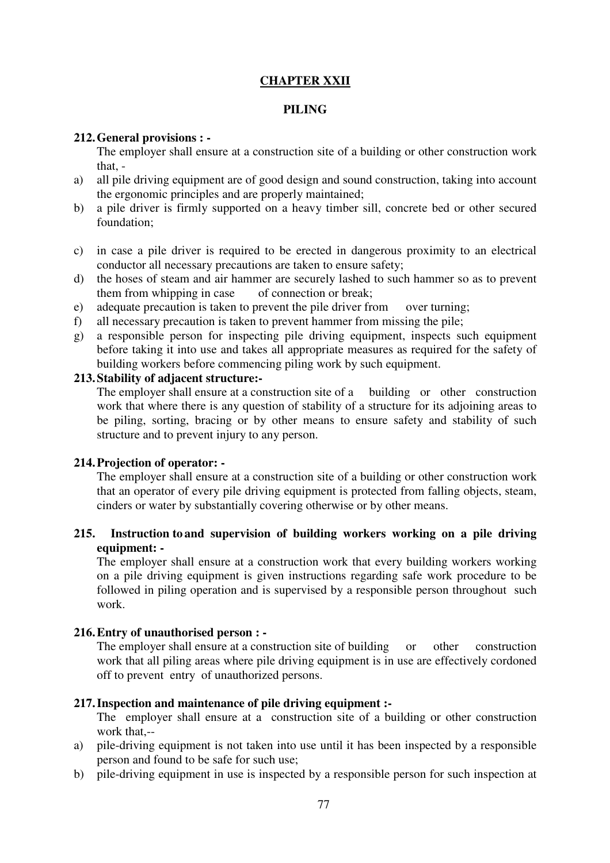# **CHAPTER XXII**

## **PILING**

## **212. General provisions : -**

The employer shall ensure at a construction site of a building or other construction work that, -

- a) all pile driving equipment are of good design and sound construction, taking into account the ergonomic principles and are properly maintained;
- b) a pile driver is firmly supported on a heavy timber sill, concrete bed or other secured foundation;
- c) in case a pile driver is required to be erected in dangerous proximity to an electrical conductor all necessary precautions are taken to ensure safety;
- d) the hoses of steam and air hammer are securely lashed to such hammer so as to prevent them from whipping in case of connection or break;
- e) adequate precaution is taken to prevent the pile driver from over turning;
- f) all necessary precaution is taken to prevent hammer from missing the pile;
- g) a responsible person for inspecting pile driving equipment, inspects such equipment before taking it into use and takes all appropriate measures as required for the safety of building workers before commencing piling work by such equipment.

### **213. Stability of adjacent structure:-**

The employer shall ensure at a construction site of a building or other construction work that where there is any question of stability of a structure for its adjoining areas to be piling, sorting, bracing or by other means to ensure safety and stability of such structure and to prevent injury to any person.

### **214. Projection of operator: -**

The employer shall ensure at a construction site of a building or other construction work that an operator of every pile driving equipment is protected from falling objects, steam, cinders or water by substantially covering otherwise or by other means.

## **215. Instruction to and supervision of building workers working on a pile driving equipment: -**

The employer shall ensure at a construction work that every building workers working on a pile driving equipment is given instructions regarding safe work procedure to be followed in piling operation and is supervised by a responsible person throughout such work.

## **216. Entry of unauthorised person : -**

The employer shall ensure at a construction site of building or other construction work that all piling areas where pile driving equipment is in use are effectively cordoned off to prevent entry of unauthorized persons.

# **217. Inspection and maintenance of pile driving equipment :-**

The employer shall ensure at a construction site of a building or other construction work that,--

- a) pile-driving equipment is not taken into use until it has been inspected by a responsible person and found to be safe for such use;
- b) pile-driving equipment in use is inspected by a responsible person for such inspection at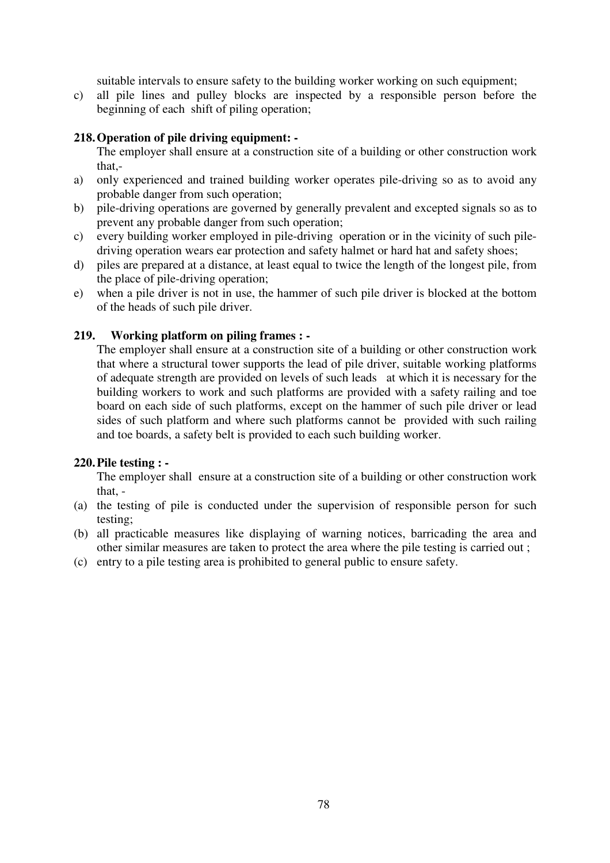suitable intervals to ensure safety to the building worker working on such equipment;

c) all pile lines and pulley blocks are inspected by a responsible person before the beginning of each shift of piling operation;

## **218. Operation of pile driving equipment: -**

The employer shall ensure at a construction site of a building or other construction work that,-

- a) only experienced and trained building worker operates pile-driving so as to avoid any probable danger from such operation;
- b) pile-driving operations are governed by generally prevalent and excepted signals so as to prevent any probable danger from such operation;
- c) every building worker employed in pile-driving operation or in the vicinity of such piledriving operation wears ear protection and safety halmet or hard hat and safety shoes;
- d) piles are prepared at a distance, at least equal to twice the length of the longest pile, from the place of pile-driving operation;
- e) when a pile driver is not in use, the hammer of such pile driver is blocked at the bottom of the heads of such pile driver.

### **219. Working platform on piling frames : -**

The employer shall ensure at a construction site of a building or other construction work that where a structural tower supports the lead of pile driver, suitable working platforms of adequate strength are provided on levels of such leads at which it is necessary for the building workers to work and such platforms are provided with a safety railing and toe board on each side of such platforms, except on the hammer of such pile driver or lead sides of such platform and where such platforms cannot be provided with such railing and toe boards, a safety belt is provided to each such building worker.

### **220. Pile testing : -**

The employer shall ensure at a construction site of a building or other construction work that, -

- (a) the testing of pile is conducted under the supervision of responsible person for such testing;
- (b) all practicable measures like displaying of warning notices, barricading the area and other similar measures are taken to protect the area where the pile testing is carried out ;
- (c) entry to a pile testing area is prohibited to general public to ensure safety.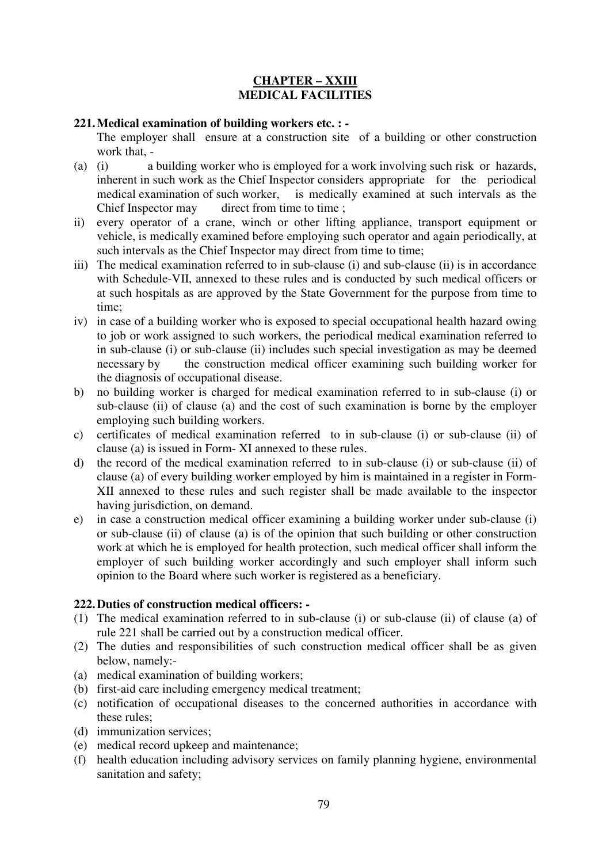## **CHAPTER – XXIII MEDICAL FACILITIES**

### **221. Medical examination of building workers etc. : -**

The employer shall ensure at a construction site of a building or other construction work that, -

- (a) (i) a building worker who is employed for a work involving such risk or hazards, inherent in such work as the Chief Inspector considers appropriate for the periodical medical examination of such worker, is medically examined at such intervals as the Chief Inspector may direct from time to time ;
- ii) every operator of a crane, winch or other lifting appliance, transport equipment or vehicle, is medically examined before employing such operator and again periodically, at such intervals as the Chief Inspector may direct from time to time;
- iii) The medical examination referred to in sub-clause (i) and sub-clause (ii) is in accordance with Schedule-VII, annexed to these rules and is conducted by such medical officers or at such hospitals as are approved by the State Government for the purpose from time to time;
- iv) in case of a building worker who is exposed to special occupational health hazard owing to job or work assigned to such workers, the periodical medical examination referred to in sub-clause (i) or sub-clause (ii) includes such special investigation as may be deemed necessary by the construction medical officer examining such building worker for the diagnosis of occupational disease.
- b) no building worker is charged for medical examination referred to in sub-clause (i) or sub-clause (ii) of clause (a) and the cost of such examination is borne by the employer employing such building workers.
- c) certificates of medical examination referred to in sub-clause (i) or sub-clause (ii) of clause (a) is issued in Form- XI annexed to these rules.
- d) the record of the medical examination referred to in sub-clause (i) or sub-clause (ii) of clause (a) of every building worker employed by him is maintained in a register in Form-XII annexed to these rules and such register shall be made available to the inspector having jurisdiction, on demand.
- e) in case a construction medical officer examining a building worker under sub-clause (i) or sub-clause (ii) of clause (a) is of the opinion that such building or other construction work at which he is employed for health protection, such medical officer shall inform the employer of such building worker accordingly and such employer shall inform such opinion to the Board where such worker is registered as a beneficiary.

# **222. Duties of construction medical officers: -**

- (1) The medical examination referred to in sub-clause (i) or sub-clause (ii) of clause (a) of rule 221 shall be carried out by a construction medical officer.
- (2) The duties and responsibilities of such construction medical officer shall be as given below, namely:-
- (a) medical examination of building workers;
- (b) first-aid care including emergency medical treatment;
- (c) notification of occupational diseases to the concerned authorities in accordance with these rules;
- (d) immunization services;
- (e) medical record upkeep and maintenance;
- (f) health education including advisory services on family planning hygiene, environmental sanitation and safety;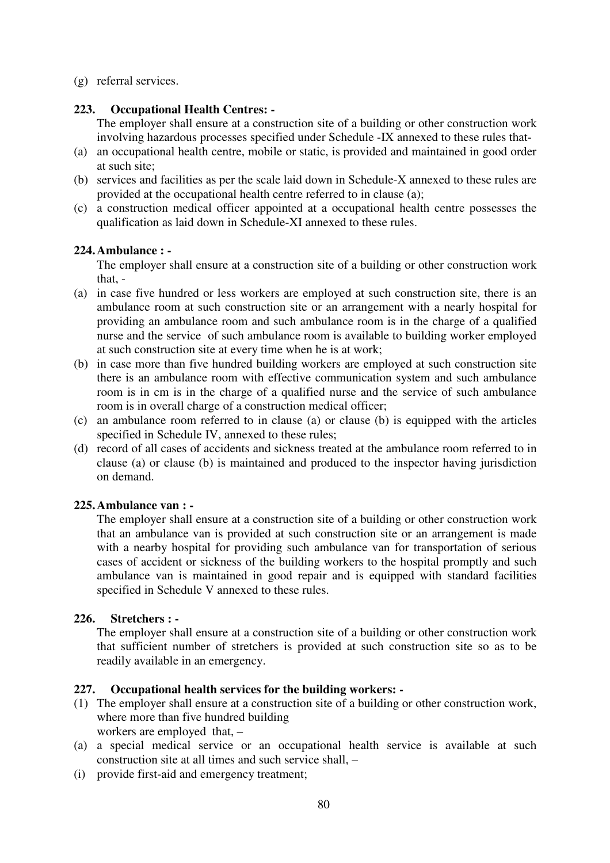(g) referral services.

## **223. Occupational Health Centres: -**

The employer shall ensure at a construction site of a building or other construction work involving hazardous processes specified under Schedule -IX annexed to these rules that-

- (a) an occupational health centre, mobile or static, is provided and maintained in good order at such site;
- (b) services and facilities as per the scale laid down in Schedule-X annexed to these rules are provided at the occupational health centre referred to in clause (a);
- (c) a construction medical officer appointed at a occupational health centre possesses the qualification as laid down in Schedule-XI annexed to these rules.

## **224. Ambulance : -**

The employer shall ensure at a construction site of a building or other construction work that, -

- (a) in case five hundred or less workers are employed at such construction site, there is an ambulance room at such construction site or an arrangement with a nearly hospital for providing an ambulance room and such ambulance room is in the charge of a qualified nurse and the service of such ambulance room is available to building worker employed at such construction site at every time when he is at work;
- (b) in case more than five hundred building workers are employed at such construction site there is an ambulance room with effective communication system and such ambulance room is in cm is in the charge of a qualified nurse and the service of such ambulance room is in overall charge of a construction medical officer;
- (c) an ambulance room referred to in clause (a) or clause (b) is equipped with the articles specified in Schedule IV, annexed to these rules;
- (d) record of all cases of accidents and sickness treated at the ambulance room referred to in clause (a) or clause (b) is maintained and produced to the inspector having jurisdiction on demand.

# **225. Ambulance van : -**

The employer shall ensure at a construction site of a building or other construction work that an ambulance van is provided at such construction site or an arrangement is made with a nearby hospital for providing such ambulance van for transportation of serious cases of accident or sickness of the building workers to the hospital promptly and such ambulance van is maintained in good repair and is equipped with standard facilities specified in Schedule V annexed to these rules.

# **226. Stretchers : -**

The employer shall ensure at a construction site of a building or other construction work that sufficient number of stretchers is provided at such construction site so as to be readily available in an emergency.

# **227. Occupational health services for the building workers: -**

- (1) The employer shall ensure at a construction site of a building or other construction work, where more than five hundred building workers are employed that, –
- (a) a special medical service or an occupational health service is available at such construction site at all times and such service shall, –
- (i) provide first-aid and emergency treatment;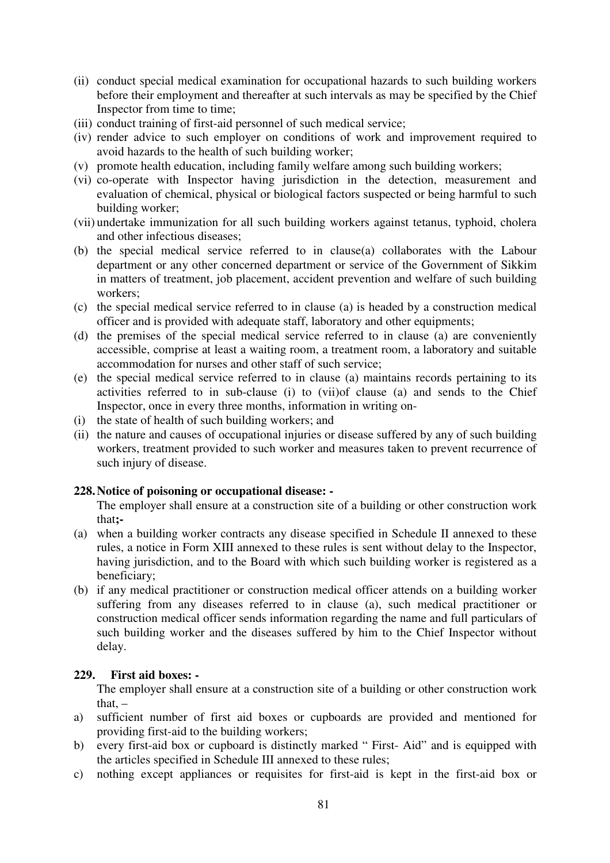- (ii) conduct special medical examination for occupational hazards to such building workers before their employment and thereafter at such intervals as may be specified by the Chief Inspector from time to time;
- (iii) conduct training of first-aid personnel of such medical service;
- (iv) render advice to such employer on conditions of work and improvement required to avoid hazards to the health of such building worker;
- (v) promote health education, including family welfare among such building workers;
- (vi) co-operate with Inspector having jurisdiction in the detection, measurement and evaluation of chemical, physical or biological factors suspected or being harmful to such building worker;
- (vii) undertake immunization for all such building workers against tetanus, typhoid, cholera and other infectious diseases;
- (b) the special medical service referred to in clause(a) collaborates with the Labour department or any other concerned department or service of the Government of Sikkim in matters of treatment, job placement, accident prevention and welfare of such building workers;
- (c) the special medical service referred to in clause (a) is headed by a construction medical officer and is provided with adequate staff, laboratory and other equipments;
- (d) the premises of the special medical service referred to in clause (a) are conveniently accessible, comprise at least a waiting room, a treatment room, a laboratory and suitable accommodation for nurses and other staff of such service;
- (e) the special medical service referred to in clause (a) maintains records pertaining to its activities referred to in sub-clause (i) to (vii)of clause (a) and sends to the Chief Inspector, once in every three months, information in writing on-
- (i) the state of health of such building workers; and
- (ii) the nature and causes of occupational injuries or disease suffered by any of such building workers, treatment provided to such worker and measures taken to prevent recurrence of such injury of disease.

# **228. Notice of poisoning or occupational disease: -**

The employer shall ensure at a construction site of a building or other construction work that**;-**

- (a) when a building worker contracts any disease specified in Schedule II annexed to these rules, a notice in Form XIII annexed to these rules is sent without delay to the Inspector, having jurisdiction, and to the Board with which such building worker is registered as a beneficiary;
- (b) if any medical practitioner or construction medical officer attends on a building worker suffering from any diseases referred to in clause (a), such medical practitioner or construction medical officer sends information regarding the name and full particulars of such building worker and the diseases suffered by him to the Chief Inspector without delay.

### **229. First aid boxes: -**

The employer shall ensure at a construction site of a building or other construction work that. $-$ 

- a) sufficient number of first aid boxes or cupboards are provided and mentioned for providing first-aid to the building workers;
- b) every first-aid box or cupboard is distinctly marked " First- Aid" and is equipped with the articles specified in Schedule III annexed to these rules;
- c) nothing except appliances or requisites for first-aid is kept in the first-aid box or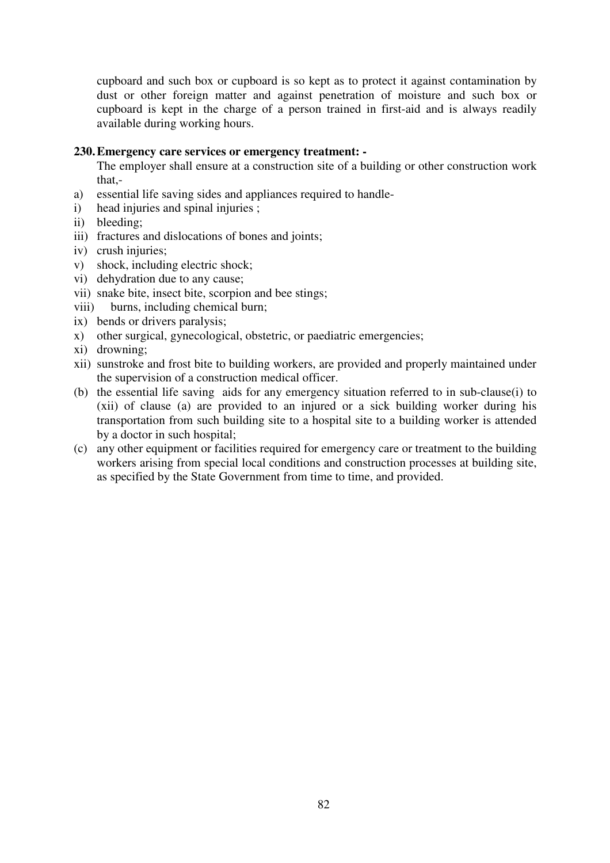cupboard and such box or cupboard is so kept as to protect it against contamination by dust or other foreign matter and against penetration of moisture and such box or cupboard is kept in the charge of a person trained in first-aid and is always readily available during working hours.

#### **230. Emergency care services or emergency treatment: -**

The employer shall ensure at a construction site of a building or other construction work that,-

- a) essential life saving sides and appliances required to handle-
- i) head injuries and spinal injuries ;
- ii) bleeding;
- iii) fractures and dislocations of bones and joints;
- iv) crush injuries;
- v) shock, including electric shock;
- vi) dehydration due to any cause;
- vii) snake bite, insect bite, scorpion and bee stings;
- viii) burns, including chemical burn;
- ix) bends or drivers paralysis;
- x) other surgical, gynecological, obstetric, or paediatric emergencies;
- xi) drowning;
- xii) sunstroke and frost bite to building workers, are provided and properly maintained under the supervision of a construction medical officer.
- (b) the essential life saving aids for any emergency situation referred to in sub-clause(i) to (xii) of clause (a) are provided to an injured or a sick building worker during his transportation from such building site to a hospital site to a building worker is attended by a doctor in such hospital;
- (c) any other equipment or facilities required for emergency care or treatment to the building workers arising from special local conditions and construction processes at building site, as specified by the State Government from time to time, and provided.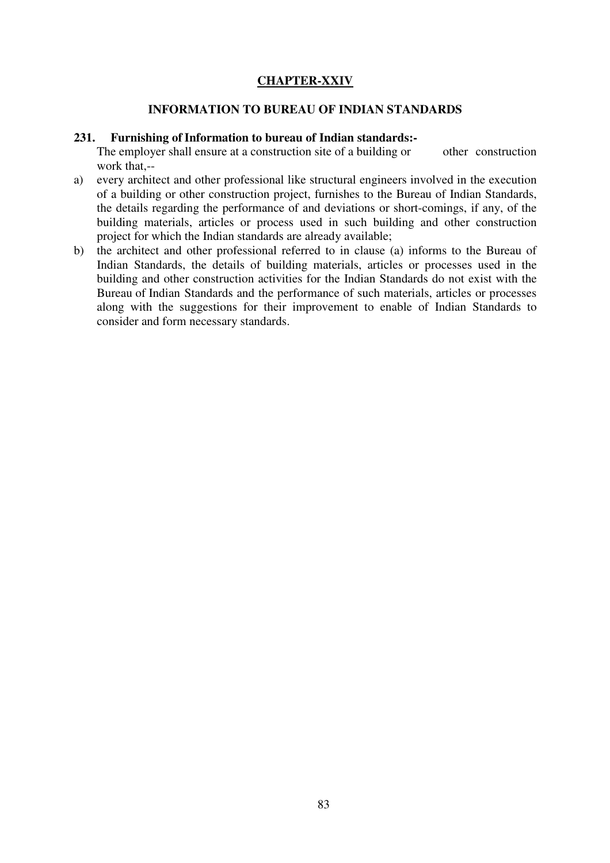## **CHAPTER-XXIV**

#### **INFORMATION TO BUREAU OF INDIAN STANDARDS**

#### **231. Furnishing of Information to bureau of Indian standards:-**

The employer shall ensure at a construction site of a building or other construction work that,--

- a) every architect and other professional like structural engineers involved in the execution of a building or other construction project, furnishes to the Bureau of Indian Standards, the details regarding the performance of and deviations or short-comings, if any, of the building materials, articles or process used in such building and other construction project for which the Indian standards are already available;
- b) the architect and other professional referred to in clause (a) informs to the Bureau of Indian Standards, the details of building materials, articles or processes used in the building and other construction activities for the Indian Standards do not exist with the Bureau of Indian Standards and the performance of such materials, articles or processes along with the suggestions for their improvement to enable of Indian Standards to consider and form necessary standards.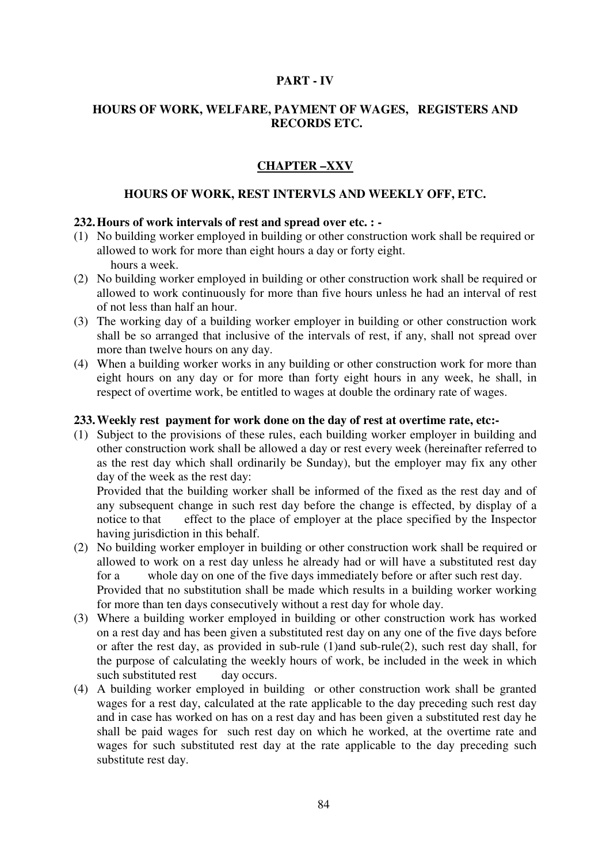## **PART - IV**

## **HOURS OF WORK, WELFARE, PAYMENT OF WAGES, REGISTERS AND RECORDS ETC.**

# **CHAPTER –XXV**

#### **HOURS OF WORK, REST INTERVLS AND WEEKLY OFF, ETC.**

### **232. Hours of work intervals of rest and spread over etc. : -**

- (1) No building worker employed in building or other construction work shall be required or allowed to work for more than eight hours a day or forty eight. hours a week.
- (2) No building worker employed in building or other construction work shall be required or allowed to work continuously for more than five hours unless he had an interval of rest of not less than half an hour.
- (3) The working day of a building worker employer in building or other construction work shall be so arranged that inclusive of the intervals of rest, if any, shall not spread over more than twelve hours on any day.
- (4) When a building worker works in any building or other construction work for more than eight hours on any day or for more than forty eight hours in any week, he shall, in respect of overtime work, be entitled to wages at double the ordinary rate of wages.

#### **233. Weekly rest payment for work done on the day of rest at overtime rate, etc:-**

(1) Subject to the provisions of these rules, each building worker employer in building and other construction work shall be allowed a day or rest every week (hereinafter referred to as the rest day which shall ordinarily be Sunday), but the employer may fix any other day of the week as the rest day:

Provided that the building worker shall be informed of the fixed as the rest day and of any subsequent change in such rest day before the change is effected, by display of a notice to that effect to the place of employer at the place specified by the Inspector having jurisdiction in this behalf.

(2) No building worker employer in building or other construction work shall be required or allowed to work on a rest day unless he already had or will have a substituted rest day for a whole day on one of the five days immediately before or after such rest day. Provided that no substitution shall be made which results in a building worker working

for more than ten days consecutively without a rest day for whole day. (3) Where a building worker employed in building or other construction work has worked on a rest day and has been given a substituted rest day on any one of the five days before

- or after the rest day, as provided in sub-rule (1)and sub-rule(2), such rest day shall, for the purpose of calculating the weekly hours of work, be included in the week in which such substituted rest day occurs.
- (4) A building worker employed in building or other construction work shall be granted wages for a rest day, calculated at the rate applicable to the day preceding such rest day and in case has worked on has on a rest day and has been given a substituted rest day he shall be paid wages for such rest day on which he worked, at the overtime rate and wages for such substituted rest day at the rate applicable to the day preceding such substitute rest day.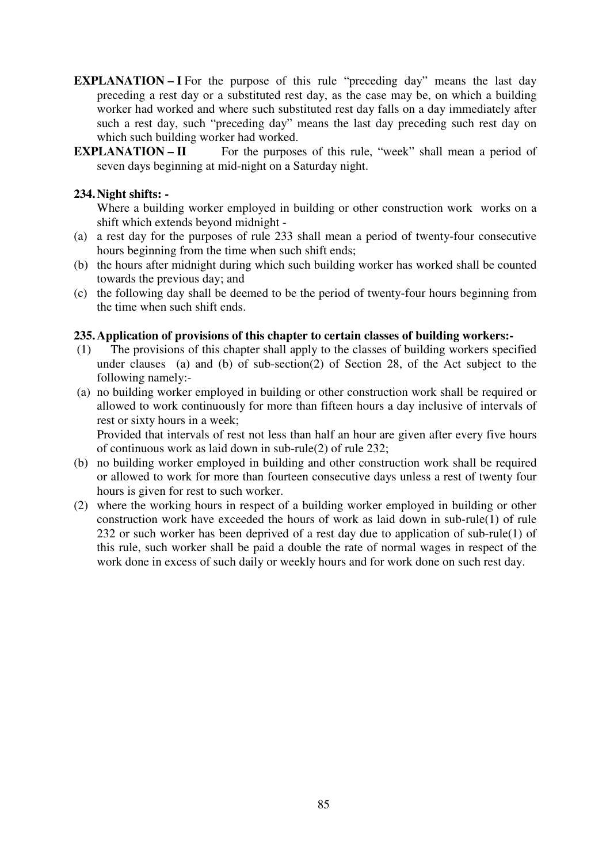- **EXPLANATION I** For the purpose of this rule "preceding day" means the last day preceding a rest day or a substituted rest day, as the case may be, on which a building worker had worked and where such substituted rest day falls on a day immediately after such a rest day, such "preceding day" means the last day preceding such rest day on which such building worker had worked.
- **EXPLANATION II** For the purposes of this rule, "week" shall mean a period of seven days beginning at mid-night on a Saturday night.

## **234. Night shifts: -**

Where a building worker employed in building or other construction work works on a shift which extends beyond midnight -

- (a) a rest day for the purposes of rule 233 shall mean a period of twenty-four consecutive hours beginning from the time when such shift ends;
- (b) the hours after midnight during which such building worker has worked shall be counted towards the previous day; and
- (c) the following day shall be deemed to be the period of twenty-four hours beginning from the time when such shift ends.

### **235. Application of provisions of this chapter to certain classes of building workers:-**

- (1) The provisions of this chapter shall apply to the classes of building workers specified under clauses (a) and (b) of sub-section(2) of Section 28, of the Act subject to the following namely:-
- (a) no building worker employed in building or other construction work shall be required or allowed to work continuously for more than fifteen hours a day inclusive of intervals of rest or sixty hours in a week;

Provided that intervals of rest not less than half an hour are given after every five hours of continuous work as laid down in sub-rule(2) of rule 232;

- (b) no building worker employed in building and other construction work shall be required or allowed to work for more than fourteen consecutive days unless a rest of twenty four hours is given for rest to such worker.
- (2) where the working hours in respect of a building worker employed in building or other construction work have exceeded the hours of work as laid down in sub-rule(1) of rule 232 or such worker has been deprived of a rest day due to application of sub-rule(1) of this rule, such worker shall be paid a double the rate of normal wages in respect of the work done in excess of such daily or weekly hours and for work done on such rest day.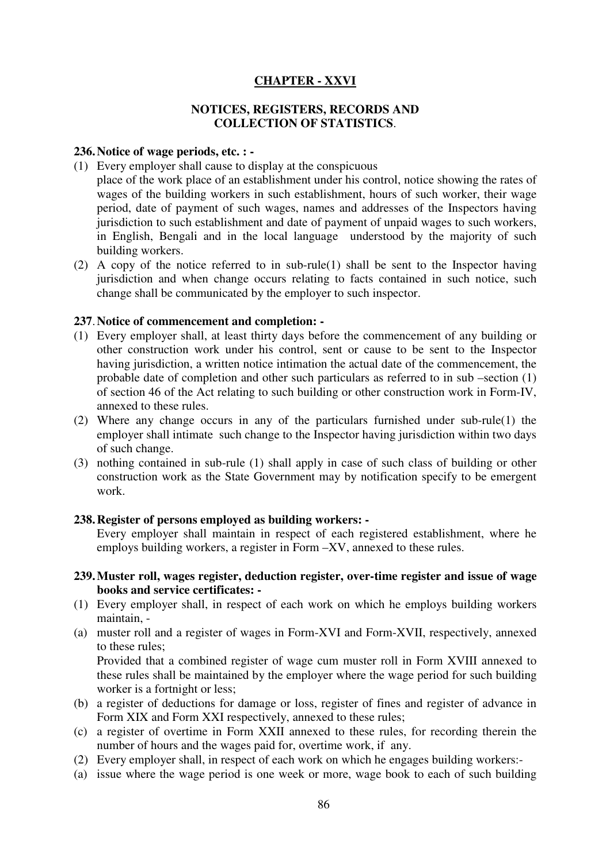## **CHAPTER - XXVI**

### **NOTICES, REGISTERS, RECORDS AND COLLECTION OF STATISTICS**.

#### **236. Notice of wage periods, etc. : -**

- (1) Every employer shall cause to display at the conspicuous place of the work place of an establishment under his control, notice showing the rates of wages of the building workers in such establishment, hours of such worker, their wage period, date of payment of such wages, names and addresses of the Inspectors having jurisdiction to such establishment and date of payment of unpaid wages to such workers, in English, Bengali and in the local language understood by the majority of such building workers.
- (2) A copy of the notice referred to in sub-rule(1) shall be sent to the Inspector having jurisdiction and when change occurs relating to facts contained in such notice, such change shall be communicated by the employer to such inspector.

#### **237**. **Notice of commencement and completion: -**

- (1) Every employer shall, at least thirty days before the commencement of any building or other construction work under his control, sent or cause to be sent to the Inspector having jurisdiction, a written notice intimation the actual date of the commencement, the probable date of completion and other such particulars as referred to in sub –section (1) of section 46 of the Act relating to such building or other construction work in Form-IV, annexed to these rules.
- (2) Where any change occurs in any of the particulars furnished under sub-rule(1) the employer shall intimate such change to the Inspector having jurisdiction within two days of such change.
- (3) nothing contained in sub-rule (1) shall apply in case of such class of building or other construction work as the State Government may by notification specify to be emergent work.

#### **238. Register of persons employed as building workers: -**

Every employer shall maintain in respect of each registered establishment, where he employs building workers, a register in Form –XV, annexed to these rules.

- **239.Muster roll, wages register, deduction register, over-time register and issue of wage books and service certificates: -**
- (1) Every employer shall, in respect of each work on which he employs building workers maintain, -
- (a) muster roll and a register of wages in Form-XVI and Form-XVII, respectively, annexed to these rules;

Provided that a combined register of wage cum muster roll in Form XVIII annexed to these rules shall be maintained by the employer where the wage period for such building worker is a fortnight or less;

- (b) a register of deductions for damage or loss, register of fines and register of advance in Form XIX and Form XXI respectively, annexed to these rules;
- (c) a register of overtime in Form XXII annexed to these rules, for recording therein the number of hours and the wages paid for, overtime work, if any.
- (2) Every employer shall, in respect of each work on which he engages building workers:-
- (a) issue where the wage period is one week or more, wage book to each of such building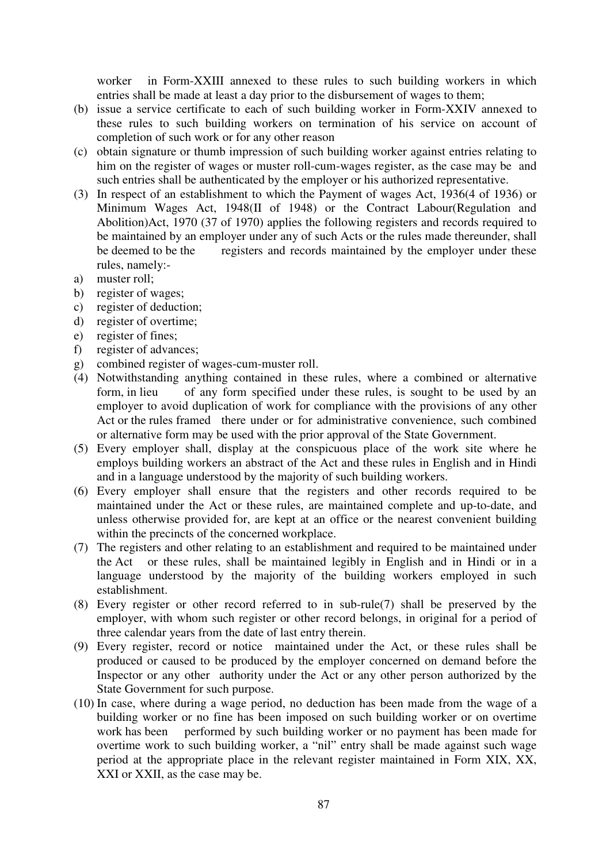worker in Form-XXIII annexed to these rules to such building workers in which entries shall be made at least a day prior to the disbursement of wages to them;

- (b) issue a service certificate to each of such building worker in Form-XXIV annexed to these rules to such building workers on termination of his service on account of completion of such work or for any other reason
- (c) obtain signature or thumb impression of such building worker against entries relating to him on the register of wages or muster roll-cum-wages register, as the case may be and such entries shall be authenticated by the employer or his authorized representative.
- (3) In respect of an establishment to which the Payment of wages Act, 1936(4 of 1936) or Minimum Wages Act, 1948(II of 1948) or the Contract Labour(Regulation and Abolition)Act, 1970 (37 of 1970) applies the following registers and records required to be maintained by an employer under any of such Acts or the rules made thereunder, shall be deemed to be the registers and records maintained by the employer under these rules, namely:-
- a) muster roll;
- b) register of wages;
- c) register of deduction;
- d) register of overtime;
- e) register of fines;
- f) register of advances;
- g) combined register of wages-cum-muster roll.
- (4) Notwithstanding anything contained in these rules, where a combined or alternative form, in lieu of any form specified under these rules, is sought to be used by an employer to avoid duplication of work for compliance with the provisions of any other Act or the rules framed there under or for administrative convenience, such combined or alternative form may be used with the prior approval of the State Government.
- (5) Every employer shall, display at the conspicuous place of the work site where he employs building workers an abstract of the Act and these rules in English and in Hindi and in a language understood by the majority of such building workers.
- (6) Every employer shall ensure that the registers and other records required to be maintained under the Act or these rules, are maintained complete and up-to-date, and unless otherwise provided for, are kept at an office or the nearest convenient building within the precincts of the concerned workplace.
- (7) The registers and other relating to an establishment and required to be maintained under the Act or these rules, shall be maintained legibly in English and in Hindi or in a language understood by the majority of the building workers employed in such establishment.
- (8) Every register or other record referred to in sub-rule(7) shall be preserved by the employer, with whom such register or other record belongs, in original for a period of three calendar years from the date of last entry therein.
- (9) Every register, record or notice maintained under the Act, or these rules shall be produced or caused to be produced by the employer concerned on demand before the Inspector or any other authority under the Act or any other person authorized by the State Government for such purpose.
- (10) In case, where during a wage period, no deduction has been made from the wage of a building worker or no fine has been imposed on such building worker or on overtime work has been performed by such building worker or no payment has been made for overtime work to such building worker, a "nil" entry shall be made against such wage period at the appropriate place in the relevant register maintained in Form XIX, XX, XXI or XXII, as the case may be.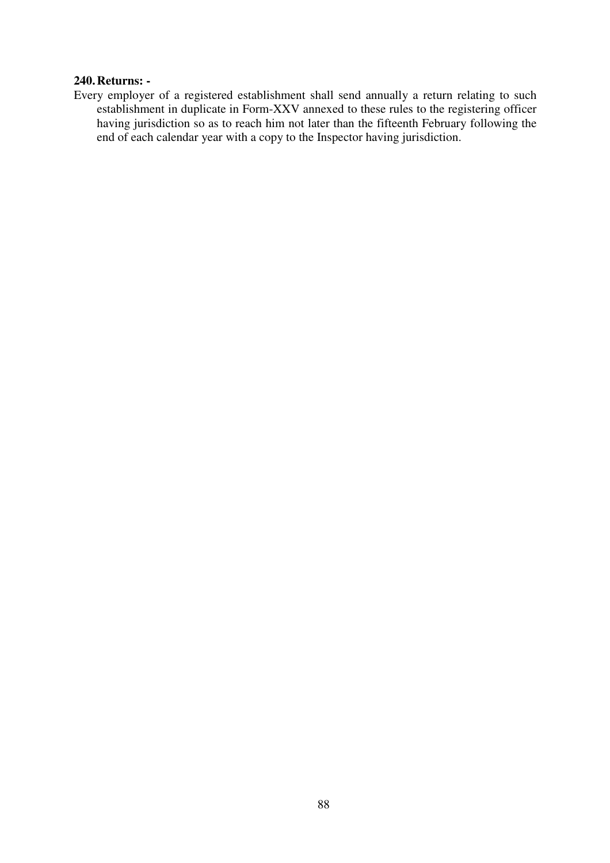#### **240. Returns: -**

Every employer of a registered establishment shall send annually a return relating to such establishment in duplicate in Form-XXV annexed to these rules to the registering officer having jurisdiction so as to reach him not later than the fifteenth February following the end of each calendar year with a copy to the Inspector having jurisdiction.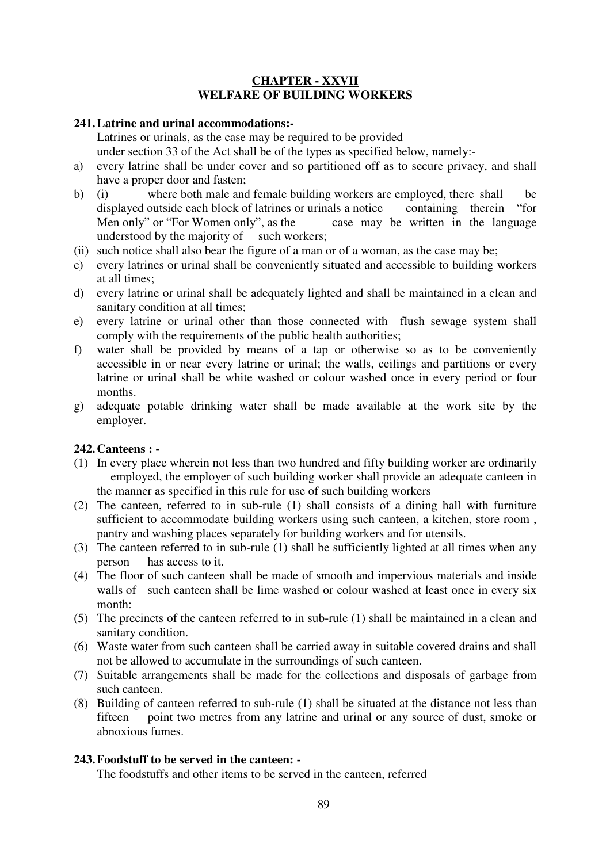## **CHAPTER - XXVII WELFARE OF BUILDING WORKERS**

## **241. Latrine and urinal accommodations:-**

Latrines or urinals, as the case may be required to be provided under section 33 of the Act shall be of the types as specified below, namely:-

- a) every latrine shall be under cover and so partitioned off as to secure privacy, and shall have a proper door and fasten;
- b) (i) where both male and female building workers are employed, there shall be displayed outside each block of latrines or urinals a notice containing therein "for Men only" or "For Women only", as the case may be written in the language understood by the majority of such workers;
- (ii) such notice shall also bear the figure of a man or of a woman, as the case may be;
- c) every latrines or urinal shall be conveniently situated and accessible to building workers at all times;
- d) every latrine or urinal shall be adequately lighted and shall be maintained in a clean and sanitary condition at all times;
- e) every latrine or urinal other than those connected with flush sewage system shall comply with the requirements of the public health authorities;
- f) water shall be provided by means of a tap or otherwise so as to be conveniently accessible in or near every latrine or urinal; the walls, ceilings and partitions or every latrine or urinal shall be white washed or colour washed once in every period or four months.
- g) adequate potable drinking water shall be made available at the work site by the employer.

# **242. Canteens : -**

- (1) In every place wherein not less than two hundred and fifty building worker are ordinarily employed, the employer of such building worker shall provide an adequate canteen in the manner as specified in this rule for use of such building workers
- (2) The canteen, referred to in sub-rule (1) shall consists of a dining hall with furniture sufficient to accommodate building workers using such canteen, a kitchen, store room , pantry and washing places separately for building workers and for utensils.
- (3) The canteen referred to in sub-rule (1) shall be sufficiently lighted at all times when any person has access to it.
- (4) The floor of such canteen shall be made of smooth and impervious materials and inside walls of such canteen shall be lime washed or colour washed at least once in every six month:
- (5) The precincts of the canteen referred to in sub-rule (1) shall be maintained in a clean and sanitary condition.
- (6) Waste water from such canteen shall be carried away in suitable covered drains and shall not be allowed to accumulate in the surroundings of such canteen.
- (7) Suitable arrangements shall be made for the collections and disposals of garbage from such canteen.
- (8) Building of canteen referred to sub-rule (1) shall be situated at the distance not less than fifteen point two metres from any latrine and urinal or any source of dust, smoke or abnoxious fumes.

# **243. Foodstuff to be served in the canteen: -**

The foodstuffs and other items to be served in the canteen, referred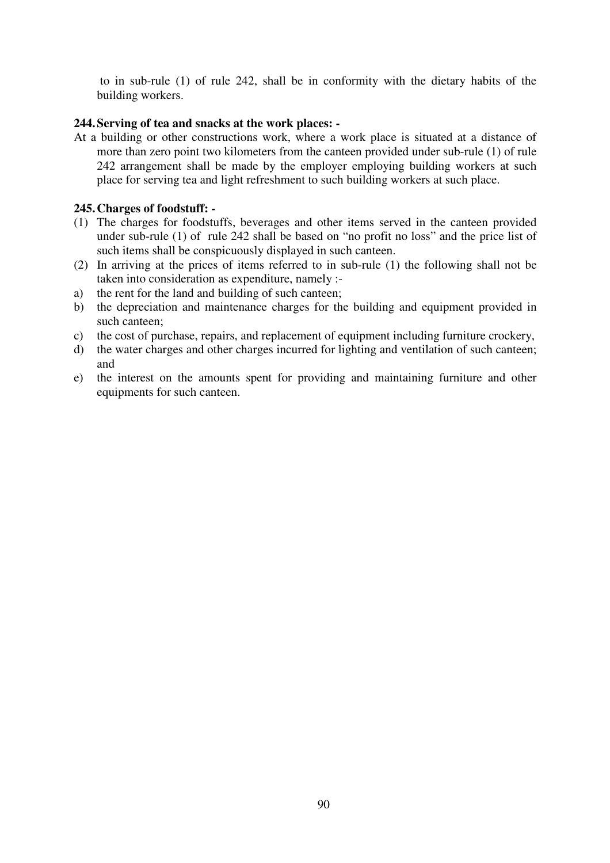to in sub-rule (1) of rule 242, shall be in conformity with the dietary habits of the building workers.

## **244. Serving of tea and snacks at the work places: -**

At a building or other constructions work, where a work place is situated at a distance of more than zero point two kilometers from the canteen provided under sub-rule (1) of rule 242 arrangement shall be made by the employer employing building workers at such place for serving tea and light refreshment to such building workers at such place.

## **245. Charges of foodstuff: -**

- (1) The charges for foodstuffs, beverages and other items served in the canteen provided under sub-rule (1) of rule 242 shall be based on "no profit no loss" and the price list of such items shall be conspicuously displayed in such canteen.
- (2) In arriving at the prices of items referred to in sub-rule (1) the following shall not be taken into consideration as expenditure, namely :-
- a) the rent for the land and building of such canteen;
- b) the depreciation and maintenance charges for the building and equipment provided in such canteen;
- c) the cost of purchase, repairs, and replacement of equipment including furniture crockery,
- d) the water charges and other charges incurred for lighting and ventilation of such canteen; and
- e) the interest on the amounts spent for providing and maintaining furniture and other equipments for such canteen.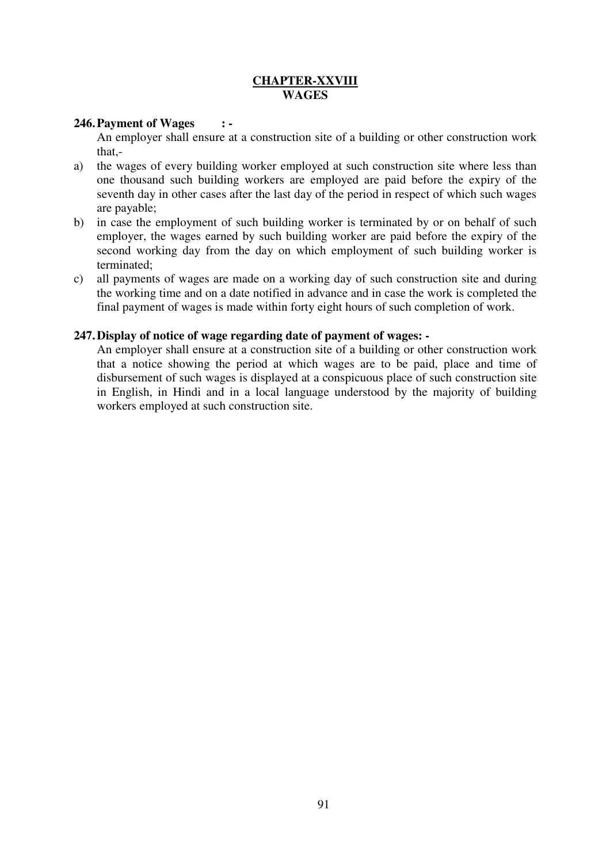## **CHAPTER-XXVIII WAGES**

## **246. Payment of Wages : -**

An employer shall ensure at a construction site of a building or other construction work that,-

- a) the wages of every building worker employed at such construction site where less than one thousand such building workers are employed are paid before the expiry of the seventh day in other cases after the last day of the period in respect of which such wages are payable;
- b) in case the employment of such building worker is terminated by or on behalf of such employer, the wages earned by such building worker are paid before the expiry of the second working day from the day on which employment of such building worker is terminated;
- c) all payments of wages are made on a working day of such construction site and during the working time and on a date notified in advance and in case the work is completed the final payment of wages is made within forty eight hours of such completion of work.

### **247. Display of notice of wage regarding date of payment of wages: -**

An employer shall ensure at a construction site of a building or other construction work that a notice showing the period at which wages are to be paid, place and time of disbursement of such wages is displayed at a conspicuous place of such construction site in English, in Hindi and in a local language understood by the majority of building workers employed at such construction site.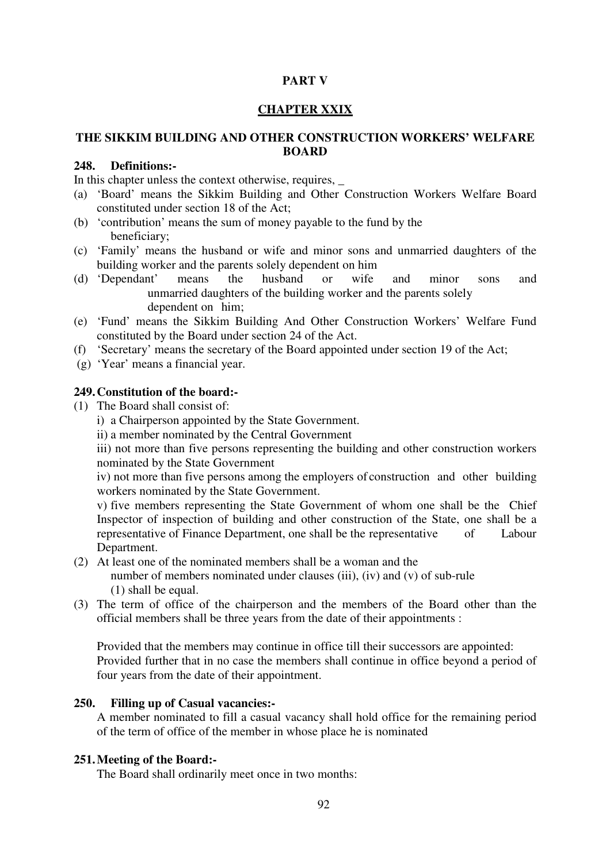## **PART V**

#### **CHAPTER XXIX**

## **THE SIKKIM BUILDING AND OTHER CONSTRUCTION WORKERS' WELFARE BOARD**

## **248. Definitions:-**

In this chapter unless the context otherwise, requires,

- (a) 'Board' means the Sikkim Building and Other Construction Workers Welfare Board constituted under section 18 of the Act;
- (b) 'contribution' means the sum of money payable to the fund by the beneficiary;
- (c) 'Family' means the husband or wife and minor sons and unmarried daughters of the building worker and the parents solely dependent on him
- (d) 'Dependant' means the husband or wife and minor sons and unmarried daughters of the building worker and the parents solely dependent on him;
- (e) 'Fund' means the Sikkim Building And Other Construction Workers' Welfare Fund constituted by the Board under section 24 of the Act.
- (f) 'Secretary' means the secretary of the Board appointed under section 19 of the Act;
- (g) 'Year' means a financial year.

## **249.Constitution of the board:-**

- (1) The Board shall consist of:
	- i) a Chairperson appointed by the State Government.
	- ii) a member nominated by the Central Government

 iii) not more than five persons representing the building and other construction workers nominated by the State Government

 iv) not more than five persons among the employers of construction and other building workers nominated by the State Government.

 v) five members representing the State Government of whom one shall be the Chief Inspector of inspection of building and other construction of the State, one shall be a representative of Finance Department, one shall be the representative of Labour Department.

(2) At least one of the nominated members shall be a woman and the

number of members nominated under clauses (iii), (iv) and (v) of sub-rule (1) shall be equal.

(3) The term of office of the chairperson and the members of the Board other than the official members shall be three years from the date of their appointments :

 Provided that the members may continue in office till their successors are appointed: Provided further that in no case the members shall continue in office beyond a period of four years from the date of their appointment.

## **250. Filling up of Casual vacancies:-**

A member nominated to fill a casual vacancy shall hold office for the remaining period of the term of office of the member in whose place he is nominated

### **251. Meeting of the Board:-**

The Board shall ordinarily meet once in two months: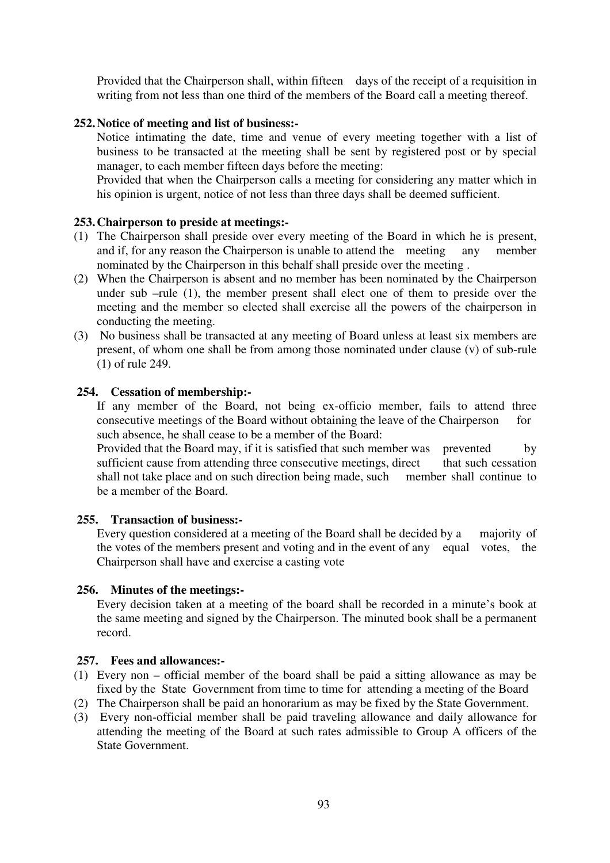Provided that the Chairperson shall, within fifteen days of the receipt of a requisition in writing from not less than one third of the members of the Board call a meeting thereof.

### **252. Notice of meeting and list of business:-**

Notice intimating the date, time and venue of every meeting together with a list of business to be transacted at the meeting shall be sent by registered post or by special manager, to each member fifteen days before the meeting:

Provided that when the Chairperson calls a meeting for considering any matter which in his opinion is urgent, notice of not less than three days shall be deemed sufficient.

### **253. Chairperson to preside at meetings:-**

- (1) The Chairperson shall preside over every meeting of the Board in which he is present, and if, for any reason the Chairperson is unable to attend the meeting any member nominated by the Chairperson in this behalf shall preside over the meeting .
- (2) When the Chairperson is absent and no member has been nominated by the Chairperson under sub –rule (1), the member present shall elect one of them to preside over the meeting and the member so elected shall exercise all the powers of the chairperson in conducting the meeting.
- (3) No business shall be transacted at any meeting of Board unless at least six members are present, of whom one shall be from among those nominated under clause (v) of sub-rule (1) of rule 249.

### **254. Cessation of membership:-**

 If any member of the Board, not being ex-officio member, fails to attend three consecutive meetings of the Board without obtaining the leave of the Chairperson for such absence, he shall cease to be a member of the Board:

Provided that the Board may, if it is satisfied that such member was prevented by sufficient cause from attending three consecutive meetings, direct that such cessation shall not take place and on such direction being made, such member shall continue to be a member of the Board.

### **255. Transaction of business:-**

 Every question considered at a meeting of the Board shall be decided by a majority of the votes of the members present and voting and in the event of any equal votes, the Chairperson shall have and exercise a casting vote

### **256. Minutes of the meetings:-**

 Every decision taken at a meeting of the board shall be recorded in a minute's book at the same meeting and signed by the Chairperson. The minuted book shall be a permanent record.

### **257. Fees and allowances:-**

- (1) Every non official member of the board shall be paid a sitting allowance as may be fixed by the State Government from time to time for attending a meeting of the Board
- (2) The Chairperson shall be paid an honorarium as may be fixed by the State Government.
- (3) Every non-official member shall be paid traveling allowance and daily allowance for attending the meeting of the Board at such rates admissible to Group A officers of the State Government.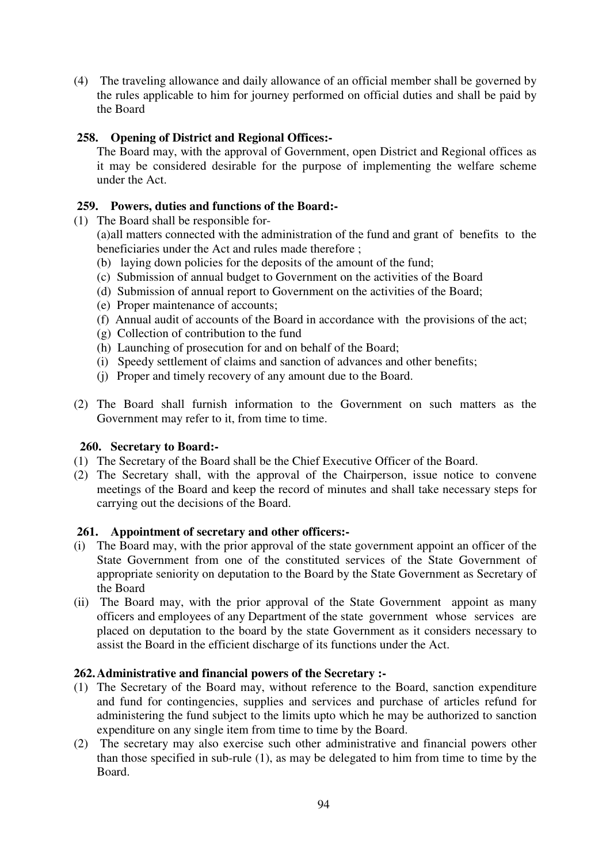(4) The traveling allowance and daily allowance of an official member shall be governed by the rules applicable to him for journey performed on official duties and shall be paid by the Board

# **258. Opening of District and Regional Offices:-**

 The Board may, with the approval of Government, open District and Regional offices as it may be considered desirable for the purpose of implementing the welfare scheme under the Act.

# **259. Powers, duties and functions of the Board:-**

(1) The Board shall be responsible for-

 (a) all matters connected with the administration of the fund and grant of benefits to the beneficiaries under the Act and rules made therefore ;

- (b) laying down policies for the deposits of the amount of the fund;
- (c) Submission of annual budget to Government on the activities of the Board
- (d) Submission of annual report to Government on the activities of the Board;
- (e) Proper maintenance of accounts;
- (f) Annual audit of accounts of the Board in accordance with the provisions of the act;
- (g) Collection of contribution to the fund
- (h) Launching of prosecution for and on behalf of the Board;
- (i) Speedy settlement of claims and sanction of advances and other benefits;
- (j) Proper and timely recovery of any amount due to the Board.
- (2) The Board shall furnish information to the Government on such matters as the Government may refer to it, from time to time.

# **260. Secretary to Board:-**

- (1) The Secretary of the Board shall be the Chief Executive Officer of the Board.
- (2) The Secretary shall, with the approval of the Chairperson, issue notice to convene meetings of the Board and keep the record of minutes and shall take necessary steps for carrying out the decisions of the Board.

# **261. Appointment of secretary and other officers:-**

- (i) The Board may, with the prior approval of the state government appoint an officer of the State Government from one of the constituted services of the State Government of appropriate seniority on deputation to the Board by the State Government as Secretary of the Board
- (ii) The Board may, with the prior approval of the State Government appoint as many officers and employees of any Department of the state government whose services are placed on deputation to the board by the state Government as it considers necessary to assist the Board in the efficient discharge of its functions under the Act.

# **262. Administrative and financial powers of the Secretary :-**

- (1) The Secretary of the Board may, without reference to the Board, sanction expenditure and fund for contingencies, supplies and services and purchase of articles refund for administering the fund subject to the limits upto which he may be authorized to sanction expenditure on any single item from time to time by the Board.
- (2) The secretary may also exercise such other administrative and financial powers other than those specified in sub-rule (1), as may be delegated to him from time to time by the Board.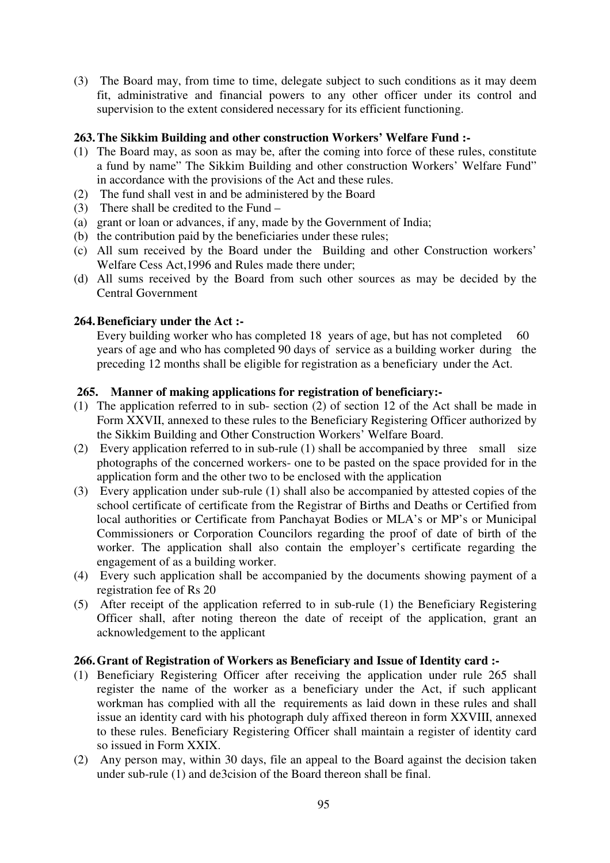(3) The Board may, from time to time, delegate subject to such conditions as it may deem fit, administrative and financial powers to any other officer under its control and supervision to the extent considered necessary for its efficient functioning.

## **263. The Sikkim Building and other construction Workers' Welfare Fund :-**

- (1) The Board may, as soon as may be, after the coming into force of these rules, constitute a fund by name" The Sikkim Building and other construction Workers' Welfare Fund" in accordance with the provisions of the Act and these rules.
- (2) The fund shall vest in and be administered by the Board
- (3) There shall be credited to the Fund –
- (a) grant or loan or advances, if any, made by the Government of India;
- (b) the contribution paid by the beneficiaries under these rules;
- (c) All sum received by the Board under the Building and other Construction workers' Welfare Cess Act,1996 and Rules made there under;
- (d) All sums received by the Board from such other sources as may be decided by the Central Government

## **264. Beneficiary under the Act :-**

Every building worker who has completed 18 years of age, but has not completed 60 years of age and who has completed 90 days of service as a building worker during the preceding 12 months shall be eligible for registration as a beneficiary under the Act.

### **265. Manner of making applications for registration of beneficiary:-**

- (1) The application referred to in sub- section (2) of section 12 of the Act shall be made in Form XXVII, annexed to these rules to the Beneficiary Registering Officer authorized by the Sikkim Building and Other Construction Workers' Welfare Board.
- (2) Every application referred to in sub-rule (1) shall be accompanied by three small size photographs of the concerned workers- one to be pasted on the space provided for in the application form and the other two to be enclosed with the application
- (3) Every application under sub-rule (1) shall also be accompanied by attested copies of the school certificate of certificate from the Registrar of Births and Deaths or Certified from local authorities or Certificate from Panchayat Bodies or MLA's or MP's or Municipal Commissioners or Corporation Councilors regarding the proof of date of birth of the worker. The application shall also contain the employer's certificate regarding the engagement of as a building worker.
- (4) Every such application shall be accompanied by the documents showing payment of a registration fee of Rs 20
- (5) After receipt of the application referred to in sub-rule (1) the Beneficiary Registering Officer shall, after noting thereon the date of receipt of the application, grant an acknowledgement to the applicant

## **266. Grant of Registration of Workers as Beneficiary and Issue of Identity card :-**

- (1) Beneficiary Registering Officer after receiving the application under rule 265 shall register the name of the worker as a beneficiary under the Act, if such applicant workman has complied with all the requirements as laid down in these rules and shall issue an identity card with his photograph duly affixed thereon in form XXVIII, annexed to these rules. Beneficiary Registering Officer shall maintain a register of identity card so issued in Form XXIX.
- (2) Any person may, within 30 days, file an appeal to the Board against the decision taken under sub-rule (1) and de3cision of the Board thereon shall be final.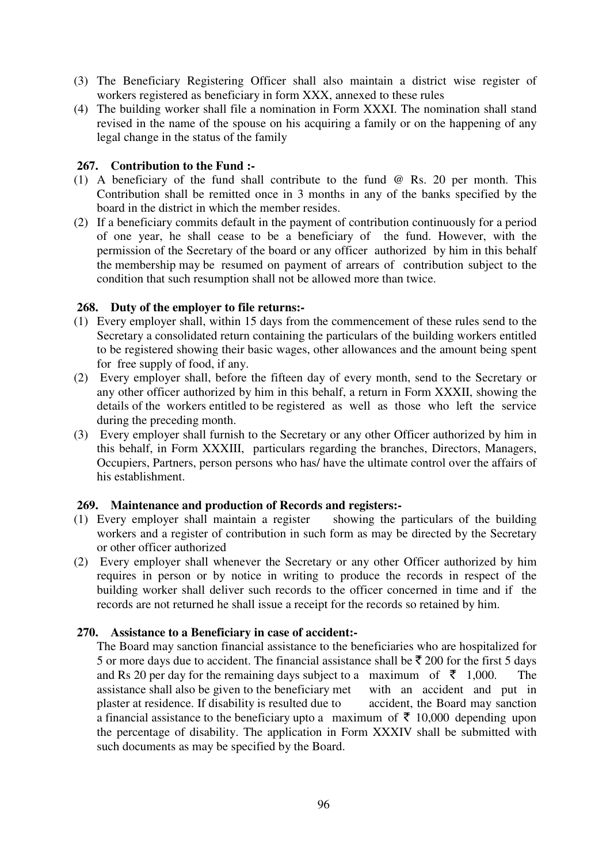- (3) The Beneficiary Registering Officer shall also maintain a district wise register of workers registered as beneficiary in form XXX, annexed to these rules
- (4) The building worker shall file a nomination in Form XXXI. The nomination shall stand revised in the name of the spouse on his acquiring a family or on the happening of any legal change in the status of the family

### **267. Contribution to the Fund :-**

- (1) A beneficiary of the fund shall contribute to the fund @ Rs. 20 per month. This Contribution shall be remitted once in 3 months in any of the banks specified by the board in the district in which the member resides.
- (2) If a beneficiary commits default in the payment of contribution continuously for a period of one year, he shall cease to be a beneficiary of the fund. However, with the permission of the Secretary of the board or any officer authorized by him in this behalf the membership may be resumed on payment of arrears of contribution subject to the condition that such resumption shall not be allowed more than twice.

## **268. Duty of the employer to file returns:-**

- (1) Every employer shall, within 15 days from the commencement of these rules send to the Secretary a consolidated return containing the particulars of the building workers entitled to be registered showing their basic wages, other allowances and the amount being spent for free supply of food, if any.
- (2) Every employer shall, before the fifteen day of every month, send to the Secretary or any other officer authorized by him in this behalf, a return in Form XXXII, showing the details of the workers entitled to be registered as well as those who left the service during the preceding month.
- (3) Every employer shall furnish to the Secretary or any other Officer authorized by him in this behalf, in Form XXXIII, particulars regarding the branches, Directors, Managers, Occupiers, Partners, person persons who has/ have the ultimate control over the affairs of his establishment.

### **269. Maintenance and production of Records and registers:-**

- (1) Every employer shall maintain a register showing the particulars of the building workers and a register of contribution in such form as may be directed by the Secretary or other officer authorized
- (2) Every employer shall whenever the Secretary or any other Officer authorized by him requires in person or by notice in writing to produce the records in respect of the building worker shall deliver such records to the officer concerned in time and if the records are not returned he shall issue a receipt for the records so retained by him.

### **270. Assistance to a Beneficiary in case of accident:-**

The Board may sanction financial assistance to the beneficiaries who are hospitalized for 5 or more days due to accident. The financial assistance shall be  $\bar{\tau}$  200 for the first 5 days and Rs 20 per day for the remaining days subject to a maximum of  $\bar{\tau}$  1,000. The assistance shall also be given to the beneficiary met with an accident and put in plaster at residence. If disability is resulted due to accident, the Board may sanction plaster at residence. If disability is resulted due to a financial assistance to the beneficiary upto a maximum of  $\bar{\tau}$  10,000 depending upon the percentage of disability. The application in Form XXXIV shall be submitted with such documents as may be specified by the Board.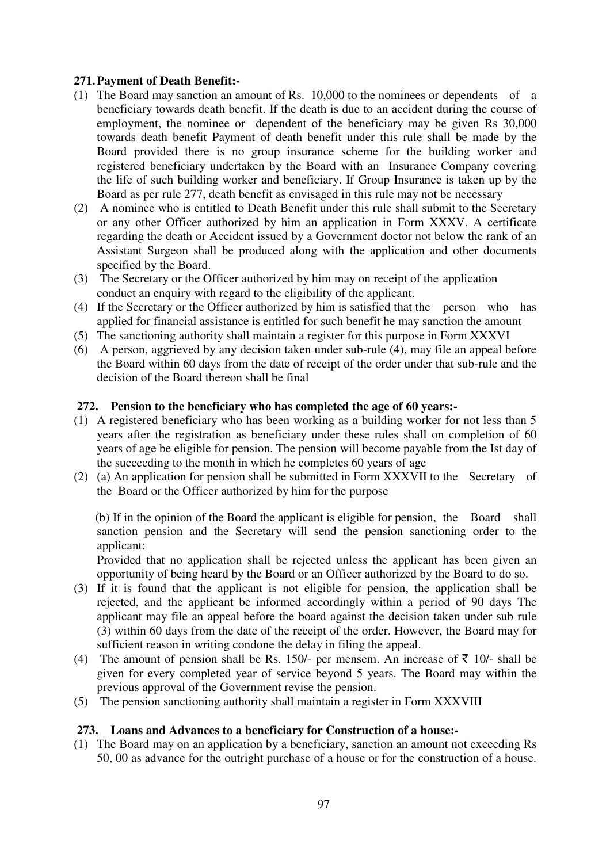## **271. Payment of Death Benefit:-**

- (1) The Board may sanction an amount of Rs. 10,000 to the nominees or dependents of a beneficiary towards death benefit. If the death is due to an accident during the course of employment, the nominee or dependent of the beneficiary may be given Rs 30,000 towards death benefit Payment of death benefit under this rule shall be made by the Board provided there is no group insurance scheme for the building worker and registered beneficiary undertaken by the Board with an Insurance Company covering the life of such building worker and beneficiary. If Group Insurance is taken up by the Board as per rule 277, death benefit as envisaged in this rule may not be necessary
- (2) A nominee who is entitled to Death Benefit under this rule shall submit to the Secretary or any other Officer authorized by him an application in Form XXXV. A certificate regarding the death or Accident issued by a Government doctor not below the rank of an Assistant Surgeon shall be produced along with the application and other documents specified by the Board.
- (3) The Secretary or the Officer authorized by him may on receipt of the application conduct an enquiry with regard to the eligibility of the applicant.
- (4) If the Secretary or the Officer authorized by him is satisfied that the person who has applied for financial assistance is entitled for such benefit he may sanction the amount
- (5) The sanctioning authority shall maintain a register for this purpose in Form XXXVI
- (6) A person, aggrieved by any decision taken under sub-rule (4), may file an appeal before the Board within 60 days from the date of receipt of the order under that sub-rule and the decision of the Board thereon shall be final

### **272. Pension to the beneficiary who has completed the age of 60 years:-**

- (1) A registered beneficiary who has been working as a building worker for not less than 5 years after the registration as beneficiary under these rules shall on completion of 60 years of age be eligible for pension. The pension will become payable from the Ist day of the succeeding to the month in which he completes 60 years of age
- (2) (a) An application for pension shall be submitted in Form XXXVII to the Secretary of the Board or the Officer authorized by him for the purpose

 (b) If in the opinion of the Board the applicant is eligible for pension, the Board shall sanction pension and the Secretary will send the pension sanctioning order to the applicant:

 Provided that no application shall be rejected unless the applicant has been given an opportunity of being heard by the Board or an Officer authorized by the Board to do so.

- (3) If it is found that the applicant is not eligible for pension, the application shall be rejected, and the applicant be informed accordingly within a period of 90 days The applicant may file an appeal before the board against the decision taken under sub rule (3) within 60 days from the date of the receipt of the order. However, the Board may for sufficient reason in writing condone the delay in filing the appeal.
- (4) The amount of pension shall be Rs. 150/- per mensem. An increase of  $\bar{\tau}$  10/- shall be given for every completed year of service beyond 5 years. The Board may within the previous approval of the Government revise the pension.
- (5) The pension sanctioning authority shall maintain a register in Form XXXVIII

### **273. Loans and Advances to a beneficiary for Construction of a house:-**

(1) The Board may on an application by a beneficiary, sanction an amount not exceeding Rs 50, 00 as advance for the outright purchase of a house or for the construction of a house.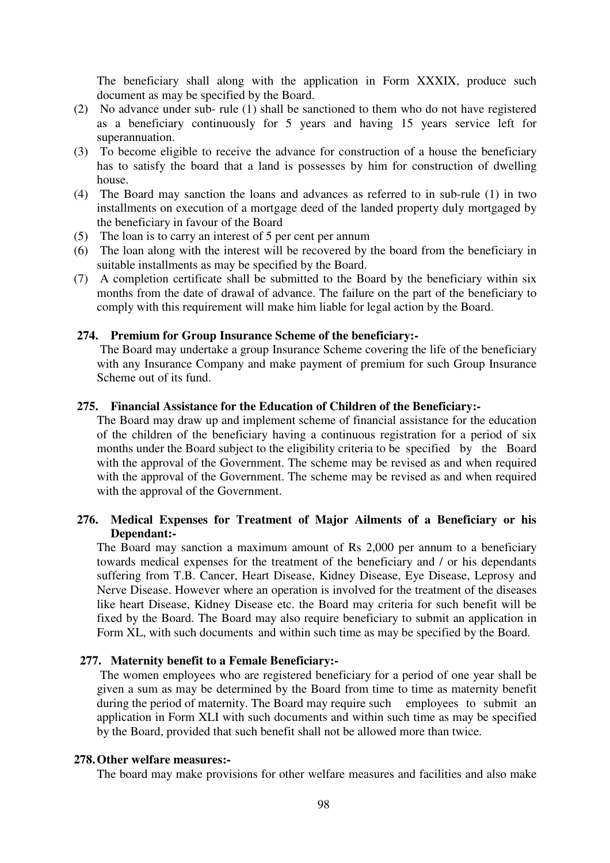The beneficiary shall along with the application in Form XXXIX, produce such document as may be specified by the Board.

- (2) No advance under sub- rule (1) shall be sanctioned to them who do not have registered as a beneficiary continuously for 5 years and having 15 years service left for superannuation.
- (3) To become eligible to receive the advance for construction of a house the beneficiary has to satisfy the board that a land is possesses by him for construction of dwelling house.
- (4) The Board may sanction the loans and advances as referred to in sub-rule (1) in two installments on execution of a mortgage deed of the landed property duly mortgaged by the beneficiary in favour of the Board
- (5) The loan is to carry an interest of 5 per cent per annum
- (6) The loan along with the interest will be recovered by the board from the beneficiary in suitable installments as may be specified by the Board.
- (7) A completion certificate shall be submitted to the Board by the beneficiary within six months from the date of drawal of advance. The failure on the part of the beneficiary to comply with this requirement will make him liable for legal action by the Board.

#### **274. Premium for Group Insurance Scheme of the beneficiary:-**

 The Board may undertake a group Insurance Scheme covering the life of the beneficiary with any Insurance Company and make payment of premium for such Group Insurance Scheme out of its fund.

#### **275. Financial Assistance for the Education of Children of the Beneficiary:-**

The Board may draw up and implement scheme of financial assistance for the education of the children of the beneficiary having a continuous registration for a period of six months under the Board subject to the eligibility criteria to be specified by the Board with the approval of the Government. The scheme may be revised as and when required with the approval of the Government. The scheme may be revised as and when required with the approval of the Government.

## **276. Medical Expenses for Treatment of Major Ailments of a Beneficiary or his Dependant:-**

 The Board may sanction a maximum amount of Rs 2,000 per annum to a beneficiary towards medical expenses for the treatment of the beneficiary and / or his dependants suffering from T.B. Cancer, Heart Disease, Kidney Disease, Eye Disease, Leprosy and Nerve Disease. However where an operation is involved for the treatment of the diseases like heart Disease, Kidney Disease etc. the Board may criteria for such benefit will be fixed by the Board. The Board may also require beneficiary to submit an application in Form XL, with such documents and within such time as may be specified by the Board.

### **277. Maternity benefit to a Female Beneficiary:-**

 The women employees who are registered beneficiary for a period of one year shall be given a sum as may be determined by the Board from time to time as maternity benefit during the period of maternity. The Board may require such employees to submit an application in Form XLI with such documents and within such time as may be specified by the Board, provided that such benefit shall not be allowed more than twice.

#### **278. Other welfare measures:-**

The board may make provisions for other welfare measures and facilities and also make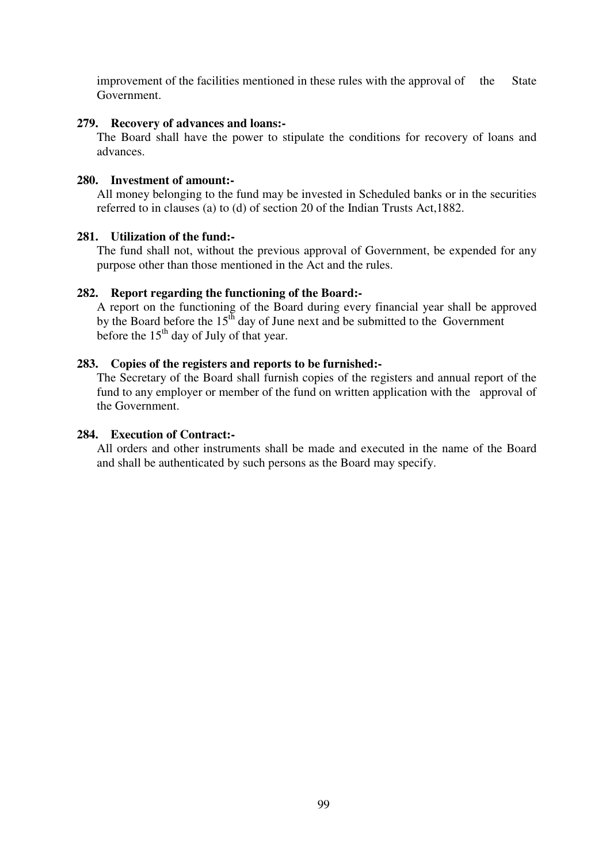improvement of the facilities mentioned in these rules with the approval of the State Government.

#### **279. Recovery of advances and loans:-**

The Board shall have the power to stipulate the conditions for recovery of loans and advances.

#### **280. Investment of amount:-**

 All money belonging to the fund may be invested in Scheduled banks or in the securities referred to in clauses (a) to (d) of section 20 of the Indian Trusts Act,1882.

#### **281. Utilization of the fund:-**

 The fund shall not, without the previous approval of Government, be expended for any purpose other than those mentioned in the Act and the rules.

#### **282. Report regarding the functioning of the Board:-**

A report on the functioning of the Board during every financial year shall be approved by the Board before the  $15<sup>th</sup>$  day of June next and be submitted to the Government before the  $15<sup>th</sup>$  day of July of that year.

### **283. Copies of the registers and reports to be furnished:-**

 The Secretary of the Board shall furnish copies of the registers and annual report of the fund to any employer or member of the fund on written application with the approval of the Government.

#### **284. Execution of Contract:-**

 All orders and other instruments shall be made and executed in the name of the Board and shall be authenticated by such persons as the Board may specify.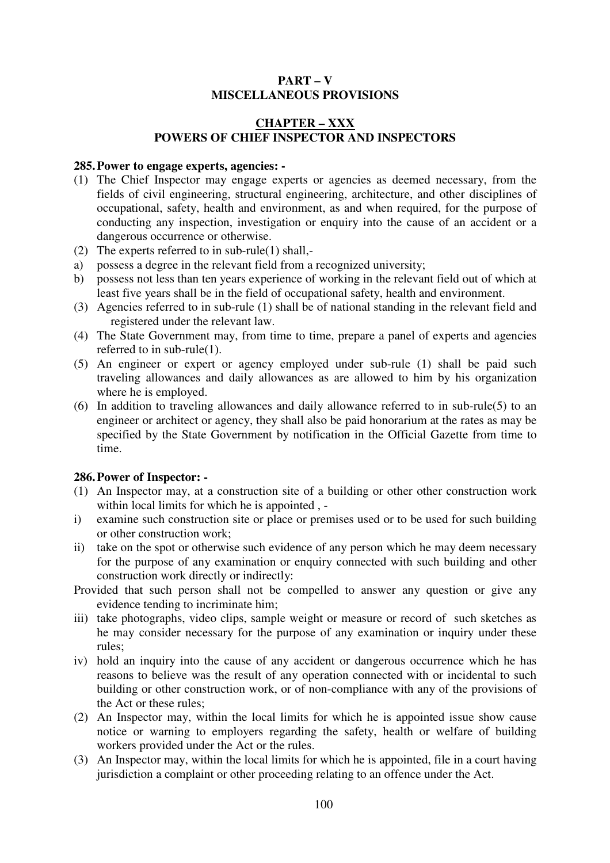## **PART – V MISCELLANEOUS PROVISIONS**

## **CHAPTER – XXX POWERS OF CHIEF INSPECTOR AND INSPECTORS**

#### **285. Power to engage experts, agencies: -**

- (1) The Chief Inspector may engage experts or agencies as deemed necessary, from the fields of civil engineering, structural engineering, architecture, and other disciplines of occupational, safety, health and environment, as and when required, for the purpose of conducting any inspection, investigation or enquiry into the cause of an accident or a dangerous occurrence or otherwise.
- (2) The experts referred to in sub-rule(1) shall,-
- a) possess a degree in the relevant field from a recognized university;
- b) possess not less than ten years experience of working in the relevant field out of which at least five years shall be in the field of occupational safety, health and environment.
- (3) Agencies referred to in sub-rule (1) shall be of national standing in the relevant field and registered under the relevant law.
- (4) The State Government may, from time to time, prepare a panel of experts and agencies referred to in sub-rule(1).
- (5) An engineer or expert or agency employed under sub-rule (1) shall be paid such traveling allowances and daily allowances as are allowed to him by his organization where he is employed.
- (6) In addition to traveling allowances and daily allowance referred to in sub-rule(5) to an engineer or architect or agency, they shall also be paid honorarium at the rates as may be specified by the State Government by notification in the Official Gazette from time to time.

### **286. Power of Inspector: -**

- (1) An Inspector may, at a construction site of a building or other other construction work within local limits for which he is appointed, -
- i) examine such construction site or place or premises used or to be used for such building or other construction work;
- ii) take on the spot or otherwise such evidence of any person which he may deem necessary for the purpose of any examination or enquiry connected with such building and other construction work directly or indirectly:
- Provided that such person shall not be compelled to answer any question or give any evidence tending to incriminate him;
- iii) take photographs, video clips, sample weight or measure or record of such sketches as he may consider necessary for the purpose of any examination or inquiry under these rules;
- iv) hold an inquiry into the cause of any accident or dangerous occurrence which he has reasons to believe was the result of any operation connected with or incidental to such building or other construction work, or of non-compliance with any of the provisions of the Act or these rules;
- (2) An Inspector may, within the local limits for which he is appointed issue show cause notice or warning to employers regarding the safety, health or welfare of building workers provided under the Act or the rules.
- (3) An Inspector may, within the local limits for which he is appointed, file in a court having jurisdiction a complaint or other proceeding relating to an offence under the Act.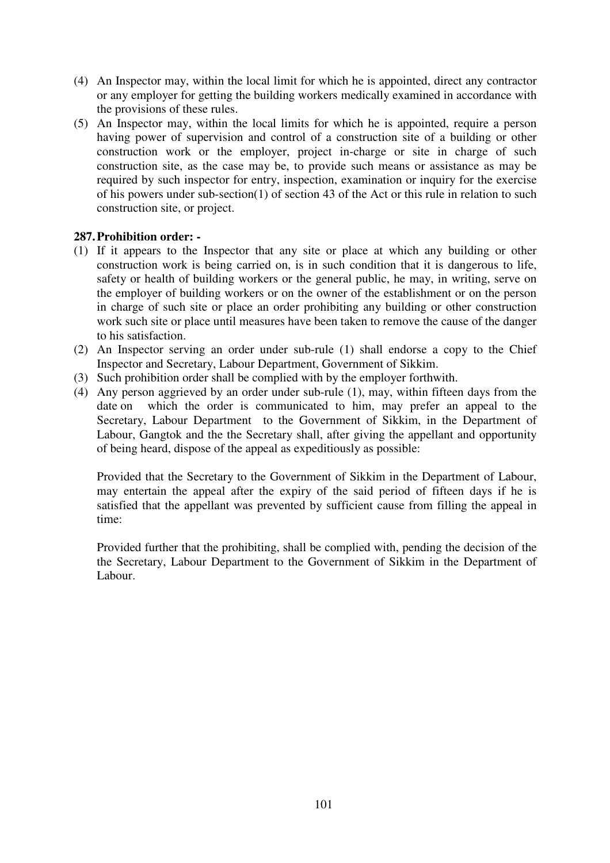- (4) An Inspector may, within the local limit for which he is appointed, direct any contractor or any employer for getting the building workers medically examined in accordance with the provisions of these rules.
- (5) An Inspector may, within the local limits for which he is appointed, require a person having power of supervision and control of a construction site of a building or other construction work or the employer, project in-charge or site in charge of such construction site, as the case may be, to provide such means or assistance as may be required by such inspector for entry, inspection, examination or inquiry for the exercise of his powers under sub-section(1) of section 43 of the Act or this rule in relation to such construction site, or project.

## **287. Prohibition order: -**

- (1) If it appears to the Inspector that any site or place at which any building or other construction work is being carried on, is in such condition that it is dangerous to life, safety or health of building workers or the general public, he may, in writing, serve on the employer of building workers or on the owner of the establishment or on the person in charge of such site or place an order prohibiting any building or other construction work such site or place until measures have been taken to remove the cause of the danger to his satisfaction.
- (2) An Inspector serving an order under sub-rule (1) shall endorse a copy to the Chief Inspector and Secretary, Labour Department, Government of Sikkim.
- (3) Such prohibition order shall be complied with by the employer forthwith.
- (4) Any person aggrieved by an order under sub-rule (1), may, within fifteen days from the date on which the order is communicated to him, may prefer an appeal to the Secretary, Labour Department to the Government of Sikkim, in the Department of Labour, Gangtok and the the Secretary shall, after giving the appellant and opportunity of being heard, dispose of the appeal as expeditiously as possible:

Provided that the Secretary to the Government of Sikkim in the Department of Labour, may entertain the appeal after the expiry of the said period of fifteen days if he is satisfied that the appellant was prevented by sufficient cause from filling the appeal in time:

Provided further that the prohibiting, shall be complied with, pending the decision of the the Secretary, Labour Department to the Government of Sikkim in the Department of Labour.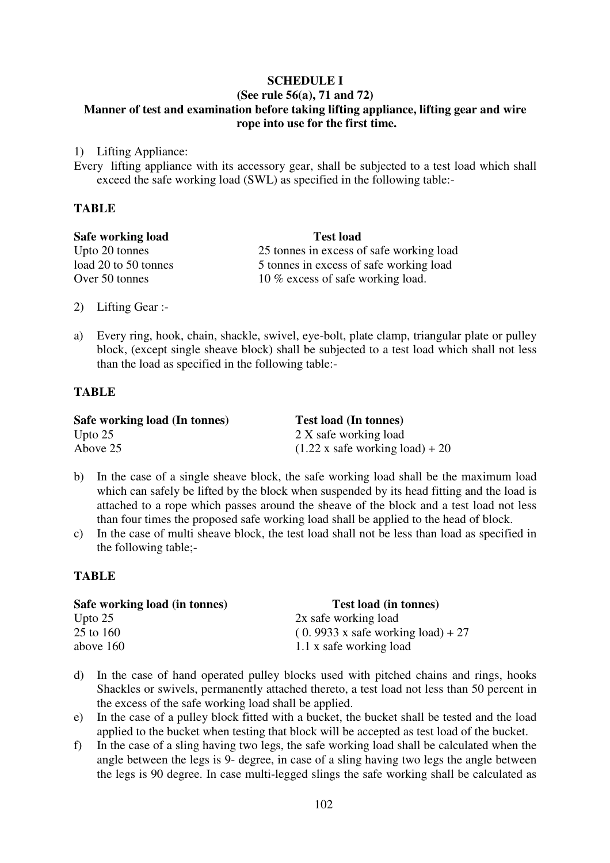# **SCHEDULE I**

## **(See rule 56(a), 71 and 72) Manner of test and examination before taking lifting appliance, lifting gear and wire rope into use for the first time.**

1) Lifting Appliance:

Every lifting appliance with its accessory gear, shall be subjected to a test load which shall exceed the safe working load (SWL) as specified in the following table:-

## **TABLE**

| Safe working load    | <b>Test load</b>                         |  |
|----------------------|------------------------------------------|--|
| Upto 20 tonnes       | 25 tonnes in excess of safe working load |  |
| load 20 to 50 tonnes | 5 tonnes in excess of safe working load  |  |
| Over 50 tonnes       | 10 % excess of safe working load.        |  |

- 2) Lifting Gear :-
- a) Every ring, hook, chain, shackle, swivel, eye-bolt, plate clamp, triangular plate or pulley block, (except single sheave block) shall be subjected to a test load which shall not less than the load as specified in the following table:-

## **TABLE**

| Safe working load (In tonnes) | <b>Test load (In tonnes)</b>                  |
|-------------------------------|-----------------------------------------------|
| Upto $25$                     | 2 X safe working load                         |
| Above 25                      | $(1.22 \times \text{safe working load}) + 20$ |

- b) In the case of a single sheave block, the safe working load shall be the maximum load which can safely be lifted by the block when suspended by its head fitting and the load is attached to a rope which passes around the sheave of the block and a test load not less than four times the proposed safe working load shall be applied to the head of block.
- c) In the case of multi sheave block, the test load shall not be less than load as specified in the following table;-

### **TABLE**

| Safe working load (in tonnes) | <b>Test load (in tonnes)</b>                    |  |
|-------------------------------|-------------------------------------------------|--|
| Upto $25$                     | 2x safe working load                            |  |
| 25 to 160                     | $(0.9933 \times \text{safe working load}) + 27$ |  |
| above $160$                   | 1.1 x safe working load                         |  |

- d) In the case of hand operated pulley blocks used with pitched chains and rings, hooks Shackles or swivels, permanently attached thereto, a test load not less than 50 percent in the excess of the safe working load shall be applied.
- e) In the case of a pulley block fitted with a bucket, the bucket shall be tested and the load applied to the bucket when testing that block will be accepted as test load of the bucket.
- f) In the case of a sling having two legs, the safe working load shall be calculated when the angle between the legs is 9- degree, in case of a sling having two legs the angle between the legs is 90 degree. In case multi-legged slings the safe working shall be calculated as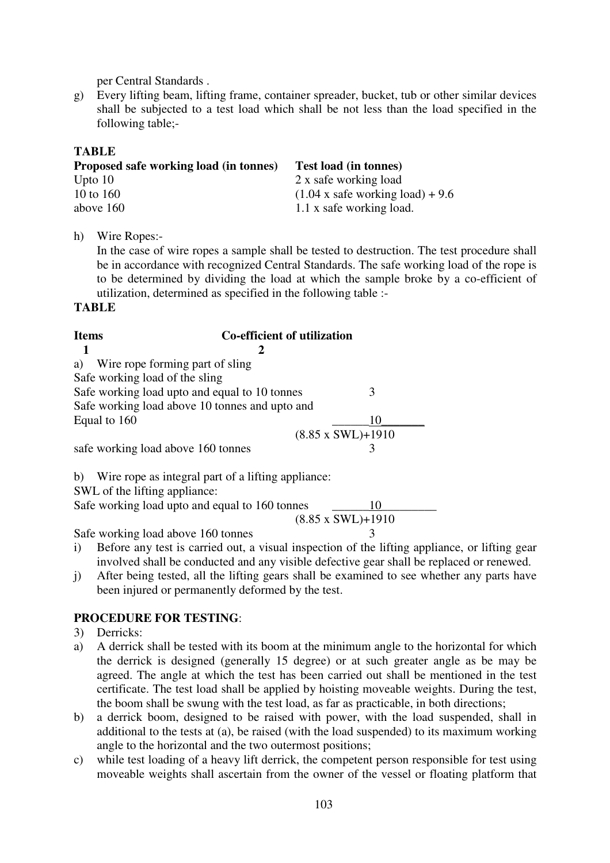per Central Standards .

g) Every lifting beam, lifting frame, container spreader, bucket, tub or other similar devices shall be subjected to a test load which shall be not less than the load specified in the following table;-

# **TABLE**

| Proposed safe working load (in tonnes) | <b>Test load (in tonnes)</b>                   |
|----------------------------------------|------------------------------------------------|
| Upto $10$                              | 2 x safe working load                          |
| 10 to 160                              | $(1.04 \times \text{safe working load}) + 9.6$ |
| above 160                              | 1.1 x safe working load.                       |

h) Wire Ropes:-

In the case of wire ropes a sample shall be tested to destruction. The test procedure shall be in accordance with recognized Central Standards. The safe working load of the rope is to be determined by dividing the load at which the sample broke by a co-efficient of utilization, determined as specified in the following table :-

## **TABLE**

| <b>Items</b>                                   | <b>Co-efficient of utilization</b>                 |                            |
|------------------------------------------------|----------------------------------------------------|----------------------------|
|                                                | 2                                                  |                            |
| Wire rope forming part of sling<br>a)          |                                                    |                            |
| Safe working load of the sling                 |                                                    |                            |
| Safe working load upto and equal to 10 tonnes  |                                                    | 3                          |
|                                                | Safe working load above 10 tonnes and upto and     |                            |
| Equal to 160                                   |                                                    | 10                         |
|                                                |                                                    | $(8.85 \times SWL) + 1910$ |
| safe working load above 160 tonnes             |                                                    | 3                          |
|                                                |                                                    |                            |
| b)                                             | Wire rope as integral part of a lifting appliance: |                            |
| SWL of the lifting appliance:                  |                                                    |                            |
| Safe working load upto and equal to 160 tonnes |                                                    | 10                         |
|                                                |                                                    | (8.85 x SWL)+1910          |

Safe working load above 160 tonnes 3

- i) Before any test is carried out, a visual inspection of the lifting appliance, or lifting gear involved shall be conducted and any visible defective gear shall be replaced or renewed.
- j) After being tested, all the lifting gears shall be examined to see whether any parts have been injured or permanently deformed by the test.

# **PROCEDURE FOR TESTING**:

- 3) Derricks:
- a) A derrick shall be tested with its boom at the minimum angle to the horizontal for which the derrick is designed (generally 15 degree) or at such greater angle as be may be agreed. The angle at which the test has been carried out shall be mentioned in the test certificate. The test load shall be applied by hoisting moveable weights. During the test, the boom shall be swung with the test load, as far as practicable, in both directions;
- b) a derrick boom, designed to be raised with power, with the load suspended, shall in additional to the tests at (a), be raised (with the load suspended) to its maximum working angle to the horizontal and the two outermost positions;
- c) while test loading of a heavy lift derrick, the competent person responsible for test using moveable weights shall ascertain from the owner of the vessel or floating platform that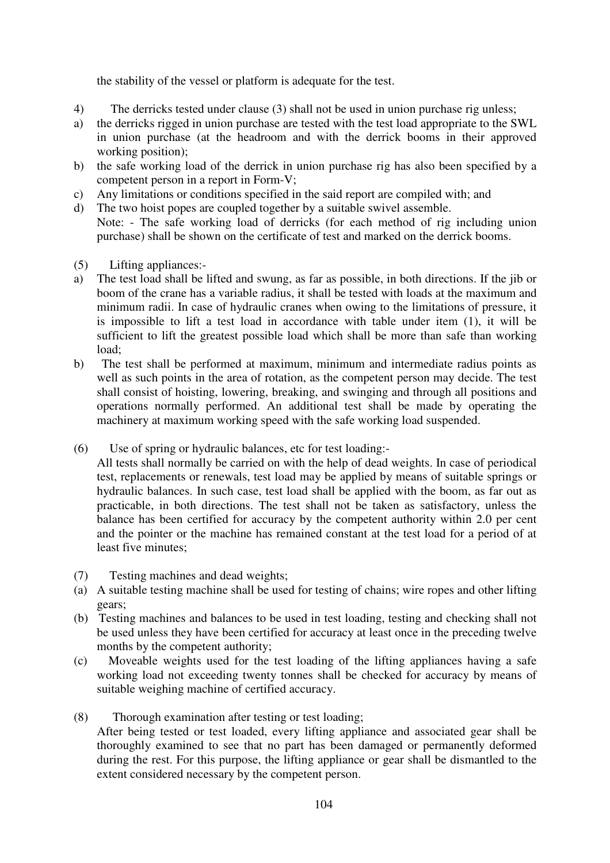the stability of the vessel or platform is adequate for the test.

- 4) The derricks tested under clause (3) shall not be used in union purchase rig unless;
- a) the derricks rigged in union purchase are tested with the test load appropriate to the SWL in union purchase (at the headroom and with the derrick booms in their approved working position);
- b) the safe working load of the derrick in union purchase rig has also been specified by a competent person in a report in Form-V;
- c) Any limitations or conditions specified in the said report are compiled with; and
- d) The two hoist popes are coupled together by a suitable swivel assemble. Note: - The safe working load of derricks (for each method of rig including union purchase) shall be shown on the certificate of test and marked on the derrick booms.
- (5) Lifting appliances:-
- a) The test load shall be lifted and swung, as far as possible, in both directions. If the jib or boom of the crane has a variable radius, it shall be tested with loads at the maximum and minimum radii. In case of hydraulic cranes when owing to the limitations of pressure, it is impossible to lift a test load in accordance with table under item (1), it will be sufficient to lift the greatest possible load which shall be more than safe than working load;
- b) The test shall be performed at maximum, minimum and intermediate radius points as well as such points in the area of rotation, as the competent person may decide. The test shall consist of hoisting, lowering, breaking, and swinging and through all positions and operations normally performed. An additional test shall be made by operating the machinery at maximum working speed with the safe working load suspended.
- (6) Use of spring or hydraulic balances, etc for test loading:-
	- All tests shall normally be carried on with the help of dead weights. In case of periodical test, replacements or renewals, test load may be applied by means of suitable springs or hydraulic balances. In such case, test load shall be applied with the boom, as far out as practicable, in both directions. The test shall not be taken as satisfactory, unless the balance has been certified for accuracy by the competent authority within 2.0 per cent and the pointer or the machine has remained constant at the test load for a period of at least five minutes;
- (7) Testing machines and dead weights;
- (a) A suitable testing machine shall be used for testing of chains; wire ropes and other lifting gears;
- (b) Testing machines and balances to be used in test loading, testing and checking shall not be used unless they have been certified for accuracy at least once in the preceding twelve months by the competent authority;
- (c) Moveable weights used for the test loading of the lifting appliances having a safe working load not exceeding twenty tonnes shall be checked for accuracy by means of suitable weighing machine of certified accuracy.
- (8) Thorough examination after testing or test loading; After being tested or test loaded, every lifting appliance and associated gear shall be thoroughly examined to see that no part has been damaged or permanently deformed during the rest. For this purpose, the lifting appliance or gear shall be dismantled to the extent considered necessary by the competent person.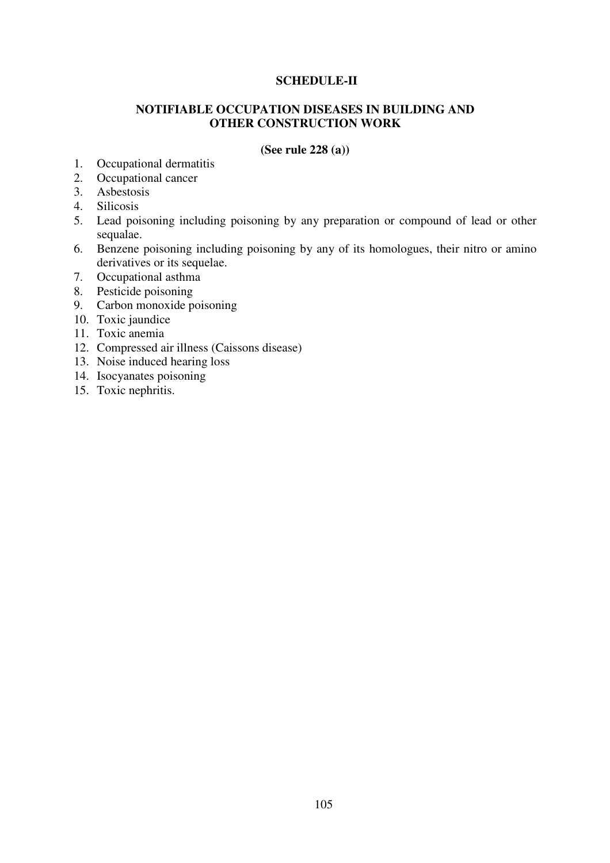## **SCHEDULE-II**

## **NOTIFIABLE OCCUPATION DISEASES IN BUILDING AND OTHER CONSTRUCTION WORK**

#### **(See rule 228 (a))**

- 1. Occupational dermatitis<br>2. Occupational cancer
- Occupational cancer
- 3. Asbestosis
- 4. Silicosis
- 5. Lead poisoning including poisoning by any preparation or compound of lead or other sequalae.
- 6. Benzene poisoning including poisoning by any of its homologues, their nitro or amino derivatives or its sequelae.
- 7. Occupational asthma
- 8. Pesticide poisoning
- 9. Carbon monoxide poisoning
- 10. Toxic jaundice
- 11. Toxic anemia
- 12. Compressed air illness (Caissons disease)
- 13. Noise induced hearing loss
- 14. Isocyanates poisoning
- 15. Toxic nephritis.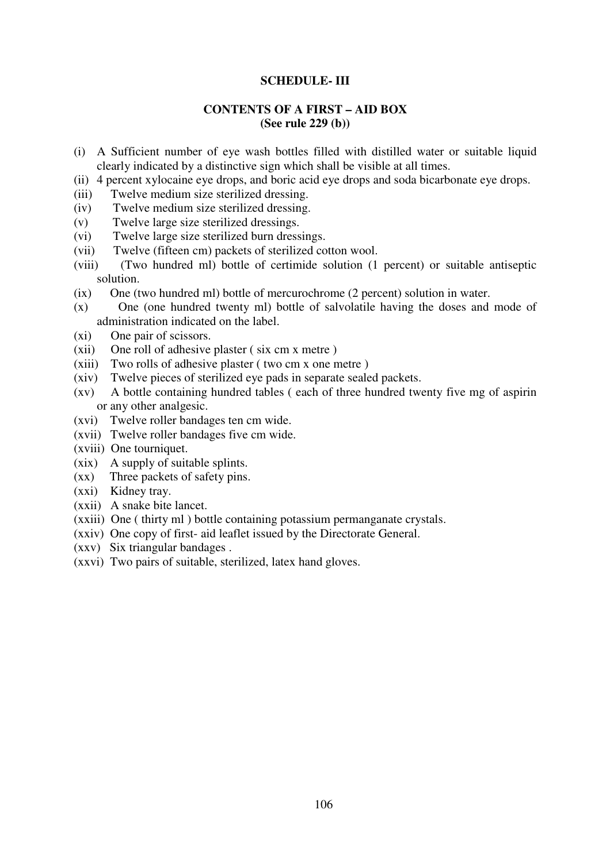#### **SCHEDULE- III**

#### **CONTENTS OF A FIRST – AID BOX (See rule 229 (b))**

- (i) A Sufficient number of eye wash bottles filled with distilled water or suitable liquid clearly indicated by a distinctive sign which shall be visible at all times.
- (ii) 4 percent xylocaine eye drops, and boric acid eye drops and soda bicarbonate eye drops.
- (iii) Twelve medium size sterilized dressing.
- (iv) Twelve medium size sterilized dressing.
- (v) Twelve large size sterilized dressings.
- (vi) Twelve large size sterilized burn dressings.
- (vii) Twelve (fifteen cm) packets of sterilized cotton wool.
- (viii) (Two hundred ml) bottle of certimide solution (1 percent) or suitable antiseptic solution.
- (ix) One (two hundred ml) bottle of mercurochrome (2 percent) solution in water.
- (x) One (one hundred twenty ml) bottle of salvolatile having the doses and mode of administration indicated on the label.
- (xi) One pair of scissors.
- (xii) One roll of adhesive plaster ( six cm x metre )
- (xiii) Two rolls of adhesive plaster ( two cm x one metre )
- (xiv) Twelve pieces of sterilized eye pads in separate sealed packets.
- (xv) A bottle containing hundred tables ( each of three hundred twenty five mg of aspirin or any other analgesic.
- (xvi) Twelve roller bandages ten cm wide.
- (xvii) Twelve roller bandages five cm wide.
- (xviii) One tourniquet.
- (xix) A supply of suitable splints.
- (xx) Three packets of safety pins.
- (xxi) Kidney tray.
- (xxii) A snake bite lancet.
- (xxiii) One ( thirty ml ) bottle containing potassium permanganate crystals.
- (xxiv) One copy of first- aid leaflet issued by the Directorate General.
- (xxv) Six triangular bandages .
- (xxvi) Two pairs of suitable, sterilized, latex hand gloves.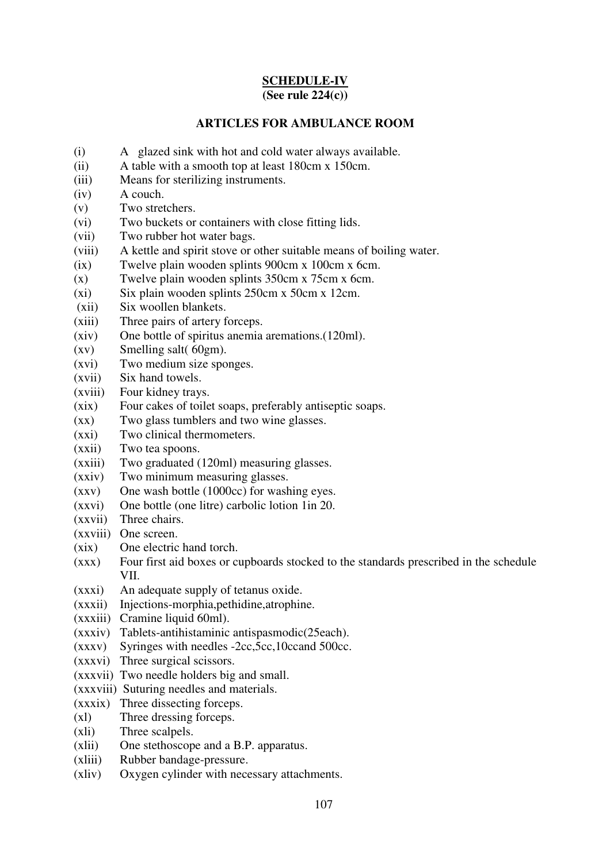### **SCHEDULE-IV (See rule 224(c))**

# **ARTICLES FOR AMBULANCE ROOM**

- (i) A glazed sink with hot and cold water always available.
- (ii) A table with a smooth top at least 180cm x 150cm.
- (iii) Means for sterilizing instruments.
- (iv) A couch.
- (v) Two stretchers.
- (vi) Two buckets or containers with close fitting lids.
- (vii) Two rubber hot water bags.
- (viii) A kettle and spirit stove or other suitable means of boiling water.
- (ix) Twelve plain wooden splints 900cm x 100cm x 6cm.
- (x) Twelve plain wooden splints 350cm x 75cm x 6cm.
- (xi) Six plain wooden splints 250cm x 50cm x 12cm.
- (xii) Six woollen blankets.
- (xiii) Three pairs of artery forceps.
- (xiv) One bottle of spiritus anemia aremations.(120ml).
- (xv) Smelling salt( 60gm).
- (xvi) Two medium size sponges.
- (xvii) Six hand towels.
- (xviii) Four kidney trays.
- (xix) Four cakes of toilet soaps, preferably antiseptic soaps.
- (xx) Two glass tumblers and two wine glasses.
- (xxi) Two clinical thermometers.
- (xxii) Two tea spoons.
- (xxiii) Two graduated (120ml) measuring glasses.
- (xxiv) Two minimum measuring glasses.
- (xxv) One wash bottle (1000cc) for washing eyes.
- (xxvi) One bottle (one litre) carbolic lotion 1in 20.
- (xxvii) Three chairs.
- (xxviii) One screen.
- (xix) One electric hand torch.
- (xxx) Four first aid boxes or cupboards stocked to the standards prescribed in the schedule VII.
- (xxxi) An adequate supply of tetanus oxide.
- (xxxii) Injections-morphia,pethidine,atrophine.
- (xxxiii) Cramine liquid 60ml).
- (xxxiv) Tablets-antihistaminic antispasmodic(25each).
- (xxxv) Syringes with needles -2cc,5cc,10ccand 500cc.
- (xxxvi) Three surgical scissors.
- (xxxvii) Two needle holders big and small.
- (xxxviii) Suturing needles and materials.
- (xxxix) Three dissecting forceps.
- (xl) Three dressing forceps.
- (xli) Three scalpels.
- (xlii) One stethoscope and a B.P. apparatus.
- (xliii) Rubber bandage-pressure.
- (xliv) Oxygen cylinder with necessary attachments.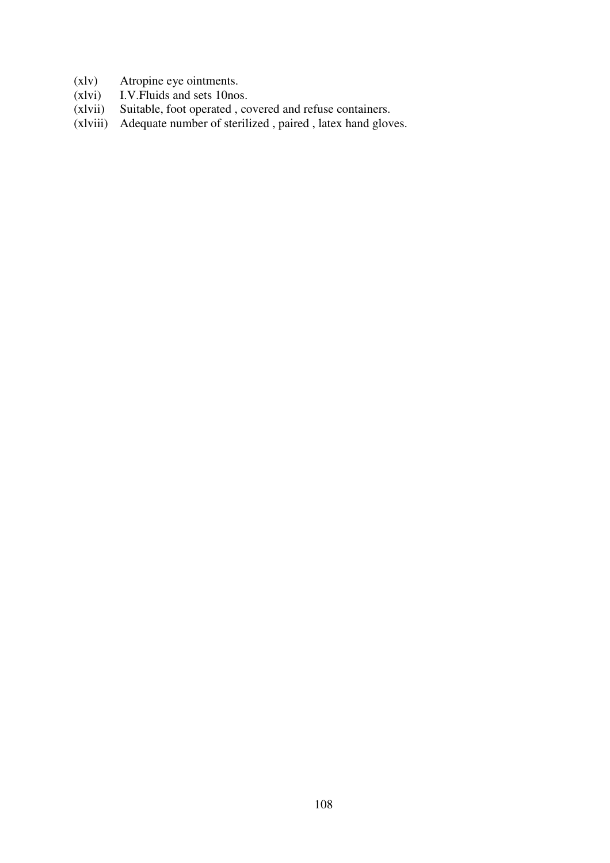- (xlv) Atropine eye ointments.<br>(xlvi) I.V. Fluids and sets 10nos
- (xlvi) I.V. Fluids and sets 10nos.<br>(xlvii) Suitable, foot operated, co
- Suitable, foot operated , covered and refuse containers.
- (xlviii) Adequate number of sterilized , paired , latex hand gloves.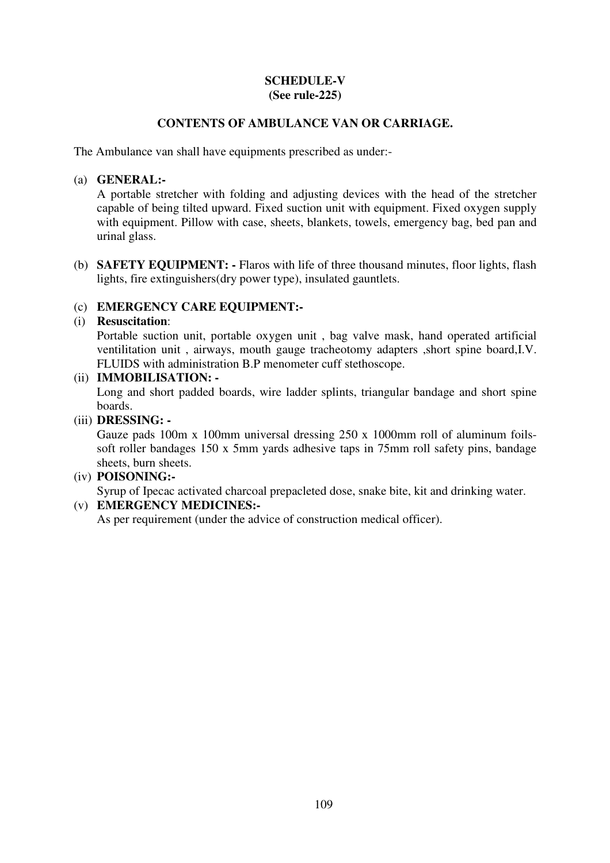## **SCHEDULE-V (See rule-225)**

## **CONTENTS OF AMBULANCE VAN OR CARRIAGE.**

The Ambulance van shall have equipments prescribed as under:-

## (a) **GENERAL:-**

A portable stretcher with folding and adjusting devices with the head of the stretcher capable of being tilted upward. Fixed suction unit with equipment. Fixed oxygen supply with equipment. Pillow with case, sheets, blankets, towels, emergency bag, bed pan and urinal glass.

(b) **SAFETY EQUIPMENT: -** Flaros with life of three thousand minutes, floor lights, flash lights, fire extinguishers(dry power type), insulated gauntlets.

## (c) **EMERGENCY CARE EQUIPMENT:-**

## (i) **Resuscitation**:

Portable suction unit, portable oxygen unit , bag valve mask, hand operated artificial ventilitation unit , airways, mouth gauge tracheotomy adapters ,short spine board,I.V. FLUIDS with administration B.P menometer cuff stethoscope.

## (ii) **IMMOBILISATION: -**

Long and short padded boards, wire ladder splints, triangular bandage and short spine boards.

## (iii) **DRESSING: -**

Gauze pads 100m x 100mm universal dressing 250 x 1000mm roll of aluminum foilssoft roller bandages 150 x 5mm yards adhesive taps in 75mm roll safety pins, bandage sheets, burn sheets.

## (iv) **POISONING:-**

Syrup of Ipecac activated charcoal prepacleted dose, snake bite, kit and drinking water.

## (v) **EMERGENCY MEDICINES:-**

As per requirement (under the advice of construction medical officer).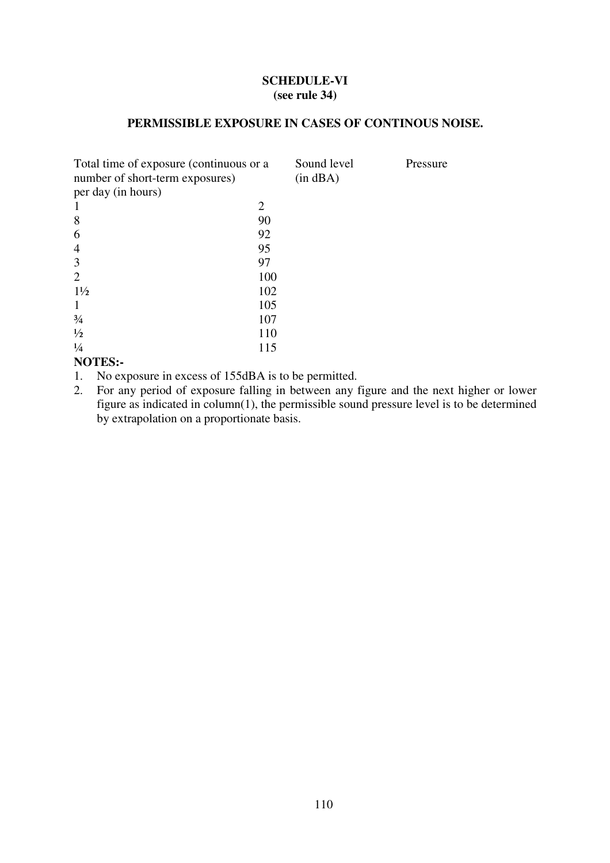## **SCHEDULE-VI (see rule 34)**

## **PERMISSIBLE EXPOSURE IN CASES OF CONTINOUS NOISE.**

| Total time of exposure (continuous or a<br>number of short-term exposures) | Sound level<br>$(in$ dBA $)$ | Pressure |  |
|----------------------------------------------------------------------------|------------------------------|----------|--|
| per day (in hours)                                                         |                              |          |  |
|                                                                            | 2                            |          |  |
| 8                                                                          | 90                           |          |  |
| 6                                                                          | 92                           |          |  |
| 4                                                                          | 95                           |          |  |
| 3                                                                          | 97                           |          |  |
| $\mathcal{D}_{\cdot}$                                                      | 100                          |          |  |
| $1\frac{1}{2}$                                                             | 102                          |          |  |
|                                                                            | 105                          |          |  |
| $\frac{3}{4}$                                                              | 107                          |          |  |
| $\frac{1}{2}$                                                              | 110                          |          |  |
| $\frac{1}{4}$                                                              | 115                          |          |  |
|                                                                            |                              |          |  |

## **NOTES:-**

- 1. No exposure in excess of 155dBA is to be permitted.
- 2. For any period of exposure falling in between any figure and the next higher or lower figure as indicated in column(1), the permissible sound pressure level is to be determined by extrapolation on a proportionate basis.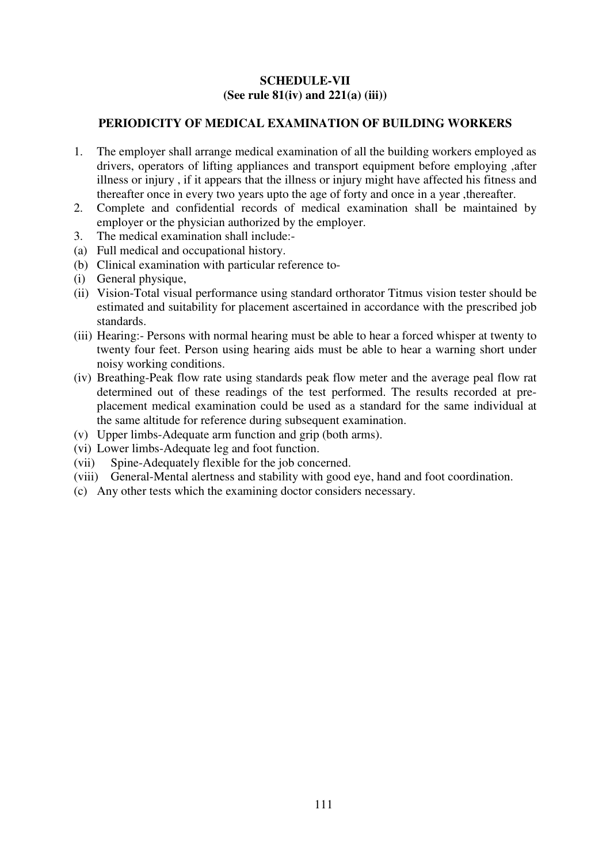## **SCHEDULE-VII (See rule 81(iv) and 221(a) (iii))**

## **PERIODICITY OF MEDICAL EXAMINATION OF BUILDING WORKERS**

- 1. The employer shall arrange medical examination of all the building workers employed as drivers, operators of lifting appliances and transport equipment before employing ,after illness or injury , if it appears that the illness or injury might have affected his fitness and thereafter once in every two years upto the age of forty and once in a year ,thereafter.
- 2. Complete and confidential records of medical examination shall be maintained by employer or the physician authorized by the employer.
- 3. The medical examination shall include:-
- (a) Full medical and occupational history.
- (b) Clinical examination with particular reference to-
- (i) General physique,
- (ii) Vision-Total visual performance using standard orthorator Titmus vision tester should be estimated and suitability for placement ascertained in accordance with the prescribed job standards.
- (iii) Hearing:- Persons with normal hearing must be able to hear a forced whisper at twenty to twenty four feet. Person using hearing aids must be able to hear a warning short under noisy working conditions.
- (iv) Breathing-Peak flow rate using standards peak flow meter and the average peal flow rat determined out of these readings of the test performed. The results recorded at preplacement medical examination could be used as a standard for the same individual at the same altitude for reference during subsequent examination.
- (v) Upper limbs-Adequate arm function and grip (both arms).
- (vi) Lower limbs-Adequate leg and foot function.
- (vii) Spine-Adequately flexible for the job concerned.
- (viii) General-Mental alertness and stability with good eye, hand and foot coordination.
- (c) Any other tests which the examining doctor considers necessary.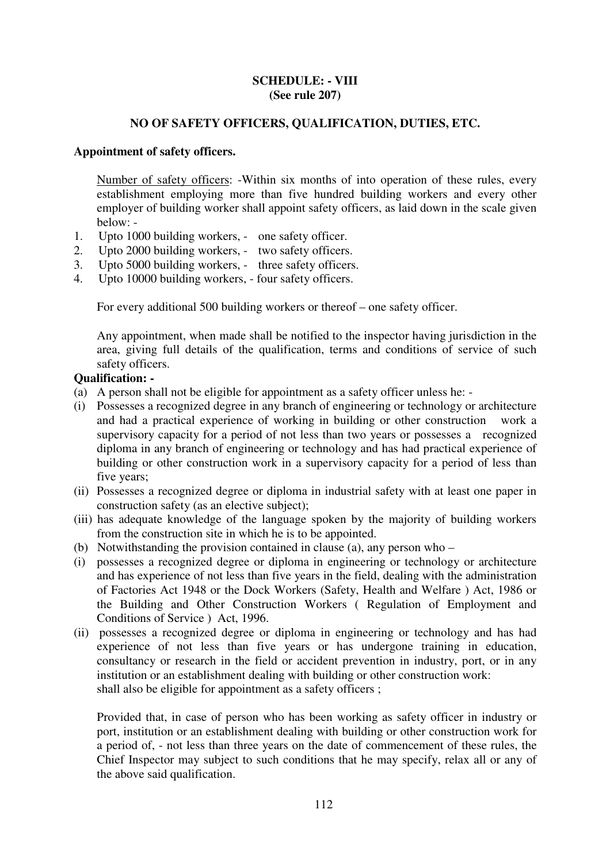#### **SCHEDULE: - VIII (See rule 207)**

## **NO OF SAFETY OFFICERS, QUALIFICATION, DUTIES, ETC.**

## **Appointment of safety officers.**

Number of safety officers: -Within six months of into operation of these rules, every establishment employing more than five hundred building workers and every other employer of building worker shall appoint safety officers, as laid down in the scale given below: -

- 1. Upto 1000 building workers, one safety officer.
- 2. Upto 2000 building workers, two safety officers.
- 3. Upto 5000 building workers, three safety officers.
- 4. Upto 10000 building workers, four safety officers.

For every additional 500 building workers or thereof – one safety officer.

Any appointment, when made shall be notified to the inspector having jurisdiction in the area, giving full details of the qualification, terms and conditions of service of such safety officers.

#### **Qualification: -**

- (a) A person shall not be eligible for appointment as a safety officer unless he: -
- (i) Possesses a recognized degree in any branch of engineering or technology or architecture and had a practical experience of working in building or other construction work a supervisory capacity for a period of not less than two years or possesses a recognized diploma in any branch of engineering or technology and has had practical experience of building or other construction work in a supervisory capacity for a period of less than five years;
- (ii) Possesses a recognized degree or diploma in industrial safety with at least one paper in construction safety (as an elective subject);
- (iii) has adequate knowledge of the language spoken by the majority of building workers from the construction site in which he is to be appointed.
- (b) Notwithstanding the provision contained in clause (a), any person who –
- (i) possesses a recognized degree or diploma in engineering or technology or architecture and has experience of not less than five years in the field, dealing with the administration of Factories Act 1948 or the Dock Workers (Safety, Health and Welfare ) Act, 1986 or the Building and Other Construction Workers ( Regulation of Employment and Conditions of Service ) Act, 1996.
- (ii) possesses a recognized degree or diploma in engineering or technology and has had experience of not less than five years or has undergone training in education, consultancy or research in the field or accident prevention in industry, port, or in any institution or an establishment dealing with building or other construction work: shall also be eligible for appointment as a safety officers ;

Provided that, in case of person who has been working as safety officer in industry or port, institution or an establishment dealing with building or other construction work for a period of, - not less than three years on the date of commencement of these rules, the Chief Inspector may subject to such conditions that he may specify, relax all or any of the above said qualification.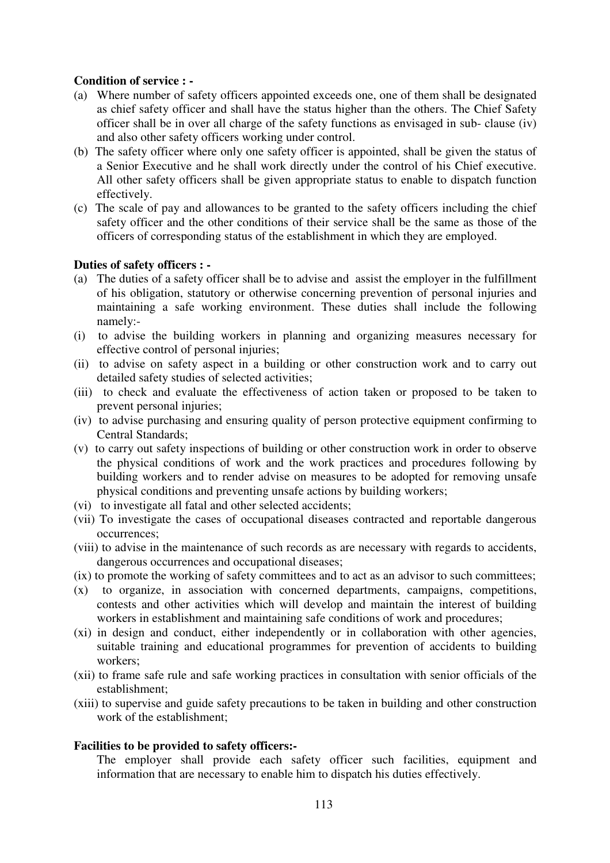## **Condition of service : -**

- (a) Where number of safety officers appointed exceeds one, one of them shall be designated as chief safety officer and shall have the status higher than the others. The Chief Safety officer shall be in over all charge of the safety functions as envisaged in sub- clause (iv) and also other safety officers working under control.
- (b) The safety officer where only one safety officer is appointed, shall be given the status of a Senior Executive and he shall work directly under the control of his Chief executive. All other safety officers shall be given appropriate status to enable to dispatch function effectively.
- (c) The scale of pay and allowances to be granted to the safety officers including the chief safety officer and the other conditions of their service shall be the same as those of the officers of corresponding status of the establishment in which they are employed.

#### **Duties of safety officers : -**

- (a) The duties of a safety officer shall be to advise and assist the employer in the fulfillment of his obligation, statutory or otherwise concerning prevention of personal injuries and maintaining a safe working environment. These duties shall include the following namely:-
- (i) to advise the building workers in planning and organizing measures necessary for effective control of personal injuries;
- (ii) to advise on safety aspect in a building or other construction work and to carry out detailed safety studies of selected activities;
- (iii) to check and evaluate the effectiveness of action taken or proposed to be taken to prevent personal injuries;
- (iv) to advise purchasing and ensuring quality of person protective equipment confirming to Central Standards;
- (v) to carry out safety inspections of building or other construction work in order to observe the physical conditions of work and the work practices and procedures following by building workers and to render advise on measures to be adopted for removing unsafe physical conditions and preventing unsafe actions by building workers;
- (vi) to investigate all fatal and other selected accidents;
- (vii) To investigate the cases of occupational diseases contracted and reportable dangerous occurrences;
- (viii) to advise in the maintenance of such records as are necessary with regards to accidents, dangerous occurrences and occupational diseases;
- (ix) to promote the working of safety committees and to act as an advisor to such committees;
- (x) to organize, in association with concerned departments, campaigns, competitions, contests and other activities which will develop and maintain the interest of building workers in establishment and maintaining safe conditions of work and procedures;
- (xi) in design and conduct, either independently or in collaboration with other agencies, suitable training and educational programmes for prevention of accidents to building workers;
- (xii) to frame safe rule and safe working practices in consultation with senior officials of the establishment;
- (xiii) to supervise and guide safety precautions to be taken in building and other construction work of the establishment;

#### **Facilities to be provided to safety officers:-**

The employer shall provide each safety officer such facilities, equipment and information that are necessary to enable him to dispatch his duties effectively.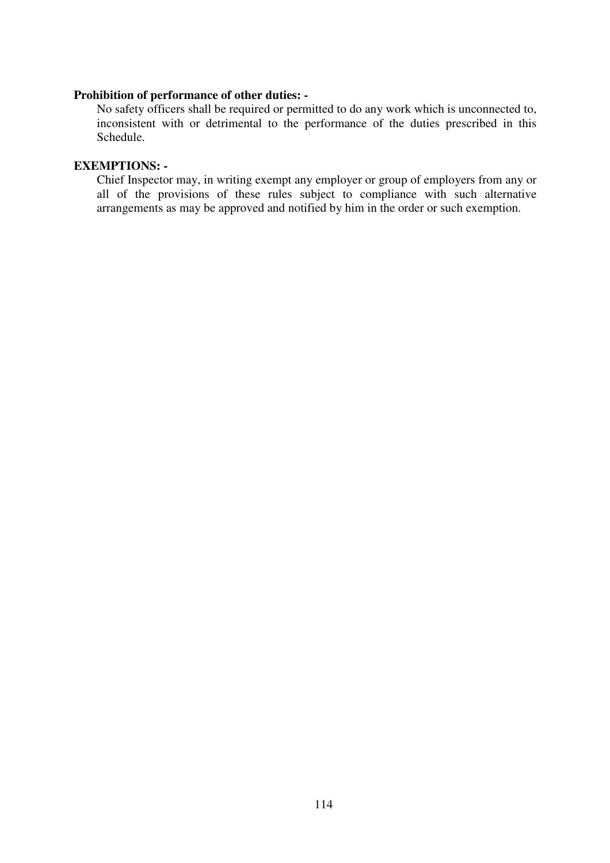#### **Prohibition of performance of other duties: -**

No safety officers shall be required or permitted to do any work which is unconnected to, inconsistent with or detrimental to the performance of the duties prescribed in this Schedule.

## **EXEMPTIONS: -**

Chief Inspector may, in writing exempt any employer or group of employers from any or all of the provisions of these rules subject to compliance with such alternative arrangements as may be approved and notified by him in the order or such exemption.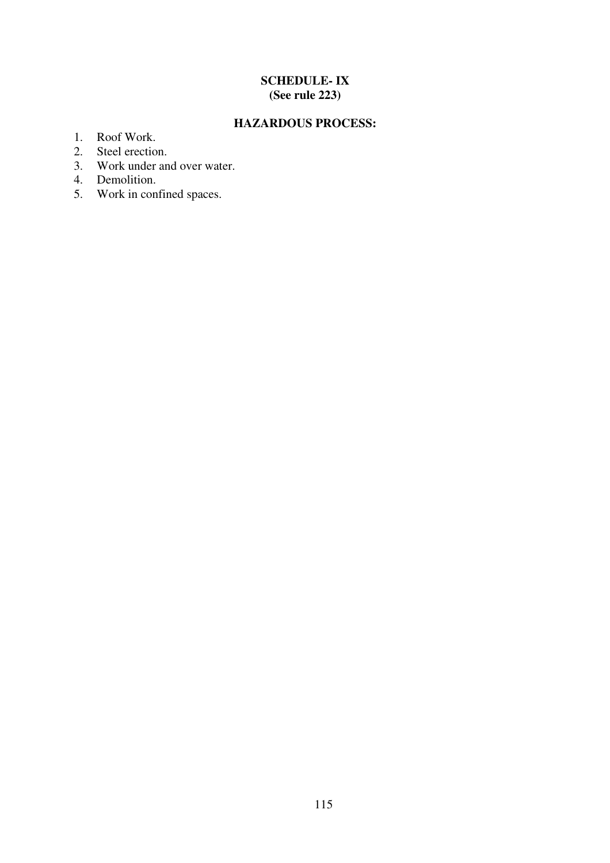## **SCHEDULE- IX (See rule 223)**

## **HAZARDOUS PROCESS:**

- 1. Roof Work.
- 2. Steel erection.
- 3. Work under and over water.
- 4. Demolition.
- 5. Work in confined spaces.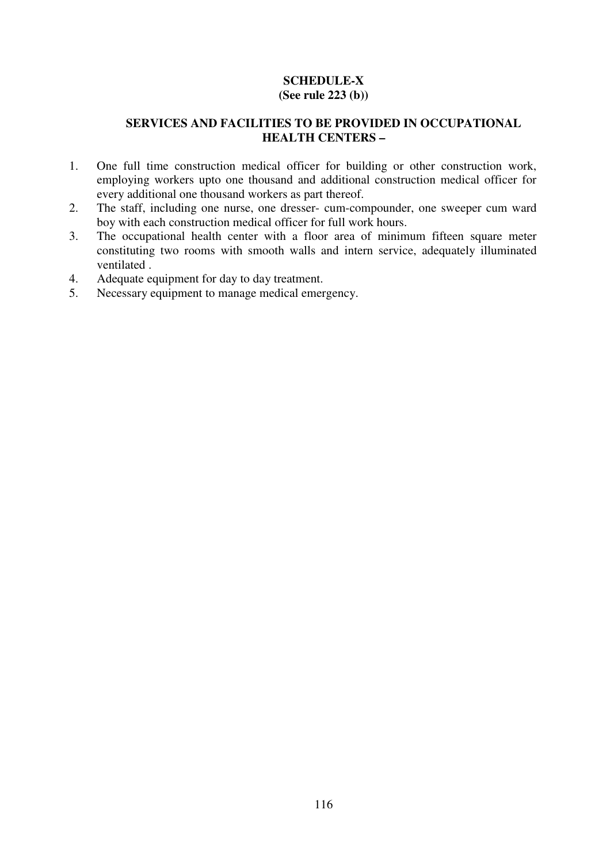## **SCHEDULE-X (See rule 223 (b))**

## **SERVICES AND FACILITIES TO BE PROVIDED IN OCCUPATIONAL HEALTH CENTERS –**

- 1. One full time construction medical officer for building or other construction work, employing workers upto one thousand and additional construction medical officer for every additional one thousand workers as part thereof.
- 2. The staff, including one nurse, one dresser- cum-compounder, one sweeper cum ward boy with each construction medical officer for full work hours.
- 3. The occupational health center with a floor area of minimum fifteen square meter constituting two rooms with smooth walls and intern service, adequately illuminated ventilated .
- 4. Adequate equipment for day to day treatment.
- 5. Necessary equipment to manage medical emergency.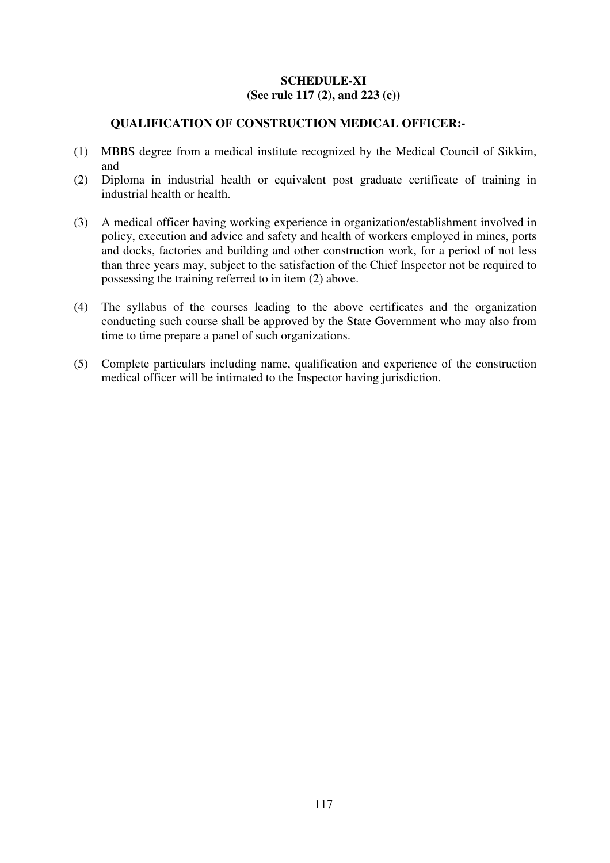## **SCHEDULE-XI (See rule 117 (2), and 223 (c))**

## **QUALIFICATION OF CONSTRUCTION MEDICAL OFFICER:-**

- (1) MBBS degree from a medical institute recognized by the Medical Council of Sikkim, and
- (2) Diploma in industrial health or equivalent post graduate certificate of training in industrial health or health.
- (3) A medical officer having working experience in organization/establishment involved in policy, execution and advice and safety and health of workers employed in mines, ports and docks, factories and building and other construction work, for a period of not less than three years may, subject to the satisfaction of the Chief Inspector not be required to possessing the training referred to in item (2) above.
- (4) The syllabus of the courses leading to the above certificates and the organization conducting such course shall be approved by the State Government who may also from time to time prepare a panel of such organizations.
- (5) Complete particulars including name, qualification and experience of the construction medical officer will be intimated to the Inspector having jurisdiction.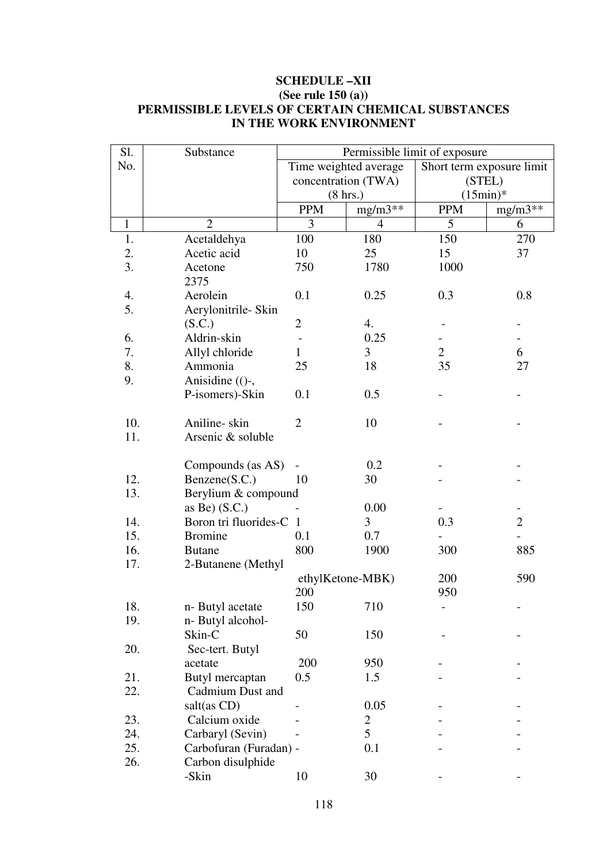## **SCHEDULE –XII (See rule 150 (a)) PERMISSIBLE LEVELS OF CERTAIN CHEMICAL SUBSTANCES IN THE WORK ENVIRONMENT**

| Sl.          | Substance               | Permissible limit of exposure |                       |                           |                          |  |  |  |
|--------------|-------------------------|-------------------------------|-----------------------|---------------------------|--------------------------|--|--|--|
| No.          |                         |                               | Time weighted average | Short term exposure limit |                          |  |  |  |
|              |                         |                               | concentration (TWA)   | (STEL)                    |                          |  |  |  |
|              |                         | $(8 \text{ hrs.})$            |                       | $(15min)*$                |                          |  |  |  |
|              |                         | <b>PPM</b>                    | $mg/m3$ **            | <b>PPM</b>                | $mg/m3**$                |  |  |  |
| $\mathbf{1}$ | $\overline{2}$          | 3                             | $\overline{4}$        | 5                         | 6                        |  |  |  |
| 1.           | Acetaldehya             | 100                           | 180                   | 150                       | 270                      |  |  |  |
| 2.           | Acetic acid             | 10                            | 25                    | 15                        | 37                       |  |  |  |
| 3.           | Acetone                 | 750                           | 1780                  | 1000                      |                          |  |  |  |
|              | 2375                    |                               |                       |                           |                          |  |  |  |
| 4.           | Aerolein                | 0.1                           | 0.25                  | 0.3                       | 0.8                      |  |  |  |
| 5.           | Aerylonitrile- Skin     |                               |                       |                           |                          |  |  |  |
|              | (S.C.)                  | $\overline{2}$                | 4.                    |                           |                          |  |  |  |
| 6.           | Aldrin-skin             |                               | 0.25                  |                           |                          |  |  |  |
| 7.           | Allyl chloride          | 1                             | $\mathfrak{Z}$        | $\overline{2}$            | 6                        |  |  |  |
| 8.           | Ammonia                 | 25                            | 18                    | 35                        | 27                       |  |  |  |
| 9.           | Anisidine (()-,         |                               |                       |                           |                          |  |  |  |
|              | P-isomers)-Skin         | 0.1                           | 0.5                   |                           |                          |  |  |  |
|              |                         |                               |                       |                           |                          |  |  |  |
| 10.          | Aniline-skin            | $\overline{2}$                | 10                    |                           |                          |  |  |  |
| 11.          | Arsenic & soluble       |                               |                       |                           |                          |  |  |  |
|              |                         |                               |                       |                           |                          |  |  |  |
|              | Compounds (as AS)       |                               | 0.2                   |                           |                          |  |  |  |
| 12.          | Benzene(S.C.)           | 10                            | 30                    |                           |                          |  |  |  |
| 13.          | Berylium & compound     |                               |                       |                           |                          |  |  |  |
|              | as Be $($ S.C. $)$      |                               | 0.00                  |                           |                          |  |  |  |
| 14.          | Boron tri fluorides-C 1 |                               | 3                     | 0.3                       | $\overline{2}$           |  |  |  |
| 15.          | <b>Bromine</b>          | 0.1                           | 0.7                   |                           | $\overline{\phantom{0}}$ |  |  |  |
| 16.          | <b>Butane</b>           | 800                           | 1900                  | 300                       | 885                      |  |  |  |
| 17.          | 2-Butanene (Methyl      |                               |                       |                           |                          |  |  |  |
|              |                         |                               | ethylKetone-MBK)      | 200                       | 590                      |  |  |  |
|              |                         | 200                           |                       | 950                       |                          |  |  |  |
| 18.          | n-Butyl acetate         | 150                           | 710                   |                           |                          |  |  |  |
| 19.          | n-Butyl alcohol-        |                               |                       |                           |                          |  |  |  |
|              | Skin-C                  | 50                            | 150                   |                           |                          |  |  |  |
| 20.          | Sec-tert. Butyl         |                               |                       |                           |                          |  |  |  |
|              | acetate                 | 200                           | 950                   |                           |                          |  |  |  |
| 21.          | Butyl mercaptan         | 0.5                           | 1.5                   |                           |                          |  |  |  |
| 22.          | Cadmium Dust and        |                               |                       |                           |                          |  |  |  |
|              | salt(as CD)             |                               | 0.05                  |                           |                          |  |  |  |
| 23.          | Calcium oxide           |                               | $\overline{2}$        |                           |                          |  |  |  |
| 24.          | Carbaryl (Sevin)        |                               | 5                     |                           |                          |  |  |  |
| 25.          | Carbofuran (Furadan) -  |                               | 0.1                   |                           |                          |  |  |  |
|              |                         |                               |                       |                           |                          |  |  |  |
| 26.          | Carbon disulphide       |                               |                       |                           |                          |  |  |  |
|              | -Skin                   | 10                            | 30                    |                           |                          |  |  |  |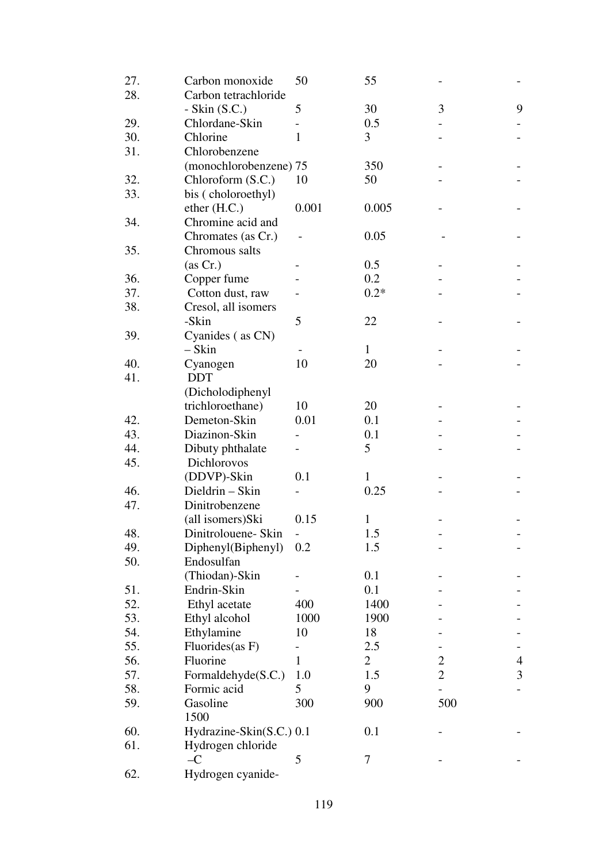| 27. | Carbon monoxide                  | 50           | 55             |                |   |
|-----|----------------------------------|--------------|----------------|----------------|---|
| 28. | Carbon tetrachloride             |              |                |                |   |
|     | - Skin $(S.C.)$                  | 5            | 30             | 3              | 9 |
| 29. | Chlordane-Skin                   |              | 0.5            |                |   |
| 30. | Chlorine                         | $\mathbf{1}$ | 3              |                |   |
| 31. | Chlorobenzene                    |              |                |                |   |
|     | (monochlorobenzene) 75           |              | 350            |                |   |
| 32. | Chloroform (S.C.)                | 10           | 50             |                |   |
| 33. | bis (choloroethyl)               |              |                |                |   |
|     | ether (H.C.)                     | 0.001        | 0.005          |                |   |
| 34. | Chromine acid and                |              |                |                |   |
|     | Chromates (as Cr.)               |              | 0.05           |                |   |
| 35. | Chromous salts                   |              |                |                |   |
|     | (as Cr.)                         |              | 0.5            |                |   |
| 36. | Copper fume                      |              | 0.2            |                |   |
| 37. | Cotton dust, raw                 |              | $0.2*$         |                |   |
| 38. | Cresol, all isomers              |              |                |                |   |
|     | -Skin                            | 5            | 22             |                |   |
| 39. | Cyanides (as CN)                 |              |                |                |   |
|     | $-Skin$                          |              | $\mathbf{1}$   |                |   |
| 40. | Cyanogen                         | 10           | 20             |                |   |
| 41. | <b>DDT</b>                       |              |                |                |   |
|     | (Dicholodiphenyl                 |              |                |                |   |
|     | trichloroethane)                 | 10           | 20             |                |   |
| 42. | Demeton-Skin                     | 0.01         | 0.1            |                |   |
| 43. | Diazinon-Skin                    |              | 0.1            |                |   |
| 44. | Dibuty phthalate                 |              | 5              |                |   |
| 45. | Dichlorovos                      |              |                |                |   |
|     | (DDVP)-Skin                      | 0.1          | 1              |                |   |
| 46. | Dieldrin - Skin                  |              | 0.25           |                |   |
| 47. | Dinitrobenzene                   |              |                |                |   |
|     | (all isomers)Ski                 | 0.15         | 1              |                |   |
| 48. | Dinitrolouene- Skin              |              | 1.5            |                |   |
| 49. |                                  | 0.2          | 1.5            |                |   |
| 50. | Diphenyl(Biphenyl)<br>Endosulfan |              |                |                |   |
|     | (Thiodan)-Skin                   |              | 0.1            |                |   |
| 51. | Endrin-Skin                      |              | 0.1            |                |   |
| 52. |                                  | 400          | 1400           |                |   |
|     | Ethyl acetate                    |              |                |                |   |
| 53. | Ethyl alcohol                    | 1000         | 1900           |                |   |
| 54. | Ethylamine                       | 10           | 18             |                |   |
| 55. | Fluorides(as F)                  |              | 2.5            |                |   |
| 56. | Fluorine                         | 1            | $\overline{2}$ | $\overline{c}$ | 4 |
| 57. | Formaldehyde(S.C.)               | 1.0          | 1.5            | $\overline{2}$ | 3 |
| 58. | Formic acid                      | 5            | 9              |                |   |
| 59. | Gasoline<br>1500                 | 300          | 900            | 500            |   |
| 60. | Hydrazine-Skin(S.C.) 0.1         |              | 0.1            |                |   |
| 61. | Hydrogen chloride                |              |                |                |   |
|     | $-C$                             | 5            | 7              |                |   |
| 62. | Hydrogen cyanide-                |              |                |                |   |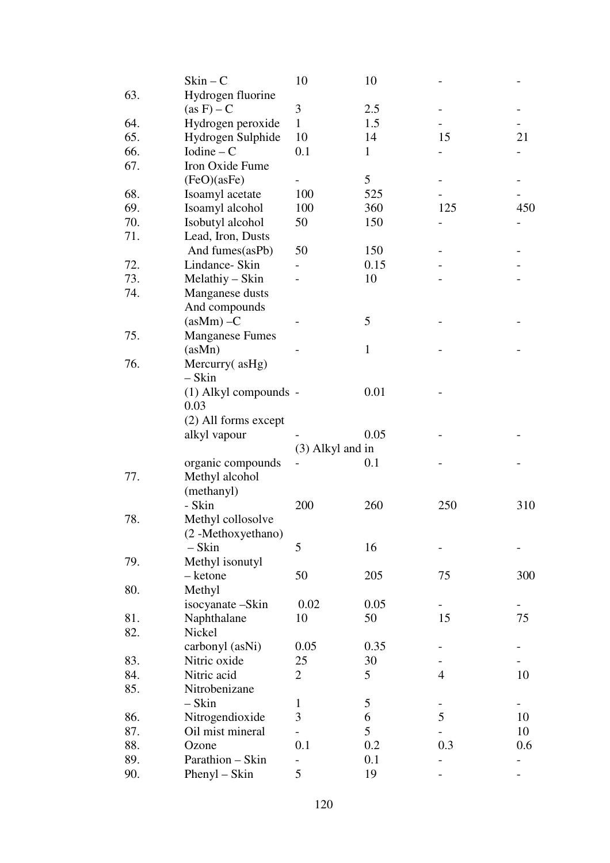|     | $Skin - C$             | 10                 | 10           |                |     |
|-----|------------------------|--------------------|--------------|----------------|-----|
| 63. | Hydrogen fluorine      |                    |              |                |     |
|     | $(as F) - C$           | 3                  | 2.5          |                |     |
| 64. | Hydrogen peroxide      | $\mathbf{1}$       | 1.5          |                |     |
| 65. | Hydrogen Sulphide      | 10                 | 14           | 15             | 21  |
| 66. | $Iodine - C$           | 0.1                | $\mathbf{1}$ |                |     |
| 67. | Iron Oxide Fume        |                    |              |                |     |
|     | (FeO)(asFe)            |                    | 5            |                |     |
| 68. | Isoamyl acetate        | 100                | 525          |                |     |
| 69. | Isoamyl alcohol        | 100                | 360          | 125            | 450 |
| 70. | Isobutyl alcohol       | 50                 | 150          |                |     |
| 71. | Lead, Iron, Dusts      |                    |              |                |     |
|     | And fumes(asPb)        | 50                 | 150          |                |     |
| 72. | Lindance- Skin         |                    | 0.15         |                |     |
| 73. | Melathiy – Skin        |                    | 10           |                |     |
| 74. | Manganese dusts        |                    |              |                |     |
|     | And compounds          |                    |              |                |     |
|     | $(a\text{sMm}) - C$    |                    | 5            |                |     |
| 75. | <b>Manganese Fumes</b> |                    |              |                |     |
|     | (asMn)                 |                    | $\mathbf{1}$ |                |     |
| 76. |                        |                    |              |                |     |
|     | Mercurry(asHg)         |                    |              |                |     |
|     | $-Skin$                |                    |              |                |     |
|     | (1) Alkyl compounds -  |                    | 0.01         |                |     |
|     | 0.03                   |                    |              |                |     |
|     | (2) All forms except   |                    |              |                |     |
|     | alkyl vapour           |                    | 0.05         |                |     |
|     |                        | $(3)$ Alkyl and in |              |                |     |
|     | organic compounds      |                    | 0.1          |                |     |
| 77. | Methyl alcohol         |                    |              |                |     |
|     | (methanyl)             |                    |              |                |     |
|     | - Skin                 | 200                | 260          | 250            | 310 |
| 78. | Methyl collosolve      |                    |              |                |     |
|     | (2-Methoxyethano)      |                    |              |                |     |
|     | $-Skin$                | 5                  | 16           |                |     |
| 79. | Methyl isonutyl        |                    |              |                |     |
|     | - ketone               | 50                 | 205          | 75             | 300 |
| 80. | Methyl                 |                    |              |                |     |
|     | isocyanate-Skin        | 0.02               | 0.05         |                |     |
| 81. | Naphthalane            | 10                 | 50           | 15             | 75  |
| 82. | Nickel                 |                    |              |                |     |
|     | carbonyl (asNi)        | 0.05               | 0.35         |                |     |
| 83. | Nitric oxide           | 25                 | 30           |                |     |
| 84. | Nitric acid            | $\overline{2}$     | 5            | $\overline{4}$ | 10  |
| 85. | Nitrobenizane          |                    |              |                |     |
|     | – Skin                 | 1                  | 5            |                |     |
| 86. | Nitrogendioxide        | 3                  | 6            | 5              | 10  |
| 87. | Oil mist mineral       |                    | 5            |                | 10  |
| 88. | Ozone                  | 0.1                | 0.2          | 0.3            | 0.6 |
| 89. | Parathion - Skin       |                    | 0.1          |                |     |
| 90. | $Phenyl - Skin$        | 5                  | 19           |                |     |
|     |                        |                    |              |                |     |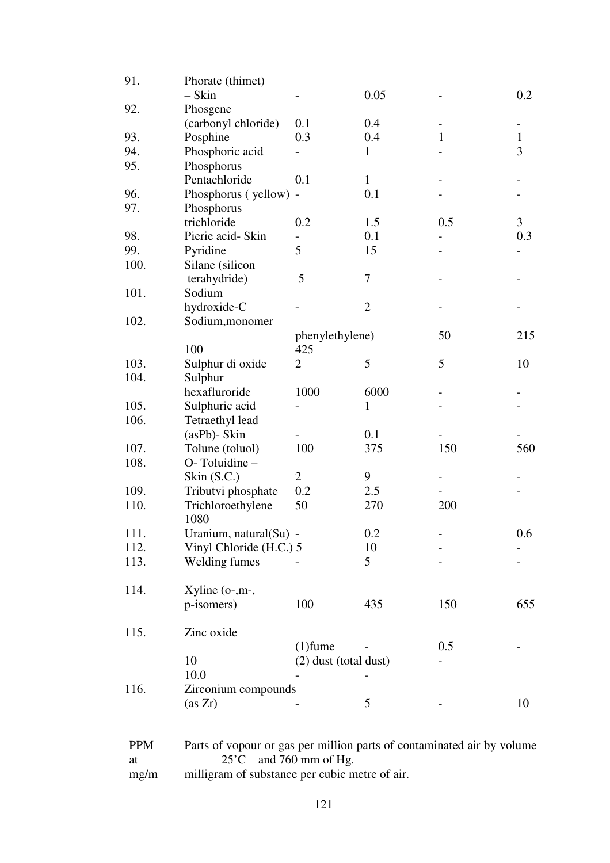| 91.  | Phorate (thimet)        |                       |                |              |              |
|------|-------------------------|-----------------------|----------------|--------------|--------------|
|      | $-Skin$                 |                       | 0.05           |              | 0.2          |
| 92.  | Phosgene                |                       |                |              |              |
|      | (carbonyl chloride)     | 0.1                   | 0.4            |              |              |
| 93.  | Posphine                | 0.3                   | 0.4            | $\mathbf{1}$ | $\mathbf{1}$ |
| 94.  | Phosphoric acid         |                       | 1              |              | 3            |
| 95.  | Phosphorus              |                       |                |              |              |
|      | Pentachloride           | 0.1                   | $\mathbf{1}$   |              |              |
| 96.  | Phosphorus (yellow) -   |                       | 0.1            |              |              |
| 97.  | Phosphorus              |                       |                |              |              |
|      | trichloride             | 0.2                   | 1.5            | 0.5          | 3            |
| 98.  | Pierie acid- Skin       |                       | 0.1            |              | 0.3          |
| 99.  | Pyridine                | 5                     | 15             |              |              |
| 100. | Silane (silicon         |                       |                |              |              |
|      | terahydride)            | 5                     | 7              |              |              |
| 101. | Sodium                  |                       |                |              |              |
|      | hydroxide-C             |                       | $\overline{2}$ |              |              |
| 102. | Sodium, monomer         |                       |                |              |              |
|      |                         | phenylethylene)       |                | 50           | 215          |
|      | 100                     | 425                   |                |              |              |
| 103. | Sulphur di oxide        | $\overline{2}$        | 5              | 5            | 10           |
| 104. | Sulphur                 |                       |                |              |              |
|      | hexafluroride           | 1000                  | 6000           |              |              |
| 105. | Sulphuric acid          |                       | 1              |              |              |
| 106. | Tetraethyl lead         |                       |                |              |              |
|      | $(asPb)$ - Skin         |                       | 0.1            |              |              |
| 107. | Tolune (toluol)         | 100                   | 375            | 150          | 560          |
| 108. | O-Toluidine -           |                       |                |              |              |
|      | Skin $(S.C.)$           | $\overline{2}$        | 9              |              |              |
| 109. | Tributvi phosphate      | 0.2                   | 2.5            |              |              |
| 110. | Trichloroethylene       | 50                    | 270            | 200          |              |
|      | 1080                    |                       |                |              |              |
| 111. | Uranium, natural(Su) -  |                       | 0.2            |              | 0.6          |
| 112. | Vinyl Chloride (H.C.) 5 |                       | 10             |              |              |
| 113. | Welding fumes           |                       | 5              |              |              |
|      |                         |                       |                |              |              |
| 114. | $X$ yline (o-,m-,       |                       |                |              |              |
|      | p-isomers)              | 100                   | 435            | 150          | 655          |
|      |                         |                       |                |              |              |
| 115. | Zinc oxide              |                       |                |              |              |
|      |                         | $(1)$ fume            |                | 0.5          |              |
|      | 10                      | (2) dust (total dust) |                |              |              |
|      |                         |                       |                |              |              |
|      | 10.0                    |                       |                |              |              |
| 116. | Zirconium compounds     |                       |                |              |              |
|      | (as Zr)                 |                       | 5              |              | 10           |
|      |                         |                       |                |              |              |

| <b>PPM</b> | Parts of vopour or gas per million parts of contaminated air by volume |
|------------|------------------------------------------------------------------------|
| at         | $25^{\circ}$ C and 760 mm of Hg.                                       |
| mg/m       | milligram of substance per cubic metre of air.                         |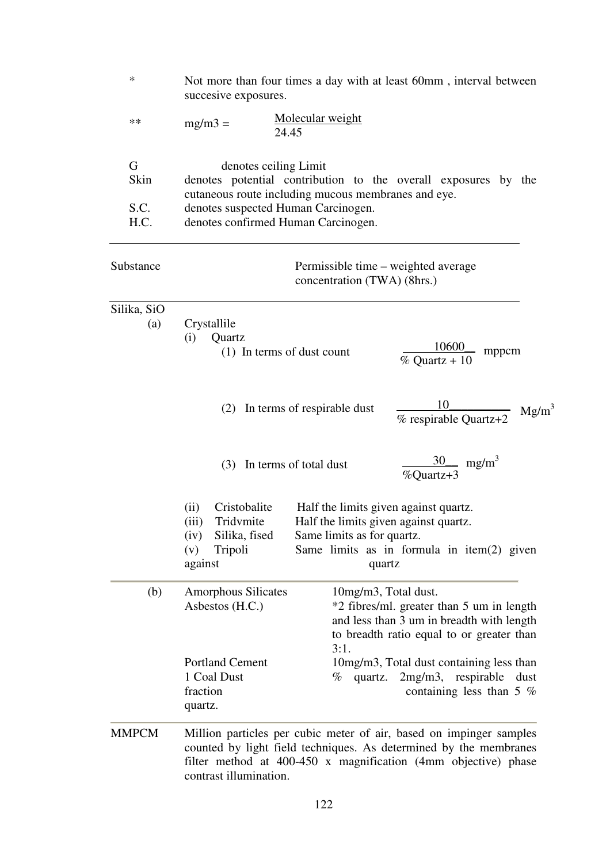| ∗                         | Not more than four times a day with at least 60mm, interval between<br>succesive exposures.                                                                                                                                                                                 |  |  |  |  |  |
|---------------------------|-----------------------------------------------------------------------------------------------------------------------------------------------------------------------------------------------------------------------------------------------------------------------------|--|--|--|--|--|
| **                        | Molecular weight<br>$mg/m3 =$<br>24.45                                                                                                                                                                                                                                      |  |  |  |  |  |
| G<br>Skin<br>S.C.<br>H.C. | denotes ceiling Limit<br>denotes potential contribution to the overall exposures by the<br>cutaneous route including mucous membranes and eye.<br>denotes suspected Human Carcinogen.<br>denotes confirmed Human Carcinogen.                                                |  |  |  |  |  |
| Substance                 | Permissible time – weighted average<br>concentration (TWA) (8hrs.)                                                                                                                                                                                                          |  |  |  |  |  |
| Silika, SiO<br>(a)        | Crystallile<br>(i)<br>Quartz<br>$\frac{10600}{\% \text{ Quartz} + 10}$<br>mppcm<br>(1) In terms of dust count                                                                                                                                                               |  |  |  |  |  |
|                           | $\frac{10}{\%$ respirable Quartz+2<br>In terms of respirable dust<br>(2)<br>$Mg/m^3$                                                                                                                                                                                        |  |  |  |  |  |
|                           | $\frac{30}{\text{mg/m}^3}$<br>In terms of total dust<br>(3)<br>%Quartz+3                                                                                                                                                                                                    |  |  |  |  |  |
|                           | Cristobalite<br>Half the limits given against quartz.<br>(ii)<br>Tridvmite<br>Half the limits given against quartz.<br>(iii)<br>Silika, fised<br>Same limits as for quartz.<br>(iv)<br>Tripoli<br>Same limits as in formula in item $(2)$ given<br>(v)<br>against<br>quartz |  |  |  |  |  |
| (b)                       | <b>Amorphous Silicates</b><br>10mg/m3, Total dust.<br>Asbestos (H.C.)<br>*2 fibres/ml. greater than 5 um in length<br>and less than 3 um in breadth with length<br>to breadth ratio equal to or greater than<br>3:1.                                                        |  |  |  |  |  |
|                           | <b>Portland Cement</b><br>10mg/m3, Total dust containing less than<br>1 Coal Dust<br>2mg/m3, respirable<br>quartz.<br>$\%$<br>dust<br>fraction<br>containing less than 5 $%$<br>quartz.                                                                                     |  |  |  |  |  |
| <b>MMPCM</b>              | Million particles per cubic meter of air, based on impinger samples<br>counted by light field techniques. As determined by the membranes                                                                                                                                    |  |  |  |  |  |

122

contrast illumination.

filter method at 400-450 x magnification (4mm objective) phase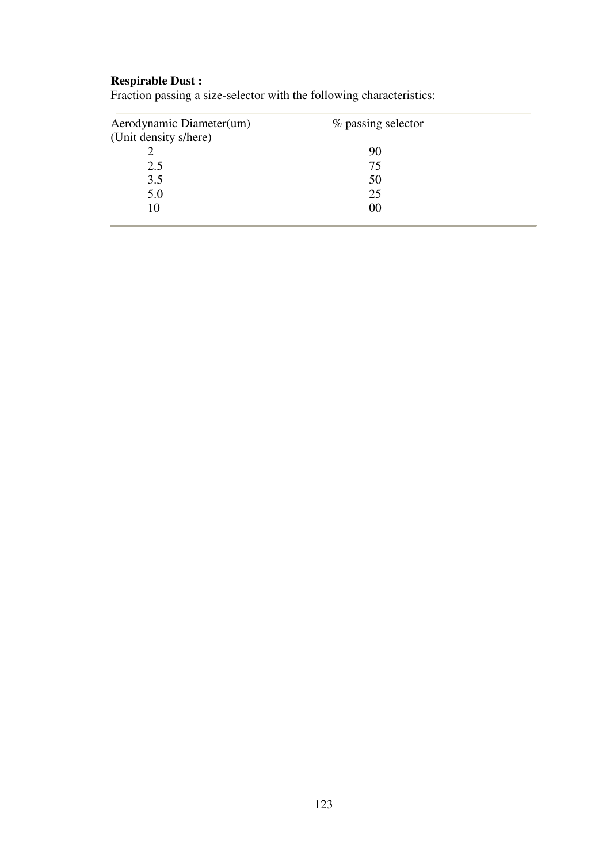#### **Respirable Dust :**

| Aerodynamic Diameter(um) | % passing selector |  |
|--------------------------|--------------------|--|
| (Unit density s/here)    |                    |  |
|                          | 90                 |  |
| 2.5                      | 75                 |  |
| 3.5                      | 50                 |  |
| 5.0                      | 25                 |  |
| 10                       | 00                 |  |
|                          |                    |  |

Fraction passing a size-selector with the following characteristics: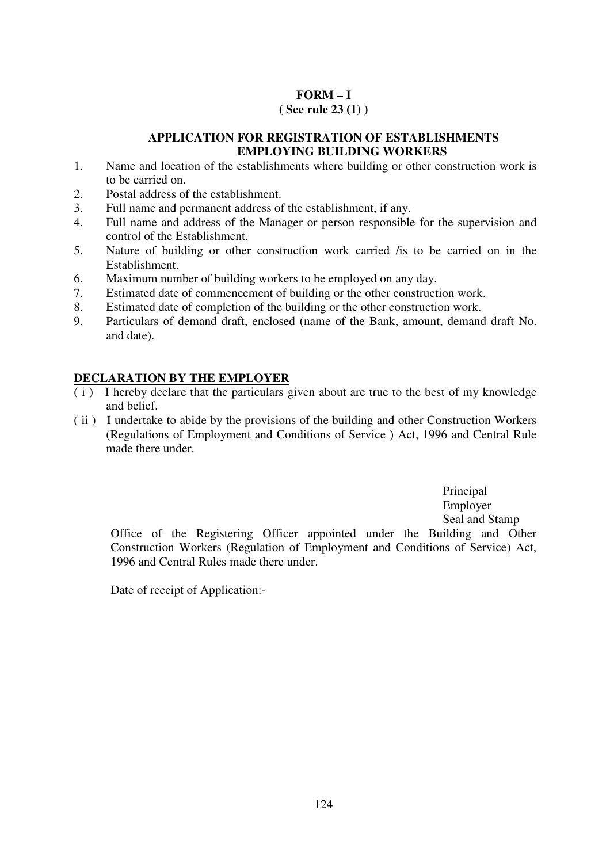## **FORM – I**

## **( See rule 23 (1) )**

## **APPLICATION FOR REGISTRATION OF ESTABLISHMENTS EMPLOYING BUILDING WORKERS**

- 1. Name and location of the establishments where building or other construction work is to be carried on.
- 2. Postal address of the establishment.
- 3. Full name and permanent address of the establishment, if any.
- 4. Full name and address of the Manager or person responsible for the supervision and control of the Establishment.
- 5. Nature of building or other construction work carried /is to be carried on in the Establishment.
- 6. Maximum number of building workers to be employed on any day.
- 7. Estimated date of commencement of building or the other construction work.
- 8. Estimated date of completion of the building or the other construction work.
- 9. Particulars of demand draft, enclosed (name of the Bank, amount, demand draft No. and date).

## **DECLARATION BY THE EMPLOYER**

- $(i)$  I hereby declare that the particulars given about are true to the best of my knowledge and belief.
- ( ii ) I undertake to abide by the provisions of the building and other Construction Workers (Regulations of Employment and Conditions of Service ) Act, 1996 and Central Rule made there under.

Principal Employer Seal and Stamp

Office of the Registering Officer appointed under the Building and Other Construction Workers (Regulation of Employment and Conditions of Service) Act, 1996 and Central Rules made there under.

Date of receipt of Application:-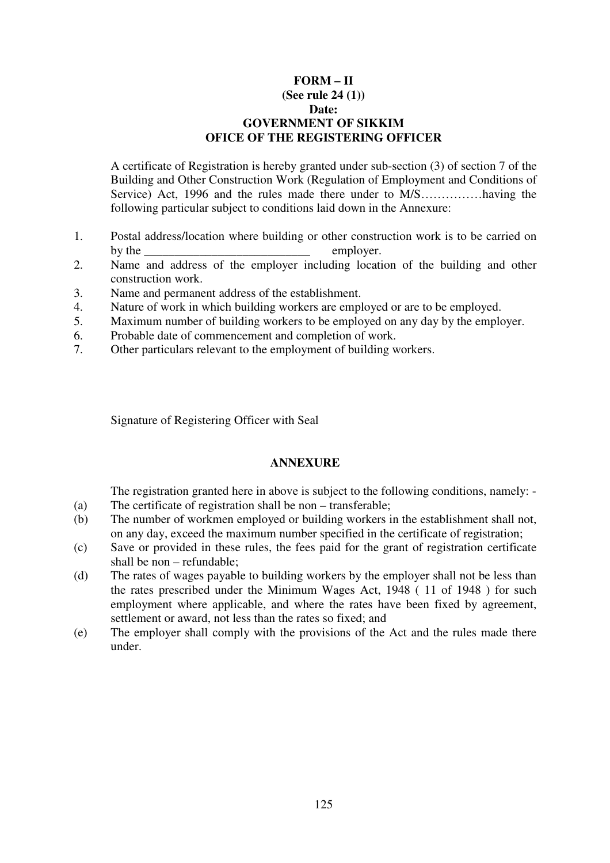#### **FORM – II (See rule 24 (1)) Date: GOVERNMENT OF SIKKIM OFICE OF THE REGISTERING OFFICER**

A certificate of Registration is hereby granted under sub-section (3) of section 7 of the Building and Other Construction Work (Regulation of Employment and Conditions of Service) Act, 1996 and the rules made there under to M/S……………having the following particular subject to conditions laid down in the Annexure:

- 1. Postal address/location where building or other construction work is to be carried on by the employer.
- 2. Name and address of the employer including location of the building and other construction work.
- 3. Name and permanent address of the establishment.
- 4. Nature of work in which building workers are employed or are to be employed.
- 5. Maximum number of building workers to be employed on any day by the employer.
- 6. Probable date of commencement and completion of work.
- 7. Other particulars relevant to the employment of building workers.

Signature of Registering Officer with Seal

## **ANNEXURE**

The registration granted here in above is subject to the following conditions, namely: -

- (a) The certificate of registration shall be non transferable;
- (b) The number of workmen employed or building workers in the establishment shall not, on any day, exceed the maximum number specified in the certificate of registration;
- (c) Save or provided in these rules, the fees paid for the grant of registration certificate shall be non – refundable;
- (d) The rates of wages payable to building workers by the employer shall not be less than the rates prescribed under the Minimum Wages Act, 1948 ( 11 of 1948 ) for such employment where applicable, and where the rates have been fixed by agreement, settlement or award, not less than the rates so fixed; and
- (e) The employer shall comply with the provisions of the Act and the rules made there under.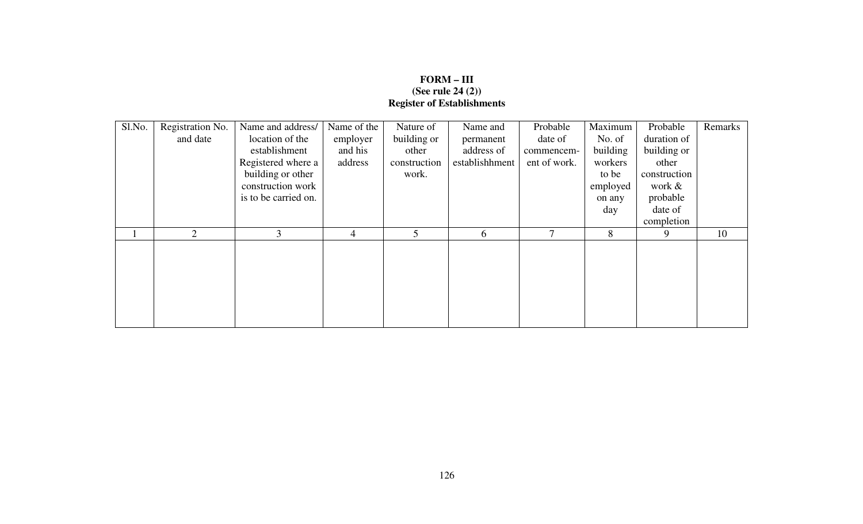# **FORM – III (See rule 24 (2)) Register of Establishments**

| Sl.No. | Registration No. | Name and address/    | Name of the | Nature of    | Name and       | Probable      | Maximum  | Probable     | Remarks |
|--------|------------------|----------------------|-------------|--------------|----------------|---------------|----------|--------------|---------|
|        | and date         | location of the      | employer    | building or  | permanent      | date of       | No. of   | duration of  |         |
|        |                  | establishment        | and his     | other        | address of     | commencem-    | building | building or  |         |
|        |                  | Registered where a   | address     | construction | establishhment | ent of work.  | workers  | other        |         |
|        |                  | building or other    |             | work.        |                |               | to be    | construction |         |
|        |                  | construction work    |             |              |                |               | employed | work &       |         |
|        |                  | is to be carried on. |             |              |                |               | on any   | probable     |         |
|        |                  |                      |             |              |                |               | day      | date of      |         |
|        |                  |                      |             |              |                |               |          | completion   |         |
|        | $\overline{2}$   | 3                    | 4           | 5            | 6              | $\mathcal{I}$ | 8        | 9            | 10      |
|        |                  |                      |             |              |                |               |          |              |         |
|        |                  |                      |             |              |                |               |          |              |         |
|        |                  |                      |             |              |                |               |          |              |         |
|        |                  |                      |             |              |                |               |          |              |         |
|        |                  |                      |             |              |                |               |          |              |         |
|        |                  |                      |             |              |                |               |          |              |         |
|        |                  |                      |             |              |                |               |          |              |         |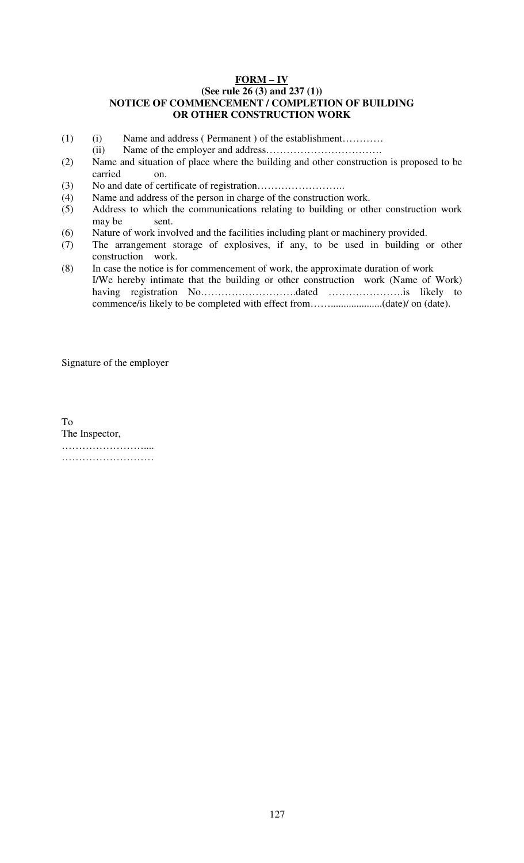#### **FORM – IV (See rule 26 (3) and 237 (1)) NOTICE OF COMMENCEMENT / COMPLETION OF BUILDING OR OTHER CONSTRUCTION WORK**

- (1) (i) Name and address ( Permanent ) of the establishment…………
	- (ii) Name of the employer and address…………………………….
- (2) Name and situation of place where the building and other construction is proposed to be carried on.
- (3) No and date of certificate of registration……………………..
- (4) Name and address of the person in charge of the construction work.
- (5) Address to which the communications relating to building or other construction work may be sent.
- (6) Nature of work involved and the facilities including plant or machinery provided.
- (7) The arrangement storage of explosives, if any, to be used in building or other construction work.
- (8) In case the notice is for commencement of work, the approximate duration of work I/We hereby intimate that the building or other construction work (Name of Work) having registration No……………………….dated ………………….is likely to commence/is likely to be completed with effect from……....................(date)/ on (date).

Signature of the employer

To The Inspector, ………………………… …………………………

127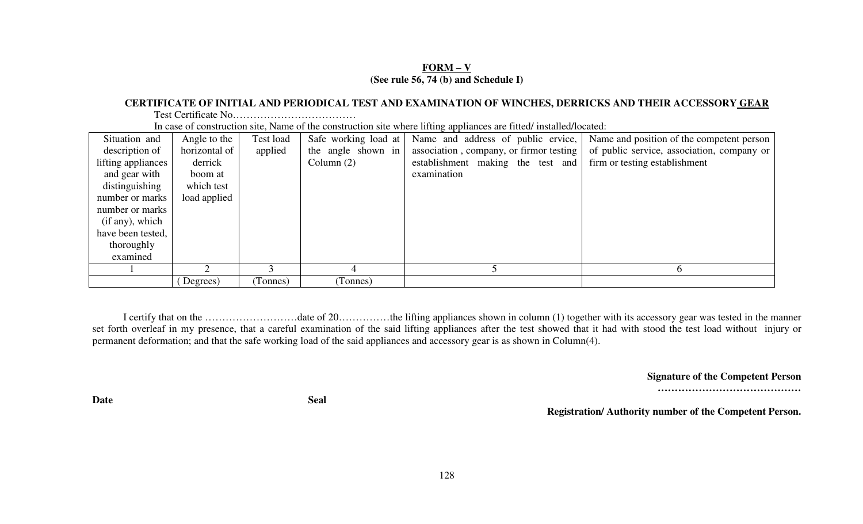## **FORM – V(See rule 56, 74 (b) and Schedule I)**

#### **CERTIFICATE OF INITIAL AND PERIODICAL TEST AND EXAMINATION OF WINCHES, DERRICKS AND THEIR ACCESSORY GEAR**

Test Certificate No………………………………

In case of construction site, Name of the construction site where lifting appliances are fitted/ installed/located:

| Situation and      | Angle to the  | Test load | Safe working load at | Name and address of public ervice,      | Name and position of the competent person  |
|--------------------|---------------|-----------|----------------------|-----------------------------------------|--------------------------------------------|
| description of     | horizontal of | applied   | the angle shown in   | association, company, or firmor testing | of public service, association, company or |
| lifting appliances | derrick       |           | Column $(2)$         | establishment making the test and       | firm or testing establishment              |
| and gear with      | boom at       |           |                      | examination                             |                                            |
| distinguishing     | which test    |           |                      |                                         |                                            |
| number or marks    | load applied  |           |                      |                                         |                                            |
| number or marks    |               |           |                      |                                         |                                            |
| (if any), which    |               |           |                      |                                         |                                            |
| have been tested,  |               |           |                      |                                         |                                            |
| thoroughly         |               |           |                      |                                         |                                            |
| examined           |               |           |                      |                                         |                                            |
|                    |               |           |                      |                                         |                                            |
|                    | Degrees)      | (Tonnes)  | (Tonnes)             |                                         |                                            |

I certify that on the ………………………date of 20……………the lifting appliances shown in column (1) together with its accessory gear was tested in the manner set forth overleaf in my presence, that a careful examination of the said lifting appliances after the test showed that it had with stood the test load without injury or permanent deformation; and that the safe working load of the said appliances and accessory gear is as shown in Column(4).

**Signature of the Competent Person** 

**……………………………………**

**Registration/ Authority number of the Competent Person.** 

Date Seal **Seal**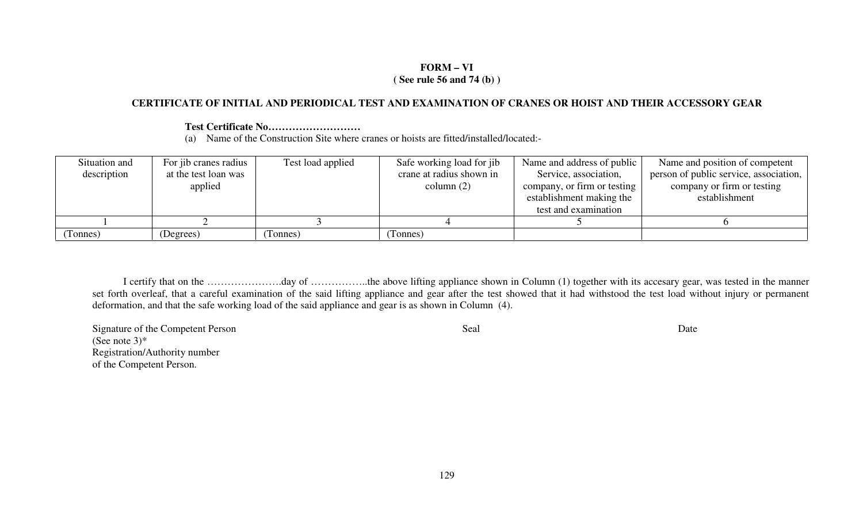### **FORM – VI ( See rule 56 and 74 (b) )**

## **CERTIFICATE OF INITIAL AND PERIODICAL TEST AND EXAMINATION OF CRANES OR HOIST AND THEIR ACCESSORY GEAR**

## **Test Certificate No………………………**

(a) Name of the Construction Site where cranes or hoists are fitted/installed/located:-

| Situation and | For jib cranes radius | Test load applied | Safe working load for jib | Name and address of public  | Name and position of competent         |
|---------------|-----------------------|-------------------|---------------------------|-----------------------------|----------------------------------------|
| description   | at the test loan was  |                   | crane at radius shown in  | Service, association,       | person of public service, association, |
|               | applied               |                   | column $(2)$              | company, or firm or testing | company or firm or testing             |
|               |                       |                   |                           | establishment making the    | establishment                          |
|               |                       |                   |                           | test and examination        |                                        |
|               |                       |                   |                           |                             |                                        |
| Tonnes)       | (Degrees)             | Tonnes)           | Tonnes)                   |                             |                                        |

I certify that on the ………………….day of ……………..the above lifting appliance shown in Column (1) together with its accesary gear, was tested in the manner set forth overleaf, that a careful examination of the said lifting appliance and gear after the test showed that it had withstood the test load without injury or permanent deformation, and that the safe working load of the said appliance and gear is as shown in Column (4).

Signature of the Competent Person Date (See note  $3$ )\* Registration/Authority number of the Competent Person.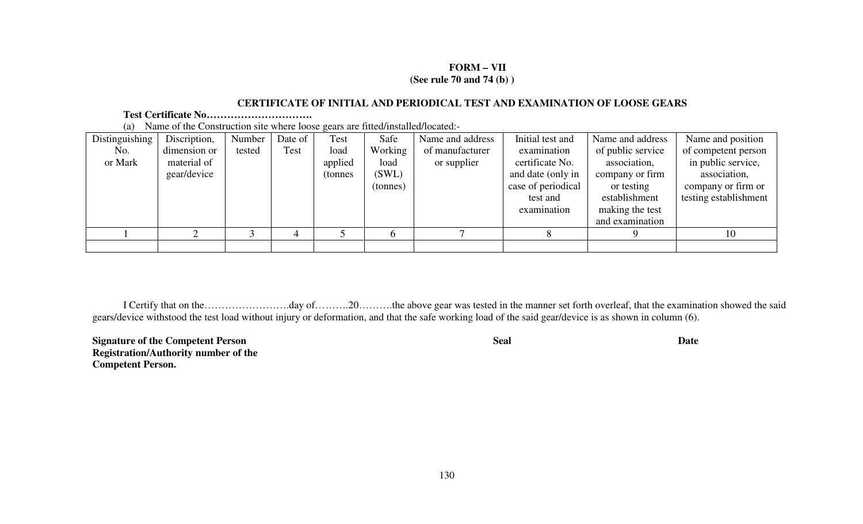## **FORM – VII (See rule 70 and 74 (b) )**

## **CERTIFICATE OF INITIAL AND PERIODICAL TEST AND EXAMINATION OF LOOSE GEARS**

## **Test Certificate No………………………….**

(a) Name of the Construction site where loose gears are fitted/installed/located:-

| Distinguishing | Discription, | Number | Date of | Test     | Safe     | Name and address | Initial test and   | Name and address  | Name and position     |
|----------------|--------------|--------|---------|----------|----------|------------------|--------------------|-------------------|-----------------------|
| No.            | dimension or | tested | Test    | load     | Working  | of manufacturer  | examination        | of public service | of competent person   |
| or Mark        | material of  |        |         | applied  | load     | or supplier      | certificate No.    | association,      | in public service,    |
|                | gear/device  |        |         | (tonnes) | (SWL)    |                  | and date (only in  | company or firm   | association,          |
|                |              |        |         |          | (tonnes) |                  | case of periodical | or testing        | company or firm or    |
|                |              |        |         |          |          |                  | test and           | establishment     | testing establishment |
|                |              |        |         |          |          |                  | examination        | making the test   |                       |
|                |              |        |         |          |          |                  |                    | and examination   |                       |
|                |              |        |         |          |          |                  |                    |                   | 10                    |
|                |              |        |         |          |          |                  |                    |                   |                       |

I Certify that on the…………………….day of……….20……….the above gear was tested in the manner set forth overleaf, that the examination showed the said gears/device withstood the test load without injury or deformation, and that the safe working load of the said gear/device is as shown in column (6).

**Signature of the Competent PersonSeal** Date **Date Registration/Authority number of the Competent Person.**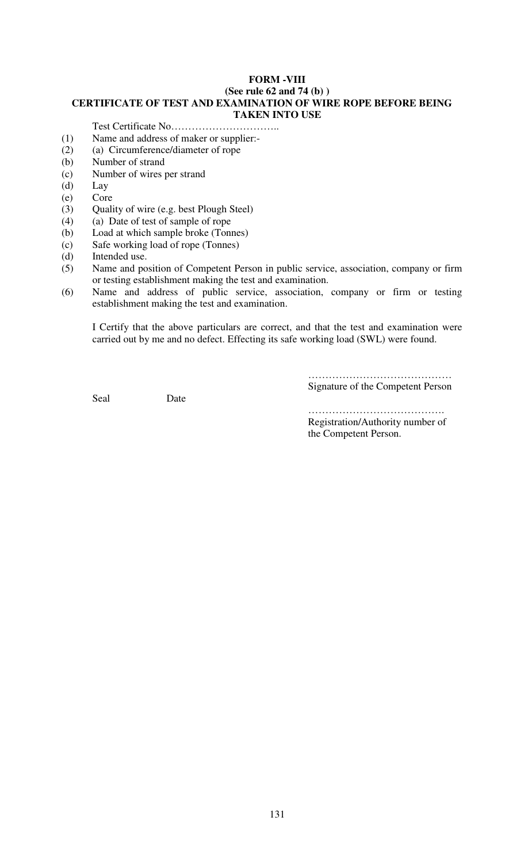## **FORM -VIII (See rule 62 and 74 (b) ) CERTIFICATE OF TEST AND EXAMINATION OF WIRE ROPE BEFORE BEING TAKEN INTO USE**

Test Certificate No…………………………..

- (1) Name and address of maker or supplier:-
- (2) (a) Circumference/diameter of rope
- (b) Number of strand
- (c) Number of wires per strand
- (d) Lay
- (e) Core
- (3) Quality of wire (e.g. best Plough Steel)
- (4) (a) Date of test of sample of rope
- (b) Load at which sample broke (Tonnes)
- (c) Safe working load of rope (Tonnes)
- (d) Intended use.
- (5) Name and position of Competent Person in public service, association, company or firm or testing establishment making the test and examination.
- (6) Name and address of public service, association, company or firm or testing establishment making the test and examination.

I Certify that the above particulars are correct, and that the test and examination were carried out by me and no defect. Effecting its safe working load (SWL) were found.

Seal Date

…………………………………… Signature of the Competent Person

……………………………………… Registration/Authority number of the Competent Person.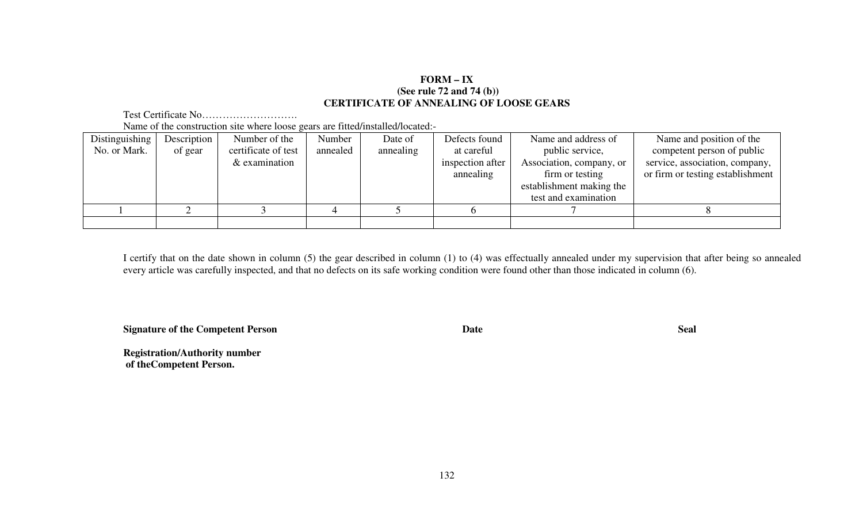## **FORM – IX (See rule 72 and 74 (b)) CERTIFICATE OF ANNEALING OF LOOSE GEARS**

Test Certificate No………………………. Name of the construction site where loose gears are fitted/installed/located:-

| Distinguishing | Description | Number of the       | Number   | Date of   | Defects found    | Name and address of      | Name and position of the         |
|----------------|-------------|---------------------|----------|-----------|------------------|--------------------------|----------------------------------|
| No. or Mark.   | of gear     | certificate of test | annealed | annealing | at careful       | public service,          | competent person of public       |
|                |             | $&$ examination     |          |           | inspection after | Association, company, or | service, association, company,   |
|                |             |                     |          |           | annealing        | firm or testing          | or firm or testing establishment |
|                |             |                     |          |           |                  | establishment making the |                                  |
|                |             |                     |          |           |                  | test and examination     |                                  |
|                |             |                     |          |           |                  |                          |                                  |
|                |             |                     |          |           |                  |                          |                                  |

I certify that on the date shown in column (5) the gear described in column (1) to (4) was effectually annealed under my supervision that after being so annealed every article was carefully inspected, and that no defects on its safe working condition were found other than those indicated in column (6).

**Signature of the Competent Person Date Seal** 

**Registration/Authority number of theCompetent Person.**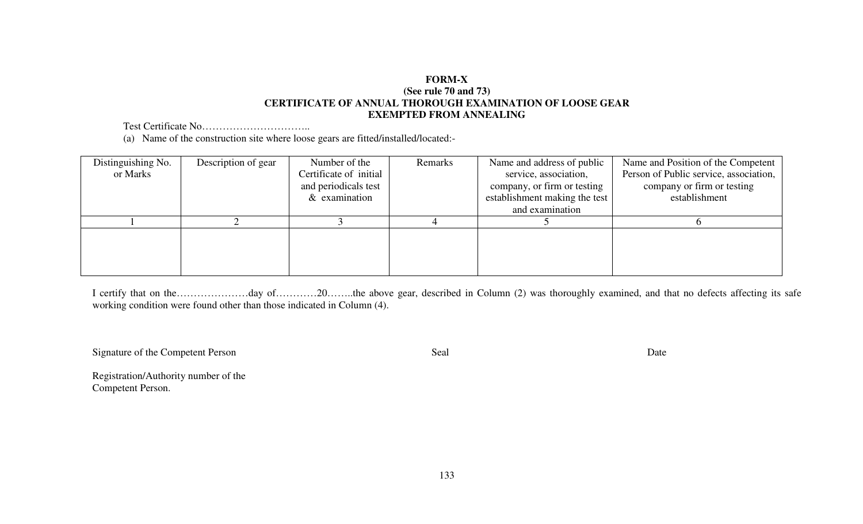## **FORM-X (See rule 70 and 73) CERTIFICATE OF ANNUAL THOROUGH EXAMINATION OF LOOSE GEAR EXEMPTED FROM ANNEALING**

Test Certificate No…………………………..

(a) Name of the construction site where loose gears are fitted/installed/located:-

| Distinguishing No. | Description of gear | Number of the          | Remarks | Name and address of public    | Name and Position of the Competent     |
|--------------------|---------------------|------------------------|---------|-------------------------------|----------------------------------------|
| or Marks           |                     | Certificate of initial |         | service, association,         | Person of Public service, association, |
|                    |                     | and periodicals test   |         | company, or firm or testing   | company or firm or testing             |
|                    |                     | $&$ examination        |         | establishment making the test | establishment                          |
|                    |                     |                        |         | and examination               |                                        |
|                    |                     |                        |         |                               |                                        |
|                    |                     |                        |         |                               |                                        |
|                    |                     |                        |         |                               |                                        |
|                    |                     |                        |         |                               |                                        |
|                    |                     |                        |         |                               |                                        |

I certify that on the…………………day of…………20……..the above gear, described in Column (2) was thoroughly examined, and that no defects affecting its safe working condition were found other than those indicated in Column (4).

Signature of the Competent Person Date Seal Date

Registration/Authority number of the Competent Person.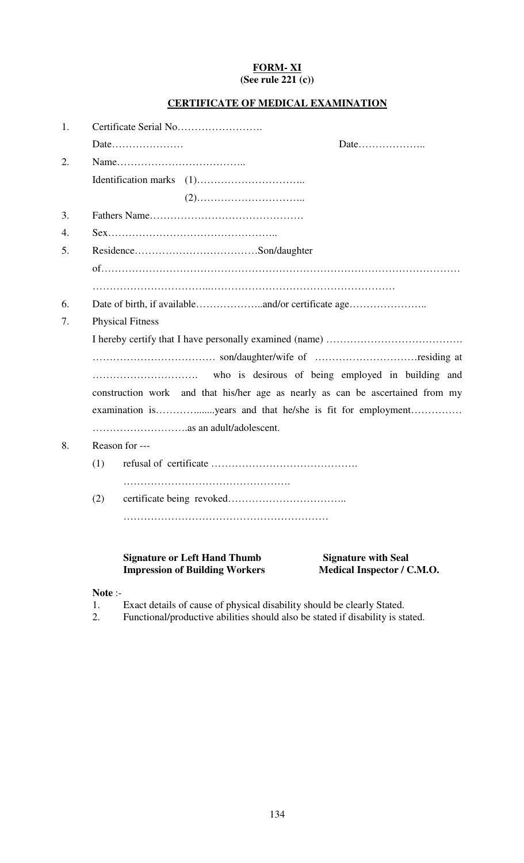## **FORM- XI (See rule 221 (c))**

## **CERTIFICATE OF MEDICAL EXAMINATION**

| 1. |                   |                                       |                                                                                |
|----|-------------------|---------------------------------------|--------------------------------------------------------------------------------|
|    |                   |                                       |                                                                                |
| 2. |                   |                                       |                                                                                |
|    |                   |                                       |                                                                                |
|    |                   |                                       |                                                                                |
| 3. |                   |                                       |                                                                                |
| 4. |                   |                                       |                                                                                |
| 5. |                   |                                       |                                                                                |
|    |                   |                                       |                                                                                |
|    |                   |                                       |                                                                                |
| 6. |                   |                                       |                                                                                |
| 7. |                   | <b>Physical Fitness</b>               |                                                                                |
|    |                   |                                       |                                                                                |
|    |                   |                                       |                                                                                |
|    |                   |                                       |                                                                                |
|    |                   |                                       | construction work and that his/her age as nearly as can be ascertained from my |
|    |                   |                                       |                                                                                |
|    |                   |                                       |                                                                                |
| 8. |                   | Reason for ---                        |                                                                                |
|    | (1)               |                                       |                                                                                |
|    |                   |                                       |                                                                                |
|    | (2)               |                                       |                                                                                |
|    |                   |                                       |                                                                                |
|    |                   |                                       |                                                                                |
|    |                   | <b>Signature or Left Hand Thumb</b>   | <b>Signature with Seal</b>                                                     |
|    |                   | <b>Impression of Building Workers</b> | Medical Inspector / C.M.O.                                                     |
|    | $N0$ + $\alpha$ . |                                       |                                                                                |

**Note** :-

1. Exact details of cause of physical disability should be clearly Stated.

2. Functional/productive abilities should also be stated if disability is stated.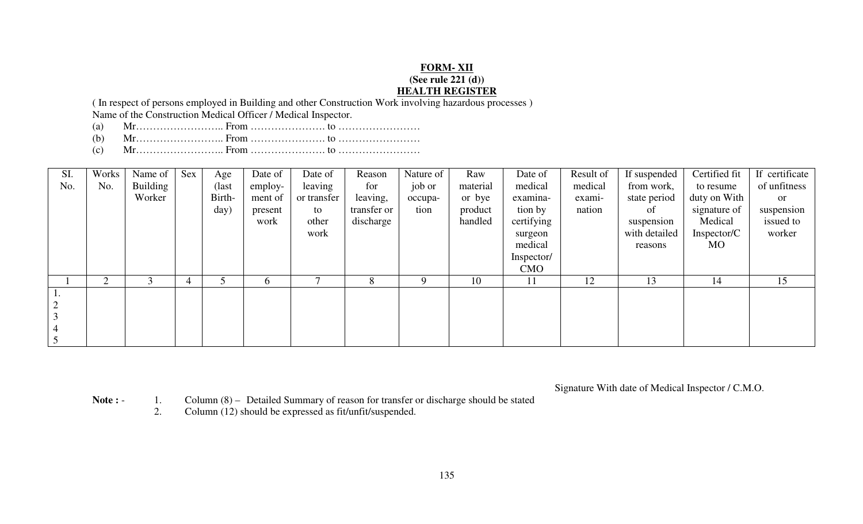## **FORM- XII**

#### **(See rule 221 (d))**

## **HEALTH REGISTER**

 ( In respect of persons employed in Building and other Construction Work involving hazardous processes ) Name of the Construction Medical Officer / Medical Inspector.

- (a) Mr…………………….. From …………………. to ……………………
- (b) Mr…………………….. From …………………. to ……………………
- (c) Mr…………………….. From …………………. to ……………………

| SI. | Works | Name of  | Sex | Age    | Date of      | Date of     | Reason      | Nature of | Raw      | Date of    | Result of | If suspended  | Certified fit | If certificate |
|-----|-------|----------|-----|--------|--------------|-------------|-------------|-----------|----------|------------|-----------|---------------|---------------|----------------|
| No. | No.   | Building |     | (last) | employ-      | leaving     | for         | job or    | material | medical    | medical   | from work,    | to resume     | of unfitness   |
|     |       | Worker   |     | Birth- | ment of      | or transfer | leaving,    | occupa-   | or bye   | examina-   | exami-    | state period  | duty on With  | or             |
|     |       |          |     | day)   | present      | to          | transfer or | tion      | product  | tion by    | nation    | of            | signature of  | suspension     |
|     |       |          |     |        | work         | other       | discharge   |           | handled  | certifying |           | suspension    | Medical       | issued to      |
|     |       |          |     |        |              | work        |             |           |          | surgeon    |           | with detailed | Inspector/C   | worker         |
|     |       |          |     |        |              |             |             |           |          | medical    |           | reasons       | MO            |                |
|     |       |          |     |        |              |             |             |           |          | Inspector/ |           |               |               |                |
|     |       |          |     |        |              |             |             |           |          | <b>CMO</b> |           |               |               |                |
|     | ◠     |          |     |        | <sub>0</sub> |             | 8           | <b>Q</b>  | 10       | 11         | 12        | 13            | 14            | 15             |
|     |       |          |     |        |              |             |             |           |          |            |           |               |               |                |
|     |       |          |     |        |              |             |             |           |          |            |           |               |               |                |
|     |       |          |     |        |              |             |             |           |          |            |           |               |               |                |
|     |       |          |     |        |              |             |             |           |          |            |           |               |               |                |
|     |       |          |     |        |              |             |             |           |          |            |           |               |               |                |

Signature With date of Medical Inspector / C.M.O.

Note : - 1. Column (8) – Detailed Summary of reason for transfer or discharge should be stated

2. Column (12) should be expressed as fit/unfit/suspended.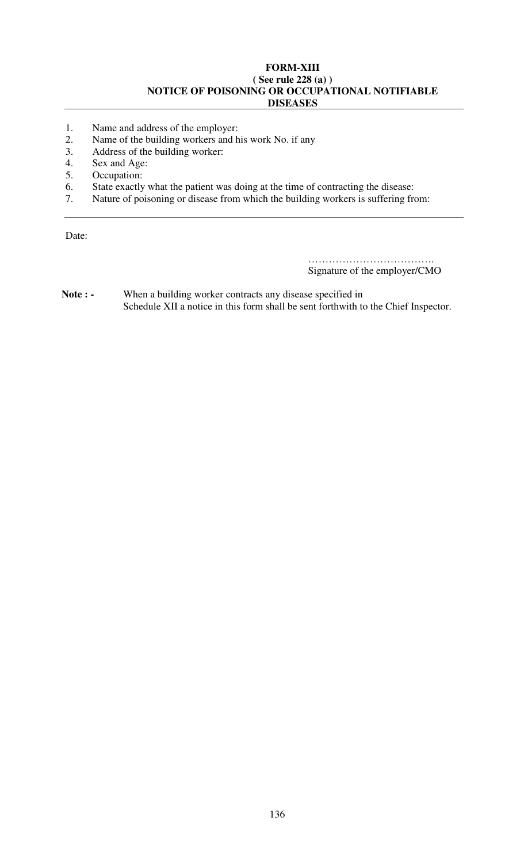#### **FORM-XIII ( See rule 228 (a) ) NOTICE OF POISONING OR OCCUPATIONAL NOTIFIABLE DISEASES**

- 1. Name and address of the employer:<br>2. Name of the building workers and h
- 2. Name of the building workers and his work No. if any<br>3. Address of the building worker:
- Address of the building worker:
- 4. Sex and Age:<br>5. Occupation:
- Occupation:
- 6. State exactly what the patient was doing at the time of contracting the disease:
- 7. Nature of poisoning or disease from which the building workers is suffering from:

Date:

………………………………………… Signature of the employer/CMO

Note : - When a building worker contracts any disease specified in Schedule XII a notice in this form shall be sent forthwith to the Chief Inspector.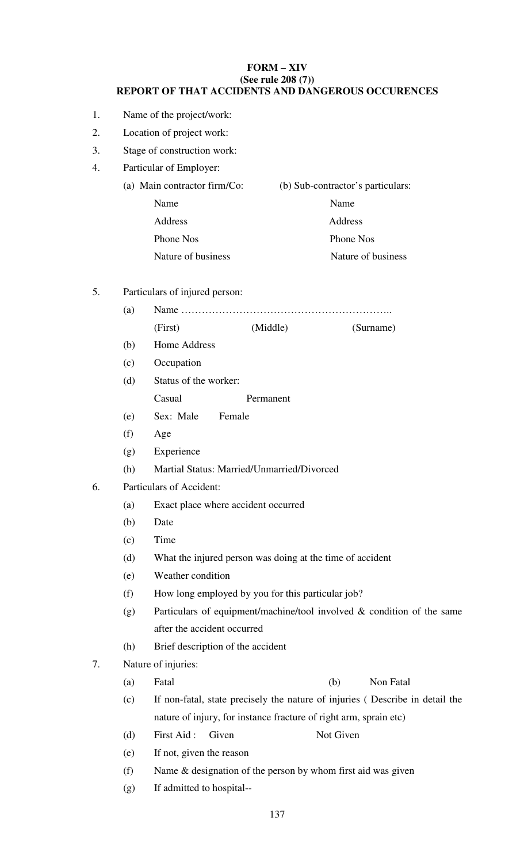## **FORM – XIV (See rule 208 (7)) REPORT OF THAT ACCIDENTS AND DANGEROUS OCCURENCES**

- 1. Name of the project/work:
- 2. Location of project work:
- 3. Stage of construction work:
- 4. Particular of Employer:
	- (a) Main contractor firm/Co: (b) Sub-contractor's particulars: Name Name Name Address Address Address Phone Nos Phone Nos Nature of business Nature of business
- 5. Particulars of injured person:

| (a) |              |          |           |  |  |  |  |  |  |  |  |  |
|-----|--------------|----------|-----------|--|--|--|--|--|--|--|--|--|
|     | (First)      | (Middle) | (Surname) |  |  |  |  |  |  |  |  |  |
| (b) | Home Address |          |           |  |  |  |  |  |  |  |  |  |

- (c) Occupation
- (d) Status of the worker: Casual Permanent
- (e) Sex: Male Female
- (f) Age
- (g) Experience
- (h) Martial Status: Married/Unmarried/Divorced
- 6. Particulars of Accident:
	- (a) Exact place where accident occurred
	- (b) Date
	- (c) Time
	- (d) What the injured person was doing at the time of accident
	- (e) Weather condition
	- (f) How long employed by you for this particular job?
	- (g) Particulars of equipment/machine/tool involved  $&$  condition of the same after the accident occurred
	- (h) Brief description of the accident
- 7. Nature of injuries:
	- (a) Fatal (b) Non Fatal
	- (c) If non-fatal, state precisely the nature of injuries ( Describe in detail the nature of injury, for instance fracture of right arm, sprain etc)
	- (d) First Aid : Given Not Given
	- (e) If not, given the reason
	- (f) Name & designation of the person by whom first aid was given
	- (g) If admitted to hospital--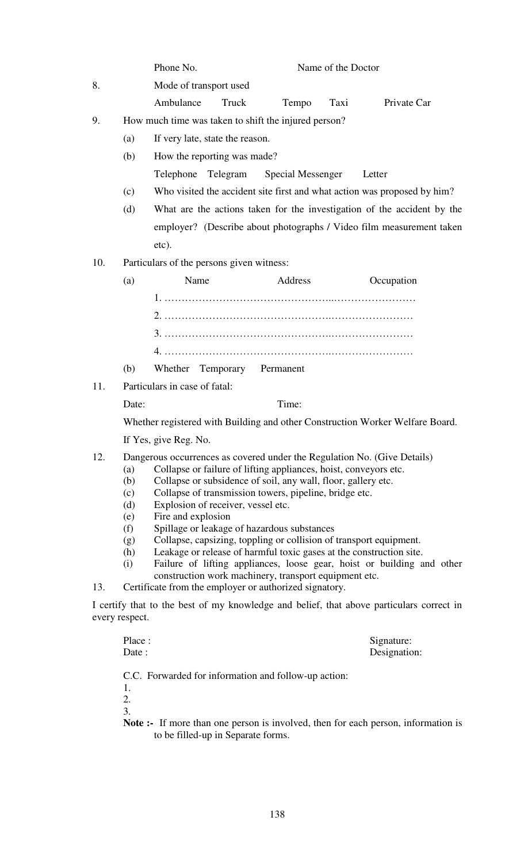|     |                | Phone No.                                                                                                                                     | Name of the Doctor                                                      |      |             |  |  |  |  |  |  |  |  |
|-----|----------------|-----------------------------------------------------------------------------------------------------------------------------------------------|-------------------------------------------------------------------------|------|-------------|--|--|--|--|--|--|--|--|
| 8.  |                | Mode of transport used                                                                                                                        |                                                                         |      |             |  |  |  |  |  |  |  |  |
|     |                | Ambulance<br>Truck                                                                                                                            | Tempo                                                                   | Taxi | Private Car |  |  |  |  |  |  |  |  |
| 9.  |                | How much time was taken to shift the injured person?                                                                                          |                                                                         |      |             |  |  |  |  |  |  |  |  |
|     | (a)            | If very late, state the reason.                                                                                                               |                                                                         |      |             |  |  |  |  |  |  |  |  |
|     | (b)            | How the reporting was made?                                                                                                                   |                                                                         |      |             |  |  |  |  |  |  |  |  |
|     |                | Telephone Telegram                                                                                                                            | Special Messenger                                                       |      | Letter      |  |  |  |  |  |  |  |  |
|     | (c)            | Who visited the accident site first and what action was proposed by him?                                                                      |                                                                         |      |             |  |  |  |  |  |  |  |  |
|     | (d)            |                                                                                                                                               | What are the actions taken for the investigation of the accident by the |      |             |  |  |  |  |  |  |  |  |
|     |                | employer? (Describe about photographs / Video film measurement taken                                                                          |                                                                         |      |             |  |  |  |  |  |  |  |  |
|     |                | etc).                                                                                                                                         |                                                                         |      |             |  |  |  |  |  |  |  |  |
| 10. |                | Particulars of the persons given witness:                                                                                                     |                                                                         |      |             |  |  |  |  |  |  |  |  |
|     | (a)            | Name                                                                                                                                          | Address                                                                 |      | Occupation  |  |  |  |  |  |  |  |  |
|     |                |                                                                                                                                               |                                                                         |      |             |  |  |  |  |  |  |  |  |
|     |                |                                                                                                                                               |                                                                         |      |             |  |  |  |  |  |  |  |  |
|     |                |                                                                                                                                               |                                                                         |      |             |  |  |  |  |  |  |  |  |
|     |                |                                                                                                                                               |                                                                         |      |             |  |  |  |  |  |  |  |  |
|     | (b)            | Whether Temporary Permanent                                                                                                                   |                                                                         |      |             |  |  |  |  |  |  |  |  |
| 11. |                | Particulars in case of fatal:                                                                                                                 |                                                                         |      |             |  |  |  |  |  |  |  |  |
|     | Date:          |                                                                                                                                               | Time:                                                                   |      |             |  |  |  |  |  |  |  |  |
|     |                | Whether registered with Building and other Construction Worker Welfare Board.                                                                 |                                                                         |      |             |  |  |  |  |  |  |  |  |
|     |                | If Yes, give Reg. No.                                                                                                                         |                                                                         |      |             |  |  |  |  |  |  |  |  |
| 12. |                | Dangerous occurrences as covered under the Regulation No. (Give Details)                                                                      |                                                                         |      |             |  |  |  |  |  |  |  |  |
|     | (a)<br>(b)     | Collapse or failure of lifting appliances, hoist, conveyors etc.<br>Collapse or subsidence of soil, any wall, floor, gallery etc.             |                                                                         |      |             |  |  |  |  |  |  |  |  |
|     | (c)            | Collapse of transmission towers, pipeline, bridge etc.                                                                                        |                                                                         |      |             |  |  |  |  |  |  |  |  |
|     | (d)<br>(e)     | Explosion of receiver, vessel etc.<br>Fire and explosion                                                                                      |                                                                         |      |             |  |  |  |  |  |  |  |  |
|     | (f)            | Spillage or leakage of hazardous substances                                                                                                   |                                                                         |      |             |  |  |  |  |  |  |  |  |
|     | (g)            | Collapse, capsizing, toppling or collision of transport equipment.                                                                            |                                                                         |      |             |  |  |  |  |  |  |  |  |
|     | (h)<br>(i)     | Leakage or release of harmful toxic gases at the construction site.<br>Failure of lifting appliances, loose gear, hoist or building and other |                                                                         |      |             |  |  |  |  |  |  |  |  |
|     |                | construction work machinery, transport equipment etc.                                                                                         |                                                                         |      |             |  |  |  |  |  |  |  |  |
| 13. |                | Certificate from the employer or authorized signatory.                                                                                        |                                                                         |      |             |  |  |  |  |  |  |  |  |
|     | every respect. | I certify that to the best of my knowledge and belief, that above particulars correct in                                                      |                                                                         |      |             |  |  |  |  |  |  |  |  |

| Place:<br>Date :                                                                                                               | Signature:<br>Designation: |
|--------------------------------------------------------------------------------------------------------------------------------|----------------------------|
| C.C. Forwarded for information and follow-up action:<br>1.                                                                     |                            |
| 2.                                                                                                                             |                            |
| 3.                                                                                                                             |                            |
| <b>Note :-</b> If more than one person is involved, then for each person, information is<br>to be filled-up in Separate forms. |                            |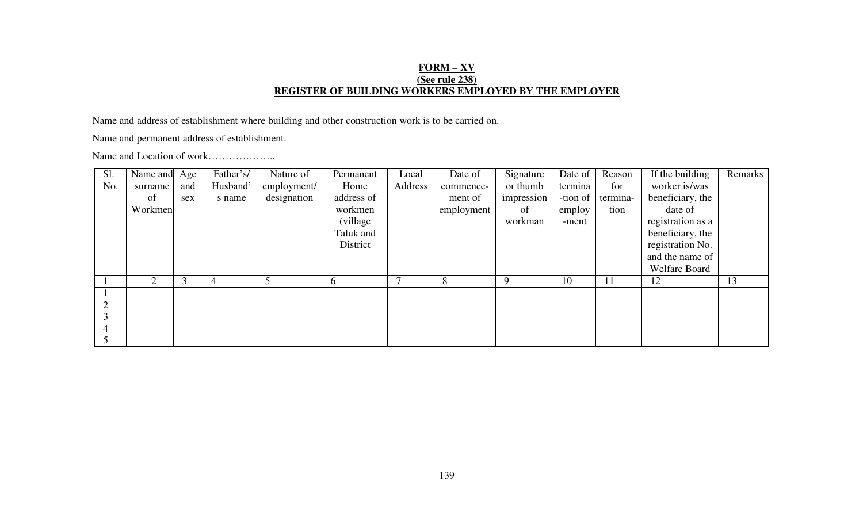## **FORM – XV(See rule 238) REGISTER OF BUILDING WORKERS EMPLOYED BY THE EMPLOYER**

Name and address of establishment where building and other construction work is to be carried on.

Name and permanent address of establishment.

Name and Location of work………………..

| Sl. | Name and | Age | Father's/      | Nature of   | Permanent    | Local   | Date of    | Signature  | Date of  | Reason   | If the building   | Remarks |
|-----|----------|-----|----------------|-------------|--------------|---------|------------|------------|----------|----------|-------------------|---------|
| No. | surname  | and | Husband'       | employment/ | Home         | Address | commence-  | or thumb   | termina  | for      | worker is/was     |         |
|     | of       | sex | s name         | designation | address of   |         | ment of    | impression | -tion of | termina- | beneficiary, the  |         |
|     | Workmen  |     |                |             | workmen      |         | employment | of         | employ   | tion     | date of           |         |
|     |          |     |                |             | (village)    |         |            | workman    | -ment    |          | registration as a |         |
|     |          |     |                |             | Taluk and    |         |            |            |          |          | beneficiary, the  |         |
|     |          |     |                |             | District     |         |            |            |          |          | registration No.  |         |
|     |          |     |                |             |              |         |            |            |          |          | and the name of   |         |
|     |          |     |                |             |              |         |            |            |          |          | Welfare Board     |         |
|     | 2        | 3   | $\overline{4}$ |             | $\mathbf{a}$ |         | 8          | 9          | 10       | 11       | 12                | 13      |
|     |          |     |                |             |              |         |            |            |          |          |                   |         |
|     |          |     |                |             |              |         |            |            |          |          |                   |         |
| 3   |          |     |                |             |              |         |            |            |          |          |                   |         |
| 4   |          |     |                |             |              |         |            |            |          |          |                   |         |
|     |          |     |                |             |              |         |            |            |          |          |                   |         |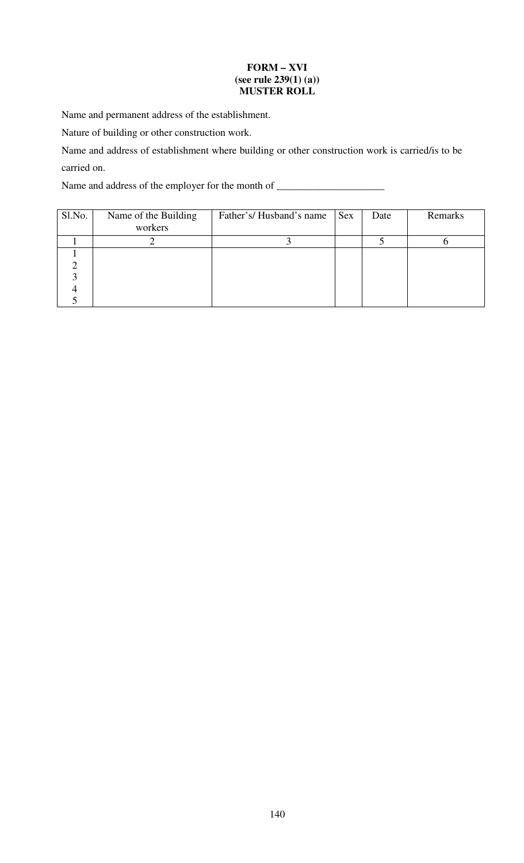## **FORM – XVI (see rule 239(1) (a)) MUSTER ROLL**

Name and permanent address of the establishment.

Nature of building or other construction work.

Name and address of establishment where building or other construction work is carried/is to be carried on.

Name and address of the employer for the month of \_\_\_\_\_\_\_\_\_\_\_\_\_\_\_\_\_\_\_\_\_\_\_\_\_\_\_\_\_\_\_

| Sl.No. | Name of the Building<br>workers | Father's/Husband's name | <b>Sex</b> | Date | Remarks |
|--------|---------------------------------|-------------------------|------------|------|---------|
|        |                                 |                         |            |      |         |
|        |                                 |                         |            |      |         |
|        |                                 |                         |            |      |         |
|        |                                 |                         |            |      |         |
|        |                                 |                         |            |      |         |
|        |                                 |                         |            |      |         |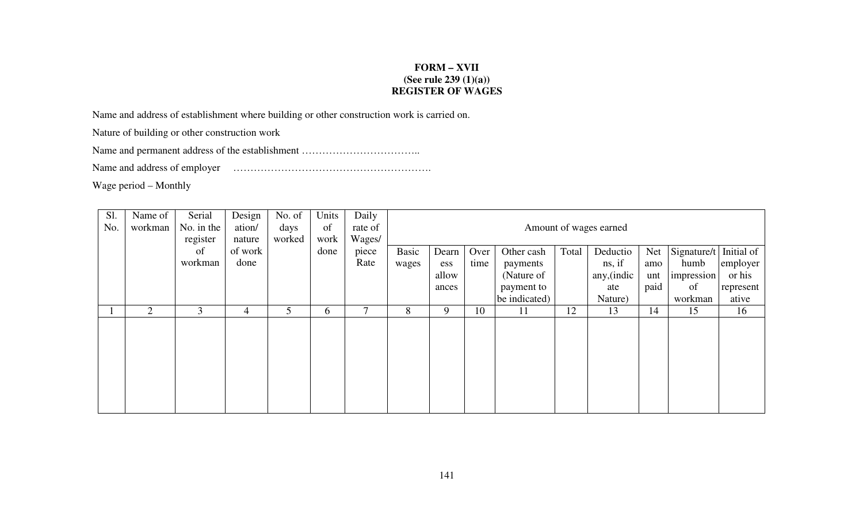## **FORM – XVII (See rule 239 (1)(a)) REGISTER OF WAGES**

Name and address of establishment where building or other construction work is carried on.

Nature of building or other construction work

Name and permanent address of the establishment ……………………………..

Name and address of employer ………………………………………………….

Wage period – Monthly

| Sl.<br>No. | Name of<br>workman | Serial<br>No. in the<br>register | Design<br>ation/<br>nature | No. of<br>days<br>worked | Units<br>of<br>work | Daily<br>rate of<br>Wages/ |                       | Amount of wages earned         |              |                                                    |       |                                          |                           |                                                    |                                 |
|------------|--------------------|----------------------------------|----------------------------|--------------------------|---------------------|----------------------------|-----------------------|--------------------------------|--------------|----------------------------------------------------|-------|------------------------------------------|---------------------------|----------------------------------------------------|---------------------------------|
|            |                    | of<br>workman                    | of work<br>done            |                          | done                | piece<br>Rate              | <b>Basic</b><br>wages | Dearn<br>ess<br>allow<br>ances | Over<br>time | Other cash<br>payments<br>(Nature of<br>payment to | Total | Deductio<br>ns, if<br>any, (indic<br>ate | Net<br>amo<br>unt<br>paid | Signature/t Initial of<br>humb<br>impression<br>of | employer<br>or his<br>represent |
|            | $\overline{2}$     | 3                                | 4                          | 5                        | 6                   | 7                          | 8                     | 9                              | 10           | be indicated)<br>11                                | 12    | Nature)<br>13                            | 14                        | workman<br>15                                      | ative<br>16                     |
|            |                    |                                  |                            |                          |                     |                            |                       |                                |              |                                                    |       |                                          |                           |                                                    |                                 |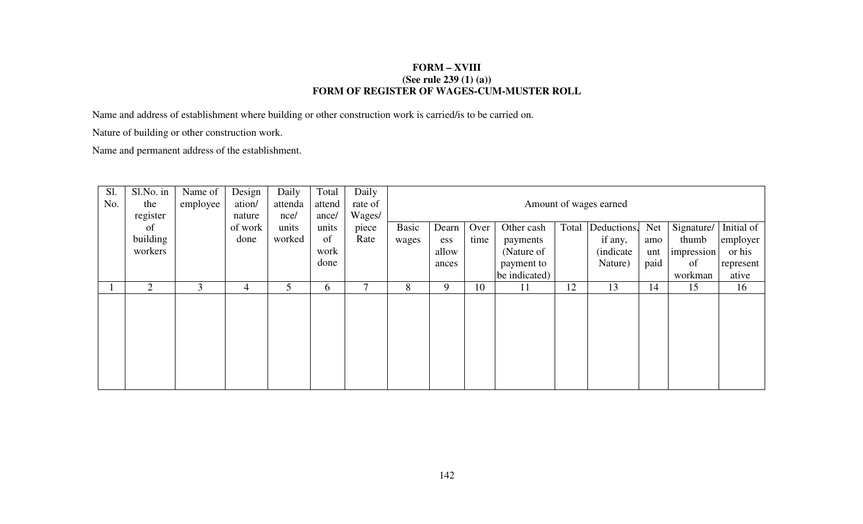## **FORM – XVIII (See rule 239 (1) (a)) FORM OF REGISTER OF WAGES-CUM-MUSTER ROLL**

Name and address of establishment where building or other construction work is carried/is to be carried on.

Nature of building or other construction work.

Name and permanent address of the establishment.

| Sl. | Sl.No. in      | Name of        | Design         | Daily   | Total    | Daily   |              |                        |      |               |       |                   |            |            |            |
|-----|----------------|----------------|----------------|---------|----------|---------|--------------|------------------------|------|---------------|-------|-------------------|------------|------------|------------|
| No. | the            | employee       | ation/         | attenda | attend   | rate of |              | Amount of wages earned |      |               |       |                   |            |            |            |
|     | register       |                | nature         | nce/    | ance/    | Wages/  |              |                        |      |               |       |                   |            |            |            |
|     | of             |                | of work        | units   | units    | piece   | <b>Basic</b> | Dearn                  | Over | Other cash    | Total | Deductions,       | <b>Net</b> | Signature/ | Initial of |
|     | building       |                | done           | worked  | of       | Rate    | wages        | ess                    | time | payments      |       | if any,           | amo        | thumb      | employer   |
|     | workers        |                |                |         | work     |         |              | allow                  |      | (Nature of    |       | <i>(indicate)</i> | unt        | impression | or his     |
|     |                |                |                |         | done     |         |              | ances                  |      | payment to    |       | Nature)           | paid       | of         | represent  |
|     |                |                |                |         |          |         |              |                        |      | be indicated) |       |                   |            | workman    | ative      |
|     | $\overline{2}$ | $\mathfrak{Z}$ | $\overline{4}$ | 5       | $\sigma$ |         | 8            | 9                      | 10   | 11            | 12    | 13                | 14         | 15         | 16         |
|     |                |                |                |         |          |         |              |                        |      |               |       |                   |            |            |            |
|     |                |                |                |         |          |         |              |                        |      |               |       |                   |            |            |            |
|     |                |                |                |         |          |         |              |                        |      |               |       |                   |            |            |            |
|     |                |                |                |         |          |         |              |                        |      |               |       |                   |            |            |            |
|     |                |                |                |         |          |         |              |                        |      |               |       |                   |            |            |            |
|     |                |                |                |         |          |         |              |                        |      |               |       |                   |            |            |            |
|     |                |                |                |         |          |         |              |                        |      |               |       |                   |            |            |            |
|     |                |                |                |         |          |         |              |                        |      |               |       |                   |            |            |            |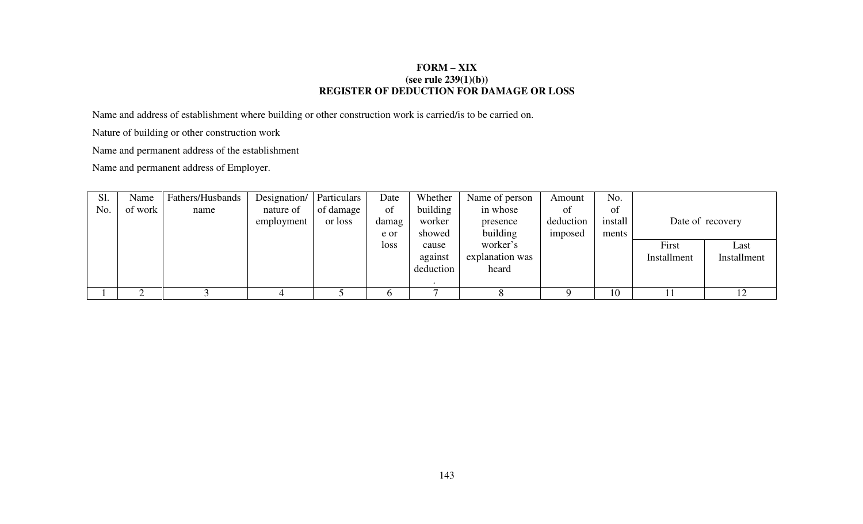## **FORM – XIX (see rule 239(1)(b)) REGISTER OF DEDUCTION FOR DAMAGE OR LOSS**

Name and address of establishment where building or other construction work is carried/is to be carried on.

Nature of building or other construction work

Name and permanent address of the establishment

Name and permanent address of Employer.

| S1. | Name    | Fathers/Husbands | Designation/ | Particulars | Date        | Whether   | Name of person  | Amount    | No.     |             |                  |
|-----|---------|------------------|--------------|-------------|-------------|-----------|-----------------|-----------|---------|-------------|------------------|
| No. | of work | name             | nature of    | of damage   | of          | building  | in whose        | ΟÌ        | of      |             |                  |
|     |         |                  | employment   | or loss     | damag       | worker    | presence        | deduction | install |             | Date of recovery |
|     |         |                  |              |             | e or        | showed    | building        | imposed   | ments   |             |                  |
|     |         |                  |              |             | <b>loss</b> | cause     | worker's        |           |         | First       | Last             |
|     |         |                  |              |             |             | against   | explanation was |           |         | Installment | Installment      |
|     |         |                  |              |             |             | deduction | heard           |           |         |             |                  |
|     |         |                  |              |             |             |           |                 |           |         |             |                  |
|     |         |                  |              |             |             |           |                 |           | 10      |             |                  |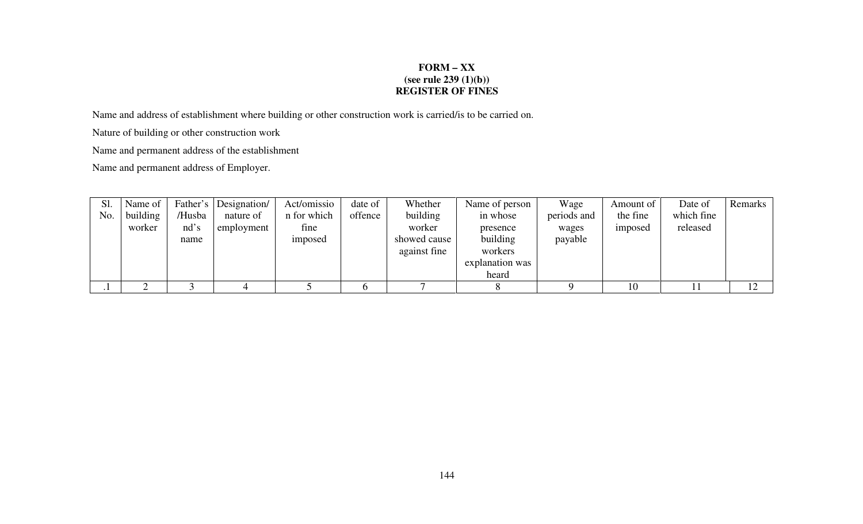## **FORM – XX (see rule 239 (1)(b)) REGISTER OF FINES**

Name and address of establishment where building or other construction work is carried/is to be carried on.

Nature of building or other construction work

Name and permanent address of the establishment

Name and permanent address of Employer.

| Sl. | Name of  |        | Father's Designation | Act/omissio | date of | Whether      | Name of person  | Wage        | Amount of | Date of    | Remarks |
|-----|----------|--------|----------------------|-------------|---------|--------------|-----------------|-------------|-----------|------------|---------|
| No. | building | /Husba | nature of            | n for which | offence | building     | in whose        | periods and | the fine  | which fine |         |
|     | worker   | nd's   | employment           | fine        |         | worker       | presence        | wages       | imposed   | released   |         |
|     |          | name   |                      | imposed     |         | showed cause | building        | payable     |           |            |         |
|     |          |        |                      |             |         | against fine | workers         |             |           |            |         |
|     |          |        |                      |             |         |              | explanation was |             |           |            |         |
|     |          |        |                      |             |         |              | heard           |             |           |            |         |
|     |          |        |                      |             |         |              |                 |             | 10        |            |         |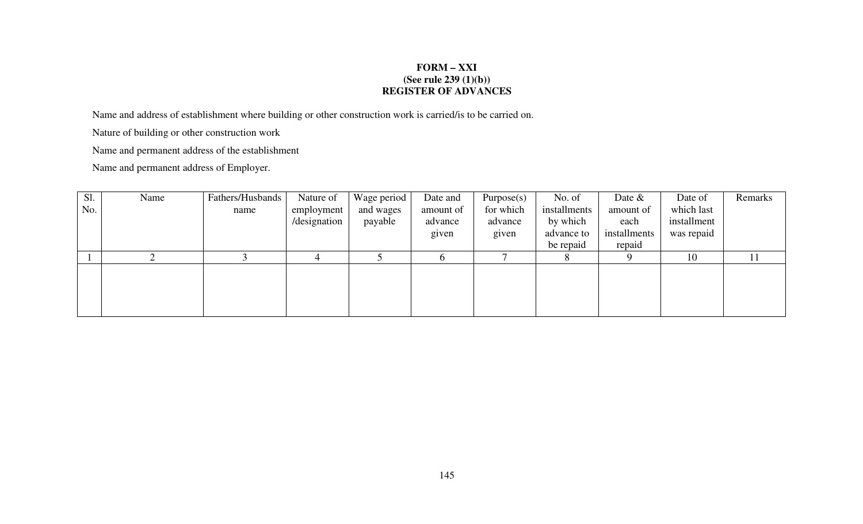## **FORM – XXI (See rule 239 (1)(b)) REGISTER OF ADVANCES**

Name and address of establishment where building or other construction work is carried/is to be carried on.

Nature of building or other construction work

Name and permanent address of the establishment

Name and permanent address of Employer.

| Sl. | Name | Fathers/Husbands | Nature of    | Wage period | Date and  | Purpose(s) | No. of       | Date $\&$    | Date of     | Remarks |
|-----|------|------------------|--------------|-------------|-----------|------------|--------------|--------------|-------------|---------|
| No. |      | name             | employment   | and wages   | amount of | for which  | installments | amount of    | which last  |         |
|     |      |                  | /designation | payable     | advance   | advance    | by which     | each         | installment |         |
|     |      |                  |              |             | given     | given      | advance to   | installments | was repaid  |         |
|     |      |                  |              |             |           |            | be repaid    | repaid       |             |         |
|     |      |                  |              |             |           |            | 8.           |              | 10          | 11      |
|     |      |                  |              |             |           |            |              |              |             |         |
|     |      |                  |              |             |           |            |              |              |             |         |
|     |      |                  |              |             |           |            |              |              |             |         |
|     |      |                  |              |             |           |            |              |              |             |         |
|     |      |                  |              |             |           |            |              |              |             |         |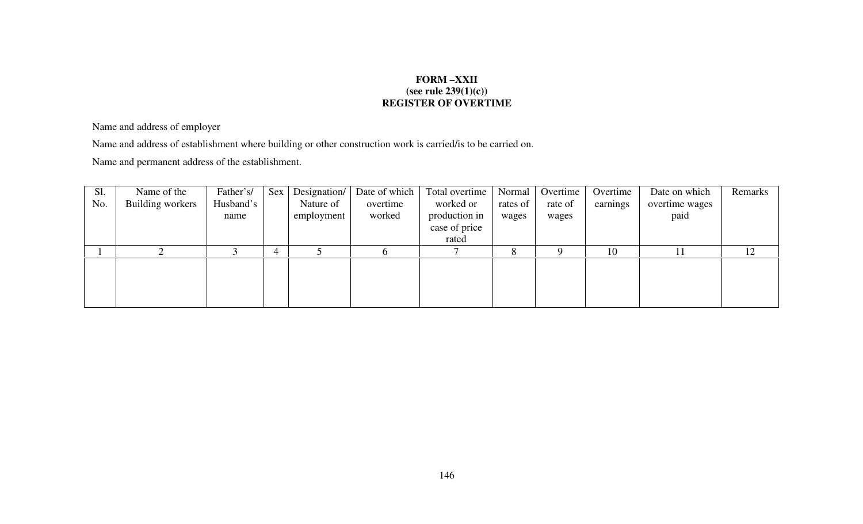# **FORM –XXII (see rule 239(1)(c)) REGISTER OF OVERTIME**

Name and address of employer

Name and address of establishment where building or other construction work is carried/is to be carried on.

Name and permanent address of the establishment.

| Sl. | Name of the      | Father's/ | Sex | Designation/ | Date of which | Total overtime | Normal   | Overtime | Overtime | Date on which  | Remarks |
|-----|------------------|-----------|-----|--------------|---------------|----------------|----------|----------|----------|----------------|---------|
| No. | Building workers | Husband's |     | Nature of    | overtime      | worked or      | rates of | rate of  | earnings | overtime wages |         |
|     |                  | name      |     | employment   | worked        | production in  | wages    | wages    |          | paid           |         |
|     |                  |           |     |              |               | case of price  |          |          |          |                |         |
|     |                  |           |     |              |               | rated          |          |          |          |                |         |
|     |                  |           |     |              |               |                | 8        |          | 10       |                | 12      |
|     |                  |           |     |              |               |                |          |          |          |                |         |
|     |                  |           |     |              |               |                |          |          |          |                |         |
|     |                  |           |     |              |               |                |          |          |          |                |         |
|     |                  |           |     |              |               |                |          |          |          |                |         |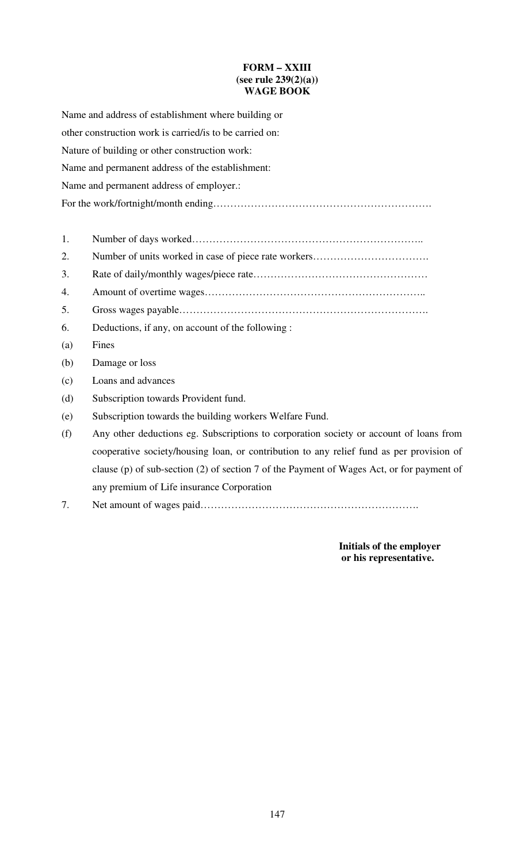## **FORM – XXIII (see rule 239(2)(a)) WAGE BOOK**

Name and address of establishment where building or other construction work is carried/is to be carried on: Nature of building or other construction work: Name and permanent address of the establishment: Name and permanent address of employer.: For the work/fortnight/month ending………………………………………………………. 1. Number of days worked………………………………………………………….. 2. Number of units worked in case of piece rate workers……………………………. 3. Rate of daily/monthly wages/piece rate…………………………………………… 4. Amount of overtime wages……………………………………………………….. 5. Gross wages payable………………………………………………………………. 6. Deductions, if any, on account of the following : (a) Fines (b) Damage or loss (c) Loans and advances (d) Subscription towards Provident fund. (e) Subscription towards the building workers Welfare Fund. (f) Any other deductions eg. Subscriptions to corporation society or account of loans from cooperative society/housing loan, or contribution to any relief fund as per provision of clause (p) of sub-section (2) of section 7 of the Payment of Wages Act, or for payment of any premium of Life insurance Corporation

7. Net amount of wages paid……………………………………………………….

**Initials of the employer or his representative.**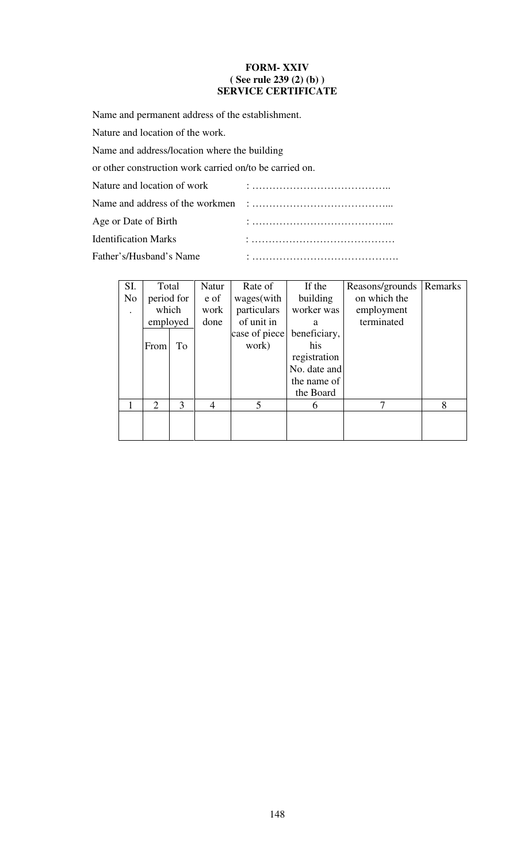#### **FORM- XXIV ( See rule 239 (2) (b) ) SERVICE CERTIFICATE**

Name and permanent address of the establishment.

Nature and location of the work.

Name and address/location where the building

or other construction work carried on/to be carried on.

Nature and location of work : …………………………………..

Name and address of the workmen : …………………………………...

Age or Date of Birth : …………………………………...

Identification Marks : ……………………………………

Father's/Husband's Name : …………………………………….

| SI.            | Total      |   | <b>Natur</b> | Rate of       | If the       | Reasons/grounds | Remarks |
|----------------|------------|---|--------------|---------------|--------------|-----------------|---------|
| N <sub>o</sub> | period for |   | e of         | wages(with    | building     | on which the    |         |
|                | which      |   | work         | particulars   | worker was   | employment      |         |
|                | employed   |   | done         | of unit in    | a            | terminated      |         |
|                |            |   |              | case of piece | beneficiary, |                 |         |
|                | Tо<br>From |   |              | work)         | his          |                 |         |
|                |            |   |              |               | registration |                 |         |
|                |            |   |              |               | No. date and |                 |         |
|                |            |   |              |               | the name of  |                 |         |
|                |            |   |              |               | the Board    |                 |         |
|                | 2          | 3 | 4            | 5             | 6            | 7               | 8       |
|                |            |   |              |               |              |                 |         |
|                |            |   |              |               |              |                 |         |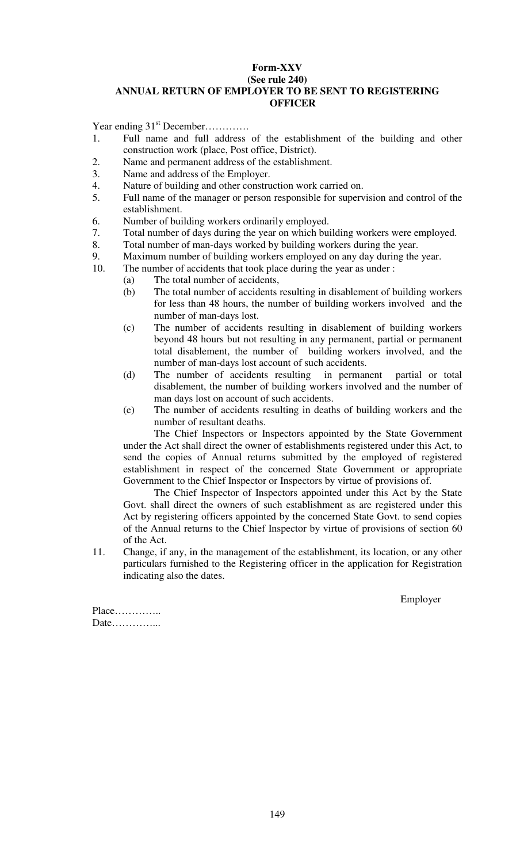### **Form-XXV (See rule 240) ANNUAL RETURN OF EMPLOYER TO BE SENT TO REGISTERING OFFICER**

Year ending  $31<sup>st</sup>$  December…………

- 1. Full name and full address of the establishment of the building and other construction work (place, Post office, District).
- 2. Name and permanent address of the establishment.
- 3. Name and address of the Employer.
- 4. Nature of building and other construction work carried on.
- 5. Full name of the manager or person responsible for supervision and control of the establishment.
- 6. Number of building workers ordinarily employed.
- 7. Total number of days during the year on which building workers were employed.
- 8. Total number of man-days worked by building workers during the year.
- 9. Maximum number of building workers employed on any day during the year.<br>10. The number of accidents that took place during the year as under :
- The number of accidents that took place during the year as under :
	- (a) The total number of accidents,
		- (b) The total number of accidents resulting in disablement of building workers for less than 48 hours, the number of building workers involved and the number of man-days lost.
		- (c) The number of accidents resulting in disablement of building workers beyond 48 hours but not resulting in any permanent, partial or permanent total disablement, the number of building workers involved, and the number of man-days lost account of such accidents.
		- (d) The number of accidents resulting in permanent partial or total disablement, the number of building workers involved and the number of man days lost on account of such accidents.
		- (e) The number of accidents resulting in deaths of building workers and the number of resultant deaths.

The Chief Inspectors or Inspectors appointed by the State Government under the Act shall direct the owner of establishments registered under this Act, to send the copies of Annual returns submitted by the employed of registered establishment in respect of the concerned State Government or appropriate Government to the Chief Inspector or Inspectors by virtue of provisions of.

The Chief Inspector of Inspectors appointed under this Act by the State Govt. shall direct the owners of such establishment as are registered under this Act by registering officers appointed by the concerned State Govt. to send copies of the Annual returns to the Chief Inspector by virtue of provisions of section 60 of the Act.

11. Change, if any, in the management of the establishment, its location, or any other particulars furnished to the Registering officer in the application for Registration indicating also the dates.

Employer

Place………….. Date…………...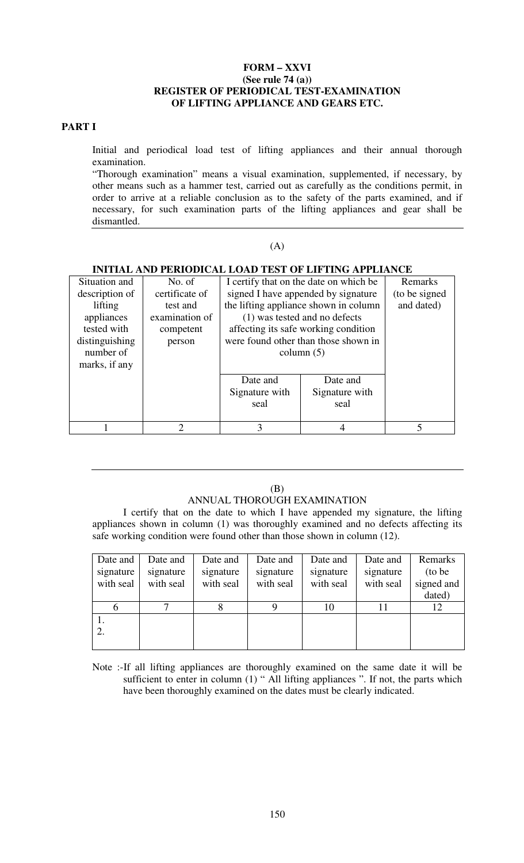#### **FORM – XXVI (See rule 74 (a)) REGISTER OF PERIODICAL TEST-EXAMINATION OF LIFTING APPLIANCE AND GEARS ETC.**

#### **PART I**

Initial and periodical load test of lifting appliances and their annual thorough examination.

"Thorough examination" means a visual examination, supplemented, if necessary, by other means such as a hammer test, carried out as carefully as the conditions permit, in order to arrive at a reliable conclusion as to the safety of the parts examined, and if necessary, for such examination parts of the lifting appliances and gear shall be dismantled.

## $(A)$

#### **INITIAL AND PERIODICAL LOAD TEST OF LIFTING APPLIANCE**

| Situation and  | No. of         |                | I certify that on the date on which be | Remarks       |
|----------------|----------------|----------------|----------------------------------------|---------------|
| description of | certificate of |                | signed I have appended by signature    | (to be signed |
| lifting        | test and       |                | the lifting appliance shown in column  | and dated)    |
| appliances     | examination of |                | (1) was tested and no defects          |               |
| tested with    | competent      |                | affecting its safe working condition   |               |
| distinguishing | person         |                | were found other than those shown in   |               |
| number of      |                |                | column $(5)$                           |               |
| marks, if any  |                |                |                                        |               |
|                |                | Date and       | Date and                               |               |
|                |                | Signature with | Signature with                         |               |
|                |                | seal           | seal                                   |               |
|                |                |                |                                        |               |
|                | $\mathcal{D}$  | 3              | $\overline{4}$                         | 5             |

#### (B) ANNUAL THOROUGH EXAMINATION

I certify that on the date to which I have appended my signature, the lifting appliances shown in column (1) was thoroughly examined and no defects affecting its safe working condition were found other than those shown in column (12).

| Date and  | Date and  | Date and  | Date and  | Date and  | Date and  | Remarks    |
|-----------|-----------|-----------|-----------|-----------|-----------|------------|
| signature | signature | signature | signature | signature | signature | (to be)    |
| with seal | with seal | with seal | with seal | with seal | with seal | signed and |
|           |           |           |           |           |           | dated)     |
|           |           |           |           | 10        |           |            |
|           |           |           |           |           |           |            |
|           |           |           |           |           |           |            |
|           |           |           |           |           |           |            |

Note :-If all lifting appliances are thoroughly examined on the same date it will be sufficient to enter in column  $(1)$  " All lifting appliances ". If not, the parts which have been thoroughly examined on the dates must be clearly indicated.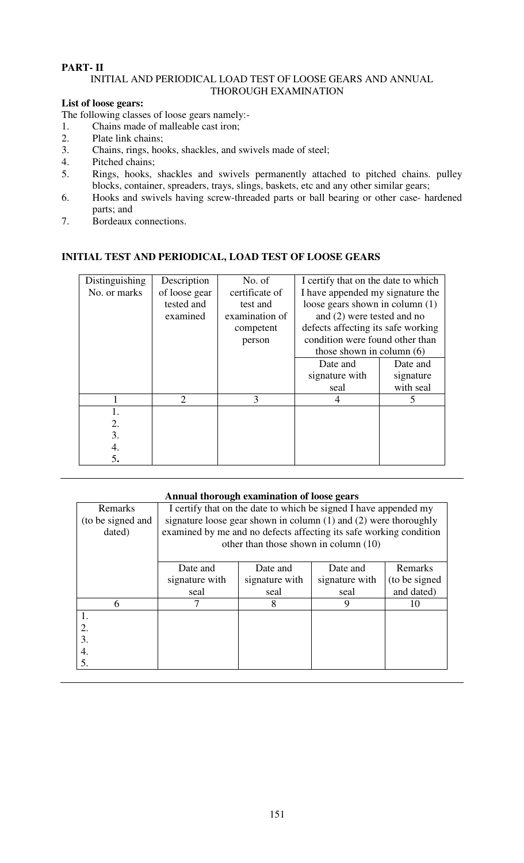# **PART- II**

### INITIAL AND PERIODICAL LOAD TEST OF LOOSE GEARS AND ANNUAL THOROUGH EXAMINATION

#### **List of loose gears:**

The following classes of loose gears namely:-

- 1. Chains made of malleable cast iron;
- 2. Plate link chains;
- 3. Chains, rings, hooks, shackles, and swivels made of steel;
- 4. Pitched chains;<br>5. Rings, hooks,
- 5. Rings, hooks, shackles and swivels permanently attached to pitched chains. pulley blocks, container, spreaders, trays, slings, baskets, etc and any other similar gears;
- 6. Hooks and swivels having screw-threaded parts or ball bearing or other case- hardened parts; and
- 7. Bordeaux connections.

## **INITIAL TEST AND PERIODICAL, LOAD TEST OF LOOSE GEARS**

| <b>Distinguishing</b> | Description                 | No. of         | I certify that on the date to which |           |  |
|-----------------------|-----------------------------|----------------|-------------------------------------|-----------|--|
| No. or marks          | of loose gear               | certificate of | I have appended my signature the    |           |  |
|                       | tested and                  | test and       | loose gears shown in column (1)     |           |  |
|                       | examined                    | examination of | and (2) were tested and no          |           |  |
|                       |                             | competent      | defects affecting its safe working  |           |  |
|                       |                             | person         | condition were found other than     |           |  |
|                       |                             |                | those shown in column $(6)$         |           |  |
|                       |                             |                | Date and                            | Date and  |  |
|                       |                             |                | signature with                      | signature |  |
|                       |                             |                | seal                                | with seal |  |
|                       | $\mathcal{D}_{\mathcal{L}}$ | 3              | $\overline{4}$                      | 5         |  |
|                       |                             |                |                                     |           |  |
| 2.                    |                             |                |                                     |           |  |
| 3.                    |                             |                |                                     |           |  |
| 4.                    |                             |                |                                     |           |  |
| 5.                    |                             |                |                                     |           |  |

| Annual thorough examination of loose gears |                                                                      |                                                                  |                |                |  |  |  |  |  |
|--------------------------------------------|----------------------------------------------------------------------|------------------------------------------------------------------|----------------|----------------|--|--|--|--|--|
| Remarks                                    |                                                                      | I certify that on the date to which be signed I have appended my |                |                |  |  |  |  |  |
| (to be signed and                          | signature loose gear shown in column $(1)$ and $(2)$ were thoroughly |                                                                  |                |                |  |  |  |  |  |
| dated)                                     | examined by me and no defects affecting its safe working condition   |                                                                  |                |                |  |  |  |  |  |
|                                            |                                                                      | other than those shown in column (10)                            |                |                |  |  |  |  |  |
|                                            |                                                                      |                                                                  |                |                |  |  |  |  |  |
|                                            | Date and                                                             | Date and                                                         | Date and       | Remarks        |  |  |  |  |  |
|                                            | signature with                                                       | signature with                                                   | signature with | (to be signed) |  |  |  |  |  |
|                                            | seal                                                                 | seal                                                             | seal           | and dated)     |  |  |  |  |  |
| 6                                          |                                                                      | 8                                                                | 9              | 10             |  |  |  |  |  |
| 1.                                         |                                                                      |                                                                  |                |                |  |  |  |  |  |
| 2.                                         |                                                                      |                                                                  |                |                |  |  |  |  |  |
| 3.                                         |                                                                      |                                                                  |                |                |  |  |  |  |  |
| 4.                                         |                                                                      |                                                                  |                |                |  |  |  |  |  |
| 5.                                         |                                                                      |                                                                  |                |                |  |  |  |  |  |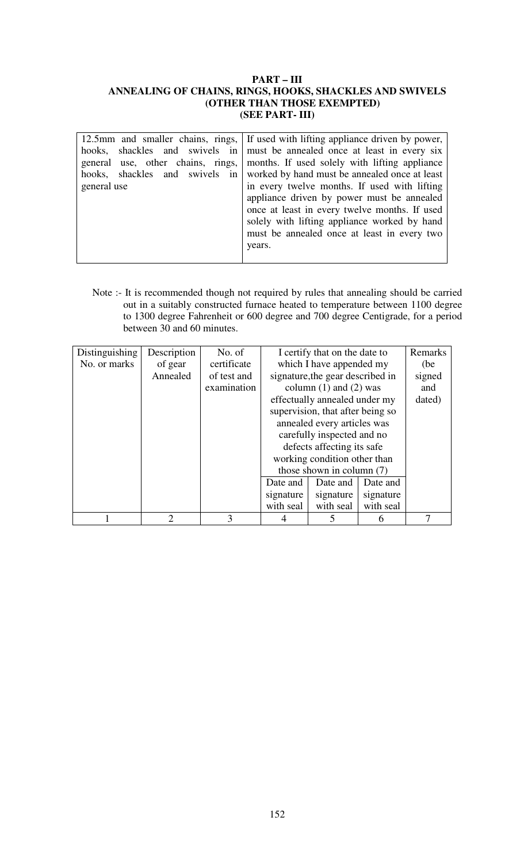#### **PART – III ANNEALING OF CHAINS, RINGS, HOOKS, SHACKLES AND SWIVELS (OTHER THAN THOSE EXEMPTED) (SEE PART- III)**

| 12.5mm and smaller chains, rings, I If used with lifting appliance driven by power, |                                                                                 |  |  |  |  |  |  |  |
|-------------------------------------------------------------------------------------|---------------------------------------------------------------------------------|--|--|--|--|--|--|--|
|                                                                                     | hooks, shackles and swivels in must be annealed once at least in every six      |  |  |  |  |  |  |  |
|                                                                                     | general use, other chains, rings, months. If used solely with lifting appliance |  |  |  |  |  |  |  |
|                                                                                     | hooks, shackles and swivels in worked by hand must be annealed once at least    |  |  |  |  |  |  |  |
| general use                                                                         | in every twelve months. If used with lifting                                    |  |  |  |  |  |  |  |
|                                                                                     | appliance driven by power must be annealed                                      |  |  |  |  |  |  |  |
|                                                                                     | once at least in every twelve months. If used                                   |  |  |  |  |  |  |  |
|                                                                                     | solely with lifting appliance worked by hand                                    |  |  |  |  |  |  |  |
|                                                                                     | must be annealed once at least in every two                                     |  |  |  |  |  |  |  |
|                                                                                     | years.                                                                          |  |  |  |  |  |  |  |
|                                                                                     |                                                                                 |  |  |  |  |  |  |  |

Note :- It is recommended though not required by rules that annealing should be carried out in a suitably constructed furnace heated to temperature between 1100 degree to 1300 degree Fahrenheit or 600 degree and 700 degree Centigrade, for a period between 30 and 60 minutes.

| <b>Distinguishing</b> | Description | No. of        |                                  | I certify that on the date to |           | Remarks |
|-----------------------|-------------|---------------|----------------------------------|-------------------------------|-----------|---------|
| No. or marks          | of gear     | certificate   |                                  | which I have appended my      |           | (be)    |
|                       | Annealed    | of test and   | signature, the gear described in |                               |           | signed  |
|                       |             | examination   |                                  | column $(1)$ and $(2)$ was    |           |         |
|                       |             |               | effectually annealed under my    |                               |           | dated)  |
|                       |             |               | supervision, that after being so |                               |           |         |
|                       |             |               | annealed every articles was      |                               |           |         |
|                       |             |               | carefully inspected and no       |                               |           |         |
|                       |             |               | defects affecting its safe       |                               |           |         |
|                       |             |               |                                  | working condition other than  |           |         |
|                       |             |               |                                  | those shown in column $(7)$   |           |         |
|                       |             |               | Date and                         | Date and                      | Date and  |         |
|                       |             |               | signature                        | signature                     | signature |         |
|                       |             |               | with seal                        | with seal                     | with seal |         |
|                       | 2           | $\mathcal{R}$ |                                  |                               | 6         |         |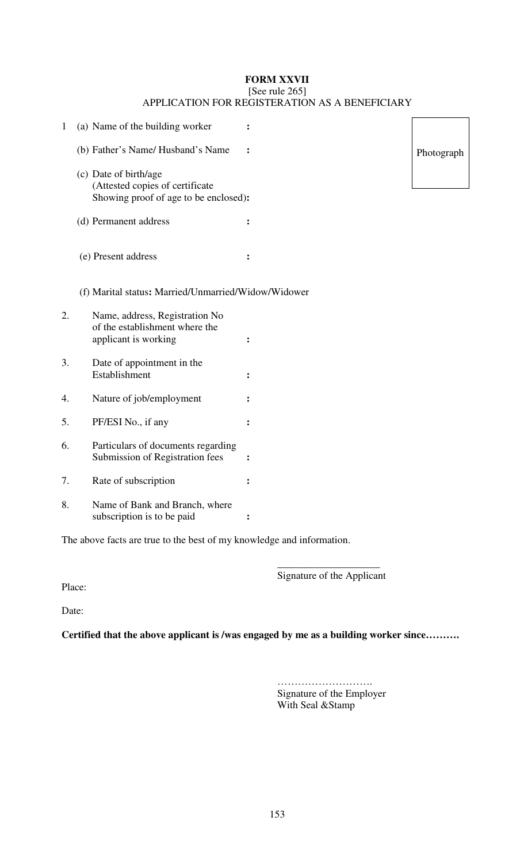#### **FORM XXVII**  [See rule 265] APPLICATION FOR REGISTERATION AS A BENEFICIARY

| $\mathbf{1}$ | (a) Name of the building worker                                                                   |                |         |
|--------------|---------------------------------------------------------------------------------------------------|----------------|---------|
|              | (b) Father's Name/ Husband's Name                                                                 |                | Photogi |
|              | (c) Date of birth/age<br>(Attested copies of certificate<br>Showing proof of age to be enclosed): |                |         |
|              | (d) Permanent address                                                                             | $\ddot{\cdot}$ |         |
|              | (e) Present address                                                                               | $\ddot{\cdot}$ |         |
|              | (f) Marital status: Married/Unmarried/Widow/Widower                                               |                |         |
| 2.           | Name, address, Registration No<br>of the establishment where the<br>applicant is working          | $\ddot{\cdot}$ |         |
| 3.           | Date of appointment in the<br>Establishment                                                       |                |         |
| 4.           | Nature of job/employment                                                                          |                |         |
| 5.           | PF/ESI No., if any                                                                                | $\ddot{\cdot}$ |         |
| 6.           | Particulars of documents regarding<br>Submission of Registration fees                             | $\ddot{\cdot}$ |         |
| 7.           | Rate of subscription                                                                              | $\ddot{\cdot}$ |         |
| 8.           | Name of Bank and Branch, where<br>subscription is to be paid                                      | $\ddot{\cdot}$ |         |

The above facts are true to the best of my knowledge and information.

 $\mathcal{L}_\text{max}$  , which is a set of the set of the set of the set of the set of the set of the set of the set of the set of the set of the set of the set of the set of the set of the set of the set of the set of the set of Signature of the Applicant

Place:

Date:

**Certified that the above applicant is /was engaged by me as a building worker since……….**

………………………. Signature of the Employer With Seal &Stamp

153

raph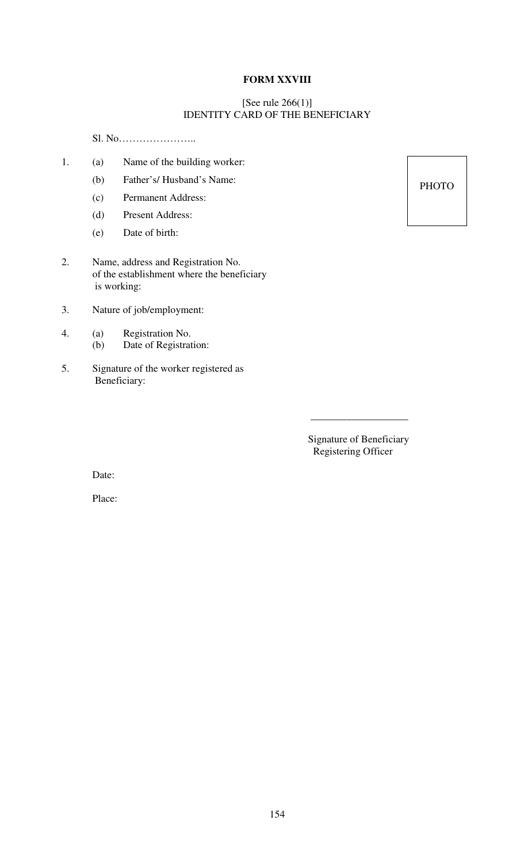## **FORM XXVIII**

#### [See rule 266(1)] IDENTITY CARD OF THE BENEFICIARY

\_\_\_\_\_\_\_\_\_\_\_\_\_\_\_\_\_\_\_

Sl. No…………………..

- 1. (a) Name of the building worker:
	- (b) Father's/ Husband's Name:
	- (c) Permanent Address:
	- (d) Present Address:
	- (e) Date of birth:
- 2. Name, address and Registration No. of the establishment where the beneficiary is working:
- 3. Nature of job/employment:
- 4. (a) Registration No.
	- (b) Date of Registration:
- 5. Signature of the worker registered as Beneficiary:

 Signature of Beneficiary Registering Officer

Date:

Place:

**PHOTO**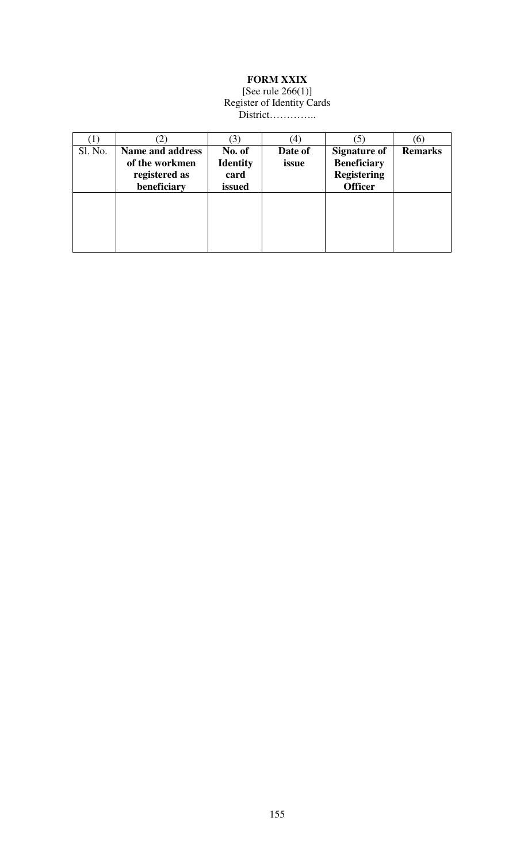# **FORM XXIX**

#### [See rule 266(1)] Register of Identity Cards District…………..

|         |                         |                 | $\left(4\right)$ |                     | (6)            |
|---------|-------------------------|-----------------|------------------|---------------------|----------------|
| Sl. No. | <b>Name and address</b> | No. of          | Date of          | <b>Signature of</b> | <b>Remarks</b> |
|         | of the workmen          | <b>Identity</b> | issue            | <b>Beneficiary</b>  |                |
|         | registered as           | card            |                  | <b>Registering</b>  |                |
|         | beneficiary             | issued          |                  | <b>Officer</b>      |                |
|         |                         |                 |                  |                     |                |
|         |                         |                 |                  |                     |                |
|         |                         |                 |                  |                     |                |
|         |                         |                 |                  |                     |                |
|         |                         |                 |                  |                     |                |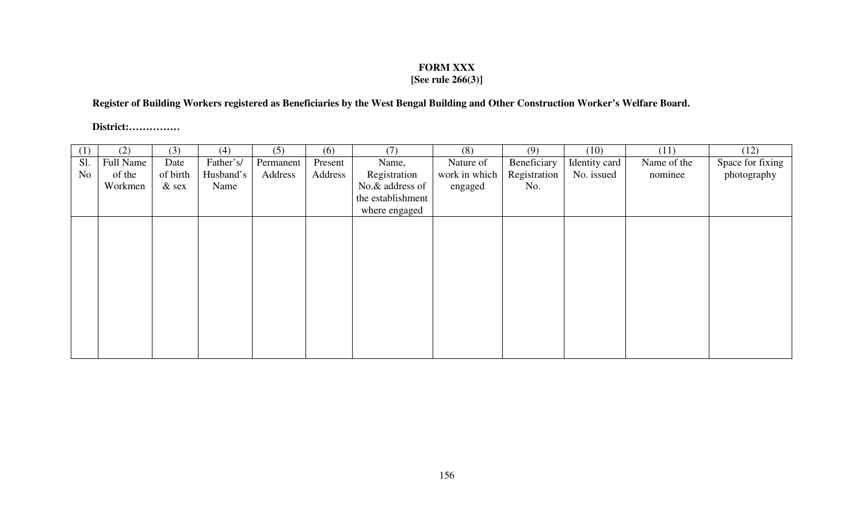## **FORM XXX**

# **[See rule 266(3)]**

## **Register of Building Workers registered as Beneficiaries by the West Bengal Building and Other Construction Worker's Welfare Board.**

**District:……………**

| (1)            | (2)       | (3)      | (4)       | (5)       | (6)     | (7)               | (8)           | (9)          | (10)          | (11)        | (12)             |
|----------------|-----------|----------|-----------|-----------|---------|-------------------|---------------|--------------|---------------|-------------|------------------|
| Sl.            | Full Name | Date     | Father's/ | Permanent | Present | Name,             | Nature of     | Beneficiary  | Identity card | Name of the | Space for fixing |
| N <sub>0</sub> | of the    | of birth | Husband's | Address   | Address | Registration      | work in which | Registration | No. issued    | nominee     | photography      |
|                | Workmen   | $&$ sex  | Name      |           |         | No.& address of   | engaged       | No.          |               |             |                  |
|                |           |          |           |           |         | the establishment |               |              |               |             |                  |
|                |           |          |           |           |         | where engaged     |               |              |               |             |                  |
|                |           |          |           |           |         |                   |               |              |               |             |                  |
|                |           |          |           |           |         |                   |               |              |               |             |                  |
|                |           |          |           |           |         |                   |               |              |               |             |                  |
|                |           |          |           |           |         |                   |               |              |               |             |                  |
|                |           |          |           |           |         |                   |               |              |               |             |                  |
|                |           |          |           |           |         |                   |               |              |               |             |                  |
|                |           |          |           |           |         |                   |               |              |               |             |                  |
|                |           |          |           |           |         |                   |               |              |               |             |                  |
|                |           |          |           |           |         |                   |               |              |               |             |                  |
|                |           |          |           |           |         |                   |               |              |               |             |                  |
|                |           |          |           |           |         |                   |               |              |               |             |                  |
|                |           |          |           |           |         |                   |               |              |               |             |                  |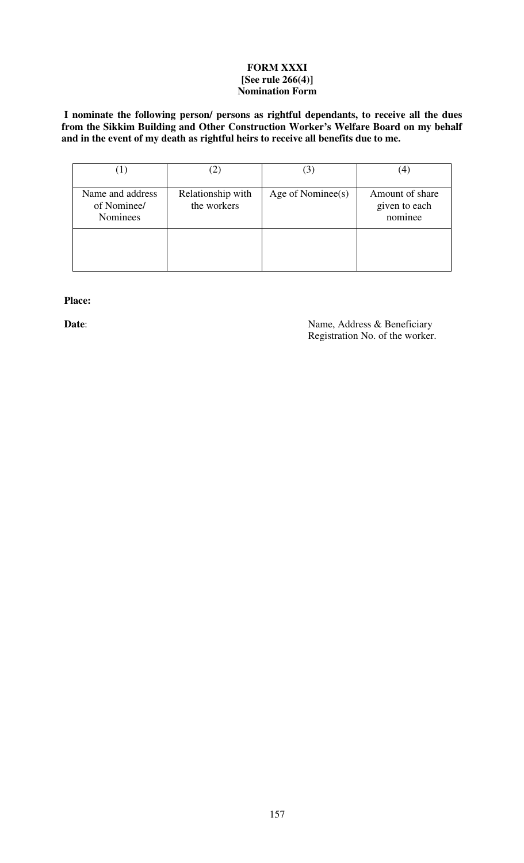### **FORM XXXI [See rule 266(4)] Nomination Form**

 **I nominate the following person/ persons as rightful dependants, to receive all the dues from the Sikkim Building and Other Construction Worker's Welfare Board on my behalf and in the event of my death as rightful heirs to receive all benefits due to me.** 

|                                                    | 2                                | 3                 |                                             |
|----------------------------------------------------|----------------------------------|-------------------|---------------------------------------------|
| Name and address<br>of Nominee/<br><b>Nominees</b> | Relationship with<br>the workers | Age of Nominee(s) | Amount of share<br>given to each<br>nominee |
|                                                    |                                  |                   |                                             |

 **Place:** 

**Date**: Name, Address & Beneficiary Registration No. of the worker.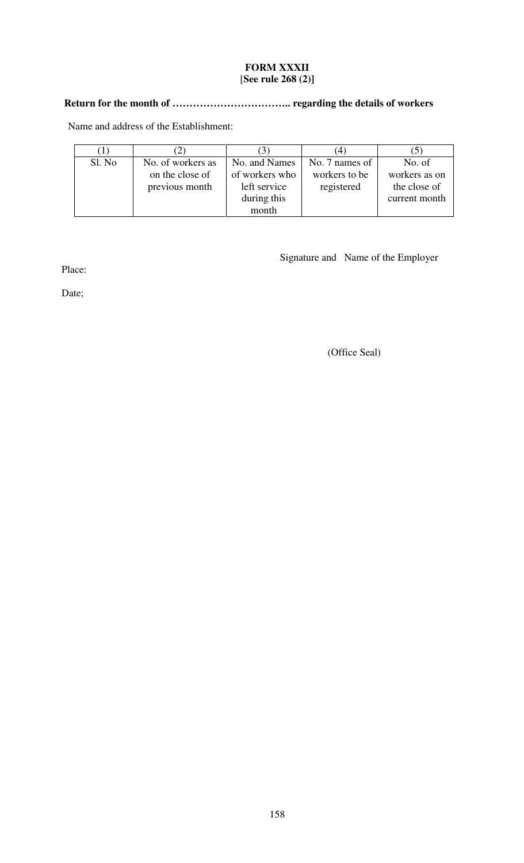## **FORM XXXII**  [**See rule 268 (2)]**

# **Return for the month of …………………………….. regarding the details of workers**

Name and address of the Establishment:

|        |                   |                | $\overline{4}$ |               |
|--------|-------------------|----------------|----------------|---------------|
| Sl. No | No. of workers as | No. and Names  | No. 7 names of | No. of        |
|        | on the close of   | of workers who | workers to be  | workers as on |
|        | previous month    | left service   | registered     | the close of  |
|        |                   | during this    |                | current month |
|        |                   | month          |                |               |

Place:

Date;

(Office Seal)

Signature and Name of the Employer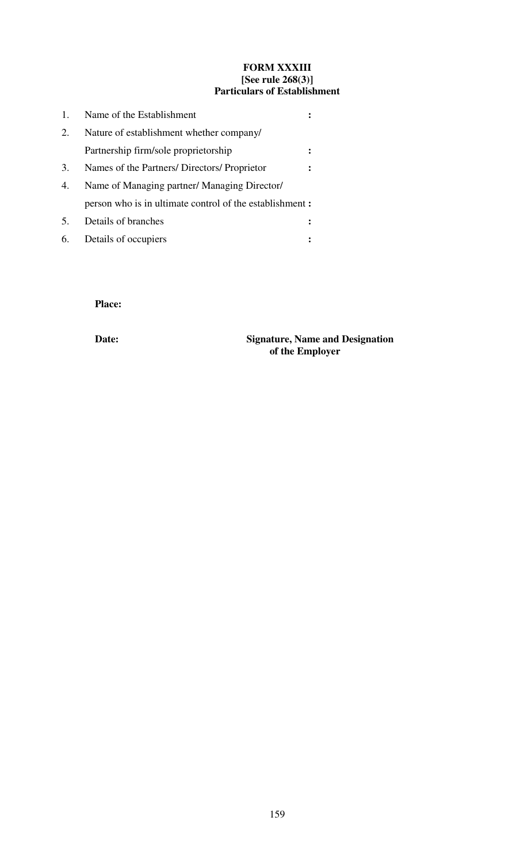#### **FORM XXXIII [See rule 268(3)] Particulars of Establishment**

| 1. | Name of the Establishment                               |  |
|----|---------------------------------------------------------|--|
| 2. | Nature of establishment whether company/                |  |
|    | Partnership firm/sole proprietorship                    |  |
| 3. | Names of the Partners/ Directors/ Proprietor            |  |
| 4. | Name of Managing partner/ Managing Director/            |  |
|    | person who is in ultimate control of the establishment: |  |
| 5. | Details of branches                                     |  |
| 6. | Details of occupiers                                    |  |

# **Place:**

 **Date: Signature, Name and Designation of the Employer**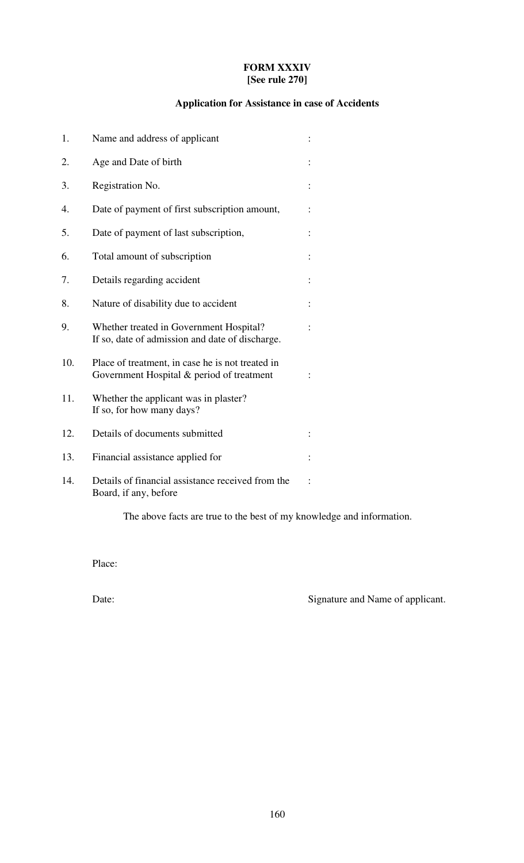## **FORM XXXIV [See rule 270]**

# **Application for Assistance in case of Accidents**

| 1.  | Name and address of applicant                                                                 |  |
|-----|-----------------------------------------------------------------------------------------------|--|
| 2.  | Age and Date of birth                                                                         |  |
| 3.  | Registration No.                                                                              |  |
| 4.  | Date of payment of first subscription amount,                                                 |  |
| 5.  | Date of payment of last subscription,                                                         |  |
| 6.  | Total amount of subscription                                                                  |  |
| 7.  | Details regarding accident                                                                    |  |
| 8.  | Nature of disability due to accident                                                          |  |
| 9.  | Whether treated in Government Hospital?<br>If so, date of admission and date of discharge.    |  |
| 10. | Place of treatment, in case he is not treated in<br>Government Hospital & period of treatment |  |
| 11. | Whether the applicant was in plaster?<br>If so, for how many days?                            |  |
| 12. | Details of documents submitted                                                                |  |
| 13. | Financial assistance applied for                                                              |  |
| 14. | Details of financial assistance received from the<br>Board, if any, before                    |  |

The above facts are true to the best of my knowledge and information.

Place:

Date: Signature and Name of applicant.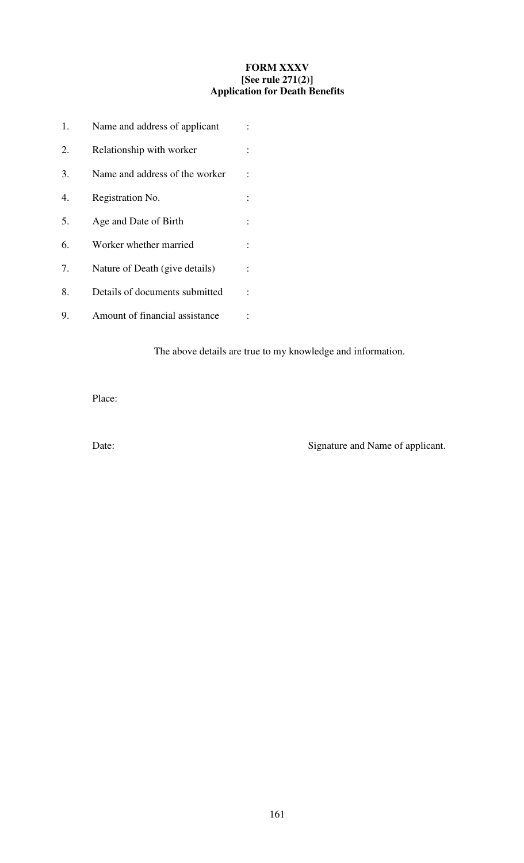## **FORM XXXV [See rule 271(2)] Application for Death Benefits**

| 1. | Name and address of applicant  |  |
|----|--------------------------------|--|
| 2. | Relationship with worker       |  |
| 3. | Name and address of the worker |  |
| 4. | Registration No.               |  |
| 5. | Age and Date of Birth          |  |
| 6. | Worker whether married         |  |
| 7. | Nature of Death (give details) |  |
| 8. | Details of documents submitted |  |
| 9. | Amount of financial assistance |  |

The above details are true to my knowledge and information.

Place:

Date: Signature and Name of applicant.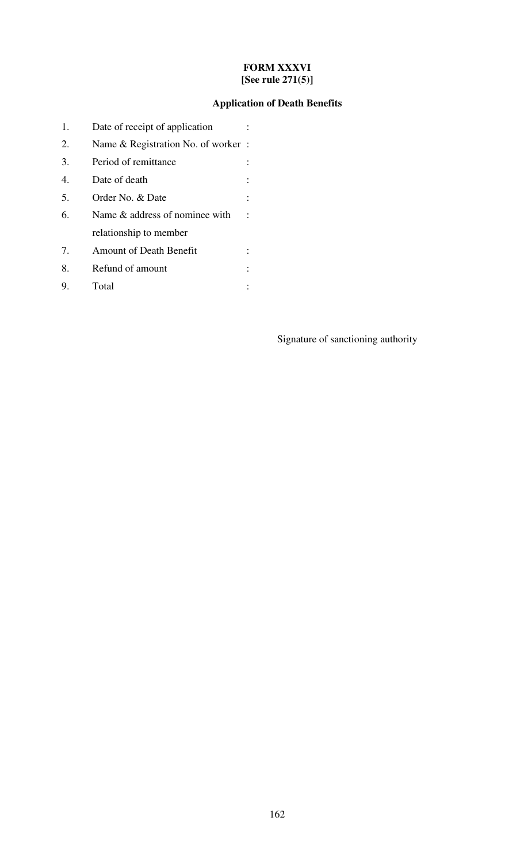## **FORM XXXVI [See rule 271(5)]**

# **Application of Death Benefits**

| 1.                                    | Date of receipt of application      |  |
|---------------------------------------|-------------------------------------|--|
| 2.                                    | Name & Registration No. of worker : |  |
| 3.                                    | Period of remittance                |  |
| 4.                                    | Date of death                       |  |
| 5.                                    | Order No. & Date                    |  |
| 6.                                    | Name & address of nominee with      |  |
|                                       | relationship to member              |  |
| $7_{\scriptscriptstyle{\ddot{\sim}}}$ | <b>Amount of Death Benefit</b>      |  |
| 8.                                    | Refund of amount                    |  |
| 9.                                    | Total                               |  |

Signature of sanctioning authority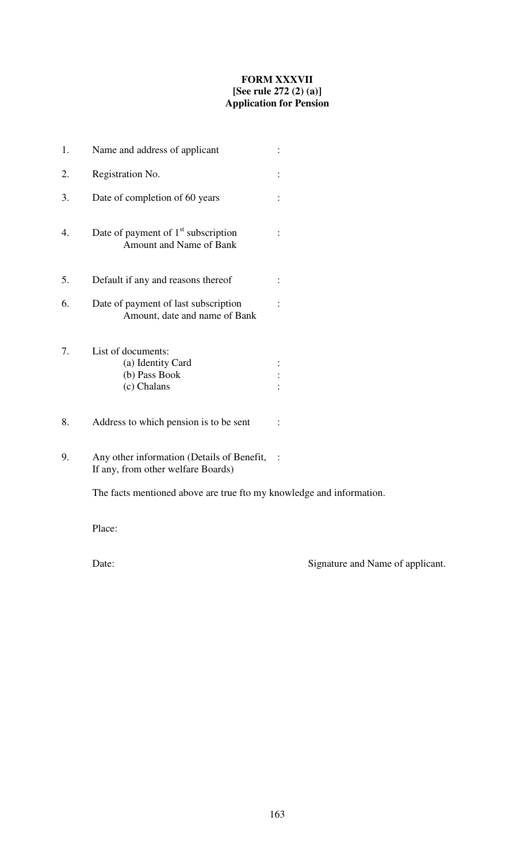## **FORM XXXVII [See rule 272 (2) (a)] Application for Pension**

| 1. | Name and address of applicant                                                    |  |
|----|----------------------------------------------------------------------------------|--|
| 2. | Registration No.                                                                 |  |
| 3. | Date of completion of 60 years                                                   |  |
| 4. | Date of payment of $1st$ subscription<br>Amount and Name of Bank                 |  |
| 5. | Default if any and reasons thereof                                               |  |
| 6. | Date of payment of last subscription<br>Amount, date and name of Bank            |  |
| 7. | List of documents:<br>(a) Identity Card<br>(b) Pass Book<br>(c) Chalans          |  |
| 8. | Address to which pension is to be sent                                           |  |
| 9. | Any other information (Details of Benefit,<br>If any, from other welfare Boards) |  |

The facts mentioned above are true fto my knowledge and information.

Place:

Date: Signature and Name of applicant.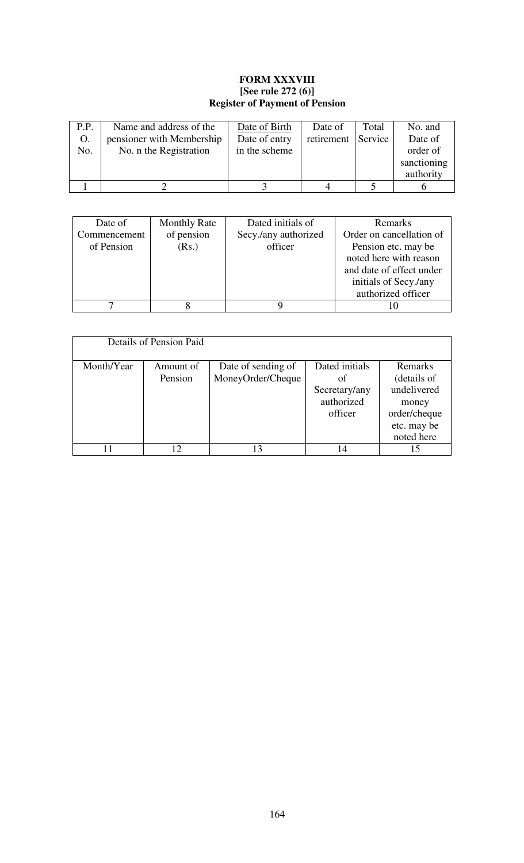## **FORM XXXVIII [See rule 272 (6)] Register of Payment of Pension**

| P.P. | Name and address of the   | Date of Birth | Date of            | Total | No. and     |
|------|---------------------------|---------------|--------------------|-------|-------------|
| O.   | pensioner with Membership | Date of entry | retirement Service |       | Date of     |
| No.  | No. n the Registration    | in the scheme |                    |       | order of    |
|      |                           |               |                    |       | sanctioning |
|      |                           |               |                    |       | authority   |
|      |                           |               |                    |       |             |

| Date of      | <b>Monthly Rate</b> | Dated initials of    | <b>Remarks</b>           |
|--------------|---------------------|----------------------|--------------------------|
| Commencement | of pension          | Secy./any authorized | Order on cancellation of |
| of Pension   | (Rs.)               | officer              | Pension etc. may be      |
|              |                     |                      | noted here with reason   |
|              |                     |                      | and date of effect under |
|              |                     |                      | initials of Secy./any    |
|              |                     |                      | authorized officer       |
|              |                     |                      |                          |

|            | Details of Pension Paid |                                         |                                                                |                                                                                             |
|------------|-------------------------|-----------------------------------------|----------------------------------------------------------------|---------------------------------------------------------------------------------------------|
| Month/Year | Amount of<br>Pension    | Date of sending of<br>MoneyOrder/Cheque | Dated initials<br>οf<br>Secretary/any<br>authorized<br>officer | Remarks<br>(details of<br>undelivered<br>money<br>order/cheque<br>etc. may be<br>noted here |
|            |                         | 13                                      |                                                                | 15                                                                                          |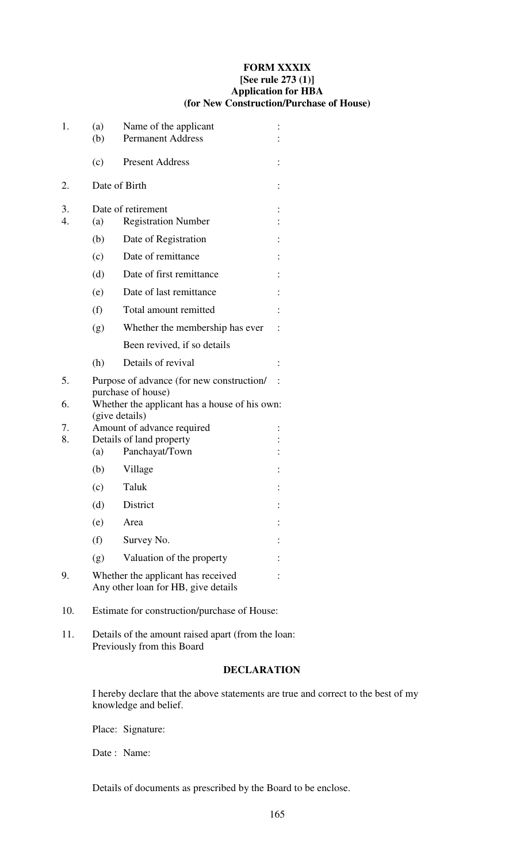#### **FORM XXXIX [See rule 273 (1)] Application for HBA (for New Construction/Purchase of House)**

| 1.                     | (a)<br>(b)     | Name of the applicant<br><b>Permanent Address</b>                         |  |
|------------------------|----------------|---------------------------------------------------------------------------|--|
|                        | (c)            | <b>Present Address</b>                                                    |  |
| 2.                     | Date of Birth  |                                                                           |  |
| 3.<br>$\overline{4}$ . | (a)            | Date of retirement<br><b>Registration Number</b>                          |  |
|                        | (b)            | Date of Registration                                                      |  |
|                        | (c)            | Date of remittance                                                        |  |
|                        | (d)            | Date of first remittance                                                  |  |
|                        | (e)            | Date of last remittance                                                   |  |
|                        | (f)            | Total amount remitted                                                     |  |
|                        | (g)            | Whether the membership has ever                                           |  |
|                        |                | Been revived, if so details                                               |  |
|                        | (h)            | Details of revival                                                        |  |
| 5.                     |                | Purpose of advance (for new construction/<br>purchase of house)           |  |
| 6.                     | (give details) | Whether the applicant has a house of his own:                             |  |
| 7.                     |                | Amount of advance required                                                |  |
| 8.                     | (a)            | Details of land property<br>Panchayat/Town                                |  |
|                        | (b)            | Village                                                                   |  |
|                        | (c)            | Taluk                                                                     |  |
|                        | (d)            | District                                                                  |  |
|                        | (e)            | Area                                                                      |  |
|                        | (f)            | Survey No.                                                                |  |
|                        |                |                                                                           |  |
|                        | (g)            | Valuation of the property                                                 |  |
| 9.                     |                | Whether the applicant has received<br>Any other loan for HB, give details |  |

- 10. Estimate for construction/purchase of House:
- 11. Details of the amount raised apart (from the loan: Previously from this Board

# **DECLARATION**

I hereby declare that the above statements are true and correct to the best of my knowledge and belief.

Place: Signature:

Date : Name:

Details of documents as prescribed by the Board to be enclose.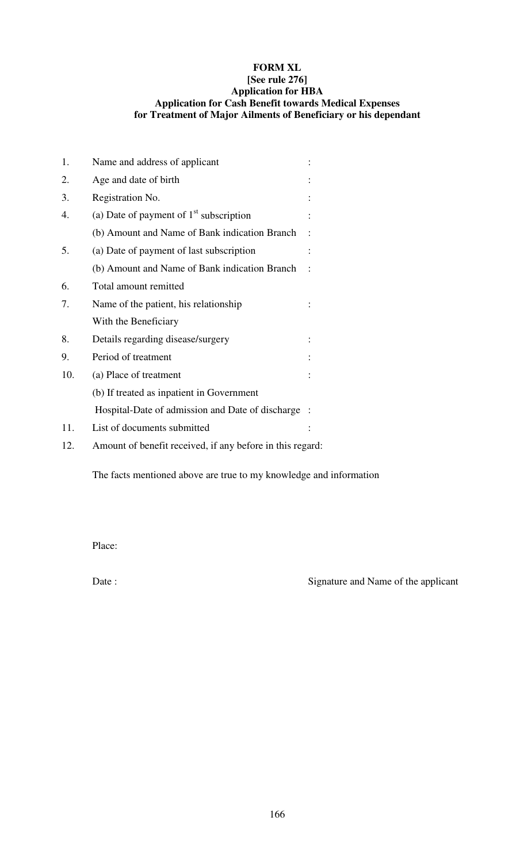## **FORM XL [See rule 276] Application for HBA Application for Cash Benefit towards Medical Expenses for Treatment of Major Ailments of Beneficiary or his dependant**

| 1.  | Name and address of applicant                             |  |
|-----|-----------------------------------------------------------|--|
| 2.  | Age and date of birth                                     |  |
| 3.  | Registration No.                                          |  |
| 4.  | (a) Date of payment of $1st$ subscription                 |  |
|     | (b) Amount and Name of Bank indication Branch             |  |
| 5.  | (a) Date of payment of last subscription                  |  |
|     | (b) Amount and Name of Bank indication Branch             |  |
| 6.  | Total amount remitted                                     |  |
| 7.  | Name of the patient, his relationship                     |  |
|     | With the Beneficiary                                      |  |
| 8.  | Details regarding disease/surgery                         |  |
| 9.  | Period of treatment                                       |  |
| 10. | (a) Place of treatment                                    |  |
|     | (b) If treated as inpatient in Government                 |  |
|     | Hospital-Date of admission and Date of discharge          |  |
| 11. | List of documents submitted                               |  |
| 12. | Amount of benefit received, if any before in this regard: |  |

The facts mentioned above are true to my knowledge and information

Place:

Date : Signature and Name of the applicant